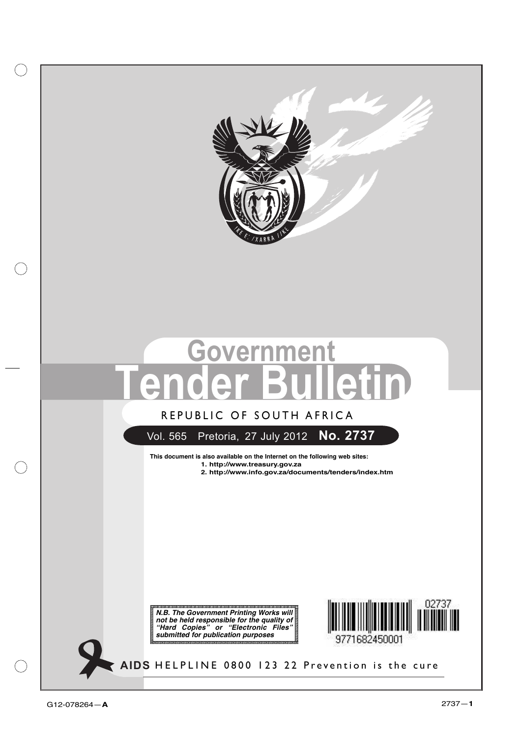

# **Government Tender Bulletin**

### **REPUBLIC OF SOUTH AFRICA** REPUBLIC OF SOUTH AFRICA

### Vol. 565 Pretoria, 27 July 2012 **No. 2737**

**This document is also available on the Internet on the following web sites:**

- **1. http://www.treasury.gov.za**
- **2. http://www.info.gov.za/documents/tenders/index.htm**

*N.B. The Government Printing Works will not be held responsible for the quality of "Hard Copies" or "Electronic Files" submitted for publication purposes*



**AIDS HELPLINE: 0800-123-22 Prevention is the cure** HELPLINE 0800 123 22 Prevention is the cure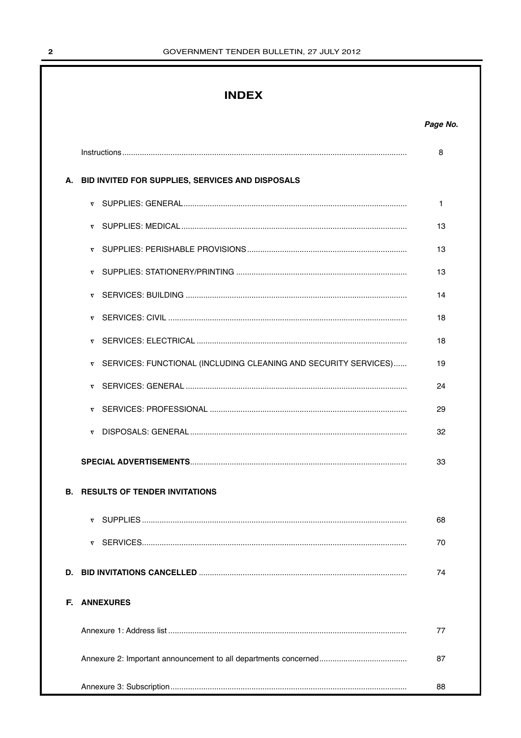### **INDEX**

|    |                                                                             | 8  |
|----|-----------------------------------------------------------------------------|----|
|    | A. BID INVITED FOR SUPPLIES, SERVICES AND DISPOSALS                         |    |
|    |                                                                             | 1  |
|    |                                                                             | 13 |
|    | $\nabla$                                                                    | 13 |
|    |                                                                             | 13 |
|    |                                                                             | 14 |
|    | $\overline{\nabla}$                                                         | 18 |
|    |                                                                             | 18 |
|    | SERVICES: FUNCTIONAL (INCLUDING CLEANING AND SECURITY SERVICES)<br>$\nabla$ | 19 |
|    | $\boldsymbol{\nabla}$                                                       | 24 |
|    |                                                                             | 29 |
|    |                                                                             | 32 |
|    |                                                                             | 33 |
|    | <b>B. RESULTS OF TENDER INVITATIONS</b>                                     |    |
|    |                                                                             | 68 |
|    |                                                                             | 70 |
| D. |                                                                             | 74 |
| F. | <b>ANNEXURES</b>                                                            |    |
|    |                                                                             | 77 |
|    |                                                                             | 87 |
|    |                                                                             | 88 |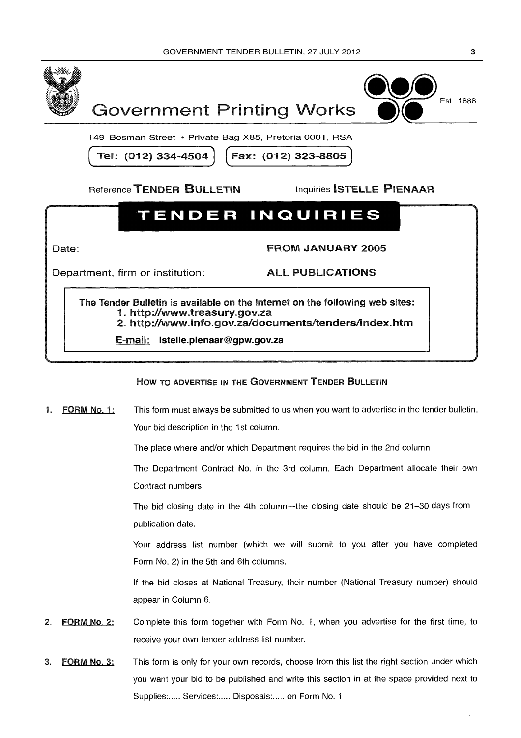



149 Bosman Street • Private Bag X85, Pretoria 0001, RSA

Tel: (012) 334-4504 | Fax: (012) 323-8805

Reference TENDER BULLETIN Inquiries ISTELLE PIENAAR

# TENDER INQUIRIES

Date:

FROM JANUARY 2005

Department, firm or institution:

**ALL PUBLICATIONS** 

The Tender Bulletin is available on the Internet on the following web sites:<br>1. http://www.treasury.gov.za<br>2. http://www.info.gov.za/documents/tenders/index.htm

E-mail: ipienaar@print.pwv.gov.za **istelle.pienaar@gpw.gov.za**

### How TO ADVERTISE IN THE GOVERNMENT TENDER BULLETIN

1. FORM No. 1: This form must always be submitted to us when you want to advertise in the tender bulletin. Your bid description in the 1st column.

The place where and/or which Department requires the bid in the 2nd column

The Department Contract No. in the 3rd column. Each Department allocate their own Contract numbers.

The bid closing date in the 4th column-the closing date should be 21-30 days from publication date.

Your address list number (which we will submit to you after you have completed Form No. 2) in the 5th and 6th columns.

If the bid closes at National Treasury, their number (National Treasury number) should appear in Column 6.

- 2. FORM No. 2: Complete this form together with Form No. 1, when you advertise for the first time, to receive your own tender address list number.
- 3. FORM No. 3: This form is only for your own records, choose from this list the right section under which you want your bid to be published and write this section in at the space provided next to receive your own tender address list number.<br>This form is only for your own records, choose from this list the<br>you want your bid to be published and write this section in at the<br>Supplies:..... Services:..... Disposals:....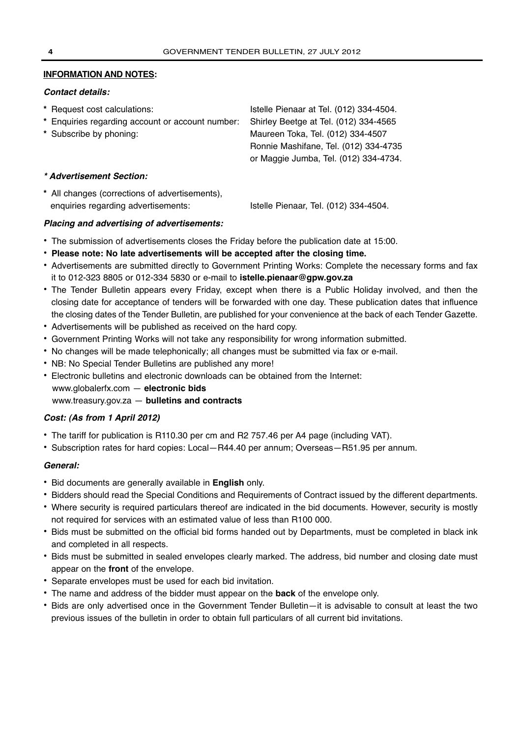### **INFORMATION AND NOTES:**

### *Contact details:*

| * Request cost calculations:                     | Istelle Pienaar at Tel. (012) 334-4504. |
|--------------------------------------------------|-----------------------------------------|
| * Enquiries regarding account or account number: | Shirley Beetge at Tel. (012) 334-4565   |
| * Subscribe by phoning:                          | Maureen Toka, Tel. (012) 334-4507       |
|                                                  | Ronnie Mashifane, Tel. (012) 334-4735   |
|                                                  | or Maggie Jumba, Tel. (012) 334-4734.   |
| * Advertisement Section:                         |                                         |
| * All changes (corrections of advertisements),   |                                         |
| enquiries regarding advertisements:              | Istelle Pienaar, Tel. (012) 334-4504.   |

### *Placing and advertising of advertisements:*

- **•** The submission of advertisements closes the Friday before the publication date at 15:00.
- **• Please note: No late advertisements will be accepted after the closing time.**
- **•** Advertisements are submitted directly to Government Printing Works: Complete the necessary forms and fax it to 012-323 8805 or 012-334 5830 or e-mail to **istelle.pienaar@gpw.gov.za**
- **•** The Tender Bulletin appears every Friday, except when there is a Public Holiday involved, and then the closing date for acceptance of tenders will be forwarded with one day. These publication dates that influence the closing dates of the Tender Bulletin, are published for your convenience at the back of each Tender Gazette.
- **•** Advertisements will be published as received on the hard copy.
- **•** Government Printing Works will not take any responsibility for wrong information submitted.
- **•** No changes will be made telephonically; all changes must be submitted via fax or e-mail.
- **•** NB: No Special Tender Bulletins are published any more!
- **•** Electronic bulletins and electronic downloads can be obtained from the Internet: www.globalerfx.com — **electronic bids** www.treasury.gov.za — **bulletins and contracts**

### *Cost: (As from 1 April 2012)*

- **•** The tariff for publication is R110.30 per cm and R2 757.46 per A4 page (including VAT).
- **•** Subscription rates for hard copies: Local—R44.40 per annum; Overseas—R51.95 per annum.

### *General:*

- **•** Bid documents are generally available in **English** only.
- **•** Bidders should read the Special Conditions and Requirements of Contract issued by the different departments.
- **•** Where security is required particulars thereof are indicated in the bid documents. However, security is mostly not required for services with an estimated value of less than R100 000.
- **•** Bids must be submitted on the official bid forms handed out by Departments, must be completed in black ink and completed in all respects.
- **•** Bids must be submitted in sealed envelopes clearly marked. The address, bid number and closing date must appear on the **front** of the envelope.
- **•** Separate envelopes must be used for each bid invitation.
- **•** The name and address of the bidder must appear on the **back** of the envelope only.
- **•** Bids are only advertised once in the Government Tender Bulletin—it is advisable to consult at least the two previous issues of the bulletin in order to obtain full particulars of all current bid invitations.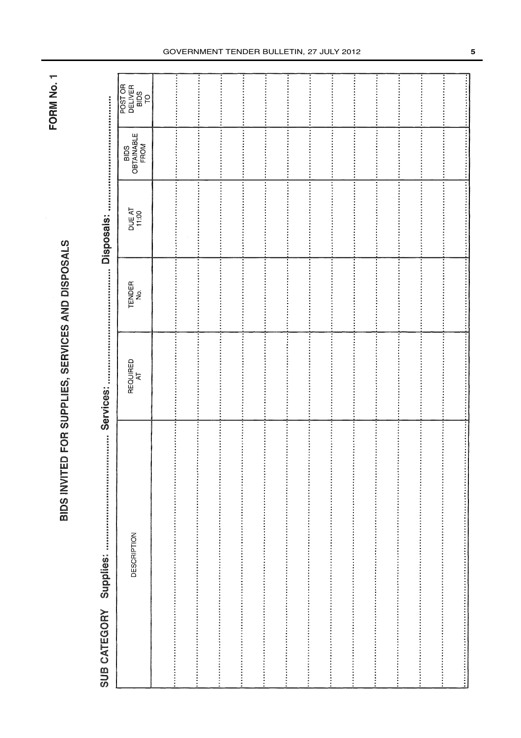# BIDS INVITED FOR SUPPLIES, SERVICES AND DISPOSALS

|              | BIDS INVITED FOR SUPPLIES, SERVICES AND DISPOSALS |                |               |                       |                            | <b>TORN NO.T</b>                 |
|--------------|---------------------------------------------------|----------------|---------------|-----------------------|----------------------------|----------------------------------|
| SUB CATEGORY | 加强的国王进制的西国国家的政府联网团网络联队的日式国国统统政府委托<br>Supplies:    |                |               | <br><b>Disposals:</b> |                            |                                  |
|              | DESCRIPTION                                       | REQUIRED<br>AT | TENDER<br>No. | DUE AT<br>11:00       | BIDS<br>OBTAINABLE<br>FROM | POST OR<br>DELIVER<br>BIDS<br>TO |
|              |                                                   |                | Ì             |                       |                            |                                  |
|              |                                                   | i<br>i<br>i    | j             |                       |                            |                                  |
|              |                                                   |                | Î             | i<br>:<br>:           | $\frac{1}{2}$              | $\frac{1}{2}$                    |
|              |                                                   | Ì              |               | :<br>:<br>:           |                            | Ì                                |
|              |                                                   |                | İ<br>j        |                       |                            |                                  |
|              |                                                   | l              | İ             |                       | $\vdots$                   | İ                                |
|              |                                                   |                | İ             |                       |                            | İ                                |
|              |                                                   | $\frac{1}{2}$  | Ì             |                       |                            |                                  |
|              |                                                   |                |               |                       | i<br>$\frac{1}{2}$         | $\vdots$<br>$\vdots$             |
|              |                                                   |                |               |                       | i                          |                                  |
|              |                                                   |                | i             |                       |                            |                                  |
|              |                                                   | i<br>i<br>i    | $\frac{1}{2}$ |                       |                            |                                  |
|              |                                                   |                | i             |                       |                            |                                  |
|              |                                                   |                |               |                       |                            |                                  |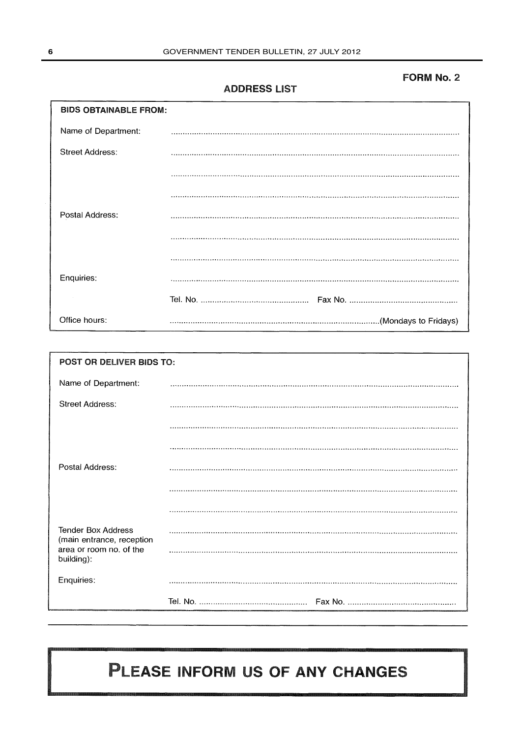### FORM No. 2

### ADDRESS LIST

| <b>BIDS OBTAINABLE FROM:</b> |  |
|------------------------------|--|
| Name of Department:          |  |
| <b>Street Address:</b>       |  |
|                              |  |
|                              |  |
| Postal Address:              |  |
|                              |  |
|                              |  |
| Enquiries:                   |  |
|                              |  |
| Office hours:                |  |

| POST OR DELIVER BIDS TO:                               |  |  |  |  |  |
|--------------------------------------------------------|--|--|--|--|--|
| Name of Department:                                    |  |  |  |  |  |
| <b>Street Address:</b>                                 |  |  |  |  |  |
|                                                        |  |  |  |  |  |
|                                                        |  |  |  |  |  |
| Postal Address:                                        |  |  |  |  |  |
|                                                        |  |  |  |  |  |
|                                                        |  |  |  |  |  |
| <b>Tender Box Address</b><br>(main entrance, reception |  |  |  |  |  |
| area or room no. of the<br>building):                  |  |  |  |  |  |
| Enquiries:                                             |  |  |  |  |  |
|                                                        |  |  |  |  |  |

# PLEASE INFORM US OF ANY CHANGES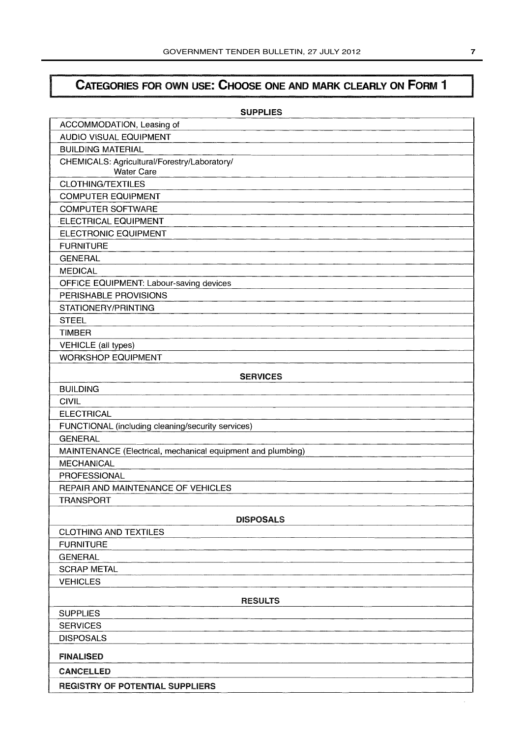## CATEGORIES FOR OWN USE: CHOOSE ONE AND MARK CLEARLY ON FORM 1

| <b>SUPPLIES</b>                                                   |
|-------------------------------------------------------------------|
| ACCOMMODATION, Leasing of                                         |
| <b>AUDIO VISUAL EQUIPMENT</b>                                     |
| <b>BUILDING MATERIAL</b>                                          |
| CHEMICALS: Agricultural/Forestry/Laboratory/<br><b>Water Care</b> |
| <b>CLOTHING/TEXTILES</b>                                          |
| <b>COMPUTER EQUIPMENT</b>                                         |
| <b>COMPUTER SOFTWARE</b>                                          |
| ELECTRICAL EQUIPMENT                                              |
| ELECTRONIC EQUIPMENT                                              |
| <b>FURNITURE</b>                                                  |
| <b>GENERAL</b>                                                    |
| <b>MEDICAL</b>                                                    |
| OFFICE EQUIPMENT: Labour-saving devices                           |
| PERISHABLE PROVISIONS                                             |
| STATIONERY/PRINTING                                               |
| <b>STEEL</b>                                                      |
| <b>TIMBER</b>                                                     |
| <b>VEHICLE</b> (all types)                                        |
| <b>WORKSHOP EQUIPMENT</b>                                         |
| <b>SERVICES</b>                                                   |
| <b>BUILDING</b>                                                   |
| <b>CIVIL</b>                                                      |
| <b>ELECTRICAL</b>                                                 |
| FUNCTIONAL (including cleaning/security services)                 |
| <b>GENERAL</b>                                                    |
| MAINTENANCE (Electrical, mechanical equipment and plumbing)       |
| <b>MECHANICAL</b>                                                 |
| PROFESSIONAL                                                      |
| REPAIR AND MAINTENANCE OF VEHICLES                                |
| <b>TRANSPORT</b>                                                  |
| <b>DISPOSALS</b>                                                  |
| <b>CLOTHING AND TEXTILES</b>                                      |
| <b>FURNITURE</b>                                                  |
| <b>GENERAL</b>                                                    |
| <b>SCRAP METAL</b>                                                |
| <b>VEHICLES</b>                                                   |
| <b>RESULTS</b>                                                    |
| <b>SUPPLIES</b>                                                   |
| <b>SERVICES</b>                                                   |
| <b>DISPOSALS</b>                                                  |
| <b>FINALISED</b>                                                  |
| <b>CANCELLED</b>                                                  |
| REGISTRY OF POTENTIAL SUPPLIERS                                   |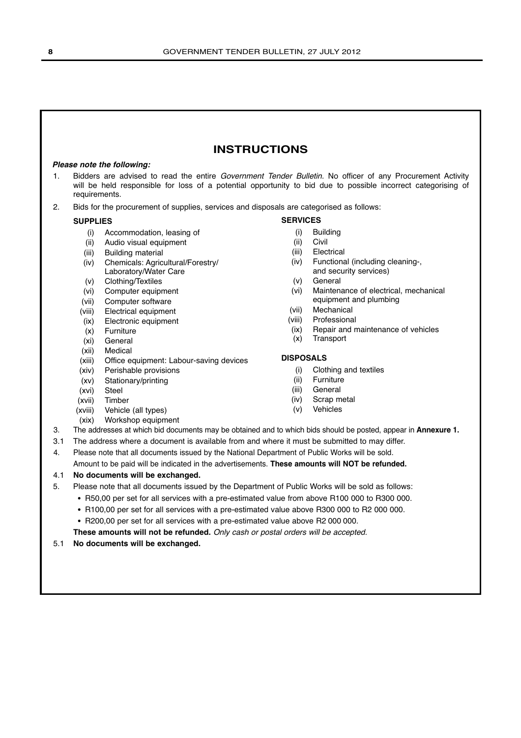### **INSTRUCTIONS**

### *Please note the following:*

- 1. Bidders are advised to read the entire Government Tender Bulletin. No officer of any Procurement Activity will be held responsible for loss of a potential opportunity to bid due to possible incorrect categorising of requirements.
- 2. Bids for the procurement of supplies, services and disposals are categorised as follows:

### **SUPPLIES**

- (i) Accommodation, leasing of
- (ii) Audio visual equipment
- (iii) Building material
- (iv) Chemicals: Agricultural/Forestry/ Laboratory/Water Care
- (v) Clothing/Textiles
- (vi) Computer equipment
- (vii) Computer software
- (viii) Electrical equipment
- (ix) Electronic equipment
- (x) Furniture
- (xi) General
- (xii) Medical
- (xiii) Office equipment: Labour-saving devices
- (xiv) Perishable provisions
- (xv) Stationary/printing
- (xvi) Steel
- (xvii) Timber
- (xviii) Vehicle (all types)
- (xix) Workshop equipment

- (i) Building
- (ii) Civil
- (iii) Electrical
- (iv) Functional (including cleaning-, and security services)
- (v) General
- (vi) Maintenance of electrical, mechanical equipment and plumbing
- (vii) Mechanical
- (viii) Professional
- (ix) Repair and maintenance of vehicles
- (x) Transport

### **DISPOSALS**

- (i) Clothing and textiles
- (ii) Furniture
- (iii) General
- (iv) Scrap metal
- (v) Vehicles
- 
- 3. The addresses at which bid documents may be obtained and to which bids should be posted, appear in **Annexure 1.**
- 3.1 The address where a document is available from and where it must be submitted to may differ.
- 4. Please note that all documents issued by the National Department of Public Works will be sold. Amount to be paid will be indicated in the advertisements. **These amounts will NOT be refunded.**

### 4.1 **No documents will be exchanged.**

- 5. Please note that all documents issued by the Department of Public Works will be sold as follows:
	- R50,00 per set for all services with a pre-estimated value from above R100 000 to R300 000.
	- R100,00 per set for all services with a pre-estimated value above R300 000 to R2 000 000.
	- R200,00 per set for all services with a pre-estimated value above R2 000 000.

**These amounts will not be refunded.** Only cash or postal orders will be accepted.

### 5.1 **No documents will be exchanged.**

**SERVICES**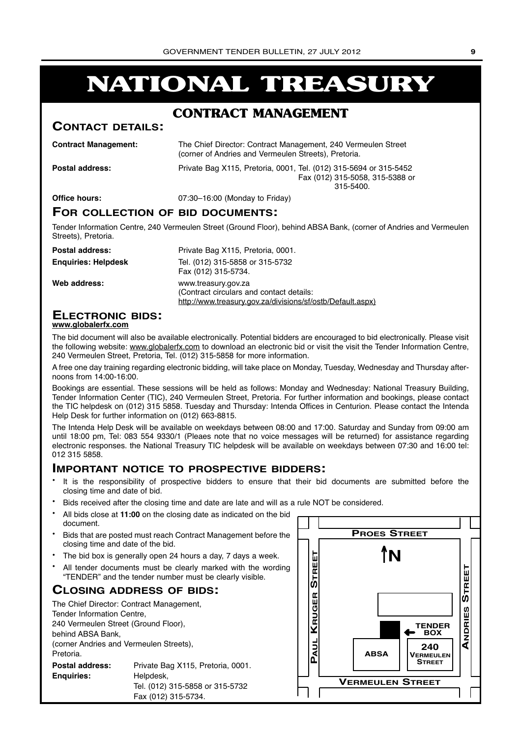# **NATIONAL TREASURY**

### **CONTRACT MANAGEMENT**

### **CONTACT DETAILS:**

**Contract Management:** 

| The Chief Director: Contract Management, 240 Vermeulen Street |  |
|---------------------------------------------------------------|--|
| (corner of Andries and Vermeulen Streets), Pretoria.          |  |

**Postal address:** Private Bag X115, Pretoria, 0001, Tel. (012) 315-5694 or 315-5452 Fax (012) 315-5058, 315-5388 or 315-5400.

**Office hours:** 07:30–16:00 (Monday to Friday)

### **FOR COLLECTION OF BID DOCUMENTS:**

Tender Information Centre, 240 Vermeulen Street (Ground Floor), behind ABSA Bank, (corner of Andries and Vermeulen Streets), Pretoria.

| <b>Postal address:</b>     | Private Bag X115, Pretoria, 0001.                                                                                             |
|----------------------------|-------------------------------------------------------------------------------------------------------------------------------|
| <b>Enguiries: Helpdesk</b> | Tel. (012) 315-5858 or 315-5732<br>Fax (012) 315-5734.                                                                        |
| Web address:               | www.treasury.gov.za<br>(Contract circulars and contact details:<br>http://www.treasury.gov.za/divisions/sf/ostb/Default.aspx) |

### **ELECTRONIC BIDS:**

### **www.globalerfx.com**

The bid document will also be available electronically. Potential bidders are encouraged to bid electronically. Please visit the following website: www.globalerfx.com to download an electronic bid or visit the visit the Tender Information Centre, 240 Vermeulen Street, Pretoria, Tel. (012) 315-5858 for more information.

A free one day training regarding electronic bidding, will take place on Monday, Tuesday, Wednesday and Thursday afternoons from 14:00-16:00.

Bookings are essential. These sessions will be held as follows: Monday and Wednesday: National Treasury Building, Tender Information Center (TIC), 240 Vermeulen Street, Pretoria. For further information and bookings, please contact the TIC helpdesk on (012) 315 5858. Tuesday and Thursday: Intenda Offices in Centurion. Please contact the Intenda Help Desk for further information on (012) 663-8815.

The Intenda Help Desk will be available on weekdays between 08:00 and 17:00. Saturday and Sunday from 09:00 am until 18:00 pm, Tel: 083 554 9330/1 (Pleaes note that no voice messages will be returned) for assistance regarding electronic responses. the National Treasury TIC helpdesk will be available on weekdays between 07:30 and 16:00 tel: 012 315 5858.

### **IMPORTANT NOTICE TO PROSPECTIVE BIDDERS:**

- It is the responsibility of prospective bidders to ensure that their bid documents are submitted before the closing time and date of bid.
- Bids received after the closing time and date are late and will as a rule NOT be considered.
- All bids close at **11:00** on the closing date as indicated on the bid document.
- Bids that are posted must reach Contract Management before the closing time and date of the bid.
- The bid box is generally open 24 hours a day, 7 days a week.
- All tender documents must be clearly marked with the wording "TENDER" and the tender number must be clearly visible.

### **CLOSING ADDRESS OF BIDS:**

| The Chief Director: Contract Management, |                                   |  |  |  |  |
|------------------------------------------|-----------------------------------|--|--|--|--|
| Tender Information Centre,               |                                   |  |  |  |  |
| 240 Vermeulen Street (Ground Floor),     |                                   |  |  |  |  |
| behind ABSA Bank,                        |                                   |  |  |  |  |
| (corner Andries and Vermeulen Streets),  |                                   |  |  |  |  |
| Pretoria.                                |                                   |  |  |  |  |
| <b>Postal address:</b>                   | Private Bag X115, Pretoria, 0001. |  |  |  |  |
| <b>Enguiries:</b>                        | Helpdesk,                         |  |  |  |  |
|                                          | Tel. (012) 315-5858 or 315-5732   |  |  |  |  |
|                                          | Fax (012) 315-5734.               |  |  |  |  |

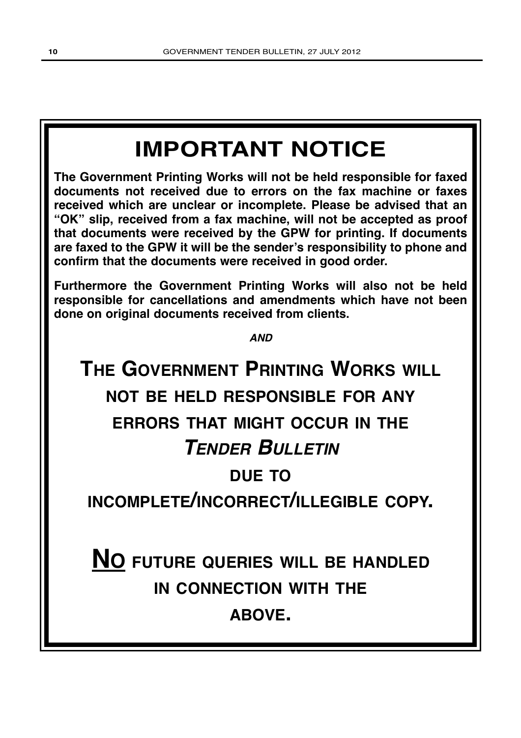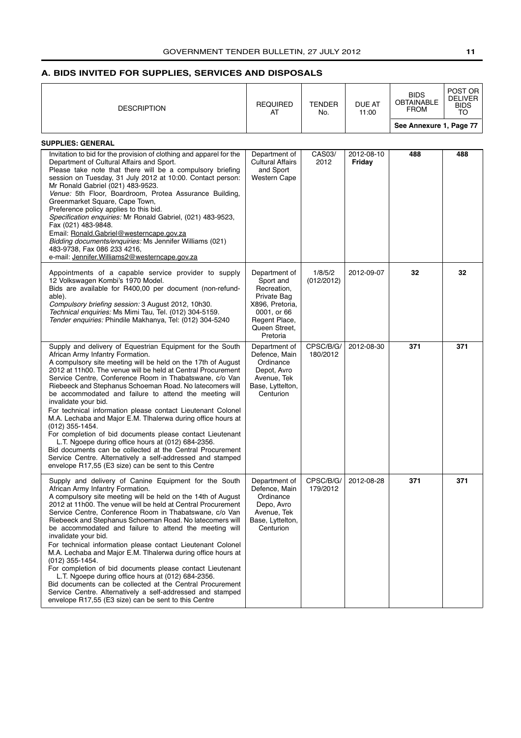### <span id="page-10-0"></span>**A. BIDS INVITED FOR SUPPLIES, SERVICES AND DISPOSALS**

| <b>DESCRIPTION</b>                                                                                                                                                                                                                                                                                                                                                                                                                                                                                                                                                                                                                                                                                                                                                                                                                                                                               | <b>REQUIRED</b><br>AT                                                                                                                    | <b>TENDER</b><br>No.  | DUE AT<br>11:00      | <b>BIDS</b><br><b>OBTAINABLE</b><br><b>FROM</b><br>See Annexure 1, Page 77 | POST OR<br><b>DELIVER</b><br><b>BIDS</b><br>TO |
|--------------------------------------------------------------------------------------------------------------------------------------------------------------------------------------------------------------------------------------------------------------------------------------------------------------------------------------------------------------------------------------------------------------------------------------------------------------------------------------------------------------------------------------------------------------------------------------------------------------------------------------------------------------------------------------------------------------------------------------------------------------------------------------------------------------------------------------------------------------------------------------------------|------------------------------------------------------------------------------------------------------------------------------------------|-----------------------|----------------------|----------------------------------------------------------------------------|------------------------------------------------|
| <b>SUPPLIES: GENERAL</b>                                                                                                                                                                                                                                                                                                                                                                                                                                                                                                                                                                                                                                                                                                                                                                                                                                                                         |                                                                                                                                          |                       |                      |                                                                            |                                                |
| Invitation to bid for the provision of clothing and apparel for the<br>Department of Cultural Affairs and Sport.<br>Please take note that there will be a compulsory briefing<br>session on Tuesday, 31 July 2012 at 10:00. Contact person:<br>Mr Ronald Gabriel (021) 483-9523.<br>Venue: 5th Floor, Boardroom, Protea Assurance Building,<br>Greenmarket Square, Cape Town,<br>Preference policy applies to this bid.<br>Specification enquiries: Mr Ronald Gabriel, (021) 483-9523,<br>Fax (021) 483-9848.<br>Email: Ronald.Gabriel@westerncape.gov.za<br>Bidding documents/enquiries: Ms Jennifer Williams (021)<br>483-9738, Fax 086 233 4216,<br>e-mail: Jennifer.Williams2@westerncape.gov.za                                                                                                                                                                                             | Department of<br><b>Cultural Affairs</b><br>and Sport<br><b>Western Cape</b>                                                             | CAS03/<br>2012        | 2012-08-10<br>Friday | 488                                                                        | 488                                            |
| Appointments of a capable service provider to supply<br>12 Volkswagen Kombi's 1970 Model.<br>Bids are available for R400,00 per document (non-refund-<br>able).<br>Compulsory briefing session: 3 August 2012, 10h30.<br>Technical enquiries: Ms Mimi Tau, Tel. (012) 304-5159.<br>Tender enquiries: Phindile Makhanya, Tel: (012) 304-5240                                                                                                                                                                                                                                                                                                                                                                                                                                                                                                                                                      | Department of<br>Sport and<br>Recreation,<br>Private Bag<br>X896, Pretoria,<br>0001, or 66<br>Regent Place,<br>Queen Street,<br>Pretoria | 1/8/5/2<br>(012/2012) | 2012-09-07           | 32                                                                         | 32                                             |
| Supply and delivery of Equestrian Equipment for the South<br>African Army Infantry Formation.<br>A compulsory site meeting will be held on the 17th of August<br>2012 at 11h00. The venue will be held at Central Procurement<br>Service Centre, Conference Room in Thabatswane, c/o Van<br>Riebeeck and Stephanus Schoeman Road. No latecomers will<br>be accommodated and failure to attend the meeting will<br>invalidate your bid.<br>For technical information please contact Lieutenant Colonel<br>M.A. Lechaba and Major E.M. Tihalerwa during office hours at<br>$(012)$ 355-1454.<br>For completion of bid documents please contact Lieutenant<br>L.T. Ngoepe during office hours at (012) 684-2356.<br>Bid documents can be collected at the Central Procurement<br>Service Centre. Alternatively a self-addressed and stamped<br>envelope R17,55 (E3 size) can be sent to this Centre | Department of<br>Defence, Main<br>Ordinance<br>Depot, Avro<br>Avenue, Tek<br>Base, Lyttelton,<br>Centurion                               | CPSC/B/G/<br>180/2012 | 2012-08-30           | 371                                                                        | 371                                            |
| Supply and delivery of Canine Equipment for the South<br>African Army Infantry Formation.<br>A compulsory site meeting will be held on the 14th of August<br>2012 at 11h00. The venue will be held at Central Procurement<br>Service Centre, Conference Room in Thabatswane, c/o Van<br>Riebeeck and Stephanus Schoeman Road. No latecomers will<br>be accommodated and failure to attend the meeting will<br>invalidate your bid.<br>For technical information please contact Lieutenant Colonel<br>M.A. Lechaba and Major E.M. Tihalerwa during office hours at<br>$(012)$ 355-1454.<br>For completion of bid documents please contact Lieutenant<br>L.T. Ngoepe during office hours at (012) 684-2356.<br>Bid documents can be collected at the Central Procurement<br>Service Centre. Alternatively a self-addressed and stamped<br>envelope R17,55 (E3 size) can be sent to this Centre     | Department of<br>Defence, Main<br>Ordinance<br>Depo, Avro<br>Avenue, Tek<br>Base, Lyttelton,<br>Centurion                                | CPSC/B/G/<br>179/2012 | 2012-08-28           | 371                                                                        | 371                                            |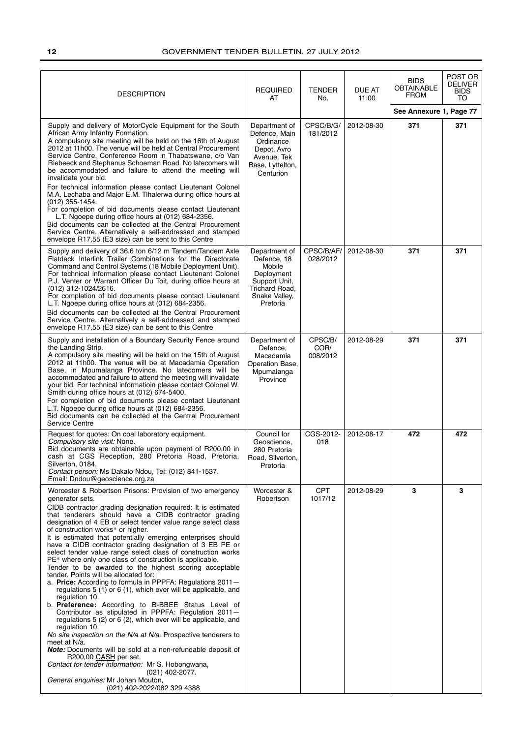| DESCRIPTION                                                                                                                                                                                                                                                                                                                                                                                                                                                                                                                                                                                                                                                                                                                                                                                                                                                                                                                                                                                                                                                                                                                                                                                                                                                                                                                                       | <b>REQUIRED</b><br>AT                                                                                                | TENDER<br>No.               | DUE AT<br>11:00 | <b>BIDS</b><br><b>OBTAINABLE</b><br><b>FROM</b> | POST OR<br><b>DELIVER</b><br><b>BIDS</b><br>TO |
|---------------------------------------------------------------------------------------------------------------------------------------------------------------------------------------------------------------------------------------------------------------------------------------------------------------------------------------------------------------------------------------------------------------------------------------------------------------------------------------------------------------------------------------------------------------------------------------------------------------------------------------------------------------------------------------------------------------------------------------------------------------------------------------------------------------------------------------------------------------------------------------------------------------------------------------------------------------------------------------------------------------------------------------------------------------------------------------------------------------------------------------------------------------------------------------------------------------------------------------------------------------------------------------------------------------------------------------------------|----------------------------------------------------------------------------------------------------------------------|-----------------------------|-----------------|-------------------------------------------------|------------------------------------------------|
|                                                                                                                                                                                                                                                                                                                                                                                                                                                                                                                                                                                                                                                                                                                                                                                                                                                                                                                                                                                                                                                                                                                                                                                                                                                                                                                                                   |                                                                                                                      |                             |                 | See Annexure 1, Page 77                         |                                                |
| Supply and delivery of MotorCycle Equipment for the South<br>African Army Infantry Formation.<br>A compulsory site meeting will be held on the 16th of August<br>2012 at 11h00. The venue will be held at Central Procurement<br>Service Centre, Conference Room in Thabatswane, c/o Van<br>Riebeeck and Stephanus Schoeman Road. No latecomers will<br>be accommodated and failure to attend the meeting will<br>invalidate your bid.<br>For technical information please contact Lieutenant Colonel<br>M.A. Lechaba and Major E.M. Tihalerwa during office hours at<br>$(012)$ 355-1454.<br>For completion of bid documents please contact Lieutenant<br>L.T. Ngoepe during office hours at (012) 684-2356.<br>Bid documents can be collected at the Central Procurement<br>Service Centre. Alternatively a self-addressed and stamped<br>envelope R17,55 (E3 size) can be sent to this Centre                                                                                                                                                                                                                                                                                                                                                                                                                                                  | Department of<br>Defence, Main<br>Ordinance<br>Depot, Avro<br>Avenue, Tek<br>Base, Lyttelton,<br>Centurion           | CPSC/B/G/<br>181/2012       | 2012-08-30      | 371                                             | 371                                            |
| Supply and delivery of 36.6 ton 6/12 m Tandem/Tandem Axle<br>Flatdeck Interlink Trailer Combinations for the Directorate<br>Command and Control Systems (18 Mobile Deployment Unit).<br>For technical information please contact Lieutenant Colonel<br>P.J. Venter or Warrant Officer Du Toit, during office hours at<br>(012) 312-1024/2616.<br>For completion of bid documents please contact Lieutenant<br>L.T. Ngoepe during office hours at (012) 684-2356.<br>Bid documents can be collected at the Central Procurement<br>Service Centre. Alternatively a self-addressed and stamped<br>envelope R17,55 (E3 size) can be sent to this Centre                                                                                                                                                                                                                                                                                                                                                                                                                                                                                                                                                                                                                                                                                               | Department of<br>Defence, 18<br>Mobile<br>Deployment<br>Support Unit,<br>Trichard Road,<br>Snake Valley,<br>Pretoria | CPSC/B/AF/<br>028/2012      | 2012-08-30      | 371                                             | 371                                            |
| Supply and installation of a Boundary Security Fence around<br>the Landing Strip.<br>A compulsory site meeting will be held on the 15th of August<br>2012 at 11h00. The venue will be at Macadamia Operation<br>Base, in Mpumalanga Province. No latecomers will be<br>accommodated and failure to attend the meeting will invalidate<br>your bid. For technical informatioin please contact Colonel W.<br>Smith during office hours at (012) 674-5400.<br>For completion of bid documents please contact Lieutenant<br>L.T. Ngoepe during office hours at (012) 684-2356.<br>Bid documents can be collected at the Central Procurement<br>Service Centre                                                                                                                                                                                                                                                                                                                                                                                                                                                                                                                                                                                                                                                                                         | Department of<br>Defence,<br>Macadamia<br>Operation Base,<br>Mpumalanga<br>Province                                  | CPSC/B/<br>COR/<br>008/2012 | 2012-08-29      | 371                                             | 371                                            |
| Request for quotes: On coal laboratory equipment.<br>Compulsory site visit: None.<br>Bid documents are obtainable upon payment of R200,00 in<br>cash at CGS Reception, 280 Pretoria Road, Pretoria,<br>Silverton, 0184.<br>Contact person: Ms Dakalo Ndou, Tel: (012) 841-1537.<br>Email: Dndou@geoscience.org.za                                                                                                                                                                                                                                                                                                                                                                                                                                                                                                                                                                                                                                                                                                                                                                                                                                                                                                                                                                                                                                 | Council for<br>Geoscience,<br>280 Pretoria<br>Road, Silverton,<br>Pretoria                                           | CGS-2012-<br>018            | 2012-08-17      | 472                                             | 472                                            |
| Worcester & Robertson Prisons: Provision of two emergency<br>generator sets.<br>CIDB contractor grading designation required: It is estimated<br>that tenderers should have a CIDB contractor grading<br>designation of 4 EB or select tender value range select class<br>of construction works* or higher.<br>It is estimated that potentially emerging enterprises should<br>have a CIDB contractor grading designation of 3 EB PE or<br>select tender value range select class of construction works<br>PE* where only one class of construction is applicable.<br>Tender to be awarded to the highest scoring acceptable<br>tender. Points will be allocated for:<br>a. Price: According to formula in PPPFA: Regulations 2011-<br>regulations 5 (1) or 6 (1), which ever will be applicable, and<br>regulation 10.<br>b. Preference: According to B-BBEE Status Level of<br>Contributor as stipulated in PPPFA: Regulation 2011-<br>regulations 5 (2) or 6 (2), which ever will be applicable, and<br>regulation 10.<br>No site inspection on the N/a at N/a. Prospective tenderers to<br>meet at N/a.<br>Note: Documents will be sold at a non-refundable deposit of<br>R200,00 CASH per set.<br>Contact for tender information: Mr S. Hobongwana,<br>(021) 402-2077.<br>General enquiries: Mr Johan Mouton,<br>(021) 402-2022/082 329 4388 | Worcester &<br>Robertson                                                                                             | <b>CPT</b><br>1017/12       | 2012-08-29      | 3                                               | 3                                              |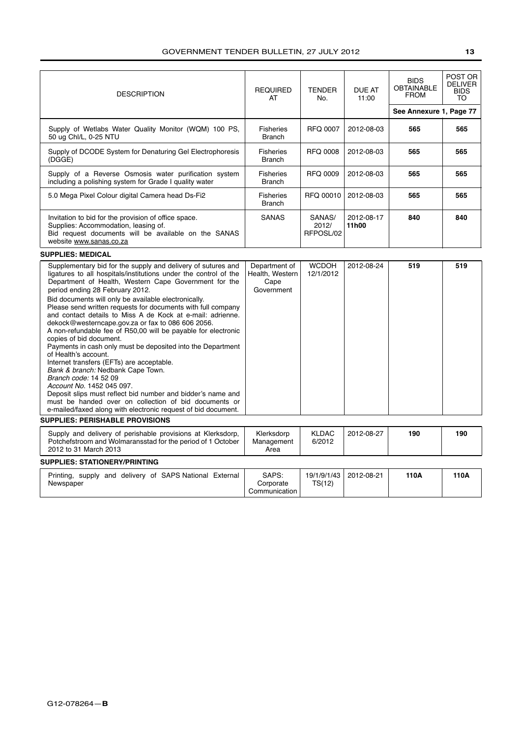| <b>DESCRIPTION</b>                                                                                                                                                                                                                                                                                                                                                                                                                                                                                                                                                                                                                                                                                                                                                                                                                                                                                                                                                                          | <b>REQUIRED</b><br>AT                                  | <b>TENDER</b><br>No.         | <b>DUE AT</b><br>11:00 | <b>BIDS</b><br><b>OBTAINABLE</b><br><b>FROM</b><br>See Annexure 1, Page 77 | POST OR<br><b>DELIVER</b><br><b>BIDS</b><br>TO |
|---------------------------------------------------------------------------------------------------------------------------------------------------------------------------------------------------------------------------------------------------------------------------------------------------------------------------------------------------------------------------------------------------------------------------------------------------------------------------------------------------------------------------------------------------------------------------------------------------------------------------------------------------------------------------------------------------------------------------------------------------------------------------------------------------------------------------------------------------------------------------------------------------------------------------------------------------------------------------------------------|--------------------------------------------------------|------------------------------|------------------------|----------------------------------------------------------------------------|------------------------------------------------|
| Supply of Wetlabs Water Quality Monitor (WQM) 100 PS,<br>50 ug Chl/L, 0-25 NTU                                                                                                                                                                                                                                                                                                                                                                                                                                                                                                                                                                                                                                                                                                                                                                                                                                                                                                              | <b>Fisheries</b><br><b>Branch</b>                      | <b>RFQ 0007</b>              | 2012-08-03             | 565                                                                        | 565                                            |
| Supply of DCODE System for Denaturing Gel Electrophoresis<br>(DGGE)                                                                                                                                                                                                                                                                                                                                                                                                                                                                                                                                                                                                                                                                                                                                                                                                                                                                                                                         | <b>Fisheries</b><br><b>Branch</b>                      | <b>RFQ 0008</b>              | 2012-08-03             | 565                                                                        | 565                                            |
| Supply of a Reverse Osmosis water purification system<br>including a polishing system for Grade I quality water                                                                                                                                                                                                                                                                                                                                                                                                                                                                                                                                                                                                                                                                                                                                                                                                                                                                             | <b>Fisheries</b><br><b>Branch</b>                      | <b>RFQ 0009</b>              | 2012-08-03             | 565                                                                        | 565                                            |
| 5.0 Mega Pixel Colour digital Camera head Ds-Fi2                                                                                                                                                                                                                                                                                                                                                                                                                                                                                                                                                                                                                                                                                                                                                                                                                                                                                                                                            | <b>Fisheries</b><br>Branch                             | RFQ 00010                    | 2012-08-03             | 565                                                                        | 565                                            |
| Invitation to bid for the provision of office space.<br>Supplies: Accommodation, leasing of.<br>Bid request documents will be available on the SANAS<br>website www.sanas.co.za                                                                                                                                                                                                                                                                                                                                                                                                                                                                                                                                                                                                                                                                                                                                                                                                             | <b>SANAS</b>                                           | SANAS/<br>2012/<br>RFPOSL/02 | 2012-08-17<br>11h00    | 840                                                                        | 840                                            |
| <b>SUPPLIES: MEDICAL</b>                                                                                                                                                                                                                                                                                                                                                                                                                                                                                                                                                                                                                                                                                                                                                                                                                                                                                                                                                                    |                                                        |                              |                        |                                                                            |                                                |
| Supplementary bid for the supply and delivery of sutures and<br>ligatures to all hospitals/institutions under the control of the<br>Department of Health, Western Cape Government for the<br>period ending 28 February 2012.<br>Bid documents will only be available electronically.<br>Please send written requests for documents with full company<br>and contact details to Miss A de Kock at e-mail: adrienne.<br>dekock@westerncape.gov.za or fax to 086 606 2056.<br>A non-refundable fee of R50,00 will be payable for electronic<br>copies of bid document.<br>Payments in cash only must be deposited into the Department<br>of Health's account.<br>Internet transfers (EFTs) are acceptable.<br>Bank & branch: Nedbank Cape Town.<br>Branch code: 14 52 09<br>Account No. 1452 045 097.<br>Deposit slips must reflect bid number and bidder's name and<br>must be handed over on collection of bid documents or<br>e-mailed/faxed along with electronic request of bid document. | Department of<br>Health, Western<br>Cape<br>Government | <b>WCDOH</b><br>12/1/2012    | 2012-08-24             | 519                                                                        | 519                                            |
| <b>SUPPLIES: PERISHABLE PROVISIONS</b>                                                                                                                                                                                                                                                                                                                                                                                                                                                                                                                                                                                                                                                                                                                                                                                                                                                                                                                                                      |                                                        |                              |                        |                                                                            |                                                |
| Supply and delivery of perishable provisions at Klerksdorp,<br>Potchefstroom and Wolmaransstad for the period of 1 October<br>2012 to 31 March 2013                                                                                                                                                                                                                                                                                                                                                                                                                                                                                                                                                                                                                                                                                                                                                                                                                                         | Klerksdorp<br>Management<br>Area                       | <b>KLDAC</b><br>6/2012       | 2012-08-27             | 190                                                                        | 190                                            |
| <b>SUPPLIES: STATIONERY/PRINTING</b>                                                                                                                                                                                                                                                                                                                                                                                                                                                                                                                                                                                                                                                                                                                                                                                                                                                                                                                                                        |                                                        |                              |                        |                                                                            |                                                |
| Printing, supply and delivery of SAPS National External<br>Newspaper                                                                                                                                                                                                                                                                                                                                                                                                                                                                                                                                                                                                                                                                                                                                                                                                                                                                                                                        | SAPS:<br>Corporate<br>Communication                    | 19/1/9/1/43<br>TS(12)        | 2012-08-21             | 110A                                                                       | 110A                                           |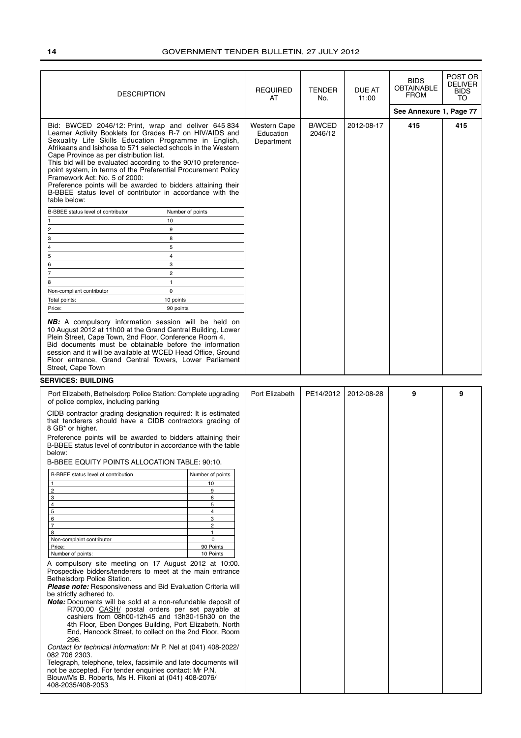| <b>DESCRIPTION</b>                                                                                                                                                                                                                                                                                                                                                                                                                                                                                                                                                                                                              |                             | <b>REQUIRED</b><br>AT                   | <b>TENDER</b><br>No.     | DUE AT<br>11:00 | <b>BIDS</b><br><b>OBTAINABLE</b><br><b>FROM</b> | POST OR<br><b>DELIVER</b><br><b>BIDS</b><br>TO |
|---------------------------------------------------------------------------------------------------------------------------------------------------------------------------------------------------------------------------------------------------------------------------------------------------------------------------------------------------------------------------------------------------------------------------------------------------------------------------------------------------------------------------------------------------------------------------------------------------------------------------------|-----------------------------|-----------------------------------------|--------------------------|-----------------|-------------------------------------------------|------------------------------------------------|
|                                                                                                                                                                                                                                                                                                                                                                                                                                                                                                                                                                                                                                 |                             |                                         |                          |                 | See Annexure 1, Page 77                         |                                                |
| Bid: BWCED 2046/12: Print, wrap and deliver 645 834<br>Learner Activity Booklets for Grades R-7 on HIV/AIDS and<br>Sexuality Life Skills Education Programme in English,<br>Afrikaans and Isixhosa to 571 selected schools in the Western<br>Cape Province as per distribution list.<br>This bid will be evaluated according to the 90/10 preference-<br>point system, in terms of the Preferential Procurement Policy<br>Framework Act: No. 5 of 2000:<br>Preference points will be awarded to bidders attaining their<br>B-BBEE status level of contributor in accordance with the<br>table below:                            |                             | Western Cape<br>Education<br>Department | <b>B/WCED</b><br>2046/12 | 2012-08-17      | 415                                             | 415                                            |
| B-BBEE status level of contributor<br>Number of points                                                                                                                                                                                                                                                                                                                                                                                                                                                                                                                                                                          |                             |                                         |                          |                 |                                                 |                                                |
| 10                                                                                                                                                                                                                                                                                                                                                                                                                                                                                                                                                                                                                              |                             |                                         |                          |                 |                                                 |                                                |
| 2<br>9<br>8<br>3                                                                                                                                                                                                                                                                                                                                                                                                                                                                                                                                                                                                                |                             |                                         |                          |                 |                                                 |                                                |
| 5<br>4                                                                                                                                                                                                                                                                                                                                                                                                                                                                                                                                                                                                                          |                             |                                         |                          |                 |                                                 |                                                |
| $\overline{4}$<br>5                                                                                                                                                                                                                                                                                                                                                                                                                                                                                                                                                                                                             |                             |                                         |                          |                 |                                                 |                                                |
| 3<br>6                                                                                                                                                                                                                                                                                                                                                                                                                                                                                                                                                                                                                          |                             |                                         |                          |                 |                                                 |                                                |
| $\mathbf{2}^{\prime}$<br>7<br>$\mathbf{1}$<br>8                                                                                                                                                                                                                                                                                                                                                                                                                                                                                                                                                                                 |                             |                                         |                          |                 |                                                 |                                                |
| $\mathbf 0$<br>Non-compliant contributor                                                                                                                                                                                                                                                                                                                                                                                                                                                                                                                                                                                        |                             |                                         |                          |                 |                                                 |                                                |
| 10 points<br>Total points:                                                                                                                                                                                                                                                                                                                                                                                                                                                                                                                                                                                                      |                             |                                         |                          |                 |                                                 |                                                |
| 90 points<br>Price:                                                                                                                                                                                                                                                                                                                                                                                                                                                                                                                                                                                                             |                             |                                         |                          |                 |                                                 |                                                |
| <b>NB:</b> A compulsory information session will be held on<br>10 August 2012 at 11h00 at the Grand Central Building, Lower<br>Plein Street, Cape Town, 2nd Floor, Conference Room 4.<br>Bid documents must be obtainable before the information<br>session and it will be available at WCED Head Office, Ground<br>Floor entrance, Grand Central Towers, Lower Parliament<br>Street, Cape Town                                                                                                                                                                                                                                 |                             |                                         |                          |                 |                                                 |                                                |
| <b>SERVICES: BUILDING</b>                                                                                                                                                                                                                                                                                                                                                                                                                                                                                                                                                                                                       |                             |                                         |                          |                 |                                                 |                                                |
| Port Elizabeth, Bethelsdorp Police Station: Complete upgrading<br>of police complex, including parking                                                                                                                                                                                                                                                                                                                                                                                                                                                                                                                          |                             | Port Elizabeth                          | PE14/2012                | 2012-08-28      | 9                                               | 9                                              |
| CIDB contractor grading designation required: It is estimated<br>that tenderers should have a CIDB contractors grading of<br>8 GB* or higher.                                                                                                                                                                                                                                                                                                                                                                                                                                                                                   |                             |                                         |                          |                 |                                                 |                                                |
| Preference points will be awarded to bidders attaining their<br>B-BBEE status level of contributor in accordance with the table<br>below:                                                                                                                                                                                                                                                                                                                                                                                                                                                                                       |                             |                                         |                          |                 |                                                 |                                                |
| B-BBEE EQUITY POINTS ALLOCATION TABLE: 90:10.                                                                                                                                                                                                                                                                                                                                                                                                                                                                                                                                                                                   |                             |                                         |                          |                 |                                                 |                                                |
| B-BBEE status level of contribution                                                                                                                                                                                                                                                                                                                                                                                                                                                                                                                                                                                             | Number of points            |                                         |                          |                 |                                                 |                                                |
| 1                                                                                                                                                                                                                                                                                                                                                                                                                                                                                                                                                                                                                               | 10                          |                                         |                          |                 |                                                 |                                                |
| $\overline{\mathbf{c}}$<br>3                                                                                                                                                                                                                                                                                                                                                                                                                                                                                                                                                                                                    | 9<br>8                      |                                         |                          |                 |                                                 |                                                |
| $\overline{4}$                                                                                                                                                                                                                                                                                                                                                                                                                                                                                                                                                                                                                  | 5                           |                                         |                          |                 |                                                 |                                                |
| 5<br>6                                                                                                                                                                                                                                                                                                                                                                                                                                                                                                                                                                                                                          | 4<br>3                      |                                         |                          |                 |                                                 |                                                |
| $\overline{7}$                                                                                                                                                                                                                                                                                                                                                                                                                                                                                                                                                                                                                  | $\mathbf{2}^{\prime}$       |                                         |                          |                 |                                                 |                                                |
| 8<br>Non-complaint contributor                                                                                                                                                                                                                                                                                                                                                                                                                                                                                                                                                                                                  | $\mathbf{1}$<br>$\mathbf 0$ |                                         |                          |                 |                                                 |                                                |
| Price:<br>Number of points:                                                                                                                                                                                                                                                                                                                                                                                                                                                                                                                                                                                                     | 90 Points<br>10 Points      |                                         |                          |                 |                                                 |                                                |
| A compulsory site meeting on 17 August 2012 at 10:00.<br>Prospective bidders/tenderers to meet at the main entrance<br>Bethelsdorp Police Station.<br><b>Please note:</b> Responsiveness and Bid Evaluation Criteria will<br>be strictly adhered to.<br><b>Note:</b> Documents will be sold at a non-refundable deposit of<br>R700,00 CASH/ postal orders per set payable at<br>cashiers from 08h00-12h45 and 13h30-15h30 on the<br>4th Floor, Eben Donges Building, Port Elizabeth, North<br>End, Hancock Street, to collect on the 2nd Floor, Room<br>296.<br>Contact for technical information: Mr P. Nel at (041) 408-2022/ |                             |                                         |                          |                 |                                                 |                                                |
| 082 706 2303.<br>Telegraph, telephone, telex, facsimile and late documents will<br>not be accepted. For tender enquiries contact: Mr P.N.<br>Blouw/Ms B. Roberts, Ms H. Fikeni at (041) 408-2076/<br>408-2035/408-2053                                                                                                                                                                                                                                                                                                                                                                                                          |                             |                                         |                          |                 |                                                 |                                                |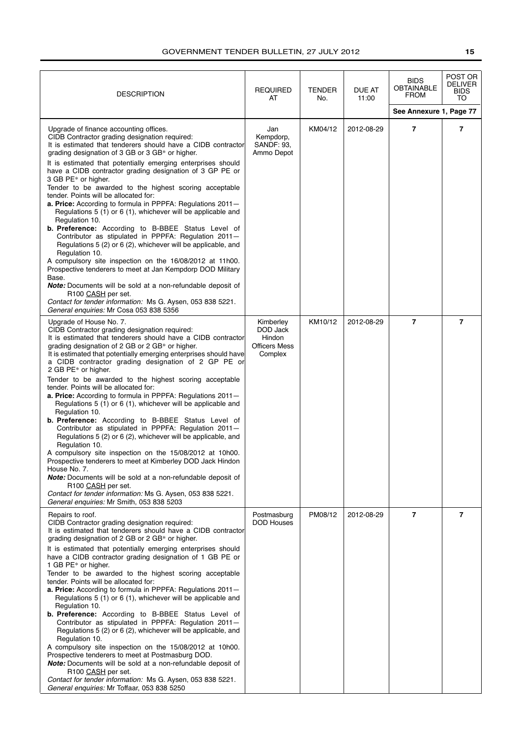| <b>DESCRIPTION</b>                                                                                                                                                                                                                                                                                                                                                                                                                                                                                                                                                                                                                                                                                                                                                                                                                                                                                                                                                                                                                                                                                                                                                    | <b>REQUIRED</b><br>AT                                              | <b>TENDER</b><br>No. | DUE AT<br>11:00 | <b>BIDS</b><br><b>OBTAINABLE</b><br><b>FROM</b> | POST OR<br><b>DELIVER</b><br><b>BIDS</b><br>TO |
|-----------------------------------------------------------------------------------------------------------------------------------------------------------------------------------------------------------------------------------------------------------------------------------------------------------------------------------------------------------------------------------------------------------------------------------------------------------------------------------------------------------------------------------------------------------------------------------------------------------------------------------------------------------------------------------------------------------------------------------------------------------------------------------------------------------------------------------------------------------------------------------------------------------------------------------------------------------------------------------------------------------------------------------------------------------------------------------------------------------------------------------------------------------------------|--------------------------------------------------------------------|----------------------|-----------------|-------------------------------------------------|------------------------------------------------|
|                                                                                                                                                                                                                                                                                                                                                                                                                                                                                                                                                                                                                                                                                                                                                                                                                                                                                                                                                                                                                                                                                                                                                                       |                                                                    |                      |                 | See Annexure 1, Page 77                         |                                                |
| Upgrade of finance accounting offices.<br>CIDB Contractor grading designation required:<br>It is estimated that tenderers should have a CIDB contractor<br>grading designation of 3 GB or 3 GB* or higher.<br>It is estimated that potentially emerging enterprises should<br>have a CIDB contractor grading designation of 3 GP PE or<br>3 GB PE* or higher.<br>Tender to be awarded to the highest scoring acceptable<br>tender. Points will be allocated for:<br>a. Price: According to formula in PPPFA: Regulations 2011-<br>Regulations 5 (1) or 6 (1), whichever will be applicable and<br>Regulation 10.<br>b. Preference: According to B-BBEE Status Level of<br>Contributor as stipulated in PPPFA: Regulation 2011-<br>Regulations 5 (2) or 6 (2), whichever will be applicable, and<br>Regulation 10.<br>A compulsory site inspection on the 16/08/2012 at 11h00.<br>Prospective tenderers to meet at Jan Kempdorp DOD Military<br>Base.<br><b>Note:</b> Documents will be sold at a non-refundable deposit of<br>R <sub>100</sub> CASH per set.<br>Contact for tender information: Ms G. Aysen, 053 838 5221.<br>General enquiries: Mr Cosa 053 838 5356 | Jan<br>Kempdorp,<br><b>SANDF: 93.</b><br>Ammo Depot                | KM04/12              | 2012-08-29      | 7                                               | 7                                              |
| Upgrade of House No. 7.<br>CIDB Contractor grading designation required:<br>It is estimated that tenderers should have a CIDB contractor<br>grading designation of 2 GB or 2 GB* or higher.<br>It is estimated that potentially emerging enterprises should have<br>a CIDB contractor grading designation of 2 GP PE or<br>2 GB PE* or higher.<br>Tender to be awarded to the highest scoring acceptable<br>tender. Points will be allocated for:<br>a. Price: According to formula in PPPFA: Regulations 2011-<br>Regulations 5 (1) or 6 (1), whichever will be applicable and<br>Regulation 10.<br>b. Preference: According to B-BBEE Status Level of<br>Contributor as stipulated in PPPFA: Regulation 2011-<br>Regulations 5 (2) or 6 (2), whichever will be applicable, and<br>Regulation 10.<br>A compulsory site inspection on the 15/08/2012 at 10h00.<br>Prospective tenderers to meet at Kimberley DOD Jack Hindon<br>House No. 7.<br><b>Note:</b> Documents will be sold at a non-refundable deposit of<br>R100 CASH per set.<br>Contact for tender information: Ms G. Aysen, 053 838 5221.<br>General enquiries: Mr Smith, 053 838 5203                   | Kimberley<br>DOD Jack<br>Hindon<br><b>Officers Mess</b><br>Complex | KM10/12              | 2012-08-29      | $\overline{7}$                                  | $\overline{7}$                                 |
| Repairs to roof.<br>CIDB Contractor grading designation required:<br>It is estimated that tenderers should have a CIDB contractor<br>grading designation of 2 GB or 2 GB* or higher.<br>It is estimated that potentially emerging enterprises should<br>have a CIDB contractor grading designation of 1 GB PE or<br>1 GB PE* or higher.<br>Tender to be awarded to the highest scoring acceptable<br>tender. Points will be allocated for:<br>a. Price: According to formula in PPPFA: Regulations 2011-<br>Regulations 5 (1) or 6 (1), whichever will be applicable and<br>Regulation 10.<br>b. Preference: According to B-BBEE Status Level of<br>Contributor as stipulated in PPPFA: Regulation 2011-<br>Regulations 5 (2) or 6 (2), whichever will be applicable, and<br>Regulation 10.<br>A compulsory site inspection on the 15/08/2012 at 10h00.<br>Prospective tenderers to meet at Postmasburg DOD.<br><b>Note:</b> Documents will be sold at a non-refundable deposit of<br>R100 CASH per set.<br>Contact for tender information: Ms G. Aysen, 053 838 5221.<br>General enquiries: Mr Toffaar, 053 838 5250                                                 | Postmasburg<br><b>DOD Houses</b>                                   | PM08/12              | 2012-08-29      | $\overline{7}$                                  | $\overline{7}$                                 |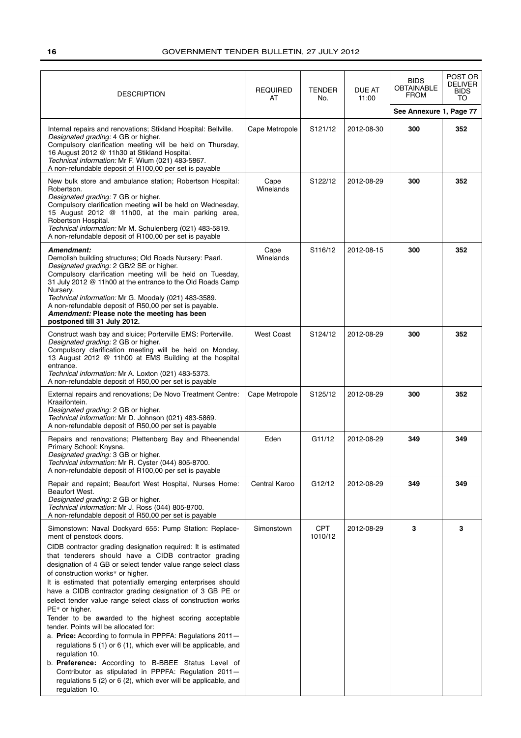| <b>DESCRIPTION</b>                                                                                                                                                                                                                                                                                                                                                                                                                                                                                                                                                                                                                                                                                                                                                                                                                                                                                                                                                                    | <b>REQUIRED</b><br>AT | <b>TENDER</b><br>No. | DUE AT<br>11:00 | <b>BIDS</b><br><b>OBTAINABLE</b><br><b>FROM</b> | POST OR<br><b>DELIVER</b><br><b>BIDS</b><br>TO |
|---------------------------------------------------------------------------------------------------------------------------------------------------------------------------------------------------------------------------------------------------------------------------------------------------------------------------------------------------------------------------------------------------------------------------------------------------------------------------------------------------------------------------------------------------------------------------------------------------------------------------------------------------------------------------------------------------------------------------------------------------------------------------------------------------------------------------------------------------------------------------------------------------------------------------------------------------------------------------------------|-----------------------|----------------------|-----------------|-------------------------------------------------|------------------------------------------------|
|                                                                                                                                                                                                                                                                                                                                                                                                                                                                                                                                                                                                                                                                                                                                                                                                                                                                                                                                                                                       |                       |                      |                 | See Annexure 1, Page 77                         |                                                |
| Internal repairs and renovations; Stikland Hospital: Bellville.<br>Designated grading: 4 GB or higher.<br>Compulsory clarification meeting will be held on Thursday,<br>16 August 2012 @ 11h30 at Stikland Hospital.<br>Technical information: Mr F. Wium (021) 483-5867.<br>A non-refundable deposit of R100,00 per set is payable                                                                                                                                                                                                                                                                                                                                                                                                                                                                                                                                                                                                                                                   | Cape Metropole        | S121/12              | 2012-08-30      | 300                                             | 352                                            |
| New bulk store and ambulance station; Robertson Hospital:<br>Robertson.<br>Designated grading: 7 GB or higher.<br>Compulsory clarification meeting will be held on Wednesday,<br>15 August 2012 @ 11h00, at the main parking area,<br>Robertson Hospital.<br>Technical information: Mr M. Schulenberg (021) 483-5819.<br>A non-refundable deposit of R100,00 per set is payable                                                                                                                                                                                                                                                                                                                                                                                                                                                                                                                                                                                                       | Cape<br>Winelands     | S122/12              | 2012-08-29      | 300                                             | 352                                            |
| Amendment:<br>Demolish building structures; Old Roads Nursery: Paarl.<br>Designated grading: 2 GB/2 SE or higher.<br>Compulsory clarification meeting will be held on Tuesday,<br>31 July 2012 @ 11h00 at the entrance to the Old Roads Camp<br>Nursery.<br>Technical information: Mr G. Moodaly (021) 483-3589.<br>A non-refundable deposit of R50,00 per set is payable.<br>Amendment: Please note the meeting has been<br>postponed till 31 July 2012.                                                                                                                                                                                                                                                                                                                                                                                                                                                                                                                             | Cape<br>Winelands     | S116/12              | 2012-08-15      | 300                                             | 352                                            |
| Construct wash bay and sluice; Porterville EMS: Porterville.<br>Designated grading: 2 GB or higher.<br>Compulsory clarification meeting will be held on Monday,<br>13 August 2012 @ 11h00 at EMS Building at the hospital<br>entrance.<br>Technical information: Mr A. Loxton (021) 483-5373.<br>A non-refundable deposit of R50,00 per set is payable                                                                                                                                                                                                                                                                                                                                                                                                                                                                                                                                                                                                                                | <b>West Coast</b>     | S124/12              | 2012-08-29      | 300                                             | 352                                            |
| External repairs and renovations; De Novo Treatment Centre:<br>Kraaifontein.<br>Designated grading: 2 GB or higher.<br>Technical information: Mr D. Johnson (021) 483-5869.<br>A non-refundable deposit of R50,00 per set is payable                                                                                                                                                                                                                                                                                                                                                                                                                                                                                                                                                                                                                                                                                                                                                  | Cape Metropole        | S125/12              | 2012-08-29      | 300                                             | 352                                            |
| Repairs and renovations; Plettenberg Bay and Rheenendal<br>Primary School: Knysna.<br>Designated grading: 3 GB or higher.<br>Technical information: Mr R. Cyster (044) 805-8700.<br>A non-refundable deposit of R100,00 per set is payable                                                                                                                                                                                                                                                                                                                                                                                                                                                                                                                                                                                                                                                                                                                                            | Eden                  | G11/12               | 2012-08-29      | 349                                             | 349                                            |
| Repair and repaint; Beaufort West Hospital, Nurses Home:<br>Beaufort West.<br>Designated grading: 2 GB or higher.<br>Technical information: Mr J. Ross (044) 805-8700.<br>A non-refundable deposit of R50,00 per set is payable                                                                                                                                                                                                                                                                                                                                                                                                                                                                                                                                                                                                                                                                                                                                                       | Central Karoo         | G12/12               | 2012-08-29      | 349                                             | 349                                            |
| Simonstown: Naval Dockyard 655: Pump Station: Replace-<br>ment of penstock doors.<br>CIDB contractor grading designation required: It is estimated<br>that tenderers should have a CIDB contractor grading<br>designation of 4 GB or select tender value range select class<br>of construction works* or higher.<br>It is estimated that potentially emerging enterprises should<br>have a CIDB contractor grading designation of 3 GB PE or<br>select tender value range select class of construction works<br>PE* or higher.<br>Tender to be awarded to the highest scoring acceptable<br>tender. Points will be allocated for:<br>a. Price: According to formula in PPPFA: Regulations 2011-<br>regulations 5 (1) or 6 (1), which ever will be applicable, and<br>regulation 10.<br>b. Preference: According to B-BBEE Status Level of<br>Contributor as stipulated in PPPFA: Regulation 2011-<br>regulations 5 (2) or 6 (2), which ever will be applicable, and<br>regulation 10. | Simonstown            | CPT<br>1010/12       | 2012-08-29      | 3                                               | 3                                              |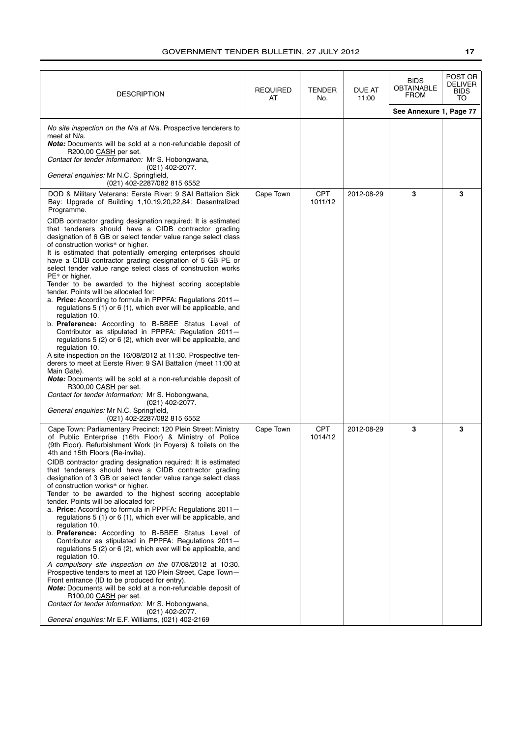| <b>DESCRIPTION</b>                                                                                                                                                                                                                                                                                                                                                                                                                                                                                                                                                                                                                                                                                                                                                                                                                                                                                                                                                                                                                                                                                                                                                                                                                                                                                                                                                                                                                         | REQUIRED<br>AT | <b>TENDER</b><br>No.  | DUE AT<br>11:00 | <b>BIDS</b><br><b>OBTAINABLE</b><br><b>FROM</b> | POST OR<br>DELIVER<br>BIDS<br>TO |
|--------------------------------------------------------------------------------------------------------------------------------------------------------------------------------------------------------------------------------------------------------------------------------------------------------------------------------------------------------------------------------------------------------------------------------------------------------------------------------------------------------------------------------------------------------------------------------------------------------------------------------------------------------------------------------------------------------------------------------------------------------------------------------------------------------------------------------------------------------------------------------------------------------------------------------------------------------------------------------------------------------------------------------------------------------------------------------------------------------------------------------------------------------------------------------------------------------------------------------------------------------------------------------------------------------------------------------------------------------------------------------------------------------------------------------------------|----------------|-----------------------|-----------------|-------------------------------------------------|----------------------------------|
|                                                                                                                                                                                                                                                                                                                                                                                                                                                                                                                                                                                                                                                                                                                                                                                                                                                                                                                                                                                                                                                                                                                                                                                                                                                                                                                                                                                                                                            |                |                       |                 | See Annexure 1, Page 77                         |                                  |
| No site inspection on the N/a at N/a. Prospective tenderers to<br>meet at N/a.<br><b>Note:</b> Documents will be sold at a non-refundable deposit of<br>R200,00 CASH per set.<br>Contact for tender information: Mr S. Hobongwana,<br>$(021)$ 402-2077.<br>General enquiries: Mr N.C. Springfield,<br>(021) 402-2287/082 815 6552                                                                                                                                                                                                                                                                                                                                                                                                                                                                                                                                                                                                                                                                                                                                                                                                                                                                                                                                                                                                                                                                                                          |                |                       |                 |                                                 |                                  |
| DOD & Military Veterans: Eerste River: 9 SAI Battalion Sick<br>Bay: Upgrade of Building 1,10,19,20,22,84: Desentralized<br>Programme.<br>CIDB contractor grading designation required: It is estimated<br>that tenderers should have a CIDB contractor grading<br>designation of 6 GB or select tender value range select class<br>of construction works* or higher.<br>It is estimated that potentially emerging enterprises should<br>have a CIDB contractor grading designation of 5 GB PE or<br>select tender value range select class of construction works<br>$PE*$ or higher.<br>Tender to be awarded to the highest scoring acceptable<br>tender. Points will be allocated for:<br>a. Price: According to formula in PPPFA: Regulations 2011-<br>regulations 5 (1) or 6 (1), which ever will be applicable, and<br>regulation 10.<br>b. Preference: According to B-BBEE Status Level of<br>Contributor as stipulated in PPPFA: Regulation 2011-<br>regulations 5 (2) or 6 (2), which ever will be applicable, and<br>regulation 10.<br>A site inspection on the 16/08/2012 at 11:30. Prospective ten-<br>derers to meet at Eerste River: 9 SAI Battalion (meet 11:00 at<br>Main Gate).<br>Note: Documents will be sold at a non-refundable deposit of<br>R300,00 CASH per set.<br>Contact for tender information: Mr S. Hobongwana,<br>$(021)$ 402-2077.<br>General enquiries: Mr N.C. Springfield,<br>(021) 402-2287/082 815 6552 | Cape Town      | <b>CPT</b><br>1011/12 | 2012-08-29      | 3                                               | 3                                |
| Cape Town: Parliamentary Precinct: 120 Plein Street: Ministry<br>of Public Enterprise (16th Floor) & Ministry of Police<br>(9th Floor). Refurbishment Work (in Foyers) & toilets on the<br>4th and 15th Floors (Re-invite).<br>CIDB contractor grading designation required: It is estimated<br>that tenderers should have a CIDB contractor grading<br>designation of 3 GB or select tender value range select class<br>of construction works* or higher.<br>Tender to be awarded to the highest scoring acceptable<br>tender. Points will be allocated for:<br>a. Price: According to formula in PPPFA: Regulations 2011-<br>regulations 5 (1) or 6 (1), which ever will be applicable, and<br>regulation 10.<br>b. Preference: According to B-BBEE Status Level of<br>Contributor as stipulated in PPPFA: Regulations 2011-<br>regulations 5 (2) or 6 (2), which ever will be applicable, and<br>regulation 10.<br>A compulsory site inspection on the 07/08/2012 at 10:30.<br>Prospective tenders to meet at 120 Plein Street, Cape Town-<br>Front entrance (ID to be produced for entry).<br><b>Note:</b> Documents will be sold at a non-refundable deposit of<br>R100,00 CASH per set.<br>Contact for tender information: Mr S. Hobongwana,<br>(021) 402-2077.<br>General enquiries: Mr E.F. Williams, (021) 402-2169                                                                                                               | Cape Town      | <b>CPT</b><br>1014/12 | 2012-08-29      | 3                                               | 3                                |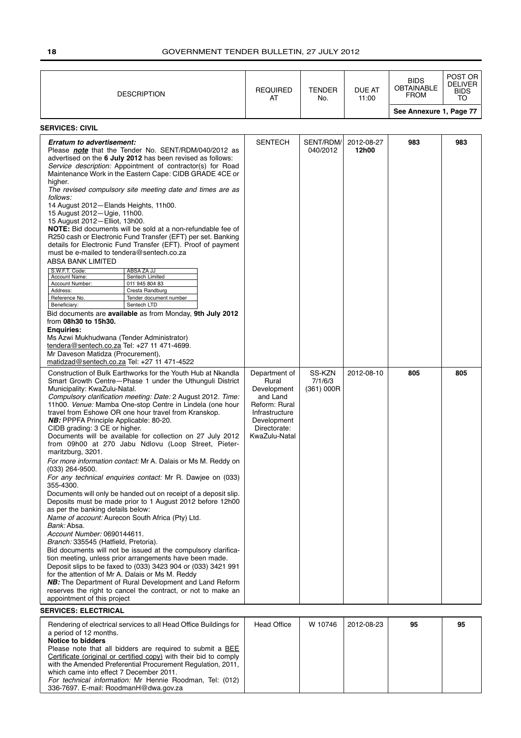| <b>DESCRIPTION</b>                                                                                                                                                                                                                                                                                                                                                                                                                                                                                                                                                                                                                                                                                                                                                                                                                                                                                                                                                                                                                                                                                                                                                                                                                                                                                                                                                                                                                                                        | <b>REQUIRED</b><br>AT                                                                                                                | <b>TENDER</b><br>No.            | <b>DUE AT</b><br>11:00 | <b>BIDS</b><br><b>OBTAINABLE</b><br><b>FROM</b> | POST OR<br><b>DELIVER</b><br><b>BIDS</b><br>TO |
|---------------------------------------------------------------------------------------------------------------------------------------------------------------------------------------------------------------------------------------------------------------------------------------------------------------------------------------------------------------------------------------------------------------------------------------------------------------------------------------------------------------------------------------------------------------------------------------------------------------------------------------------------------------------------------------------------------------------------------------------------------------------------------------------------------------------------------------------------------------------------------------------------------------------------------------------------------------------------------------------------------------------------------------------------------------------------------------------------------------------------------------------------------------------------------------------------------------------------------------------------------------------------------------------------------------------------------------------------------------------------------------------------------------------------------------------------------------------------|--------------------------------------------------------------------------------------------------------------------------------------|---------------------------------|------------------------|-------------------------------------------------|------------------------------------------------|
|                                                                                                                                                                                                                                                                                                                                                                                                                                                                                                                                                                                                                                                                                                                                                                                                                                                                                                                                                                                                                                                                                                                                                                                                                                                                                                                                                                                                                                                                           |                                                                                                                                      |                                 |                        | See Annexure 1, Page 77                         |                                                |
| <b>SERVICES: CIVIL</b>                                                                                                                                                                                                                                                                                                                                                                                                                                                                                                                                                                                                                                                                                                                                                                                                                                                                                                                                                                                                                                                                                                                                                                                                                                                                                                                                                                                                                                                    |                                                                                                                                      |                                 |                        |                                                 |                                                |
| Erratum to advertisement:<br>Please note that the Tender No. SENT/RDM/040/2012 as<br>advertised on the 6 July 2012 has been revised as follows:<br>Service description: Appointment of contractor(s) for Road<br>Maintenance Work in the Eastern Cape: CIDB GRADE 4CE or<br>higher.<br>The revised compulsory site meeting date and times are as<br>follows:<br>14 August 2012-Elands Heights, 11h00.<br>15 August 2012-Ugie, 11h00.<br>15 August 2012-Elliot, 13h00.<br>NOTE: Bid documents will be sold at a non-refundable fee of<br>R250 cash or Electronic Fund Transfer (EFT) per set. Banking<br>details for Electronic Fund Transfer (EFT). Proof of payment<br>must be e-mailed to tendera@sentech.co.za<br>ABSA BANK LIMITED<br>S.W.F.T. Code:<br>ABSA ZA JJ<br>Account Name:<br>Sentech Limited<br>Account Number:<br>011 945 804 83<br>Address:<br>Cresta Randburg<br>Reference No.<br>Tender document number<br>Beneficiary:<br>Sentech LTD<br>Bid documents are available as from Monday, 9th July 2012<br>from 08h30 to 15h30.<br><b>Enquiries:</b><br>Ms Azwi Mukhudwana (Tender Administrator)<br>tendera@sentech.co.za Tel: +27 11 471-4699.<br>Mr Daveson Matidza (Procurement),<br>matidzad@sentech.co.za Tel: +27 11 471-4522                                                                                                                                                                                                                        | <b>SENTECH</b>                                                                                                                       | SENT/RDM/<br>040/2012           | 2012-08-27<br>12h00    | 983                                             | 983                                            |
| Construction of Bulk Earthworks for the Youth Hub at Nkandla<br>Smart Growth Centre-Phase 1 under the Uthunguli District<br>Municipality: KwaZulu-Natal.<br>Compulsory clarification meeting: Date: 2 August 2012. Time:<br>11h00. Venue: Mamba One-stop Centre in Lindela (one hour<br>travel from Eshowe OR one hour travel from Kranskop.<br><b>NB:</b> PPPFA Principle Applicable: 80-20.<br>CIDB grading: 3 CE or higher.<br>Documents will be available for collection on 27 July 2012<br>from 09h00 at 270 Jabu Ndlovu (Loop Street, Pieter-<br>maritzburg, 3201.<br>For more information contact: Mr A. Dalais or Ms M. Reddy on<br>$(033)$ 264-9500.<br>For any technical enguiries contact: Mr R. Dawiee on (033)<br>355-4300.<br>Documents will only be handed out on receipt of a deposit slip.<br>Deposits must be made prior to 1 August 2012 before 12h00<br>as per the banking details below:<br>Name of account: Aurecon South Africa (Pty) Ltd.<br>Bank: Absa.<br>Account Number: 0690144611.<br>Branch: 335545 (Hatfield, Pretoria).<br>Bid documents will not be issued at the compulsory clarifica-<br>tion meeting, unless prior arrangements have been made.<br>Deposit slips to be faxed to (033) 3423 904 or (033) 3421 991<br>for the attention of Mr A. Dalais or Ms M. Reddy<br><b>NB:</b> The Department of Rural Development and Land Reform<br>reserves the right to cancel the contract, or not to make an<br>appointment of this project | Department of<br>Rural<br>Development<br>and Land<br>Reform: Rural<br>Infrastructure<br>Development<br>Directorate:<br>KwaZulu-Natal | SS-KZN<br>7/1/6/3<br>(361) 000R | 2012-08-10             | 805                                             | 805                                            |
| <b>SERVICES: ELECTRICAL</b>                                                                                                                                                                                                                                                                                                                                                                                                                                                                                                                                                                                                                                                                                                                                                                                                                                                                                                                                                                                                                                                                                                                                                                                                                                                                                                                                                                                                                                               |                                                                                                                                      |                                 |                        |                                                 |                                                |
| Rendering of electrical services to all Head Office Buildings for<br>a period of 12 months.<br><b>Notice to bidders</b>                                                                                                                                                                                                                                                                                                                                                                                                                                                                                                                                                                                                                                                                                                                                                                                                                                                                                                                                                                                                                                                                                                                                                                                                                                                                                                                                                   | <b>Head Office</b>                                                                                                                   | W 10746                         | 2012-08-23             | 95                                              | 95                                             |

Please note that all bidders are required to submit a **BEE** Certificate (original or certified copy) with their bid to comply with the Amended Preferential Procurement Regulation, 2011, which came into effect 7 December 2011. For technical information: Mr Hennie Roodman, Tel: (012) 336-7697. E-mail: RoodmanH@dwa.gov.za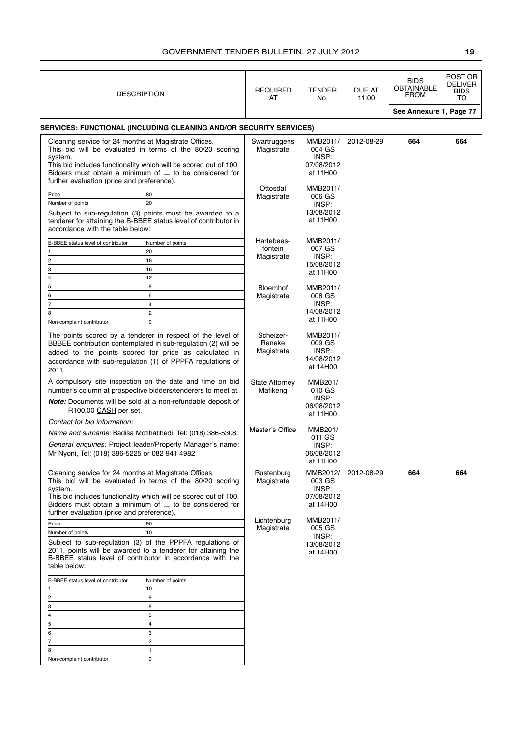| <b>DESCRIPTION</b>                                                                                                                                                                                                                                                                                               | <b>REQUIRED</b><br>AT               | <b>TENDER</b><br>No.                                  | DUE AT<br>11:00 | <b>BIDS</b><br>OBTAINABLE<br><b>FROM</b> | POST OR<br><b>DELIVER</b><br><b>BIDS</b><br>TO |
|------------------------------------------------------------------------------------------------------------------------------------------------------------------------------------------------------------------------------------------------------------------------------------------------------------------|-------------------------------------|-------------------------------------------------------|-----------------|------------------------------------------|------------------------------------------------|
|                                                                                                                                                                                                                                                                                                                  |                                     |                                                       |                 | See Annexure 1, Page 77                  |                                                |
| <b>SERVICES: FUNCTIONAL (INCLUDING CLEANING AND/OR SECURITY SERVICES)</b>                                                                                                                                                                                                                                        |                                     |                                                       |                 |                                          |                                                |
| Cleaning service for 24 months at Magistrate Offices.<br>This bid will be evaluated in terms of the 80/20 scoring<br>system.<br>This bid includes functionality which will be scored out of 100.<br>Bidders must obtain a minimum of $-$ to be considered for                                                    | Swartruggens<br>Magistrate          | MMB2011/<br>004 GS<br>INSP:<br>07/08/2012<br>at 11H00 | 2012-08-29      | 664                                      | 664                                            |
| further evaluation (price and preference).<br>Price<br>80<br>Number of points<br>20<br>Subject to sub-regulation (3) points must be awarded to a<br>tenderer for attaining the B-BBEE status level of contributor in                                                                                             | Ottosdal<br>Magistrate              | MMB2011/<br>006 GS<br>INSP:<br>13/08/2012<br>at 11H00 |                 |                                          |                                                |
| accordance with the table below:<br>B-BBEE status level of contributor<br>Number of points<br>20<br>2<br>18<br>3<br>16                                                                                                                                                                                           | Hartebees-<br>fontein<br>Magistrate | MMB2011/<br>007 GS<br>INSP:<br>15/08/2012<br>at 11H00 |                 |                                          |                                                |
| 12<br>4<br>5<br>8<br>6<br>6<br>$\overline{7}$<br>$\overline{\mathbf{4}}$<br>$\overline{c}$<br>8<br>$\mathbf 0$<br>Non-complaint contributor                                                                                                                                                                      | <b>Bloemhof</b><br>Magistrate       | MMB2011/<br>008 GS<br>INSP:<br>14/08/2012<br>at 11H00 |                 |                                          |                                                |
| The points scored by a tenderer in respect of the level of<br>BBBEE contribution contemplated in sub-regulation (2) will be<br>added to the points scored for price as calculated in<br>accordance with sub-regulation (1) of PPPFA regulations of<br>2011.                                                      | Scheizer-<br>Reneke<br>Magistrate   | MMB2011/<br>009 GS<br>INSP:<br>14/08/2012<br>at 14H00 |                 |                                          |                                                |
| A compulsory site inspection on the date and time on bid<br>number's column at prospective bidders/tenderers to meet at.<br><b>Note:</b> Documents will be sold at a non-refundable deposit of<br>R100,00 CASH per set.<br>Contact for bid information:                                                          | <b>State Attorney</b><br>Mafikeng   | MMB201/<br>010 GS<br>INSP:<br>06/08/2012<br>at 11H00  |                 |                                          |                                                |
| Name and surname: Badisa Motlhatlhedi, Tel: (018) 386-5308.<br>General enquiries: Project leader/Property Manager's name:<br>Mr Nyoni, Tel: (018) 386-5225 or 082 941 4982                                                                                                                                       | Master's Office                     | MMB201/<br>011 GS<br>INSP:<br>06/08/2012<br>at 11H00  |                 |                                          |                                                |
| Cleaning service for 24 months at Magistrate Offices.<br>This bid will be evaluated in terms of the 80/20 scoring<br>system.<br>This bid includes functionality which will be scored out of 100.<br>Bidders must obtain a minimum of $\equiv$ to be considered for<br>further evaluation (price and preference). | Rustenburg<br>Magistrate            | MMB2012/<br>003 GS<br>INSP:<br>07/08/2012<br>at 14H00 | 2012-08-29      | 664                                      | 664                                            |
| Price<br>90<br>Number of points<br>10<br>Subject to sub-regulation (3) of the PPPFA regulations of<br>2011, points will be awarded to a tenderer for attaining the<br>B-BBEE status level of contributor in accordance with the<br>table below:                                                                  | Lichtenburg<br>Magistrate           | MMB2011/<br>005 GS<br>INSP:<br>13/08/2012<br>at 14H00 |                 |                                          |                                                |
| B-BBEE status level of contributor<br>Number of points<br>10<br>9<br>2<br>8<br>3<br>5<br>4<br>$\overline{4}$<br>5<br>3<br>6<br>$\overline{2}$<br>7<br>8<br>$\mathbf{1}$<br>Non-complaint contributor<br>0                                                                                                        |                                     |                                                       |                 |                                          |                                                |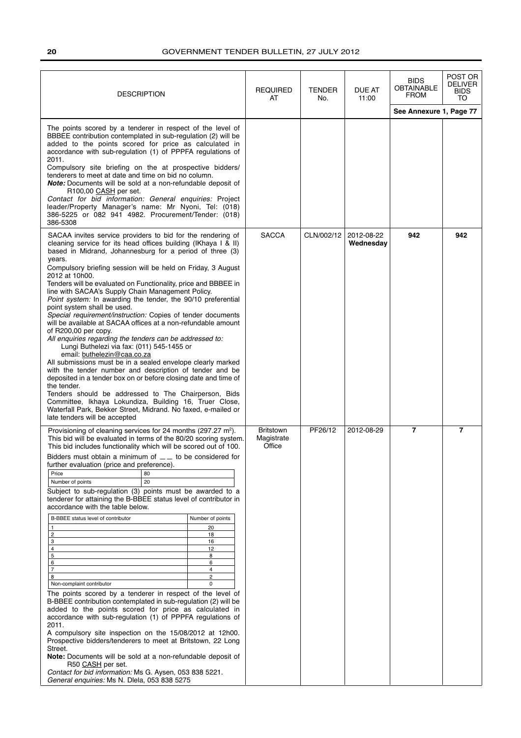| <b>DESCRIPTION</b>                                                                                                                                                                                                                                                                                                                                                                                                                                                                                                                                                                                                                                                                                                                                                                                                                                                                                                                                                                                                                                                                                                                                                                                                                                                                              |                                                                             | <b>REQUIRED</b><br>AT                    | <b>TENDER</b><br>No. | DUE AT<br>11:00         | <b>BIDS</b><br><b>OBTAINABLE</b><br><b>FROM</b> | POST OR<br>DELIVER<br><b>BIDS</b><br>TO |
|-------------------------------------------------------------------------------------------------------------------------------------------------------------------------------------------------------------------------------------------------------------------------------------------------------------------------------------------------------------------------------------------------------------------------------------------------------------------------------------------------------------------------------------------------------------------------------------------------------------------------------------------------------------------------------------------------------------------------------------------------------------------------------------------------------------------------------------------------------------------------------------------------------------------------------------------------------------------------------------------------------------------------------------------------------------------------------------------------------------------------------------------------------------------------------------------------------------------------------------------------------------------------------------------------|-----------------------------------------------------------------------------|------------------------------------------|----------------------|-------------------------|-------------------------------------------------|-----------------------------------------|
|                                                                                                                                                                                                                                                                                                                                                                                                                                                                                                                                                                                                                                                                                                                                                                                                                                                                                                                                                                                                                                                                                                                                                                                                                                                                                                 |                                                                             |                                          |                      |                         | See Annexure 1, Page 77                         |                                         |
| The points scored by a tenderer in respect of the level of<br>BBBEE contribution contemplated in sub-regulation (2) will be<br>added to the points scored for price as calculated in<br>accordance with sub-regulation (1) of PPPFA regulations of<br>2011.<br>Compulsory site briefing on the at prospective bidders/<br>tenderers to meet at date and time on bid no column.<br><b>Note:</b> Documents will be sold at a non-refundable deposit of<br>R100,00 CASH per set.<br>Contact for bid information: General enquiries: Project<br>leader/Property Manager's name: Mr Nyoni, Tel: (018)<br>386-5225 or 082 941 4982. Procurement/Tender: (018)<br>386-5308                                                                                                                                                                                                                                                                                                                                                                                                                                                                                                                                                                                                                             |                                                                             |                                          |                      |                         |                                                 |                                         |
| SACAA invites service providers to bid for the rendering of<br>cleaning service for its head offices building (IKhaya I & II)<br>based in Midrand, Johannesburg for a period of three (3)<br>years.<br>Compulsory briefing session will be held on Friday, 3 August<br>2012 at 10h00.<br>Tenders will be evaluated on Functionality, price and BBBEE in<br>line with SACAA's Supply Chain Management Policy.<br>Point system: In awarding the tender, the 90/10 preferential<br>point system shall be used.<br>Special requirement/instruction: Copies of tender documents<br>will be available at SACAA offices at a non-refundable amount<br>of $R200,00$ per copy.<br>All enquiries regarding the tenders can be addressed to:<br>Lungi Buthelezi via fax: (011) 545-1455 or<br>email: buthelezin@caa.co.za<br>All submissions must be in a sealed envelope clearly marked<br>with the tender number and description of tender and be<br>deposited in a tender box on or before closing date and time of<br>the tender.<br>Tenders should be addressed to The Chairperson, Bids<br>Committee, Ikhaya Lokundiza, Building 16, Truer Close,<br>Waterfall Park, Bekker Street, Midrand. No faxed, e-mailed or<br>late tenders will be accepted                                                  |                                                                             | <b>SACCA</b>                             | CLN/002/12           | 2012-08-22<br>Wednesday | 942                                             | 942                                     |
| Provisioning of cleaning services for 24 months (297.27 m <sup>2</sup> ).<br>This bid will be evaluated in terms of the 80/20 scoring system.<br>This bid includes functionality which will be scored out of 100.<br>Bidders must obtain a minimum of $\_\_$ to be considered for<br>further evaluation (price and preference).<br>Price<br>80<br>20<br>Number of points<br>Subject to sub-regulation (3) points must be awarded to a<br>tenderer for attaining the B-BBEE status level of contributor in<br>accordance with the table below.<br>B-BBEE status level of contributor<br>$\overline{2}$<br>3<br>$\overline{4}$<br>5<br>6<br>$\overline{7}$<br>8<br>Non-complaint contributor<br>The points scored by a tenderer in respect of the level of<br>B-BBEE contribution contemplated in sub-regulation (2) will be<br>added to the points scored for price as calculated in<br>accordance with sub-regulation (1) of PPPFA regulations of<br>2011.<br>A compulsory site inspection on the 15/08/2012 at 12h00.<br>Prospective bidders/tenderers to meet at Britstown, 22 Long<br>Street.<br>Note: Documents will be sold at a non-refundable deposit of<br>R50 CASH per set.<br>Contact for bid information: Ms G. Aysen, 053 838 5221.<br>General enquiries: Ms N. Dlela, 053 838 5275 | Number of points<br>20<br>18<br>16<br>12<br>8<br>6<br>4<br>2<br>$\mathbf 0$ | <b>Britstown</b><br>Magistrate<br>Office | PF26/12              | 2012-08-29              | 7                                               | $\overline{7}$                          |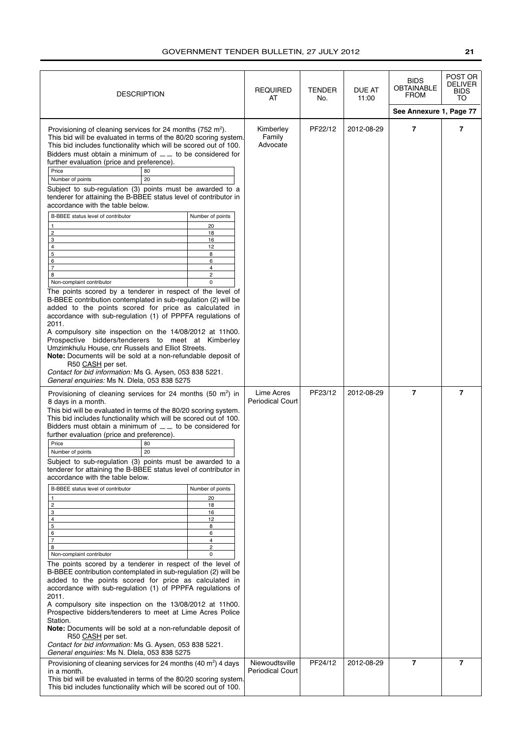| <b>DESCRIPTION</b>                                                                                                                                                                                                                                                                                                                                                                                                                                                                                                                                                                                                                 |                     | <b>REQUIRED</b><br>AT                     | TENDER<br>No. | DUE AT<br>11:00 | <b>BIDS</b><br><b>OBTAINABLE</b><br>FROM | POST OR<br>DELIVER<br>BIDS<br>TO |
|------------------------------------------------------------------------------------------------------------------------------------------------------------------------------------------------------------------------------------------------------------------------------------------------------------------------------------------------------------------------------------------------------------------------------------------------------------------------------------------------------------------------------------------------------------------------------------------------------------------------------------|---------------------|-------------------------------------------|---------------|-----------------|------------------------------------------|----------------------------------|
|                                                                                                                                                                                                                                                                                                                                                                                                                                                                                                                                                                                                                                    |                     |                                           |               |                 | See Annexure 1, Page 77                  |                                  |
| Provisioning of cleaning services for 24 months (752 m <sup>2</sup> ).<br>This bid will be evaluated in terms of the 80/20 scoring system.<br>This bid includes functionality which will be scored out of 100.<br>Bidders must obtain a minimum of $\_\_$ to be considered for<br>further evaluation (price and preference).<br>Price<br>80<br>Number of points<br>20<br>Subject to sub-regulation (3) points must be awarded to a<br>tenderer for attaining the B-BBEE status level of contributor in<br>accordance with the table below.                                                                                         |                     | Kimberley<br>Family<br>Advocate           | PF22/12       | 2012-08-29      | $\overline{7}$                           | $\overline{7}$                   |
| B-BBEE status level of contributor                                                                                                                                                                                                                                                                                                                                                                                                                                                                                                                                                                                                 | Number of points    |                                           |               |                 |                                          |                                  |
| $\mathbf{1}$                                                                                                                                                                                                                                                                                                                                                                                                                                                                                                                                                                                                                       | 20                  |                                           |               |                 |                                          |                                  |
| $\overline{\mathbf{c}}$<br>3                                                                                                                                                                                                                                                                                                                                                                                                                                                                                                                                                                                                       | 18<br>16            |                                           |               |                 |                                          |                                  |
| 4                                                                                                                                                                                                                                                                                                                                                                                                                                                                                                                                                                                                                                  | 12                  |                                           |               |                 |                                          |                                  |
| 5                                                                                                                                                                                                                                                                                                                                                                                                                                                                                                                                                                                                                                  | 8                   |                                           |               |                 |                                          |                                  |
| 6<br>$\overline{7}$                                                                                                                                                                                                                                                                                                                                                                                                                                                                                                                                                                                                                | 6<br>4              |                                           |               |                 |                                          |                                  |
| 8                                                                                                                                                                                                                                                                                                                                                                                                                                                                                                                                                                                                                                  | $\overline{2}$      |                                           |               |                 |                                          |                                  |
| Non-complaint contributor                                                                                                                                                                                                                                                                                                                                                                                                                                                                                                                                                                                                          | $\mathbf 0$         |                                           |               |                 |                                          |                                  |
| The points scored by a tenderer in respect of the level of<br>B-BBEE contribution contemplated in sub-regulation (2) will be<br>added to the points scored for price as calculated in<br>accordance with sub-regulation (1) of PPPFA regulations of<br>2011.<br>A compulsory site inspection on the 14/08/2012 at 11h00.<br>Prospective bidders/tenderers to meet at Kimberley<br>Umzimkhulu House, cnr Russels and Elliot Streets.<br>Note: Documents will be sold at a non-refundable deposit of<br>R50 CASH per set.<br>Contact for bid information: Ms G. Aysen, 053 838 5221.<br>General enquiries: Ms N. Dlela, 053 838 5275 |                     |                                           |               |                 |                                          |                                  |
| Provisioning of cleaning services for 24 months (50 $m2$ ) in<br>8 days in a month.<br>This bid will be evaluated in terms of the 80/20 scoring system.<br>This bid includes functionality which will be scored out of 100.<br>Bidders must obtain a minimum of $\_\_$ to be considered for<br>further evaluation (price and preference).<br>Price<br>80<br>20<br>Number of points                                                                                                                                                                                                                                                 |                     | Lime Acres<br><b>Periodical Court</b>     | PF23/12       | 2012-08-29      | $\overline{7}$                           | $\overline{7}$                   |
| Subject to sub-regulation (3) points must be awarded to a<br>tenderer for attaining the B-BBEE status level of contributor in<br>accordance with the table below.                                                                                                                                                                                                                                                                                                                                                                                                                                                                  |                     |                                           |               |                 |                                          |                                  |
| B-BBEE status level of contributor                                                                                                                                                                                                                                                                                                                                                                                                                                                                                                                                                                                                 | Number of points    |                                           |               |                 |                                          |                                  |
| 1<br>2                                                                                                                                                                                                                                                                                                                                                                                                                                                                                                                                                                                                                             | 20<br>18            |                                           |               |                 |                                          |                                  |
| 3                                                                                                                                                                                                                                                                                                                                                                                                                                                                                                                                                                                                                                  | 16                  |                                           |               |                 |                                          |                                  |
| 4                                                                                                                                                                                                                                                                                                                                                                                                                                                                                                                                                                                                                                  | 12                  |                                           |               |                 |                                          |                                  |
| 5<br>6                                                                                                                                                                                                                                                                                                                                                                                                                                                                                                                                                                                                                             | 8<br>6              |                                           |               |                 |                                          |                                  |
| $\overline{7}$                                                                                                                                                                                                                                                                                                                                                                                                                                                                                                                                                                                                                     | 4                   |                                           |               |                 |                                          |                                  |
| 8<br>Non-complaint contributor                                                                                                                                                                                                                                                                                                                                                                                                                                                                                                                                                                                                     | $\overline{c}$<br>0 |                                           |               |                 |                                          |                                  |
| The points scored by a tenderer in respect of the level of<br>B-BBEE contribution contemplated in sub-regulation (2) will be<br>added to the points scored for price as calculated in<br>accordance with sub-regulation (1) of PPPFA regulations of<br>2011.<br>A compulsory site inspection on the 13/08/2012 at 11h00.<br>Prospective bidders/tenderers to meet at Lime Acres Police<br>Station.<br>Note: Documents will be sold at a non-refundable deposit of<br>R50 CASH per set.<br>Contact for bid information: Ms G. Aysen, 053 838 5221.<br>General enquiries: Ms N. Dlela, 053 838 5275                                  |                     |                                           |               |                 |                                          |                                  |
| Provisioning of cleaning services for 24 months (40 m <sup>2</sup> ) 4 days<br>in a month.<br>This bid will be evaluated in terms of the 80/20 scoring system.<br>This bid includes functionality which will be scored out of 100.                                                                                                                                                                                                                                                                                                                                                                                                 |                     | Niewoudtsville<br><b>Periodical Court</b> | PF24/12       | 2012-08-29      | $\overline{7}$                           | 7                                |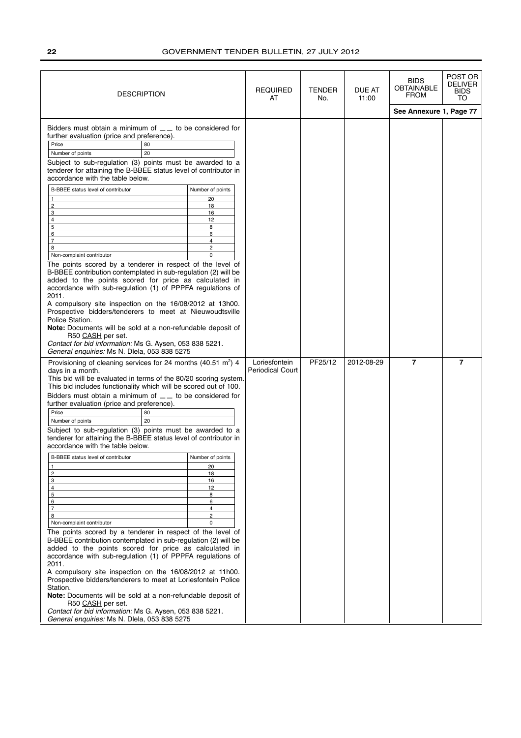| <b>DESCRIPTION</b>                                                                                                                                                                                                                                                                                                                                                                                                                                                                                                                                                                                                                                                                                                                                                                                                                                                                                                                                                                                                                                                                                                                                                                                                                                                                                                                                                                                                                                                                     | <b>REQUIRED</b><br>AT                    | TENDER<br>No. | <b>DUE AT</b><br>11:00 | <b>BIDS</b><br><b>OBTAINABLE</b><br><b>FROM</b> | POST OR<br><b>DELIVER</b><br><b>BIDS</b><br>TO |
|----------------------------------------------------------------------------------------------------------------------------------------------------------------------------------------------------------------------------------------------------------------------------------------------------------------------------------------------------------------------------------------------------------------------------------------------------------------------------------------------------------------------------------------------------------------------------------------------------------------------------------------------------------------------------------------------------------------------------------------------------------------------------------------------------------------------------------------------------------------------------------------------------------------------------------------------------------------------------------------------------------------------------------------------------------------------------------------------------------------------------------------------------------------------------------------------------------------------------------------------------------------------------------------------------------------------------------------------------------------------------------------------------------------------------------------------------------------------------------------|------------------------------------------|---------------|------------------------|-------------------------------------------------|------------------------------------------------|
|                                                                                                                                                                                                                                                                                                                                                                                                                                                                                                                                                                                                                                                                                                                                                                                                                                                                                                                                                                                                                                                                                                                                                                                                                                                                                                                                                                                                                                                                                        |                                          |               |                        | See Annexure 1, Page 77                         |                                                |
| Bidders must obtain a minimum of $\_\_$ to be considered for<br>further evaluation (price and preference).<br>Price<br>80<br>Number of points<br>20<br>Subject to sub-regulation (3) points must be awarded to a<br>tenderer for attaining the B-BBEE status level of contributor in<br>accordance with the table below.<br>B-BBEE status level of contributor<br>Number of points<br>1<br>20<br>$\overline{c}$<br>18<br>3<br>16<br>4<br>12<br>5<br>8<br>6<br>6<br>$\overline{7}$<br>$\overline{4}$<br>8<br>$\overline{c}$<br>Non-complaint contributor<br>$\Omega$<br>The points scored by a tenderer in respect of the level of<br>B-BBEE contribution contemplated in sub-regulation (2) will be<br>added to the points scored for price as calculated in<br>accordance with sub-regulation (1) of PPPFA regulations of<br>2011.<br>A compulsory site inspection on the 16/08/2012 at 13h00.<br>Prospective bidders/tenderers to meet at Nieuwoudtsville<br>Police Station.<br>Note: Documents will be sold at a non-refundable deposit of<br>R50 CASH per set.<br>Contact for bid information: Ms G. Aysen, 053 838 5221.<br>General enquiries: Ms N. Dlela, 053 838 5275<br>Provisioning of cleaning services for 24 months (40.51 m <sup>2</sup> ) 4<br>days in a month.<br>This bid will be evaluated in terms of the 80/20 scoring system.<br>This bid includes functionality which will be scored out of 100.<br>Bidders must obtain a minimum of $\_\_$ to be considered for | Loriesfontein<br><b>Periodical Court</b> | PF25/12       | 2012-08-29             | $\overline{7}$                                  | $\overline{7}$                                 |
| further evaluation (price and preference).                                                                                                                                                                                                                                                                                                                                                                                                                                                                                                                                                                                                                                                                                                                                                                                                                                                                                                                                                                                                                                                                                                                                                                                                                                                                                                                                                                                                                                             |                                          |               |                        |                                                 |                                                |
| Price<br>80<br>20                                                                                                                                                                                                                                                                                                                                                                                                                                                                                                                                                                                                                                                                                                                                                                                                                                                                                                                                                                                                                                                                                                                                                                                                                                                                                                                                                                                                                                                                      |                                          |               |                        |                                                 |                                                |
| Number of points<br>Subject to sub-regulation (3) points must be awarded to a<br>tenderer for attaining the B-BBEE status level of contributor in<br>accordance with the table below.                                                                                                                                                                                                                                                                                                                                                                                                                                                                                                                                                                                                                                                                                                                                                                                                                                                                                                                                                                                                                                                                                                                                                                                                                                                                                                  |                                          |               |                        |                                                 |                                                |
| B-BBEE status level of contributor<br>Number of points                                                                                                                                                                                                                                                                                                                                                                                                                                                                                                                                                                                                                                                                                                                                                                                                                                                                                                                                                                                                                                                                                                                                                                                                                                                                                                                                                                                                                                 |                                          |               |                        |                                                 |                                                |
| 1<br>20<br>$\overline{c}$<br>18                                                                                                                                                                                                                                                                                                                                                                                                                                                                                                                                                                                                                                                                                                                                                                                                                                                                                                                                                                                                                                                                                                                                                                                                                                                                                                                                                                                                                                                        |                                          |               |                        |                                                 |                                                |
| 3<br>16                                                                                                                                                                                                                                                                                                                                                                                                                                                                                                                                                                                                                                                                                                                                                                                                                                                                                                                                                                                                                                                                                                                                                                                                                                                                                                                                                                                                                                                                                |                                          |               |                        |                                                 |                                                |
| $\overline{4}$<br>12<br>5<br>8                                                                                                                                                                                                                                                                                                                                                                                                                                                                                                                                                                                                                                                                                                                                                                                                                                                                                                                                                                                                                                                                                                                                                                                                                                                                                                                                                                                                                                                         |                                          |               |                        |                                                 |                                                |
| 6<br>6                                                                                                                                                                                                                                                                                                                                                                                                                                                                                                                                                                                                                                                                                                                                                                                                                                                                                                                                                                                                                                                                                                                                                                                                                                                                                                                                                                                                                                                                                 |                                          |               |                        |                                                 |                                                |
| $\overline{7}$<br>$\overline{4}$<br>8<br>$\overline{2}$                                                                                                                                                                                                                                                                                                                                                                                                                                                                                                                                                                                                                                                                                                                                                                                                                                                                                                                                                                                                                                                                                                                                                                                                                                                                                                                                                                                                                                |                                          |               |                        |                                                 |                                                |
| Non-complaint contributor<br>0                                                                                                                                                                                                                                                                                                                                                                                                                                                                                                                                                                                                                                                                                                                                                                                                                                                                                                                                                                                                                                                                                                                                                                                                                                                                                                                                                                                                                                                         |                                          |               |                        |                                                 |                                                |
| The points scored by a tenderer in respect of the level of<br>B-BBEE contribution contemplated in sub-regulation (2) will be<br>added to the points scored for price as calculated in<br>accordance with sub-regulation (1) of PPPFA regulations of<br>2011.<br>A compulsory site inspection on the 16/08/2012 at 11h00.<br>Prospective bidders/tenderers to meet at Loriesfontein Police<br>Station.<br>Note: Documents will be sold at a non-refundable deposit of<br>R50 CASH per set.<br>Contact for bid information: Ms G. Aysen, 053 838 5221.                                                                                                                                                                                                                                                                                                                                                                                                                                                                                                                                                                                                                                                                                                                                                                                                                                                                                                                                   |                                          |               |                        |                                                 |                                                |
| General enquiries: Ms N. Dlela, 053 838 5275                                                                                                                                                                                                                                                                                                                                                                                                                                                                                                                                                                                                                                                                                                                                                                                                                                                                                                                                                                                                                                                                                                                                                                                                                                                                                                                                                                                                                                           |                                          |               |                        |                                                 |                                                |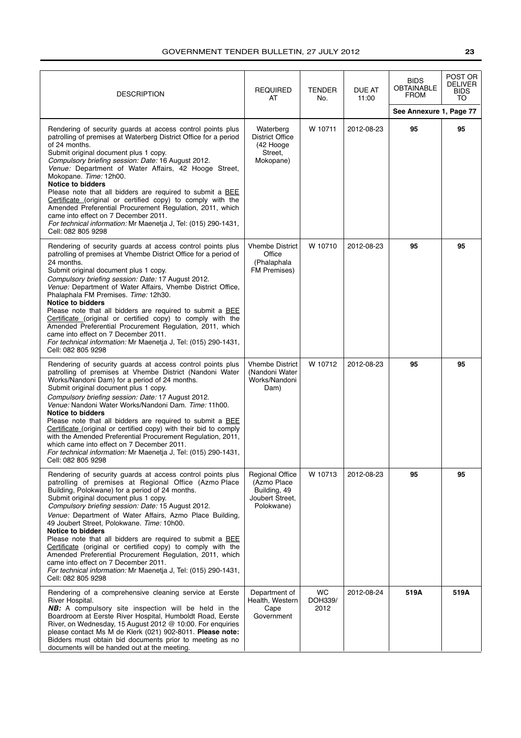| <b>DESCRIPTION</b>                                                                                                                                                                                                                                                                                                                                                                                                                                                                                                                                                                                                                                                                                                                  | <b>REQUIRED</b><br>AT                                                                  | <b>TENDER</b><br>No.         | DUE AT<br>11:00 | <b>BIDS</b><br><b>OBTAINABLE</b><br>FROM | POST OR<br><b>DELIVER</b><br><b>BIDS</b><br>TO |
|-------------------------------------------------------------------------------------------------------------------------------------------------------------------------------------------------------------------------------------------------------------------------------------------------------------------------------------------------------------------------------------------------------------------------------------------------------------------------------------------------------------------------------------------------------------------------------------------------------------------------------------------------------------------------------------------------------------------------------------|----------------------------------------------------------------------------------------|------------------------------|-----------------|------------------------------------------|------------------------------------------------|
|                                                                                                                                                                                                                                                                                                                                                                                                                                                                                                                                                                                                                                                                                                                                     |                                                                                        |                              |                 | See Annexure 1, Page 77                  |                                                |
| Rendering of security guards at access control points plus<br>patrolling of premises at Waterberg District Office for a period<br>of 24 months.<br>Submit original document plus 1 copy.<br>Compulsory briefing session: Date: 16 August 2012.<br>Venue: Department of Water Affairs, 42 Hooge Street,<br>Mokopane. Time: 12h00.<br><b>Notice to bidders</b><br>Please note that all bidders are required to submit a BEE<br>Certificate (original or certified copy) to comply with the<br>Amended Preferential Procurement Regulation, 2011, which<br>came into effect on 7 December 2011.<br>For technical information: Mr Maenetja J, Tel: (015) 290-1431,<br>Cell: 082 805 9298                                                | Waterberg<br><b>District Office</b><br>(42 Hooge<br>Street,<br>Mokopane)               | W 10711                      | 2012-08-23      | 95                                       | 95                                             |
| Rendering of security guards at access control points plus<br>patrolling of premises at Vhembe District Office for a period of<br>24 months.<br>Submit original document plus 1 copy.<br>Compulsory briefing session: Date: 17 August 2012.<br>Venue: Department of Water Affairs, Vhembe District Office,<br>Phalaphala FM Premises. Time: 12h30.<br><b>Notice to bidders</b><br>Please note that all bidders are required to submit a BEE<br>Certificate (original or certified copy) to comply with the<br>Amended Preferential Procurement Regulation, 2011, which<br>came into effect on 7 December 2011.<br>For technical information: Mr Maenetja J, Tel: (015) 290-1431,<br>Cell: 082 805 9298                              | <b>Vhembe District</b><br>Office<br>(Phalaphala<br>FM Premises)                        | W 10710                      | 2012-08-23      | 95                                       | 95                                             |
| Rendering of security guards at access control points plus<br>patrolling of premises at Vhembe District (Nandoni Water<br>Works/Nandoni Dam) for a period of 24 months.<br>Submit original document plus 1 copy.<br>Compulsory briefing session: Date: 17 August 2012.<br>Venue: Nandoni Water Works/Nandoni Dam. Time: 11h00.<br><b>Notice to bidders</b><br>Please note that all bidders are required to submit a BEE<br>Certificate (original or certified copy) with their bid to comply<br>with the Amended Preferential Procurement Regulation, 2011,<br>which came into effect on 7 December 2011.<br>For technical information: Mr Maenetja J, Tel: (015) 290-1431,<br>Cell: 082 805 9298                                   | <b>Vhembe District</b><br>(Nandoni Water<br>Works/Nandoni<br>Dam)                      | W 10712                      | 2012-08-23      | 95                                       | 95                                             |
| Rendering of security guards at access control points plus<br>patrolling of premises at Regional Office (Azmo Place<br>Building, Polokwane) for a period of 24 months.<br>Submit original document plus 1 copy.<br>Compulsory briefing session: Date: 15 August 2012.<br>Venue: Department of Water Affairs, Azmo Place Building,<br>49 Joubert Street, Polokwane. Time: 10h00.<br><b>Notice to bidders</b><br>Please note that all bidders are required to submit a BEE<br>Certificate (original or certified copy) to comply with the<br>Amended Preferential Procurement Regulation, 2011, which<br>came into effect on 7 December 2011.<br>For technical information: Mr Maenetia J, Tel: (015) 290-1431,<br>Cell: 082 805 9298 | <b>Regional Office</b><br>(Azmo Place<br>Building, 49<br>Joubert Street.<br>Polokwane) | W 10713                      | 2012-08-23      | 95                                       | 95                                             |
| Rendering of a comprehensive cleaning service at Eerste<br>River Hospital.<br><b>NB:</b> A compulsory site inspection will be held in the<br>Boardroom at Eerste River Hospital, Humboldt Road, Eerste<br>River, on Wednesday, 15 August 2012 @ 10:00. For enquiries<br>please contact Ms M de Klerk (021) 902-8011. Please note:<br>Bidders must obtain bid documents prior to meeting as no<br>documents will be handed out at the meeting.                                                                                                                                                                                                                                                                                       | Department of<br>Health, Western<br>Cape<br>Government                                 | <b>WC</b><br>DOH339/<br>2012 | 2012-08-24      | 519A                                     | 519A                                           |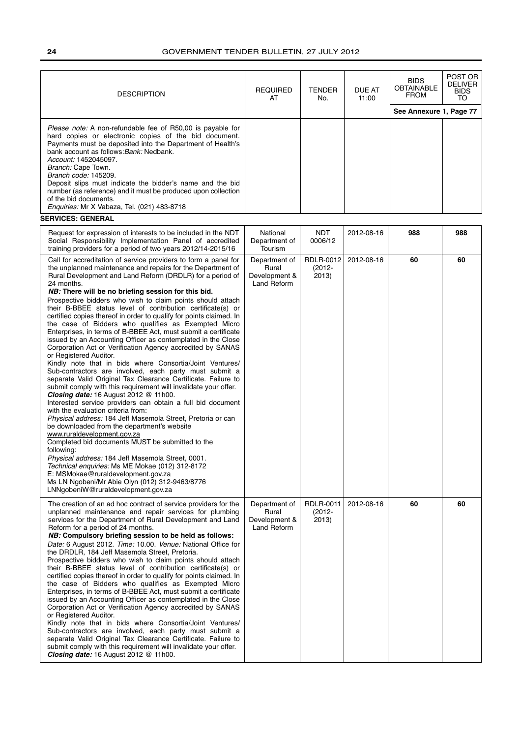| <b>DESCRIPTION</b>                                                                                                                                                                                                                                                                                                                                                                                                                                                                                                                                                                                                                                                                                                                                                                                                                                                                                                                                                                                                                                                                                                                                                                                                                                                                                                                                                                                                                                                                                                                                                                                                        | <b>REQUIRED</b><br>AT                                  | TENDER<br>No.                   | <b>DUE AT</b><br>11:00 | <b>BIDS</b><br><b>OBTAINABLE</b><br><b>FROM</b> | POST OR<br><b>DELIVER</b><br><b>BIDS</b><br>TO |
|---------------------------------------------------------------------------------------------------------------------------------------------------------------------------------------------------------------------------------------------------------------------------------------------------------------------------------------------------------------------------------------------------------------------------------------------------------------------------------------------------------------------------------------------------------------------------------------------------------------------------------------------------------------------------------------------------------------------------------------------------------------------------------------------------------------------------------------------------------------------------------------------------------------------------------------------------------------------------------------------------------------------------------------------------------------------------------------------------------------------------------------------------------------------------------------------------------------------------------------------------------------------------------------------------------------------------------------------------------------------------------------------------------------------------------------------------------------------------------------------------------------------------------------------------------------------------------------------------------------------------|--------------------------------------------------------|---------------------------------|------------------------|-------------------------------------------------|------------------------------------------------|
|                                                                                                                                                                                                                                                                                                                                                                                                                                                                                                                                                                                                                                                                                                                                                                                                                                                                                                                                                                                                                                                                                                                                                                                                                                                                                                                                                                                                                                                                                                                                                                                                                           |                                                        |                                 |                        | See Annexure 1, Page 77                         |                                                |
| <i>Please note:</i> A non-refundable fee of R50,00 is payable for<br>hard copies or electronic copies of the bid document.<br>Payments must be deposited into the Department of Health's<br>bank account as follows: Bank: Nedbank.<br>Account: 1452045097.<br>Branch: Cape Town.<br>Branch code: 145209.<br>Deposit slips must indicate the bidder's name and the bid<br>number (as reference) and it must be produced upon collection<br>of the bid documents.<br>Enquiries: Mr X Vabaza, Tel. (021) 483-8718<br><b>SERVICES: GENERAL</b>                                                                                                                                                                                                                                                                                                                                                                                                                                                                                                                                                                                                                                                                                                                                                                                                                                                                                                                                                                                                                                                                               |                                                        |                                 |                        |                                                 |                                                |
| Request for expression of interests to be included in the NDT                                                                                                                                                                                                                                                                                                                                                                                                                                                                                                                                                                                                                                                                                                                                                                                                                                                                                                                                                                                                                                                                                                                                                                                                                                                                                                                                                                                                                                                                                                                                                             | National                                               | NDT                             | 2012-08-16             | 988                                             | 988                                            |
| Social Responsibility Implementation Panel of accredited<br>training providers for a period of two years 2012/14-2015/16                                                                                                                                                                                                                                                                                                                                                                                                                                                                                                                                                                                                                                                                                                                                                                                                                                                                                                                                                                                                                                                                                                                                                                                                                                                                                                                                                                                                                                                                                                  | Department of<br>Tourism                               | 0006/12                         |                        |                                                 |                                                |
| Call for accreditation of service providers to form a panel for<br>the unplanned maintenance and repairs for the Department of<br>Rural Development and Land Reform (DRDLR) for a period of<br>24 months.<br>NB: There will be no briefing session for this bid.<br>Prospective bidders who wish to claim points should attach<br>their B-BBEE status level of contribution certificate(s) or<br>certified copies thereof in order to qualify for points claimed. In<br>the case of Bidders who qualifies as Exempted Micro<br>Enterprises, in terms of B-BBEE Act, must submit a certificate<br>issued by an Accounting Officer as contemplated in the Close<br>Corporation Act or Verification Agency accredited by SANAS<br>or Registered Auditor.<br>Kindly note that in bids where Consortia/Joint Ventures/<br>Sub-contractors are involved, each party must submit a<br>separate Valid Original Tax Clearance Certificate. Failure to<br>submit comply with this requirement will invalidate your offer.<br><b>Closing date:</b> 16 August 2012 @ 11h00.<br>Interested service providers can obtain a full bid document<br>with the evaluation criteria from:<br>Physical address: 184 Jeff Masemola Street, Pretoria or can<br>be downloaded from the department's website<br>www.ruraldevelopment.gov.za<br>Completed bid documents MUST be submitted to the<br>following:<br>Physical address: 184 Jeff Masemola Street, 0001.<br>Technical enguiries: Ms ME Mokae (012) 312-8172<br>E: MSMokae@ruraldevelopment.gov.za<br>Ms LN Ngobeni/Mr Abie Olyn (012) 312-9463/8776<br>LNNgobeniW@ruraldevelopment.gov.za | Department of<br>Rural<br>Development &<br>Land Reform | RDLR-0012<br>$(2012 -$<br>2013) | 2012-08-16             | 60                                              | 60                                             |
| The creation of an ad hoc contract of service providers for the<br>unplanned maintenance and repair services for plumbing<br>services for the Department of Rural Development and Land<br>Reform for a period of 24 months.<br>NB: Compulsory briefing session to be held as follows:<br>Date: 6 August 2012. Time: 10.00. Venue: National Office for<br>the DRDLR, 184 Jeff Masemola Street, Pretoria.<br>Prospective bidders who wish to claim points should attach<br>their B-BBEE status level of contribution certificate(s) or<br>certified copies thereof in order to qualify for points claimed. In<br>the case of Bidders who qualifies as Exempted Micro<br>Enterprises, in terms of B-BBEE Act, must submit a certificate<br>issued by an Accounting Officer as contemplated in the Close<br>Corporation Act or Verification Agency accredited by SANAS<br>or Registered Auditor.<br>Kindly note that in bids where Consortia/Joint Ventures/<br>Sub-contractors are involved, each party must submit a<br>separate Valid Original Tax Clearance Certificate. Failure to<br>submit comply with this requirement will invalidate your offer.<br>Closing date: 16 August 2012 @ 11h00.                                                                                                                                                                                                                                                                                                                                                                                                                           | Department of<br>Rural<br>Development &<br>Land Reform | RDLR-0011<br>$(2012 -$<br>2013) | 2012-08-16             | 60                                              | 60                                             |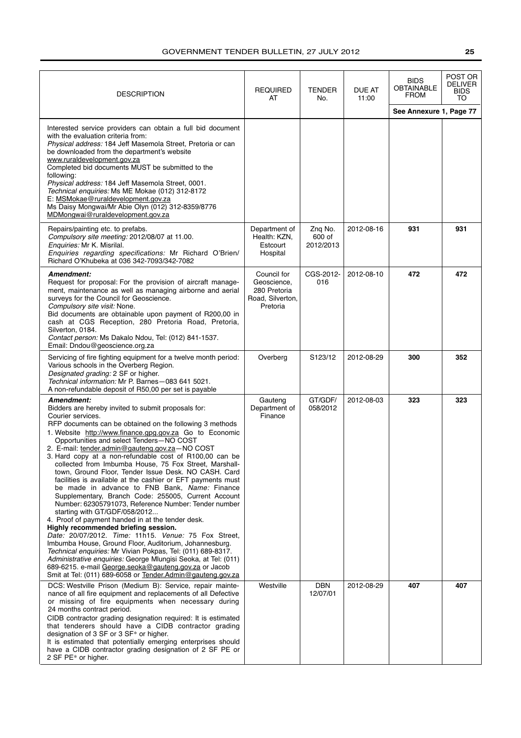| <b>DESCRIPTION</b>                                                                                                                                                                                                                                                                                                                                                                                                                                                                                                                                                                                                                                                                                                                                                                                                                                                                                                                                                                                                                                                                                                                                                                                                              | <b>REQUIRED</b><br>AT                                                      | TENDER<br>No.                  | DUE AT<br>11:00 | <b>BIDS</b><br><b>OBTAINABLE</b><br><b>FROM</b> | POST OR<br>DELIVER<br>BIDS<br>TO |
|---------------------------------------------------------------------------------------------------------------------------------------------------------------------------------------------------------------------------------------------------------------------------------------------------------------------------------------------------------------------------------------------------------------------------------------------------------------------------------------------------------------------------------------------------------------------------------------------------------------------------------------------------------------------------------------------------------------------------------------------------------------------------------------------------------------------------------------------------------------------------------------------------------------------------------------------------------------------------------------------------------------------------------------------------------------------------------------------------------------------------------------------------------------------------------------------------------------------------------|----------------------------------------------------------------------------|--------------------------------|-----------------|-------------------------------------------------|----------------------------------|
|                                                                                                                                                                                                                                                                                                                                                                                                                                                                                                                                                                                                                                                                                                                                                                                                                                                                                                                                                                                                                                                                                                                                                                                                                                 |                                                                            |                                |                 | See Annexure 1, Page 77                         |                                  |
| Interested service providers can obtain a full bid document<br>with the evaluation criteria from:<br>Physical address: 184 Jeff Masemola Street, Pretoria or can<br>be downloaded from the department's website<br>www.ruraldevelopment.gov.za<br>Completed bid documents MUST be submitted to the<br>following:<br>Physical address: 184 Jeff Masemola Street, 0001.<br>Technical enquiries: Ms ME Mokae (012) 312-8172<br>E: MSMokae@ruraldevelopment.gov.za<br>Ms Daisy Mongwai/Mr Abie Olyn (012) 312-8359/8776<br>MDMongwai@ruraldevelopment.gov.za                                                                                                                                                                                                                                                                                                                                                                                                                                                                                                                                                                                                                                                                        |                                                                            |                                |                 |                                                 |                                  |
| Repairs/painting etc. to prefabs.<br>Compulsory site meeting: 2012/08/07 at 11.00.<br>Enquiries: Mr K. Misrilal.<br>Enquiries regarding specifications: Mr Richard O'Brien/<br>Richard O'Khubeka at 036 342-7093/342-7082                                                                                                                                                                                                                                                                                                                                                                                                                                                                                                                                                                                                                                                                                                                                                                                                                                                                                                                                                                                                       | Department of<br>Health: KZN,<br>Estcourt<br>Hospital                      | Zng No.<br>600 of<br>2012/2013 | 2012-08-16      | 931                                             | 931                              |
| Amendment:<br>Request for proposal: For the provision of aircraft manage-<br>ment, maintenance as well as managing airborne and aerial<br>surveys for the Council for Geoscience.<br>Compulsory site visit: None.<br>Bid documents are obtainable upon payment of R200,00 in<br>cash at CGS Reception, 280 Pretoria Road, Pretoria,<br>Silverton, 0184.<br>Contact person: Ms Dakalo Ndou, Tel: (012) 841-1537.<br>Email: Dndou@geoscience.org.za                                                                                                                                                                                                                                                                                                                                                                                                                                                                                                                                                                                                                                                                                                                                                                               | Council for<br>Geoscience.<br>280 Pretoria<br>Road, Silverton,<br>Pretoria | CGS-2012-<br>016               | 2012-08-10      | 472                                             | 472                              |
| Servicing of fire fighting equipment for a twelve month period:<br>Various schools in the Overberg Region.<br>Designated grading: 2 SF or higher.<br>Technical information: Mr P. Barnes-083 641 5021.<br>A non-refundable deposit of R50,00 per set is payable                                                                                                                                                                                                                                                                                                                                                                                                                                                                                                                                                                                                                                                                                                                                                                                                                                                                                                                                                                 | Overberg                                                                   | S123/12                        | 2012-08-29      | 300                                             | 352                              |
| Amendment:<br>Bidders are hereby invited to submit proposals for:<br>Courier services.<br>RFP documents can be obtained on the following 3 methods<br>1. Website http://www.finance.gpg.gov.za Go to Economic<br>Opportunities and select Tenders-NO COST<br>2. E-mail: tender.admin@gauteng.gov.za-NO COST<br>3. Hard copy at a non-refundable cost of R100,00 can be<br>collected from Imbumba House, 75 Fox Street, Marshall-<br>town, Ground Floor, Tender Issue Desk. NO CASH. Card<br>facilities is available at the cashier or EFT payments must<br>be made in advance to FNB Bank, Name: Finance<br>Supplementary, Branch Code: 255005, Current Account<br>Number: 62305791073, Reference Number: Tender number<br>starting with GT/GDF/058/2012<br>4. Proof of payment handed in at the tender desk.<br>Highly recommended briefing session.<br>Date: 20/07/2012. Time: 11h15. Venue: 75 Fox Street,<br>Imbumba House, Ground Floor, Auditorium, Johannesburg.<br>Technical enquiries: Mr Vivian Pokpas, Tel: (011) 689-8317.<br>Administrative enguiries: George Mlungisi Seoka, at Tel: (011)<br>689-6215. e-mail George.seoka@gauteng.gov.za or Jacob<br>Smit at Tel: (011) 689-6058 or Tender.Admin@gauteng.gov.za | Gauteng<br>Department of<br>Finance                                        | GT/GDF/<br>058/2012            | 2012-08-03      | 323                                             | 323                              |
| DCS: Westville Prison (Medium B): Service, repair mainte-<br>nance of all fire equipment and replacements of all Defective<br>or missing of fire equipments when necessary during<br>24 months contract period.<br>CIDB contractor grading designation required: It is estimated<br>that tenderers should have a CIDB contractor grading<br>designation of 3 SF or 3 SF* or higher.<br>It is estimated that potentially emerging enterprises should<br>have a CIDB contractor grading designation of 2 SF PE or<br>2 SF PE* or higher.                                                                                                                                                                                                                                                                                                                                                                                                                                                                                                                                                                                                                                                                                          | Westville                                                                  | <b>DBN</b><br>12/07/01         | 2012-08-29      | 407                                             | 407                              |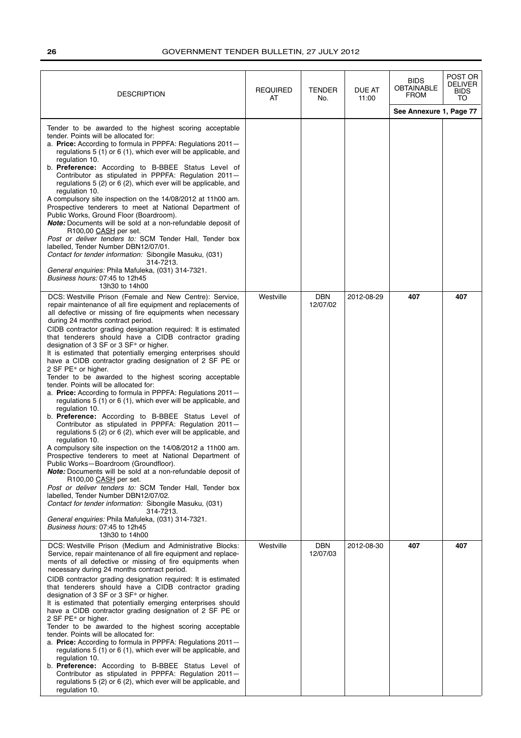| <b>DESCRIPTION</b>                                                                                                                                                                                                                                                                                                                                                                                                                                                                                                                                                                                                                                                                                                                                                                                                                                                                                                                                                                                                                                                                                                                                                                                                                                                                                                                                                                                                                                                                                                                                      | <b>REQUIRED</b><br>AT | <b>TENDER</b><br>No.   | DUE AT<br>11:00 | <b>BIDS</b><br><b>OBTAINABLE</b><br><b>FROM</b> | POST OR<br>DELIVER<br><b>BIDS</b><br>TO |
|---------------------------------------------------------------------------------------------------------------------------------------------------------------------------------------------------------------------------------------------------------------------------------------------------------------------------------------------------------------------------------------------------------------------------------------------------------------------------------------------------------------------------------------------------------------------------------------------------------------------------------------------------------------------------------------------------------------------------------------------------------------------------------------------------------------------------------------------------------------------------------------------------------------------------------------------------------------------------------------------------------------------------------------------------------------------------------------------------------------------------------------------------------------------------------------------------------------------------------------------------------------------------------------------------------------------------------------------------------------------------------------------------------------------------------------------------------------------------------------------------------------------------------------------------------|-----------------------|------------------------|-----------------|-------------------------------------------------|-----------------------------------------|
|                                                                                                                                                                                                                                                                                                                                                                                                                                                                                                                                                                                                                                                                                                                                                                                                                                                                                                                                                                                                                                                                                                                                                                                                                                                                                                                                                                                                                                                                                                                                                         |                       |                        |                 | See Annexure 1, Page 77                         |                                         |
| Tender to be awarded to the highest scoring acceptable<br>tender. Points will be allocated for:<br>a. Price: According to formula in PPPFA: Regulations 2011-<br>regulations 5 (1) or 6 (1), which ever will be applicable, and<br>regulation 10.<br>b. Preference: According to B-BBEE Status Level of<br>Contributor as stipulated in PPPFA: Regulation 2011-<br>regulations 5 (2) or 6 (2), which ever will be applicable, and<br>regulation 10.<br>A compulsory site inspection on the 14/08/2012 at 11h00 am.<br>Prospective tenderers to meet at National Department of<br>Public Works, Ground Floor (Boardroom).<br>Note: Documents will be sold at a non-refundable deposit of<br>R100,00 CASH per set.<br>Post or deliver tenders to: SCM Tender Hall, Tender box<br>labelled, Tender Number DBN12/07/01.<br>Contact for tender information: Sibongile Masuku, (031)<br>314-7213.<br>General enquiries: Phila Mafuleka, (031) 314-7321.<br>Business hours: 07:45 to 12h45<br>13h30 to 14h00                                                                                                                                                                                                                                                                                                                                                                                                                                                                                                                                                   |                       |                        |                 |                                                 |                                         |
| DCS: Westville Prison (Female and New Centre): Service,<br>repair maintenance of all fire equipment and replacements of<br>all defective or missing of fire equipments when necessary<br>during 24 months contract period.<br>CIDB contractor grading designation required: It is estimated<br>that tenderers should have a CIDB contractor grading<br>designation of 3 SF or 3 SF* or higher.<br>It is estimated that potentially emerging enterprises should<br>have a CIDB contractor grading designation of 2 SF PE or<br>2 SF PE* or higher.<br>Tender to be awarded to the highest scoring acceptable<br>tender. Points will be allocated for:<br>a. Price: According to formula in PPPFA: Regulations 2011-<br>regulations 5 (1) or 6 (1), which ever will be applicable, and<br>regulation 10.<br>b. Preference: According to B-BBEE Status Level of<br>Contributor as stipulated in PPPFA: Regulation 2011-<br>regulations 5 (2) or 6 (2), which ever will be applicable, and<br>regulation 10.<br>A compulsory site inspection on the 14/08/2012 a 11h00 am.<br>Prospective tenderers to meet at National Department of<br>Public Works-Boardroom (Groundfloor).<br>Note: Documents will be sold at a non-refundable deposit of<br>R100,00 CASH per set.<br>Post or deliver tenders to: SCM Tender Hall, Tender box<br>labelled, Tender Number DBN12/07/02.<br>Contact for tender information: Sibongile Masuku, (031)<br>314-7213.<br>General enquiries: Phila Mafuleka, (031) 314-7321.<br>Business hours: 07:45 to 12h45<br>13h30 to 14h00 | Westville             | <b>DBN</b><br>12/07/02 | 2012-08-29      | 407                                             | 407                                     |
| DCS: Westville Prison (Medium and Administrative Blocks:<br>Service, repair maintenance of all fire equipment and replace-<br>ments of all defective or missing of fire equipments when<br>necessary during 24 months contract period.<br>CIDB contractor grading designation required: It is estimated<br>that tenderers should have a CIDB contractor grading<br>designation of 3 SF or 3 SF* or higher.<br>It is estimated that potentially emerging enterprises should<br>have a CIDB contractor grading designation of 2 SF PE or<br>2 SF PE* or higher.<br>Tender to be awarded to the highest scoring acceptable<br>tender. Points will be allocated for:<br>a. Price: According to formula in PPPFA: Regulations 2011-<br>regulations $5(1)$ or $6(1)$ , which ever will be applicable, and<br>regulation 10.<br>b. Preference: According to B-BBEE Status Level of<br>Contributor as stipulated in PPPFA: Regulation 2011-<br>regulations 5 (2) or 6 (2), which ever will be applicable, and<br>regulation 10.                                                                                                                                                                                                                                                                                                                                                                                                                                                                                                                                 | Westville             | <b>DBN</b><br>12/07/03 | 2012-08-30      | 407                                             | 407                                     |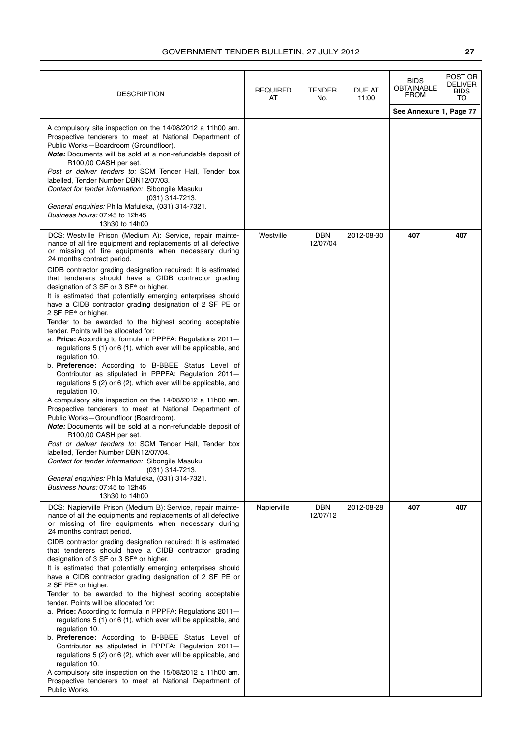| <b>DESCRIPTION</b>                                                                                                                                                                                                                                                                                                                                                                                                                                                                                                                                                                                                                                                                                                                                                                                                                                                                                                                                                                                                                                                                                                                                                                                                                                                                                                                                                                                                                                                                                                                           | REQUIRED<br>AT | TENDER<br>No.   | DUE AT<br>11:00 | <b>BIDS</b><br><b>OBTAINABLE</b><br>FROM | POST OR<br>DELIVER<br>BIDS<br>TO |
|----------------------------------------------------------------------------------------------------------------------------------------------------------------------------------------------------------------------------------------------------------------------------------------------------------------------------------------------------------------------------------------------------------------------------------------------------------------------------------------------------------------------------------------------------------------------------------------------------------------------------------------------------------------------------------------------------------------------------------------------------------------------------------------------------------------------------------------------------------------------------------------------------------------------------------------------------------------------------------------------------------------------------------------------------------------------------------------------------------------------------------------------------------------------------------------------------------------------------------------------------------------------------------------------------------------------------------------------------------------------------------------------------------------------------------------------------------------------------------------------------------------------------------------------|----------------|-----------------|-----------------|------------------------------------------|----------------------------------|
|                                                                                                                                                                                                                                                                                                                                                                                                                                                                                                                                                                                                                                                                                                                                                                                                                                                                                                                                                                                                                                                                                                                                                                                                                                                                                                                                                                                                                                                                                                                                              |                |                 |                 | See Annexure 1, Page 77                  |                                  |
| A compulsory site inspection on the 14/08/2012 a 11h00 am.<br>Prospective tenderers to meet at National Department of<br>Public Works-Boardroom (Groundfloor).<br><b>Note:</b> Documents will be sold at a non-refundable deposit of<br>R100,00 CASH per set.<br>Post or deliver tenders to: SCM Tender Hall, Tender box<br>labelled, Tender Number DBN12/07/03.<br>Contact for tender information: Sibongile Masuku,<br>$(031)$ 314-7213.<br>General enquiries: Phila Mafuleka, (031) 314-7321.<br>Business hours: 07:45 to 12h45<br>13h30 to 14h00                                                                                                                                                                                                                                                                                                                                                                                                                                                                                                                                                                                                                                                                                                                                                                                                                                                                                                                                                                                         |                |                 |                 |                                          |                                  |
| DCS: Westville Prison (Medium A): Service, repair mainte-<br>nance of all fire equipment and replacements of all defective<br>or missing of fire equipments when necessary during<br>24 months contract period.<br>CIDB contractor grading designation required: It is estimated<br>that tenderers should have a CIDB contractor grading<br>designation of 3 SF or 3 SF* or higher.<br>It is estimated that potentially emerging enterprises should<br>have a CIDB contractor grading designation of 2 SF PE or<br>2 SF PE* or higher.<br>Tender to be awarded to the highest scoring acceptable<br>tender. Points will be allocated for:<br>a. Price: According to formula in PPPFA: Regulations 2011-<br>regulations 5 (1) or 6 (1), which ever will be applicable, and<br>regulation 10.<br>b. Preference: According to B-BBEE Status Level of<br>Contributor as stipulated in PPPFA: Regulation 2011-<br>regulations 5 (2) or 6 (2), which ever will be applicable, and<br>regulation 10.<br>A compulsory site inspection on the 14/08/2012 a 11h00 am.<br>Prospective tenderers to meet at National Department of<br>Public Works-Groundfloor (Boardroom).<br>Note: Documents will be sold at a non-refundable deposit of<br>R100,00 CASH per set.<br>Post or deliver tenders to: SCM Tender Hall, Tender box<br>labelled, Tender Number DBN12/07/04.<br>Contact for tender information: Sibongile Masuku,<br>(031) 314-7213.<br>General enquiries: Phila Mafuleka, (031) 314-7321.<br>Business hours: 07:45 to 12h45<br>13h30 to 14h00 | Westville      | DBN<br>12/07/04 | 2012-08-30      | 407                                      | 407                              |
| DCS: Napierville Prison (Medium B): Service, repair mainte-<br>nance of all the equipments and replacements of all defective<br>or missing of fire equipments when necessary during<br>24 months contract period.<br>CIDB contractor grading designation required: It is estimated<br>that tenderers should have a CIDB contractor grading<br>designation of 3 SF or 3 SF* or higher.<br>It is estimated that potentially emerging enterprises should<br>have a CIDB contractor grading designation of 2 SF PE or<br>2 SF PE* or higher.<br>Tender to be awarded to the highest scoring acceptable<br>tender. Points will be allocated for:<br>a. Price: According to formula in PPPFA: Regulations 2011-<br>regulations 5 (1) or 6 (1), which ever will be applicable, and<br>regulation 10.<br>b. Preference: According to B-BBEE Status Level of<br>Contributor as stipulated in PPPFA: Regulation 2011-<br>regulations 5 (2) or 6 (2), which ever will be applicable, and<br>regulation 10.<br>A compulsory site inspection on the 15/08/2012 a 11h00 am.<br>Prospective tenderers to meet at National Department of<br>Public Works.                                                                                                                                                                                                                                                                                                                                                                                                    | Napierville    | DBN<br>12/07/12 | 2012-08-28      | 407                                      | 407                              |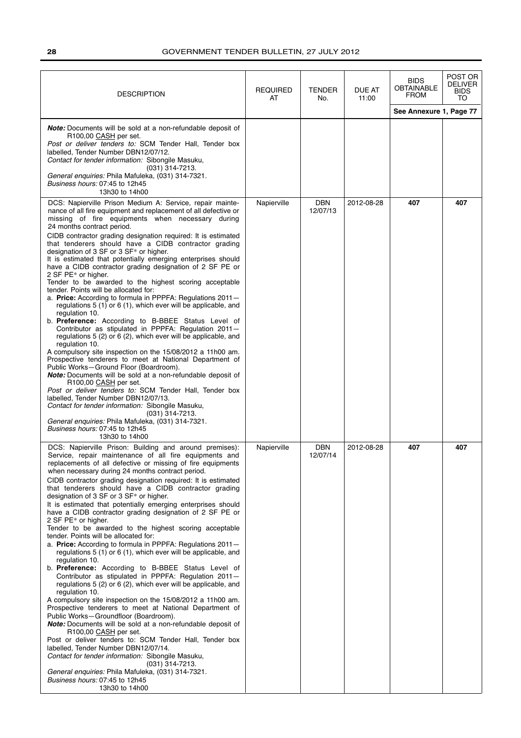| <b>DESCRIPTION</b>                                                                                                                                                                                                                                                                                                                                                                                                                                                                                                                                                                                                                                                                                                                                                                                                                                                                                                                                                                                                                                                                                                                                                                                                                                                                                                                                                                                                                                                                                                                                                                    | <b>REQUIRED</b><br>AT | <b>TENDER</b><br>No. | DUE AT<br>11:00 | <b>BIDS</b><br><b>OBTAINABLE</b><br><b>FROM</b> | POST OR<br><b>DELIVER</b><br><b>BIDS</b><br>TO |
|---------------------------------------------------------------------------------------------------------------------------------------------------------------------------------------------------------------------------------------------------------------------------------------------------------------------------------------------------------------------------------------------------------------------------------------------------------------------------------------------------------------------------------------------------------------------------------------------------------------------------------------------------------------------------------------------------------------------------------------------------------------------------------------------------------------------------------------------------------------------------------------------------------------------------------------------------------------------------------------------------------------------------------------------------------------------------------------------------------------------------------------------------------------------------------------------------------------------------------------------------------------------------------------------------------------------------------------------------------------------------------------------------------------------------------------------------------------------------------------------------------------------------------------------------------------------------------------|-----------------------|----------------------|-----------------|-------------------------------------------------|------------------------------------------------|
|                                                                                                                                                                                                                                                                                                                                                                                                                                                                                                                                                                                                                                                                                                                                                                                                                                                                                                                                                                                                                                                                                                                                                                                                                                                                                                                                                                                                                                                                                                                                                                                       |                       |                      |                 | See Annexure 1, Page 77                         |                                                |
| <b>Note:</b> Documents will be sold at a non-refundable deposit of<br>R100,00 CASH per set.<br>Post or deliver tenders to: SCM Tender Hall, Tender box<br>labelled, Tender Number DBN12/07/12.<br>Contact for tender information: Sibongile Masuku,<br>$(031)$ 314-7213.<br>General enquiries: Phila Mafuleka, (031) 314-7321.<br>Business hours: 07:45 to 12h45<br>13h30 to 14h00<br>DCS: Napierville Prison Medium A: Service, repair mainte-                                                                                                                                                                                                                                                                                                                                                                                                                                                                                                                                                                                                                                                                                                                                                                                                                                                                                                                                                                                                                                                                                                                                       | Napierville           | DBN                  | 2012-08-28      | 407                                             | 407                                            |
| nance of all fire equipment and replacement of all defective or<br>missing of fire equipments when necessary during<br>24 months contract period.<br>CIDB contractor grading designation required: It is estimated<br>that tenderers should have a CIDB contractor grading<br>designation of 3 SF or 3 SF* or higher.<br>It is estimated that potentially emerging enterprises should<br>have a CIDB contractor grading designation of 2 SF PE or<br>2 SF PE* or higher.<br>Tender to be awarded to the highest scoring acceptable<br>tender. Points will be allocated for:<br>a. Price: According to formula in PPPFA: Regulations 2011-<br>regulations 5 (1) or 6 (1), which ever will be applicable, and<br>regulation 10.<br>b. Preference: According to B-BBEE Status Level of<br>Contributor as stipulated in PPPFA: Regulation 2011-<br>regulations 5 (2) or 6 (2), which ever will be applicable, and<br>regulation 10.<br>A compulsory site inspection on the 15/08/2012 a 11h00 am.<br>Prospective tenderers to meet at National Department of<br>Public Works-Ground Floor (Boardroom).<br>Note: Documents will be sold at a non-refundable deposit of<br>R100,00 CASH per set.<br>Post or deliver tenders to: SCM Tender Hall, Tender box<br>labelled, Tender Number DBN12/07/13.<br>Contact for tender information: Sibongile Masuku,<br>$(031)$ 314-7213.<br>General enquiries: Phila Mafuleka, (031) 314-7321.<br>Business hours: 07:45 to 12h45<br>13h30 to 14h00                                                                                                     |                       | 12/07/13             |                 |                                                 |                                                |
| DCS: Napierville Prison: Building and around premises):<br>Service, repair maintenance of all fire equipments and<br>replacements of all defective or missing of fire equipments<br>when necessary during 24 months contract period.<br>CIDB contractor grading designation required: It is estimated<br>that tenderers should have a CIDB contractor grading<br>designation of 3 SF or 3 SF* or higher.<br>It is estimated that potentially emerging enterprises should<br>have a CIDB contractor grading designation of 2 SF PE or<br>2 SF PE* or higher.<br>Tender to be awarded to the highest scoring acceptable<br>tender. Points will be allocated for:<br>a. Price: According to formula in PPPFA: Regulations 2011-<br>regulations 5 (1) or 6 (1), which ever will be applicable, and<br>regulation 10.<br>b. Preference: According to B-BBEE Status Level of<br>Contributor as stipulated in PPPFA: Regulation 2011-<br>regulations 5 (2) or 6 (2), which ever will be applicable, and<br>regulation 10.<br>A compulsory site inspection on the 15/08/2012 a 11h00 am.<br>Prospective tenderers to meet at National Department of<br>Public Works-Groundfloor (Boardroom).<br><b>Note:</b> Documents will be sold at a non-refundable deposit of<br>R <sub>100</sub> ,00 CASH per set.<br>Post or deliver tenders to: SCM Tender Hall, Tender box<br>labelled, Tender Number DBN12/07/14.<br>Contact for tender information: Sibongile Masuku,<br>(031) 314-7213.<br>General enquiries: Phila Mafuleka, (031) 314-7321.<br>Business hours: 07:45 to 12h45<br>13h30 to 14h00 | Napierville           | DBN<br>12/07/14      | 2012-08-28      | 407                                             | 407                                            |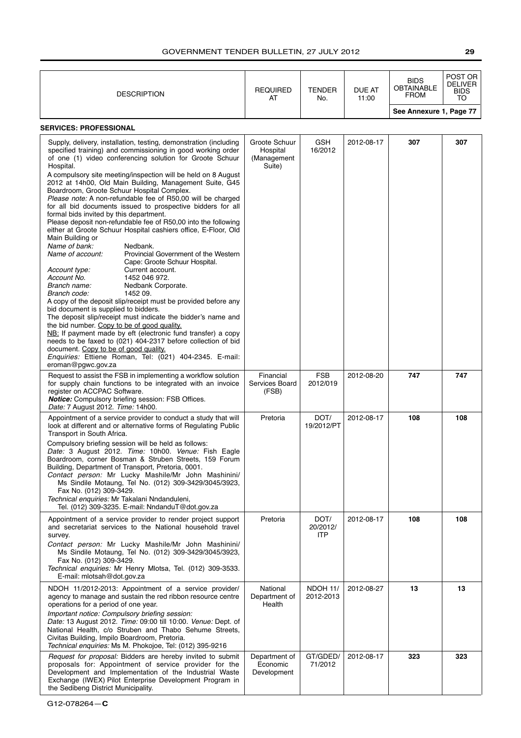| <b>DESCRIPTION</b>                                                                                                                                                                                                                                                                                                                                                                                                                                                                                                                                                                                                                                                                                                                                    | <b>REQUIRED</b><br>AT                              | <b>TENDER</b><br>No.           | DUE AT<br>11:00 | <b>BIDS</b><br><b>OBTAINABLE</b><br><b>FROM</b> | POST OR<br><b>DELIVER</b><br><b>BIDS</b><br>TO |
|-------------------------------------------------------------------------------------------------------------------------------------------------------------------------------------------------------------------------------------------------------------------------------------------------------------------------------------------------------------------------------------------------------------------------------------------------------------------------------------------------------------------------------------------------------------------------------------------------------------------------------------------------------------------------------------------------------------------------------------------------------|----------------------------------------------------|--------------------------------|-----------------|-------------------------------------------------|------------------------------------------------|
|                                                                                                                                                                                                                                                                                                                                                                                                                                                                                                                                                                                                                                                                                                                                                       |                                                    |                                |                 | See Annexure 1, Page 77                         |                                                |
| <b>SERVICES: PROFESSIONAL</b><br>Supply, delivery, installation, testing, demonstration (including<br>specified training) and commissioning in good working order<br>of one (1) video conferencing solution for Groote Schuur<br>Hospital.<br>A compulsory site meeting/inspection will be held on 8 August<br>2012 at 14h00, Old Main Building, Management Suite, G45<br>Boardroom, Groote Schuur Hospital Complex.<br>Please note: A non-refundable fee of R50,00 will be charged<br>for all bid documents issued to prospective bidders for all<br>formal bids invited by this department.<br>Please deposit non-refundable fee of R50,00 into the following<br>either at Groote Schuur Hospital cashiers office, E-Floor, Old<br>Main Building or | Groote Schuur<br>Hospital<br>(Management<br>Suite) | GSH<br>16/2012                 | 2012-08-17      | 307                                             | 307                                            |
| Name of bank:<br>Nedbank.<br>Name of account:<br>Provincial Government of the Western<br>Cape: Groote Schuur Hospital.<br>Account type:<br>Current account.<br>Account No.<br>1452 046 972.<br>Branch name:<br>Nedbank Corporate.<br>1452 09.<br>Branch code:<br>A copy of the deposit slip/receipt must be provided before any<br>bid document is supplied to bidders.<br>The deposit slip/receipt must indicate the bidder's name and<br>the bid number. Copy to be of good quality.<br>NB: If payment made by eft (electronic fund transfer) a copy<br>needs to be faxed to (021) 404-2317 before collection of bid<br>document. Copy to be of good quality.<br>Enquiries: Ettiene Roman, Tel: (021) 404-2345. E-mail:<br>eroman@pgwc.gov.za       |                                                    |                                |                 |                                                 |                                                |
| Request to assist the FSB in implementing a workflow solution<br>for supply chain functions to be integrated with an invoice<br>register on ACCPAC Software.<br>Notice: Compulsory briefing session: FSB Offices.<br>Date: 7 August 2012. Time: 14h00.                                                                                                                                                                                                                                                                                                                                                                                                                                                                                                | Financial<br>Services Board<br>(FSB)               | <b>FSB</b><br>2012/019         | 2012-08-20      | 747                                             | 747                                            |
| Appointment of a service provider to conduct a study that will<br>look at different and or alternative forms of Regulating Public<br>Transport in South Africa.<br>Compulsory briefing session will be held as follows:<br>Date: 3 August 2012. Time: 10h00. Venue: Fish Eagle<br>Boardroom, corner Bosman & Struben Streets, 159 Forum<br>Building, Department of Transport, Pretoria, 0001.<br>Contact person: Mr Lucky Mashile/Mr John Mashinini/<br>Ms Sindile Motaung, Tel No. (012) 309-3429/3045/3923,<br>Fax No. (012) 309-3429.<br>Technical enquiries: Mr Takalani Nndanduleni,<br>Tel. (012) 309-3235. E-mail: NndanduT@dot.gov.za                                                                                                         | Pretoria                                           | DOT/<br>19/2012/PT             | 2012-08-17      | 108                                             | 108                                            |
| Appointment of a service provider to render project support<br>and secretariat services to the National household travel<br>survey.<br>Contact person: Mr Lucky Mashile/Mr John Mashinini/<br>Ms Sindile Motaung, Tel No. (012) 309-3429/3045/3923,<br>Fax No. (012) 309-3429.<br>Technical enquiries: Mr Henry Mlotsa, Tel. (012) 309-3533.<br>E-mail: mlotsah@dot.gov.za                                                                                                                                                                                                                                                                                                                                                                            | Pretoria                                           | DOT/<br>20/2012/<br><b>ITP</b> | 2012-08-17      | 108                                             | 108                                            |
| NDOH 11/2012-2013: Appointment of a service provider/<br>agency to manage and sustain the red ribbon resource centre<br>operations for a period of one year.<br>Important notice: Compulsory briefing session:<br>Date: 13 August 2012. Time: 09:00 till 10:00. Venue: Dept. of<br>National Health, c/o Struben and Thabo Sehume Streets,<br>Civitas Building, Impilo Boardroom, Pretoria.<br>Technical enquiries: Ms M. Phokojoe, Tel: (012) 395-9216                                                                                                                                                                                                                                                                                                | National<br>Department of<br>Health                | NDOH 11/<br>2012-2013          | 2012-08-27      | 13                                              | 13                                             |
| Request for proposal: Bidders are hereby invited to submit<br>proposals for: Appointment of service provider for the<br>Development and Implementation of the Industrial Waste<br>Exchange (IWEX) Pilot Enterprise Development Program in<br>the Sedibeng District Municipality.                                                                                                                                                                                                                                                                                                                                                                                                                                                                      | Department of<br>Economic<br>Development           | GT/GDED/<br>71/2012            | 2012-08-17      | 323                                             | 323                                            |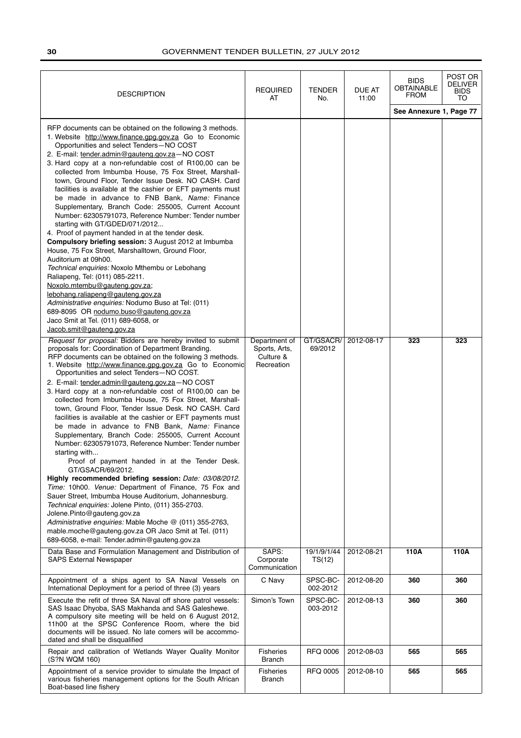| <b>DESCRIPTION</b>                                                                                                                                                                                                                                                                                                                                                                                                                                                                                                                                                                                                                                                                                                                                                                                                                                                                                                                                                                                                                                                                                                                                                                                                                                                                 | <b>REQUIRED</b><br>AT                                     | <b>TENDER</b><br>No.  | DUE AT<br>11:00 | <b>BIDS</b><br><b>OBTAINABLE</b><br><b>FROM</b> | POST OR<br><b>DELIVER</b><br><b>BIDS</b><br>TO |
|------------------------------------------------------------------------------------------------------------------------------------------------------------------------------------------------------------------------------------------------------------------------------------------------------------------------------------------------------------------------------------------------------------------------------------------------------------------------------------------------------------------------------------------------------------------------------------------------------------------------------------------------------------------------------------------------------------------------------------------------------------------------------------------------------------------------------------------------------------------------------------------------------------------------------------------------------------------------------------------------------------------------------------------------------------------------------------------------------------------------------------------------------------------------------------------------------------------------------------------------------------------------------------|-----------------------------------------------------------|-----------------------|-----------------|-------------------------------------------------|------------------------------------------------|
|                                                                                                                                                                                                                                                                                                                                                                                                                                                                                                                                                                                                                                                                                                                                                                                                                                                                                                                                                                                                                                                                                                                                                                                                                                                                                    |                                                           |                       |                 | See Annexure 1, Page 77                         |                                                |
| RFP documents can be obtained on the following 3 methods.<br>1. Website http://www.finance.gpg.gov.za Go to Economic<br>Opportunities and select Tenders-NO COST<br>2. E-mail: tender.admin@gauteng.gov.za-NO COST<br>3. Hard copy at a non-refundable cost of R100,00 can be<br>collected from Imbumba House, 75 Fox Street, Marshall-<br>town, Ground Floor, Tender Issue Desk. NO CASH. Card<br>facilities is available at the cashier or EFT payments must<br>be made in advance to FNB Bank, Name: Finance<br>Supplementary, Branch Code: 255005, Current Account<br>Number: 62305791073, Reference Number: Tender number<br>starting with GT/GDED/071/2012<br>4. Proof of payment handed in at the tender desk.<br>Compulsory briefing session: 3 August 2012 at Imbumba<br>House, 75 Fox Street, Marshalltown, Ground Floor,<br>Auditorium at 09h00.<br>Technical enquiries: Noxolo Mthembu or Lebohang<br>Raliapeng, Tel: (011) 085-2211.<br>Noxolo.mtembu@gauteng.gov.za;<br>lebohang.raliapeng@gauteng.gov.za<br>Administrative enquiries: Nodumo Buso at Tel: (011)<br>689-8095 OR nodumo.buso@gauteng.gov.za<br>Jaco Smit at Tel. (011) 689-6058, or<br>Jacob.smit@gauteng.gov.za                                                                                      |                                                           |                       |                 |                                                 |                                                |
| Request for proposal: Bidders are hereby invited to submit<br>proposals for: Coordination of Department Branding.<br>RFP documents can be obtained on the following 3 methods.<br>1. Website http://www.finance.gpg.gov.za Go to Economic<br>Opportunities and select Tenders-NO COST.<br>2. E-mail: tender.admin@gauteng.gov.za-NO COST<br>3. Hard copy at a non-refundable cost of R100,00 can be<br>collected from Imbumba House, 75 Fox Street, Marshall-<br>town, Ground Floor, Tender Issue Desk. NO CASH. Card<br>facilities is available at the cashier or EFT payments must<br>be made in advance to FNB Bank, Name: Finance<br>Supplementary, Branch Code: 255005, Current Account<br>Number: 62305791073, Reference Number: Tender number<br>starting with<br>Proof of payment handed in at the Tender Desk.<br>GT/GSACR/69/2012.<br>Highly recommended briefing session: Date: 03/08/2012.<br>Time: 10h00. Venue: Department of Finance, 75 Fox and<br>Sauer Street, Imbumba House Auditorium, Johannesburg.<br>Technical enquiries: Jolene Pinto, (011) 355-2703.<br>Jolene.Pinto@gauteng.gov.za<br>Administrative enquiries: Mable Moche @ (011) 355-2763,<br>mable.moche@gauteng.gov.za OR Jaco Smit at Tel. (011)<br>689-6058, e-mail: Tender.admin@gauteng.gov.za | Department of<br>Sports, Arts,<br>Culture &<br>Recreation | GT/GSACR/<br>69/2012  | 2012-08-17      | 323                                             | 323                                            |
| Data Base and Formulation Management and Distribution of<br><b>SAPS External Newspaper</b>                                                                                                                                                                                                                                                                                                                                                                                                                                                                                                                                                                                                                                                                                                                                                                                                                                                                                                                                                                                                                                                                                                                                                                                         | SAPS:<br>Corporate<br>Communication                       | 19/1/9/1/44<br>TS(12) | 2012-08-21      | 110A                                            | 110A                                           |
| Appointment of a ships agent to SA Naval Vessels on<br>International Deployment for a period of three (3) years                                                                                                                                                                                                                                                                                                                                                                                                                                                                                                                                                                                                                                                                                                                                                                                                                                                                                                                                                                                                                                                                                                                                                                    | C Navy                                                    | SPSC-BC-<br>002-2012  | 2012-08-20      | 360                                             | 360                                            |
| Execute the refit of three SA Naval off shore patrol vessels:<br>SAS Isaac Dhyoba, SAS Makhanda and SAS Galeshewe.<br>A compulsory site meeting will be held on 6 August 2012,<br>11h00 at the SPSC Conference Room, where the bid<br>documents will be issued. No late comers will be accommo-<br>dated and shall be disqualified                                                                                                                                                                                                                                                                                                                                                                                                                                                                                                                                                                                                                                                                                                                                                                                                                                                                                                                                                 | Simon's Town                                              | SPSC-BC-<br>003-2012  | 2012-08-13      | 360                                             | 360                                            |
| Repair and calibration of Wetlands Wayer Quality Monitor<br>(S?N WQM 160)                                                                                                                                                                                                                                                                                                                                                                                                                                                                                                                                                                                                                                                                                                                                                                                                                                                                                                                                                                                                                                                                                                                                                                                                          | <b>Fisheries</b><br><b>Branch</b>                         | <b>RFQ 0006</b>       | 2012-08-03      | 565                                             | 565                                            |
| Appointment of a service provider to simulate the Impact of<br>various fisheries management options for the South African<br>Boat-based line fishery                                                                                                                                                                                                                                                                                                                                                                                                                                                                                                                                                                                                                                                                                                                                                                                                                                                                                                                                                                                                                                                                                                                               | <b>Fisheries</b><br>Branch                                | <b>RFQ 0005</b>       | 2012-08-10      | 565                                             | 565                                            |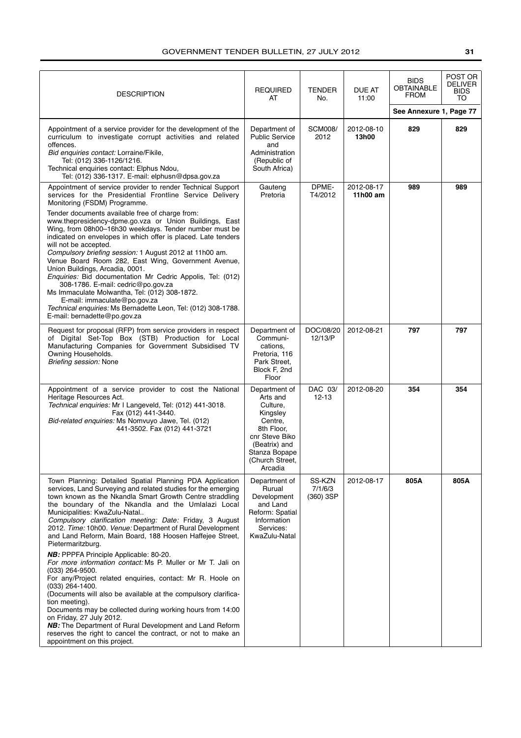| <b>DESCRIPTION</b>                                                                                                                                                                                                                                                                                                                                                                                                                                                                                                                                                                                                                                                                                                                                                                                                                                                                                                                                                                                                                                    | <b>REQUIRED</b><br>AT                                                                                                                                        | TENDER<br>No.                  | DUE AT<br>11:00        | <b>BIDS</b><br><b>OBTAINABLE</b><br><b>FROM</b> | POST OR<br>DELIVER<br>BIDS<br>TO |
|-------------------------------------------------------------------------------------------------------------------------------------------------------------------------------------------------------------------------------------------------------------------------------------------------------------------------------------------------------------------------------------------------------------------------------------------------------------------------------------------------------------------------------------------------------------------------------------------------------------------------------------------------------------------------------------------------------------------------------------------------------------------------------------------------------------------------------------------------------------------------------------------------------------------------------------------------------------------------------------------------------------------------------------------------------|--------------------------------------------------------------------------------------------------------------------------------------------------------------|--------------------------------|------------------------|-------------------------------------------------|----------------------------------|
| Appointment of a service provider for the development of the<br>curriculum to investigate corrupt activities and related<br>offences.<br>Bid enquiries contact: Lorraine/Fikile,<br>Tel: (012) 336-1126/1216.<br>Technical enquiries contact: Elphus Ndou,<br>Tel: (012) 336-1317. E-mail: elphusn@dpsa.gov.za                                                                                                                                                                                                                                                                                                                                                                                                                                                                                                                                                                                                                                                                                                                                        | Department of<br><b>Public Service</b><br>and<br>Administration<br>(Republic of<br>South Africa)                                                             | <b>SCM008/</b><br>2012         | 2012-08-10<br>13h00    | See Annexure 1, Page 77<br>829                  | 829                              |
| Appointment of service provider to render Technical Support<br>services for the Presidential Frontline Service Delivery<br>Monitoring (FSDM) Programme.<br>Tender documents available free of charge from:<br>www.thepresidency-dpme.go.vza or Union Buildings, East<br>Wing, from 08h00-16h30 weekdays. Tender number must be<br>indicated on envelopes in which offer is placed. Late tenders<br>will not be accepted.<br>Compulsory briefing session: 1 August 2012 at 11h00 am.<br>Venue Board Room 282, East Wing, Government Avenue,<br>Union Buildings, Arcadia, 0001.<br>Enquiries: Bid documentation Mr Cedric Appolis, Tel: (012)<br>308-1786. E-mail: cedric@po.gov.za<br>Ms Immaculate Molwantha, Tel: (012) 308-1872.<br>E-mail: immaculate@po.gov.za<br>Technical enquiries: Ms Bernadette Leon, Tel: (012) 308-1788.<br>E-mail: bernadette@po.gov.za                                                                                                                                                                                   | Gauteng<br>Pretoria                                                                                                                                          | DPME-<br>T4/2012               | 2012-08-17<br>11h00 am | 989                                             | 989                              |
| Request for proposal (RFP) from service providers in respect<br>of Digital Set-Top Box (STB) Production for Local<br>Manufacturing Companies for Government Subsidised TV<br>Owning Households.<br>Briefing session: None                                                                                                                                                                                                                                                                                                                                                                                                                                                                                                                                                                                                                                                                                                                                                                                                                             | Department of<br>Communi-<br>cations.<br>Pretoria, 116<br>Park Street,<br>Block F, 2nd<br>Floor                                                              | DOC/08/20<br>12/13/P           | 2012-08-21             | 797                                             | 797                              |
| Appointment of a service provider to cost the National<br>Heritage Resources Act.<br>Technical enquiries: Mr I Langeveld, Tel: (012) 441-3018.<br>Fax (012) 441-3440.<br>Bid-related enquiries: Ms Nomvuyo Jawe, Tel. (012)<br>441-3502. Fax (012) 441-3721                                                                                                                                                                                                                                                                                                                                                                                                                                                                                                                                                                                                                                                                                                                                                                                           | Department of<br>Arts and<br>Culture,<br>Kingsley<br>Centre,<br>8th Floor,<br>cnr Steve Biko<br>(Beatrix) and<br>Stanza Bopape<br>(Church Street,<br>Arcadia | DAC 03/<br>$12 - 13$           | 2012-08-20             | 354                                             | 354                              |
| Town Planning: Detailed Spatial Planning PDA Application<br>services, Land Surveying and related studies for the emerging<br>town known as the Nkandla Smart Growth Centre straddling<br>the boundary of the Nkandla and the Umlalazi Local<br>Municipalities: KwaZulu-Natal<br>Compulsory clarification meeting: Date: Friday, 3 August<br>2012. Time: 10h00. Venue: Department of Rural Development<br>and Land Reform, Main Board, 188 Hoosen Haffejee Street,<br>Pietermaritzburg.<br>NB: PPPFA Principle Applicable: 80-20.<br>For more information contact: Ms P. Muller or Mr T. Jali on<br>(033) 264-9500.<br>For any/Project related enquiries, contact: Mr R. Hoole on<br>$(033)$ 264-1400.<br>(Documents will also be available at the compulsory clarifica-<br>tion meeting).<br>Documents may be collected during working hours from 14:00<br>on Friday, 27 July 2012.<br><b>NB:</b> The Department of Rural Development and Land Reform<br>reserves the right to cancel the contract, or not to make an<br>appointment on this project. | Department of<br>Rurual<br>Development<br>and Land<br>Reform: Spatial<br>Information<br>Services:<br>KwaZulu-Natal                                           | SS-KZN<br>7/1/6/3<br>(360) 3SP | 2012-08-17             | 805A                                            | 805A                             |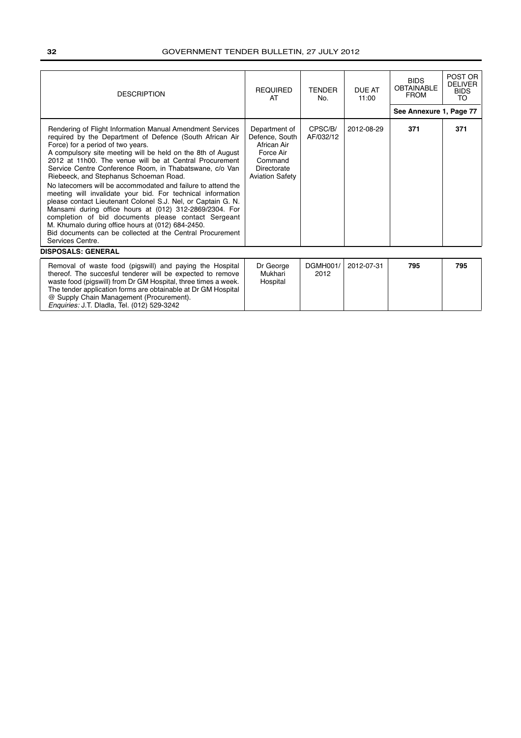| <b>DESCRIPTION</b>                                                                                                                                                                                                                                                                                                                                                                                                                                                                                                                                                                                                                                                                                                                                                                                                                                                            | <b>REQUIRED</b><br>AT                                                                                           | <b>TENDER</b><br>No. | <b>DUE AT</b><br>11:00 | <b>BIDS</b><br><b>OBTAINABLE</b><br><b>FROM</b> | POST OR<br><b>DELIVER</b><br><b>BIDS</b><br>TO |
|-------------------------------------------------------------------------------------------------------------------------------------------------------------------------------------------------------------------------------------------------------------------------------------------------------------------------------------------------------------------------------------------------------------------------------------------------------------------------------------------------------------------------------------------------------------------------------------------------------------------------------------------------------------------------------------------------------------------------------------------------------------------------------------------------------------------------------------------------------------------------------|-----------------------------------------------------------------------------------------------------------------|----------------------|------------------------|-------------------------------------------------|------------------------------------------------|
|                                                                                                                                                                                                                                                                                                                                                                                                                                                                                                                                                                                                                                                                                                                                                                                                                                                                               |                                                                                                                 |                      |                        | See Annexure 1, Page 77                         |                                                |
| Rendering of Flight Information Manual Amendment Services<br>required by the Department of Defence (South African Air<br>Force) for a period of two years.<br>A compulsory site meeting will be held on the 8th of August<br>2012 at 11h00. The venue will be at Central Procurement<br>Service Centre Conference Room, in Thabatswane, c/o Van<br>Riebeeck, and Stephanus Schoeman Road.<br>No latecomers will be accommodated and failure to attend the<br>meeting will invalidate your bid. For technical information<br>please contact Lieutenant Colonel S.J. Nel, or Captain G. N.<br>Mansami during office hours at (012) 312-2869/2304. For<br>completion of bid documents please contact Sergeant<br>M. Khumalo during office hours at (012) 684-2450.<br>Bid documents can be collected at the Central Procurement<br>Services Centre.<br><b>DISPOSALS: GENERAL</b> | Department of<br>Defence, South<br>African Air<br>Force Air<br>Command<br>Directorate<br><b>Aviation Safety</b> | CPSC/B/<br>AF/032/12 | 2012-08-29             | 371                                             | 371                                            |
|                                                                                                                                                                                                                                                                                                                                                                                                                                                                                                                                                                                                                                                                                                                                                                                                                                                                               |                                                                                                                 |                      | 2012-07-31             |                                                 |                                                |
| Removal of waste food (pigswill) and paying the Hospital<br>thereof. The succesful tenderer will be expected to remove<br>waste food (pigswill) from Dr GM Hospital, three times a week.<br>The tender application forms are obtainable at Dr GM Hospital<br>@ Supply Chain Management (Procurement).<br>Enquiries: IT Diadla Tel (012) 529-3242                                                                                                                                                                                                                                                                                                                                                                                                                                                                                                                              | Dr George<br>Mukhari<br>Hospital                                                                                | DGMH001/<br>2012     |                        | 795                                             | 795                                            |

Enquiries: J.T. Dladla, Tel. (012) 529-3242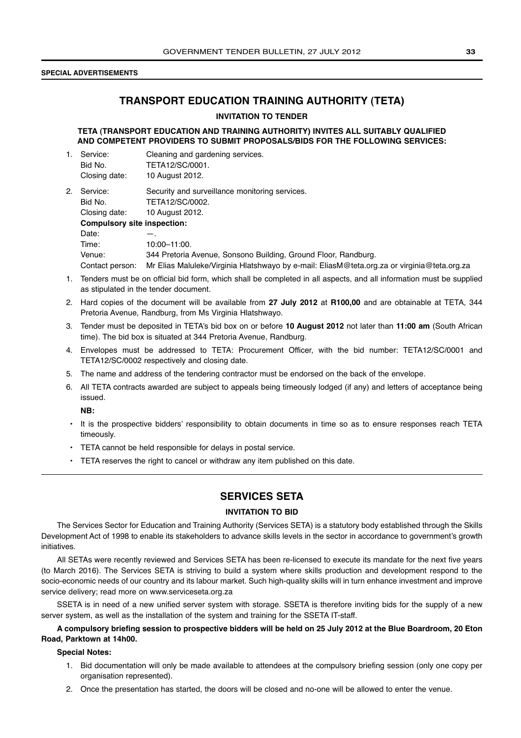### **SPECIAL ADVERTISEMENTS**

### **TRANSPORT EDUCATION TRAINING AUTHORITY (TETA)**

### **INVITATION TO TENDER**

**TETA (TRANSPORT EDUCATION AND TRAINING AUTHORITY) INVITES ALL SUITABLY QUALIFIED AND COMPETENT PROVIDERS TO SUBMIT PROPOSALS/BIDS FOR THE FOLLOWING SERVICES:**

- 1. Service: Cleaning and gardening services. Bid No. TETA12/SC/0001. Closing date: 10 August 2012.
- 2. Service: Security and surveillance monitoring services. Bid No. TETA12/SC/0002. Closing date: 10 August 2012. **Compulsory site inspection:** Date: Time: 10:00-11:00. Venue: 344 Pretoria Avenue, Sonsono Building, Ground Floor, Randburg. Contact person: Mr Elias Maluleke/Virginia Hlatshwayo by e-mail: EliasM@teta.org.za or virginia@teta.org.za
- 1. Tenders must be on official bid form, which shall be completed in all aspects, and all information must be supplied as stipulated in the tender document.
- 2. Hard copies of the document will be available from **27 July 2012** at **R100,00** and are obtainable at TETA, 344 Pretoria Avenue, Randburg, from Ms Virginia Hlatshwayo.
- 3. Tender must be deposited in TETA's bid box on or before **10 August 2012** not later than **11:00 am** (South African time). The bid box is situated at 344 Pretoria Avenue, Randburg.
- 4. Envelopes must be addressed to TETA: Procurement Officer, with the bid number: TETA12/SC/0001 and TETA12/SC/0002 respectively and closing date.
- 5. The name and address of the tendering contractor must be endorsed on the back of the envelope.
- 6. All TETA contracts awarded are subject to appeals being timeously lodged (if any) and letters of acceptance being issued.

**NB:**

- It is the prospective bidders' responsibility to obtain documents in time so as to ensure responses reach TETA timeously.
- TETA cannot be held responsible for delays in postal service.
- TETA reserves the right to cancel or withdraw any item published on this date.

### **SERVICES SETA**

### **INVITATION TO BID**

The Services Sector for Education and Training Authority (Services SETA) is a statutory body established through the Skills Development Act of 1998 to enable its stakeholders to advance skills levels in the sector in accordance to government's growth initiatives.

All SETAs were recently reviewed and Services SETA has been re-licensed to execute its mandate for the next five years (to March 2016). The Services SETA is striving to build a system where skills production and development respond to the socio-economic needs of our country and its labour market. Such high-quality skills will in turn enhance investment and improve service delivery; read more on www.serviceseta.org.za

SSETA is in need of a new unified server system with storage. SSETA is therefore inviting bids for the supply of a new server system, as well as the installation of the system and training for the SSETA IT-staff.

### **A compulsory briefing session to prospective bidders will be held on 25 July 2012 at the Blue Boardroom, 20 Eton Road, Parktown at 14h00.**

### **Special Notes:**

- 1. Bid documentation will only be made available to attendees at the compulsory briefing session (only one copy per organisation represented).
- 2. Once the presentation has started, the doors will be closed and no-one will be allowed to enter the venue.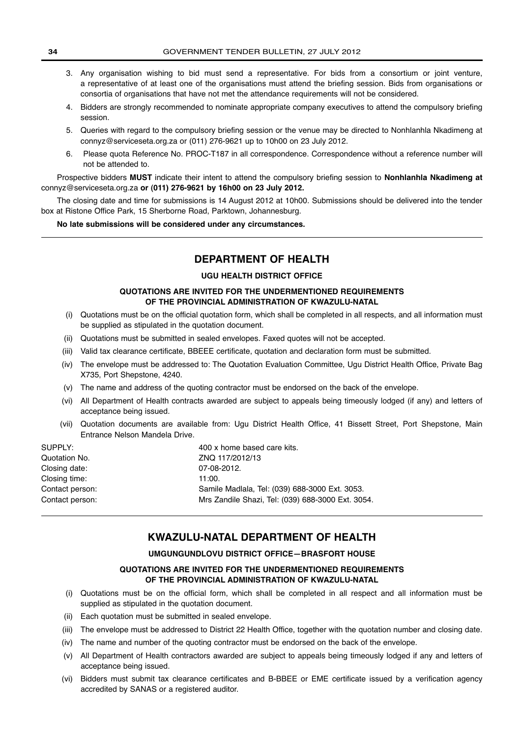- 3. Any organisation wishing to bid must send a representative. For bids from a consortium or joint venture, a representative of at least one of the organisations must attend the briefing session. Bids from organisations or consortia of organisations that have not met the attendance requirements will not be considered.
- 4. Bidders are strongly recommended to nominate appropriate company executives to attend the compulsory briefing session.
- 5. Queries with regard to the compulsory briefing session or the venue may be directed to Nonhlanhla Nkadimeng at connyz@serviceseta.org.za or (011) 276-9621 up to 10h00 on 23 July 2012.
- 6. Please quota Reference No. PROC-T187 in all correspondence. Correspondence without a reference number will not be attended to.

Prospective bidders **MUST** indicate their intent to attend the compulsory briefing session to **Nonhlanhla Nkadimeng at** connyz@serviceseta.org.za **or (011) 276-9621 by 16h00 on 23 July 2012.**

The closing date and time for submissions is 14 August 2012 at 10h00. Submissions should be delivered into the tender box at Ristone Office Park, 15 Sherborne Road, Parktown, Johannesburg.

**No late submissions will be considered under any circumstances.**

### **DEPARTMENT OF HEALTH**

### **UGU HEALTH DISTRICT OFFICE**

### **QUOTATIONS ARE INVITED FOR THE UNDERMENTIONED REQUIREMENTS OF THE PROVINCIAL ADMINISTRATION OF KWAZULU-NATAL**

- (i) Quotations must be on the official quotation form, which shall be completed in all respects, and all information must be supplied as stipulated in the quotation document.
- (ii) Quotations must be submitted in sealed envelopes. Faxed quotes will not be accepted.
- (iii) Valid tax clearance certificate, BBEEE certificate, quotation and declaration form must be submitted.
- (iv) The envelope must be addressed to: The Quotation Evaluation Committee, Ugu District Health Office, Private Bag X735, Port Shepstone, 4240.
- (v) The name and address of the quoting contractor must be endorsed on the back of the envelope.
- (vi) All Department of Health contracts awarded are subject to appeals being timeously lodged (if any) and letters of acceptance being issued.
- (vii) Quotation documents are available from: Ugu District Health Office, 41 Bissett Street, Port Shepstone, Main Entrance Nelson Mandela Drive.

| SUPPLY:         | 400 x home based care kits.                       |
|-----------------|---------------------------------------------------|
| Quotation No.   | ZNQ 117/2012/13                                   |
| Closing date:   | 07-08-2012.                                       |
| Closing time:   | 11:00.                                            |
| Contact person: | Samile Madlala, Tel: (039) 688-3000 Ext. 3053.    |
| Contact person: | Mrs Zandile Shazi, Tel: (039) 688-3000 Ext. 3054. |
|                 |                                                   |

### **KWAZULU-NATAL DEPARTMENT OF HEALTH**

### **UMGUNGUNDLOVU DISTRICT OFFICE—BRASFORT HOUSE**

### **QUOTATIONS ARE INVITED FOR THE UNDERMENTIONED REQUIREMENTS OF THE PROVINCIAL ADMINISTRATION OF KWAZULU-NATAL**

- (i) Quotations must be on the official form, which shall be completed in all respect and all information must be supplied as stipulated in the quotation document.
- (ii) Each quotation must be submitted in sealed envelope.
- (iii) The envelope must be addressed to District 22 Health Office, together with the quotation number and closing date.
- (iv) The name and number of the quoting contractor must be endorsed on the back of the envelope.
- (v) All Department of Health contractors awarded are subject to appeals being timeously lodged if any and letters of acceptance being issued.
- (vi) Bidders must submit tax clearance certificates and B-BBEE or EME certificate issued by a verification agency accredited by SANAS or a registered auditor.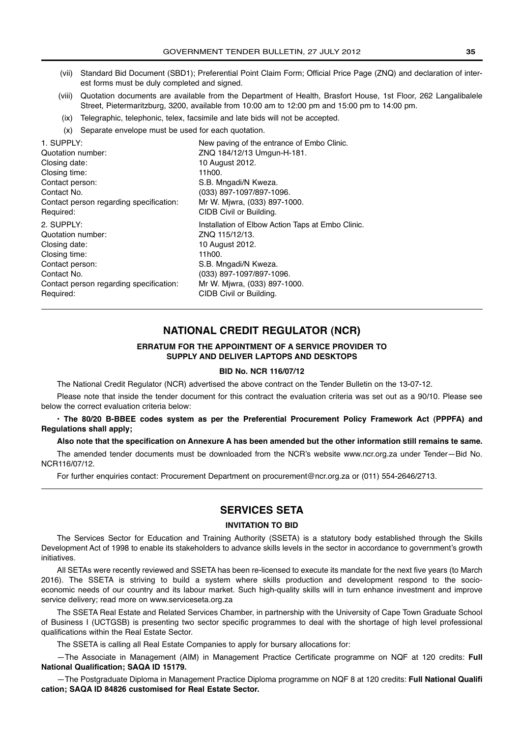- (vii) Standard Bid Document (SBD1); Preferential Point Claim Form; Official Price Page (ZNQ) and declaration of interest forms must be duly completed and signed.
- (viii) Quotation documents are available from the Department of Health, Brasfort House, 1st Floor, 262 Langalibalele Street, Pietermaritzburg, 3200, available from 10:00 am to 12:00 pm and 15:00 pm to 14:00 pm.
- (ix) Telegraphic, telephonic, telex, facsimile and late bids will not be accepted.
- (x) Separate envelope must be used for each quotation.

1. SUPPLY: New paving of the entrance of Embo Clinic. Quotation number: ZNQ 184/12/13 Umgun-H-181. Closing date: 10 August 2012. Closing time: 11h00. Contact person: S.B. Mngadi/N Kweza. Contact No. (033) 897-1097/897-1096. Contact person regarding specification: Mr W. Mjwra, (033) 897-1000. Required: CIDB Civil or Building. 2. SUPPLY: Installation of Elbow Action Taps at Embo Clinic. Quotation number: <br>
ZNQ 115/12/13. Closing date: 10 August 2012. Closing time: 11h00. Contact person: S.B. Mngadi/N Kweza. Contact No. (033) 897-1097/897-1096. Contact person regarding specification: Mr W. Mjwra, (033) 897-1000. Required: CIDB Civil or Building.

### **NATIONAL CREDIT REGULATOR (NCR)**

### **ERRATUM FOR THE APPOINTMENT OF A SERVICE PROVIDER TO SUPPLY AND DELIVER LAPTOPS AND DESKTOPS**

### **BID No. NCR 116/07/12**

The National Credit Regulator (NCR) advertised the above contract on the Tender Bulletin on the 13-07-12.

Please note that inside the tender document for this contract the evaluation criteria was set out as a 90/10. Please see below the correct evaluation criteria below:

**• The 80/20 B-BBEE codes system as per the Preferential Procurement Policy Framework Act (PPPFA) and Regulations shall apply;**

### **Also note that the specification on Annexure A has been amended but the other information still remains te same.**

The amended tender documents must be downloaded from the NCR's website www.ncr.org.za under Tender—Bid No. NCR116/07/12.

For further enquiries contact: Procurement Department on procurement@ncr.org.za or (011) 554-2646/2713.

### **SERVICES SETA**

### **INVITATION TO BID**

The Services Sector for Education and Training Authority (SSETA) is a statutory body established through the Skills Development Act of 1998 to enable its stakeholders to advance skills levels in the sector in accordance to government's growth initiatives.

All SETAs were recently reviewed and SSETA has been re-licensed to execute its mandate for the next five years (to March 2016). The SSETA is striving to build a system where skills production and development respond to the socioeconomic needs of our country and its labour market. Such high-quality skills will in turn enhance investment and improve service delivery; read more on www.serviceseta.org.za

The SSETA Real Estate and Related Services Chamber, in partnership with the University of Cape Town Graduate School of Business I (UCTGSB) is presenting two sector specific programmes to deal with the shortage of high level professional qualifications within the Real Estate Sector.

The SSETA is calling all Real Estate Companies to apply for bursary allocations for:

—The Associate in Management (AIM) in Management Practice Certificate programme on NQF at 120 credits: **Full National Qualification; SAQA ID 15179.**

—The Postgraduate Diploma in Management Practice Diploma programme on NQF 8 at 120 credits: **Full National Qualifi cation; SAQA ID 84826 customised for Real Estate Sector.**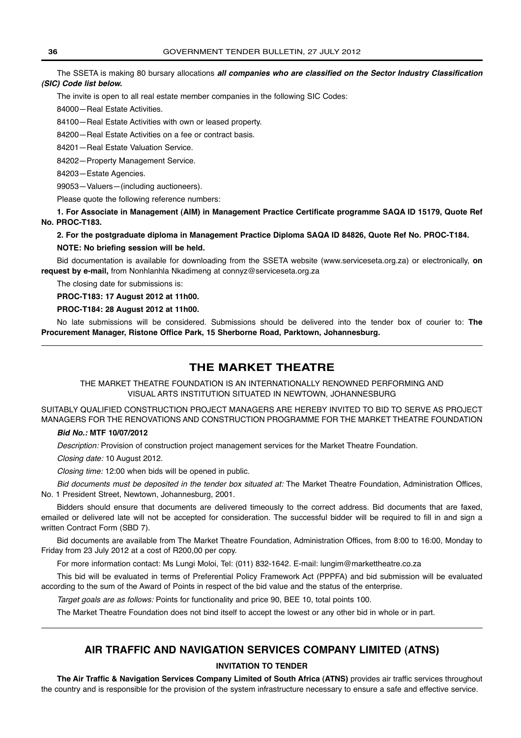The SSETA is making 80 bursary allocations *all companies who are classified on the Sector Industry Classification (SIC) Code list below.*

The invite is open to all real estate member companies in the following SIC Codes:

84000—Real Estate Activities.

84100—Real Estate Activities with own or leased property.

84200—Real Estate Activities on a fee or contract basis.

84201—Real Estate Valuation Service.

84202—Property Management Service.

84203—Estate Agencies.

99053—Valuers—(including auctioneers).

Please quote the following reference numbers:

**1. For Associate in Management (AIM) in Management Practice Certificate programme SAQA ID 15179, Quote Ref No. PROC-T183.**

### **2. For the postgraduate diploma in Management Practice Diploma SAQA ID 84826, Quote Ref No. PROC-T184. NOTE: No briefing session will be held.**

Bid documentation is available for downloading from the SSETA website (www.serviceseta.org.za) or electronically, **on request by e-mail,** from Nonhlanhla Nkadimeng at connyz@serviceseta.org.za

The closing date for submissions is:

**PROC-T183: 17 August 2012 at 11h00.**

### **PROC-T184: 28 August 2012 at 11h00.**

No late submissions will be considered. Submissions should be delivered into the tender box of courier to: **The Procurement Manager, Ristone Office Park, 15 Sherborne Road, Parktown, Johannesburg.**

### **THE MARKET THEATRE**

THE MARKET THEATRE FOUNDATION IS AN INTERNATIONALLY RENOWNED PERFORMING AND VISUAL ARTS INSTITUTION SITUATED IN NEWTOWN, JOHANNESBURG

SUITABLY QUALIFIED CONSTRUCTION PROJECT MANAGERS ARE HEREBY INVITED TO BID TO SERVE AS PROJECT MANAGERS FOR THE RENOVATIONS AND CONSTRUCTION PROGRAMME FOR THE MARKET THEATRE FOUNDATION

### *Bid No.:* **MTF 10/07/2012**

Description: Provision of construction project management services for the Market Theatre Foundation.

Closing date: 10 August 2012.

Closing time: 12:00 when bids will be opened in public.

Bid documents must be deposited in the tender box situated at: The Market Theatre Foundation, Administration Offices, No. 1 President Street, Newtown, Johannesburg, 2001.

Bidders should ensure that documents are delivered timeously to the correct address. Bid documents that are faxed, emailed or delivered late will not be accepted for consideration. The successful bidder will be required to fill in and sign a written Contract Form (SBD 7).

Bid documents are available from The Market Theatre Foundation, Administration Offices, from 8:00 to 16:00, Monday to Friday from 23 July 2012 at a cost of R200,00 per copy.

For more information contact: Ms Lungi Moloi, Tel: (011) 832-1642. E-mail: lungim@markettheatre.co.za

This bid will be evaluated in terms of Preferential Policy Framework Act (PPPFA) and bid submission will be evaluated according to the sum of the Award of Points in respect of the bid value and the status of the enterprise.

Target goals are as follows: Points for functionality and price 90, BEE 10, total points 100.

The Market Theatre Foundation does not bind itself to accept the lowest or any other bid in whole or in part.

### **AIR TRAFFIC AND NAVIGATION SERVICES COMPANY LIMITED (ATNS)**

### **INVITATION TO TENDER**

**The Air Traffic & Navigation Services Company Limited of South Africa (ATNS)** provides air traffic services throughout the country and is responsible for the provision of the system infrastructure necessary to ensure a safe and effective service.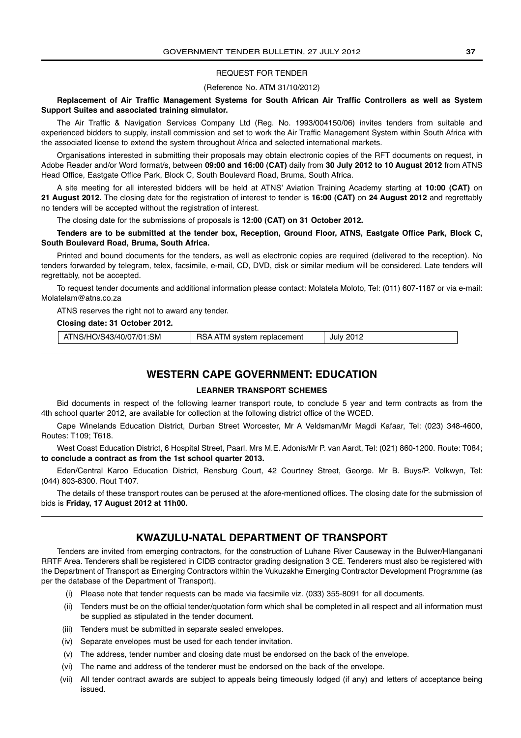### REQUEST FOR TENDER

#### (Reference No. ATM 31/10/2012)

#### **Replacement of Air Traffic Management Systems for South African Air Traffic Controllers as well as System Support Suites and associated training simulator.**

The Air Traffic & Navigation Services Company Ltd (Reg. No. 1993/004150/06) invites tenders from suitable and experienced bidders to supply, install commission and set to work the Air Traffic Management System within South Africa with the associated license to extend the system throughout Africa and selected international markets.

Organisations interested in submitting their proposals may obtain electronic copies of the RFT documents on request, in Adobe Reader and/or Word format/s, between **09:00 and 16:00 (CAT)** daily from **30 July 2012 to 10 August 2012** from ATNS Head Office, Eastgate Office Park, Block C, South Boulevard Road, Bruma, South Africa.

A site meeting for all interested bidders will be held at ATNS' Aviation Training Academy starting at **10:00 (CAT)** on **21 August 2012.** The closing date for the registration of interest to tender is **16:00 (CAT)** on **24 August 2012** and regrettably no tenders will be accepted without the registration of interest.

The closing date for the submissions of proposals is **12:00 (CAT) on 31 October 2012.**

**Tenders are to be submitted at the tender box, Reception, Ground Floor, ATNS, Eastgate Office Park, Block C, South Boulevard Road, Bruma, South Africa.**

Printed and bound documents for the tenders, as well as electronic copies are required (delivered to the reception). No tenders forwarded by telegram, telex, facsimile, e-mail, CD, DVD, disk or similar medium will be considered. Late tenders will regrettably, not be accepted.

To request tender documents and additional information please contact: Molatela Moloto, Tel: (011) 607-1187 or via e-mail: Molatelam@atns.co.za

ATNS reserves the right not to award any tender.

### **Closing date: 31 October 2012.**

| ATNS/HO/S43/40/07/01:SM<br>RSA ATM system replacement | July 2012 |
|-------------------------------------------------------|-----------|
|-------------------------------------------------------|-----------|

# **WESTERN CAPE GOVERNMENT: EDUCATION**

# **LEARNER TRANSPORT SCHEMES**

Bid documents in respect of the following learner transport route, to conclude 5 year and term contracts as from the 4th school quarter 2012, are available for collection at the following district office of the WCED.

Cape Winelands Education District, Durban Street Worcester, Mr A Veldsman/Mr Magdi Kafaar, Tel: (023) 348-4600, Routes: T109; T618.

West Coast Education District, 6 Hospital Street, Paarl. Mrs M.E. Adonis/Mr P. van Aardt, Tel: (021) 860-1200. Route: T084; **to conclude a contract as from the 1st school quarter 2013.**

Eden/Central Karoo Education District, Rensburg Court, 42 Courtney Street, George. Mr B. Buys/P. Volkwyn, Tel: (044) 803-8300. Rout T407.

The details of these transport routes can be perused at the afore-mentioned offices. The closing date for the submission of bids is **Friday, 17 August 2012 at 11h00.**

# **KWAZULU-NATAL DEPARTMENT OF TRANSPORT**

Tenders are invited from emerging contractors, for the construction of Luhane River Causeway in the Bulwer/Hlanganani RRTF Area. Tenderers shall be registered in CIDB contractor grading designation 3 CE. Tenderers must also be registered with the Department of Transport as Emerging Contractors within the Vukuzakhe Emerging Contractor Development Programme (as per the database of the Department of Transport).

- (i) Please note that tender requests can be made via facsimile viz. (033) 355-8091 for all documents.
- (ii) Tenders must be on the official tender/quotation form which shall be completed in all respect and all information must be supplied as stipulated in the tender document.
- (iii) Tenders must be submitted in separate sealed envelopes.
- (iv) Separate envelopes must be used for each tender invitation.
- (v) The address, tender number and closing date must be endorsed on the back of the envelope.
- (vi) The name and address of the tenderer must be endorsed on the back of the envelope.
- (vii) All tender contract awards are subject to appeals being timeously lodged (if any) and letters of acceptance being issued.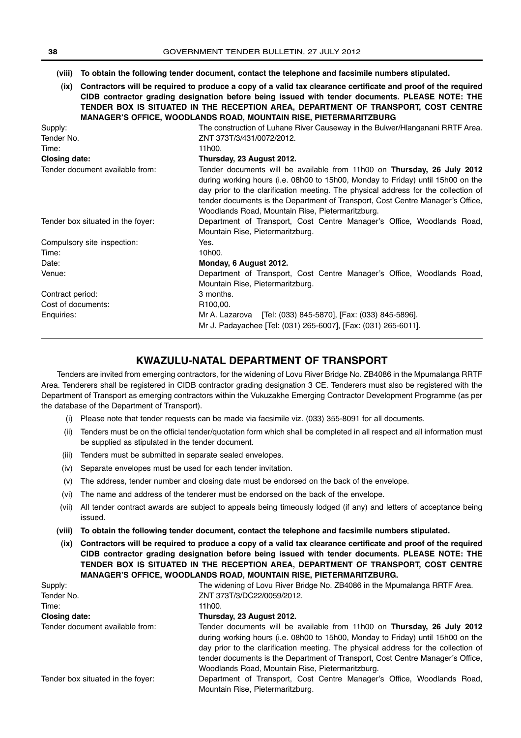- **(viii) To obtain the following tender document, contact the telephone and facsimile numbers stipulated.**
- **(ix) Contractors will be required to produce a copy of a valid tax clearance certificate and proof of the required CIDB contractor grading designation before being issued with tender documents. PLEASE NOTE: THE TENDER BOX IS SITUATED IN THE RECEPTION AREA, DEPARTMENT OF TRANSPORT, COST CENTRE MANAGER'S OFFICE, WOODLANDS ROAD, MOUNTAIN RISE, PIETERMARITZBURG**

| Supply:                           | The construction of Luhane River Causeway in the Bulwer/Hlanganani RRTF Area.                                                                                                                                                                           |  |
|-----------------------------------|---------------------------------------------------------------------------------------------------------------------------------------------------------------------------------------------------------------------------------------------------------|--|
| Tender No.                        | ZNT 373T/3/431/0072/2012.                                                                                                                                                                                                                               |  |
| Time:                             | 11h00.                                                                                                                                                                                                                                                  |  |
| <b>Closing date:</b>              | Thursday, 23 August 2012.                                                                                                                                                                                                                               |  |
| Tender document available from:   | Tender documents will be available from 11h00 on <b>Thursday, 26 July 2012</b><br>during working hours (i.e. 08h00 to 15h00, Monday to Friday) until 15h00 on the<br>day prior to the clarification meeting. The physical address for the collection of |  |
|                                   | tender documents is the Department of Transport, Cost Centre Manager's Office,<br>Woodlands Road, Mountain Rise, Pietermaritzburg.                                                                                                                      |  |
| Tender box situated in the fover: | Department of Transport, Cost Centre Manager's Office, Woodlands Road,<br>Mountain Rise, Pietermaritzburg.                                                                                                                                              |  |
| Compulsory site inspection:       | Yes.                                                                                                                                                                                                                                                    |  |
| Time:                             | 10h00.                                                                                                                                                                                                                                                  |  |
| Date:                             | Monday, 6 August 2012.                                                                                                                                                                                                                                  |  |
| Venue:                            | Department of Transport, Cost Centre Manager's Office, Woodlands Road,<br>Mountain Rise, Pietermaritzburg.                                                                                                                                              |  |
| Contract period:                  | 3 months.                                                                                                                                                                                                                                               |  |
| Cost of documents:                | R <sub>100,00</sub> .                                                                                                                                                                                                                                   |  |
| Enquiries:                        | Mr A. Lazarova [Tel: (033) 845-5870], [Fax: (033) 845-5896].<br>Mr J. Padayachee [Tel: (031) 265-6007], [Fax: (031) 265-6011].                                                                                                                          |  |

# **KWAZULU-NATAL DEPARTMENT OF TRANSPORT**

Tenders are invited from emerging contractors, for the widening of Lovu River Bridge No. ZB4086 in the Mpumalanga RRTF Area. Tenderers shall be registered in CIDB contractor grading designation 3 CE. Tenderers must also be registered with the Department of Transport as emerging contractors within the Vukuzakhe Emerging Contractor Development Programme (as per the database of the Department of Transport).

- (i) Please note that tender requests can be made via facsimile viz. (033) 355-8091 for all documents.
- (ii) Tenders must be on the official tender/quotation form which shall be completed in all respect and all information must be supplied as stipulated in the tender document.
- (iii) Tenders must be submitted in separate sealed envelopes.
- (iv) Separate envelopes must be used for each tender invitation.
- (v) The address, tender number and closing date must be endorsed on the back of the envelope.
- (vi) The name and address of the tenderer must be endorsed on the back of the envelope.
- (vii) All tender contract awards are subject to appeals being timeously lodged (if any) and letters of acceptance being issued.
- **(viii) To obtain the following tender document, contact the telephone and facsimile numbers stipulated.**
- **(ix) Contractors will be required to produce a copy of a valid tax clearance certificate and proof of the required CIDB contractor grading designation before being issued with tender documents. PLEASE NOTE: THE TENDER BOX IS SITUATED IN THE RECEPTION AREA, DEPARTMENT OF TRANSPORT, COST CENTRE MANAGER'S OFFICE, WOODLANDS ROAD, MOUNTAIN RISE, PIETERMARITZBURG.**

| Supply:                           | The widening of Lovu River Bridge No. ZB4086 in the Mpumalanga RRTF Area.                                                                                                                                                                                                                                                                                                              |
|-----------------------------------|----------------------------------------------------------------------------------------------------------------------------------------------------------------------------------------------------------------------------------------------------------------------------------------------------------------------------------------------------------------------------------------|
| Tender No.                        | ZNT 373T/3/DC22/0059/2012.                                                                                                                                                                                                                                                                                                                                                             |
| Time:                             | 11h00.                                                                                                                                                                                                                                                                                                                                                                                 |
| Closing date:                     | Thursday, 23 August 2012.                                                                                                                                                                                                                                                                                                                                                              |
| Tender document available from:   | Tender documents will be available from 11h00 on Thursday, 26 July 2012<br>during working hours (i.e. 08h00 to 15h00, Monday to Friday) until 15h00 on the<br>day prior to the clarification meeting. The physical address for the collection of<br>tender documents is the Department of Transport, Cost Centre Manager's Office,<br>Woodlands Road, Mountain Rise, Pietermaritzburg. |
| Tender box situated in the fover: | Department of Transport, Cost Centre Manager's Office, Woodlands Road,<br>Mountain Rise, Pietermaritzburg.                                                                                                                                                                                                                                                                             |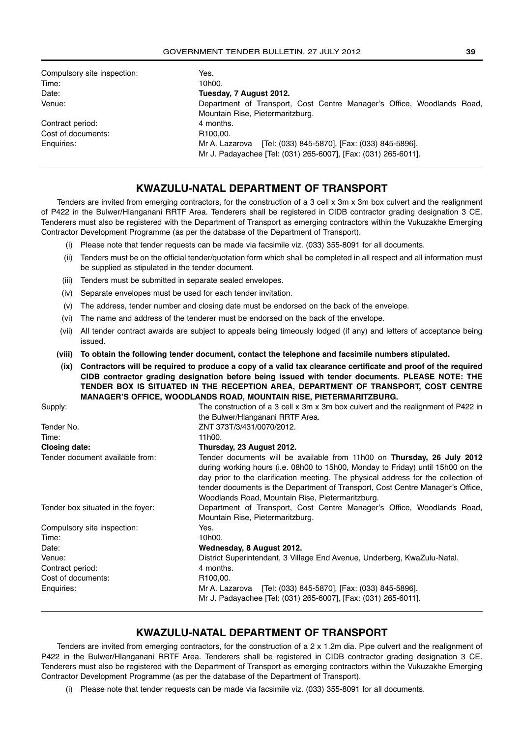| Compulsory site inspection: | Yes.                                                                   |
|-----------------------------|------------------------------------------------------------------------|
| Time:                       | 10h00.                                                                 |
| Date:                       | Tuesday, 7 August 2012.                                                |
| Venue:                      | Department of Transport, Cost Centre Manager's Office, Woodlands Road, |
|                             | Mountain Rise, Pietermaritzburg.                                       |
| Contract period:            | 4 months.                                                              |
| Cost of documents:          | R <sub>100.00</sub> .                                                  |
| Enquiries:                  | Mr A. Lazarova [Tel: (033) 845-5870], [Fax: (033) 845-5896].           |
|                             | Mr J. Padayachee [Tel: (031) 265-6007], [Fax: (031) 265-6011].         |

# **KWAZULU-NATAL DEPARTMENT OF TRANSPORT**

Tenders are invited from emerging contractors, for the construction of a 3 cell x 3m x 3m box culvert and the realignment of P422 in the Bulwer/Hlanganani RRTF Area. Tenderers shall be registered in CIDB contractor grading designation 3 CE. Tenderers must also be registered with the Department of Transport as emerging contractors within the Vukuzakhe Emerging Contractor Development Programme (as per the database of the Department of Transport).

- (i) Please note that tender requests can be made via facsimile viz. (033) 355-8091 for all documents.
- (ii) Tenders must be on the official tender/quotation form which shall be completed in all respect and all information must be supplied as stipulated in the tender document.
- (iii) Tenders must be submitted in separate sealed envelopes.
- (iv) Separate envelopes must be used for each tender invitation.
- (v) The address, tender number and closing date must be endorsed on the back of the envelope.
- (vi) The name and address of the tenderer must be endorsed on the back of the envelope.
- (vii) All tender contract awards are subject to appeals being timeously lodged (if any) and letters of acceptance being issued.
- **(viii) To obtain the following tender document, contact the telephone and facsimile numbers stipulated.**
- **(ix) Contractors will be required to produce a copy of a valid tax clearance certificate and proof of the required CIDB contractor grading designation before being issued with tender documents. PLEASE NOTE: THE TENDER BOX IS SITUATED IN THE RECEPTION AREA, DEPARTMENT OF TRANSPORT, COST CENTRE MANAGER'S OFFICE, WOODLANDS ROAD, MOUNTAIN RISE, PIETERMARITZBURG.**

Supply: Supply: The construction of a 3 cell x 3m x 3m box culvert and the realignment of P422 in the Bulwer/Hlanganani RRTF Area. Tender No. 2NT 373T/3/431/0070/2012. Time: 11h00. **Closing date: Thursday, 23 August 2012.** Tender document available from: Tender documents will be available from 11h00 on **Thursday, 26 July 2012**  during working hours (i.e. 08h00 to 15h00, Monday to Friday) until 15h00 on the day prior to the clarification meeting. The physical address for the collection of tender documents is the Department of Transport, Cost Centre Manager's Office, Woodlands Road, Mountain Rise, Pietermaritzburg. Tender box situated in the foyer: Department of Transport, Cost Centre Manager's Office, Woodlands Road, Mountain Rise, Pietermaritzburg. Compulsory site inspection: The Mes. Time: 10h00. Date: **Wednesday, 8 August 2012.** Venue: District Superintendant, 3 Village End Avenue, Underberg, KwaZulu-Natal. Contract period: 4 months. Cost of documents: R100,00. Enquiries: Mr A. Lazarova [Tel: (033) 845-5870], [Fax: (033) 845-5896]. Mr J. Padayachee [Tel: (031) 265-6007], [Fax: (031) 265-6011].

# **KWAZULU-NATAL DEPARTMENT OF TRANSPORT**

Tenders are invited from emerging contractors, for the construction of a 2 x 1.2m dia. Pipe culvert and the realignment of P422 in the Bulwer/Hlanganani RRTF Area. Tenderers shall be registered in CIDB contractor grading designation 3 CE. Tenderers must also be registered with the Department of Transport as emerging contractors within the Vukuzakhe Emerging Contractor Development Programme (as per the database of the Department of Transport).

(i) Please note that tender requests can be made via facsimile viz. (033) 355-8091 for all documents.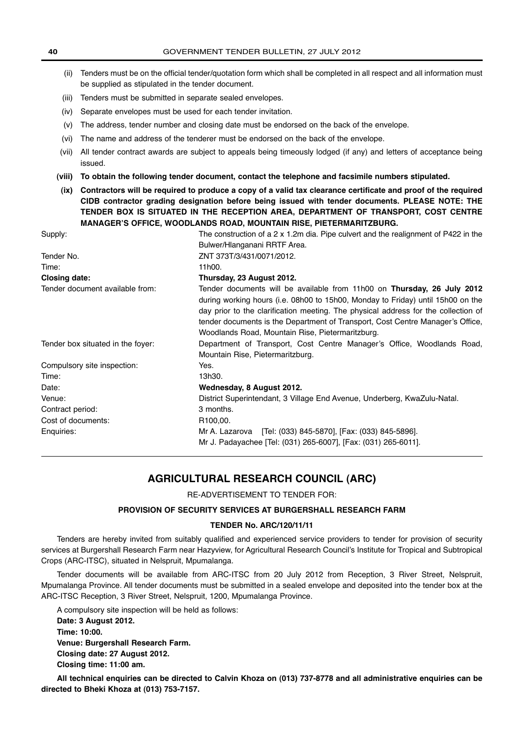- (ii) Tenders must be on the official tender/quotation form which shall be completed in all respect and all information must be supplied as stipulated in the tender document.
- (iii) Tenders must be submitted in separate sealed envelopes.
- (iv) Separate envelopes must be used for each tender invitation.
- (v) The address, tender number and closing date must be endorsed on the back of the envelope.
- (vi) The name and address of the tenderer must be endorsed on the back of the envelope.
- (vii) All tender contract awards are subject to appeals being timeously lodged (if any) and letters of acceptance being issued.
- **(viii) To obtain the following tender document, contact the telephone and facsimile numbers stipulated.**
- **(ix) Contractors will be required to produce a copy of a valid tax clearance certificate and proof of the required CIDB contractor grading designation before being issued with tender documents. PLEASE NOTE: THE TENDER BOX IS SITUATED IN THE RECEPTION AREA, DEPARTMENT OF TRANSPORT, COST CENTRE MANAGER'S OFFICE, WOODLANDS ROAD, MOUNTAIN RISE, PIETERMARITZBURG.**

| Supply:                           | The construction of a $2 \times 1.2$ m dia. Pipe culvert and the realignment of P422 in the                                                                                                                                                                                                                                                                                            |  |
|-----------------------------------|----------------------------------------------------------------------------------------------------------------------------------------------------------------------------------------------------------------------------------------------------------------------------------------------------------------------------------------------------------------------------------------|--|
|                                   | Bulwer/Hlanganani RRTF Area.                                                                                                                                                                                                                                                                                                                                                           |  |
| Tender No.                        | ZNT 373T/3/431/0071/2012.                                                                                                                                                                                                                                                                                                                                                              |  |
| Time:                             | 11h00.                                                                                                                                                                                                                                                                                                                                                                                 |  |
| <b>Closing date:</b>              | Thursday, 23 August 2012.                                                                                                                                                                                                                                                                                                                                                              |  |
| Tender document available from:   | Tender documents will be available from 11h00 on Thursday, 26 July 2012<br>during working hours (i.e. 08h00 to 15h00, Monday to Friday) until 15h00 on the<br>day prior to the clarification meeting. The physical address for the collection of<br>tender documents is the Department of Transport, Cost Centre Manager's Office,<br>Woodlands Road, Mountain Rise, Pietermaritzburg. |  |
| Tender box situated in the foyer: | Department of Transport, Cost Centre Manager's Office, Woodlands Road,<br>Mountain Rise, Pietermaritzburg.                                                                                                                                                                                                                                                                             |  |
| Compulsory site inspection:       | Yes.                                                                                                                                                                                                                                                                                                                                                                                   |  |
| Time:                             | 13h30.                                                                                                                                                                                                                                                                                                                                                                                 |  |
| Date:                             | Wednesday, 8 August 2012.                                                                                                                                                                                                                                                                                                                                                              |  |
| Venue:                            | District Superintendant, 3 Village End Avenue, Underberg, KwaZulu-Natal.                                                                                                                                                                                                                                                                                                               |  |
| Contract period:                  | 3 months.                                                                                                                                                                                                                                                                                                                                                                              |  |
| Cost of documents:                | R100,00.                                                                                                                                                                                                                                                                                                                                                                               |  |
| Enquiries:                        | Mr A. Lazarova [Tel: (033) 845-5870], [Fax: (033) 845-5896].<br>Mr J. Padayachee [Tel: (031) 265-6007], [Fax: (031) 265-6011].                                                                                                                                                                                                                                                         |  |
|                                   |                                                                                                                                                                                                                                                                                                                                                                                        |  |

# **AGRICULTURAL RESEARCH COUNCIL (ARC)**

RE-ADVERTISEMENT TO TENDER FOR:

### **PROVISION OF SECURITY SERVICES AT BURGERSHALL RESEARCH FARM**

#### **TENDER No. ARC/120/11/11**

Tenders are hereby invited from suitably qualified and experienced service providers to tender for provision of security services at Burgershall Research Farm near Hazyview, for Agricultural Research Council's Institute for Tropical and Subtropical Crops (ARC-ITSC), situated in Nelspruit, Mpumalanga.

Tender documents will be available from ARC-ITSC from 20 July 2012 from Reception, 3 River Street, Nelspruit, Mpumalanga Province. All tender documents must be submitted in a sealed envelope and deposited into the tender box at the ARC-ITSC Reception, 3 River Street, Nelspruit, 1200, Mpumalanga Province.

A compulsory site inspection will be held as follows: **Date: 3 August 2012. Time: 10:00. Venue: Burgershall Research Farm. Closing date: 27 August 2012. Closing time: 11:00 am.**

**All technical enquiries can be directed to Calvin Khoza on (013) 737-8778 and all administrative enquiries can be directed to Bheki Khoza at (013) 753-7157.**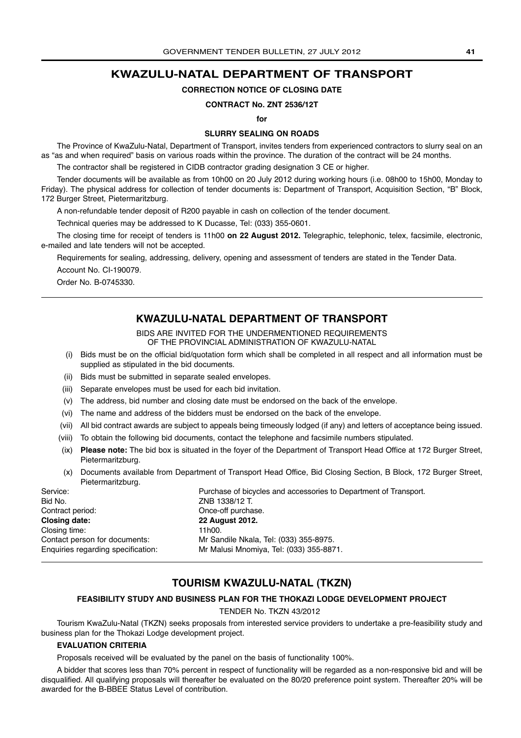# **KWAZULU-NATAL DEPARTMENT OF TRANSPORT**

# **CORRECTION NOTICE OF CLOSING DATE**

#### **CONTRACT No. ZNT 2536/12T**

**for** 

### **SLURRY SEALING ON ROADS**

The Province of KwaZulu-Natal, Department of Transport, invites tenders from experienced contractors to slurry seal on an as "as and when required" basis on various roads within the province. The duration of the contract will be 24 months.

The contractor shall be registered in CIDB contractor grading designation 3 CE or higher.

Tender documents will be available as from 10h00 on 20 July 2012 during working hours (i.e. 08h00 to 15h00, Monday to Friday). The physical address for collection of tender documents is: Department of Transport, Acquisition Section, "B" Block, 172 Burger Street, Pietermaritzburg.

A non-refundable tender deposit of R200 payable in cash on collection of the tender document.

Technical queries may be addressed to K Ducasse, Tel: (033) 355-0601.

The closing time for receipt of tenders is 11h00 **on 22 August 2012.** Telegraphic, telephonic, telex, facsimile, electronic, e-mailed and late tenders will not be accepted.

Requirements for sealing, addressing, delivery, opening and assessment of tenders are stated in the Tender Data. Account No. CI-190079.

Order No. B-0745330.

# **KWAZULU-NATAL DEPARTMENT OF TRANSPORT**

BIDS ARE INVITED FOR THE UNDERMENTIONED REQUIREMENTS OF THE PROVINCIAL ADMINISTRATION OF KWAZULU-NATAL

- (i) Bids must be on the official bid/quotation form which shall be completed in all respect and all information must be supplied as stipulated in the bid documents.
- (ii) Bids must be submitted in separate sealed envelopes.
- (iii) Separate envelopes must be used for each bid invitation.
- (v) The address, bid number and closing date must be endorsed on the back of the envelope.
- (vi) The name and address of the bidders must be endorsed on the back of the envelope.
- (vii) All bid contract awards are subject to appeals being timeously lodged (if any) and letters of acceptance being issued.
- (viii) To obtain the following bid documents, contact the telephone and facsimile numbers stipulated.
- (ix) **Please note:** The bid box is situated in the foyer of the Department of Transport Head Office at 172 Burger Street, Pietermaritzburg.
- (x) Documents available from Department of Transport Head Office, Bid Closing Section, B Block, 172 Burger Street, Pietermaritzburg.

| Service:                           | Purchase of bicycles and accessories to Department of Transport. |
|------------------------------------|------------------------------------------------------------------|
| Bid No.                            | ZNB 1338/12 T.                                                   |
| Contract period:                   | Once-off purchase.                                               |
| <b>Closing date:</b>               | <b>22 August 2012.</b>                                           |
| Closing time:                      | 11h00.                                                           |
| Contact person for documents:      | Mr Sandile Nkala, Tel: (033) 355-8975.                           |
| Enquiries regarding specification: | Mr Malusi Mnomiya, Tel: (033) 355-8871.                          |
|                                    |                                                                  |

# **TOURISM KWAZULU-NATAL (TKZN)**

# **FEASIBILITY STUDY AND BUSINESS PLAN FOR THE THOKAZI LODGE DEVELOPMENT PROJECT**

TENDER No. TKZN 43/2012

Tourism KwaZulu-Natal (TKZN) seeks proposals from interested service providers to undertake a pre-feasibility study and business plan for the Thokazi Lodge development project.

#### **EVALUATION CRITERIA**

Proposals received will be evaluated by the panel on the basis of functionality 100%.

A bidder that scores less than 70% percent in respect of functionality will be regarded as a non-responsive bid and will be disqualified. All qualifying proposals will thereafter be evaluated on the 80/20 preference point system. Thereafter 20% will be awarded for the B-BBEE Status Level of contribution.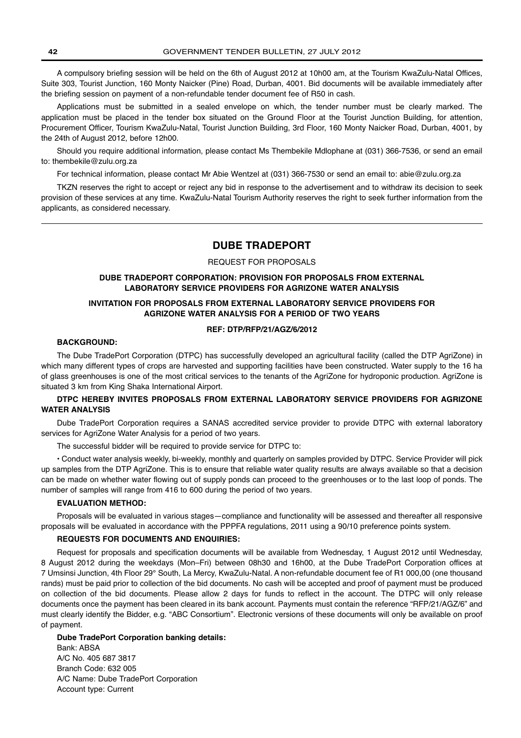A compulsory briefing session will be held on the 6th of August 2012 at 10h00 am, at the Tourism KwaZulu-Natal Offices, Suite 303, Tourist Junction, 160 Monty Naicker (Pine) Road, Durban, 4001. Bid documents will be available immediately after the briefing session on payment of a non-refundable tender document fee of R50 in cash.

Applications must be submitted in a sealed envelope on which, the tender number must be clearly marked. The application must be placed in the tender box situated on the Ground Floor at the Tourist Junction Building, for attention, Procurement Officer, Tourism KwaZulu-Natal, Tourist Junction Building, 3rd Floor, 160 Monty Naicker Road, Durban, 4001, by the 24th of August 2012, before 12h00.

Should you require additional information, please contact Ms Thembekile Mdlophane at (031) 366-7536, or send an email to: thembekile@zulu.org.za

For technical information, please contact Mr Abie Wentzel at (031) 366-7530 or send an email to: abie@zulu.org.za

TKZN reserves the right to accept or reject any bid in response to the advertisement and to withdraw its decision to seek provision of these services at any time. KwaZulu-Natal Tourism Authority reserves the right to seek further information from the applicants, as considered necessary.

# **DUBE TRADEPORT**

#### REQUEST FOR PROPOSALS

### **DUBE TRADEPORT CORPORATION: PROVISION FOR PROPOSALS FROM EXTERNAL LABORATORY SERVICE PROVIDERS FOR AGRIZONE WATER ANALYSIS**

# **INVITATION FOR PROPOSALS FROM EXTERNAL LABORATORY SERVICE PROVIDERS FOR AGRIZONE WATER ANALYSIS FOR A PERIOD OF TWO YEARS**

#### **REF: DTP/RFP/21/AGZ/6/2012**

### **BACKGROUND:**

The Dube TradePort Corporation (DTPC) has successfully developed an agricultural facility (called the DTP AgriZone) in which many different types of crops are harvested and supporting facilities have been constructed. Water supply to the 16 ha of glass greenhouses is one of the most critical services to the tenants of the AgriZone for hydroponic production. AgriZone is situated 3 km from King Shaka International Airport.

# **DTPC HEREBY INVITES PROPOSALS FROM EXTERNAL LABORATORY SERVICE PROVIDERS FOR AGRIZONE WATER ANALYSIS**

Dube TradePort Corporation requires a SANAS accredited service provider to provide DTPC with external laboratory services for AgriZone Water Analysis for a period of two years.

The successful bidder will be required to provide service for DTPC to:

• Conduct water analysis weekly, bi-weekly, monthly and quarterly on samples provided by DTPC. Service Provider will pick up samples from the DTP AgriZone. This is to ensure that reliable water quality results are always available so that a decision can be made on whether water flowing out of supply ponds can proceed to the greenhouses or to the last loop of ponds. The number of samples will range from 416 to 600 during the period of two years.

#### **EVALUATION METHOD:**

Proposals will be evaluated in various stages—compliance and functionality will be assessed and thereafter all responsive proposals will be evaluated in accordance with the PPPFA regulations, 2011 using a 90/10 preference points system.

#### **REQUESTS FOR DOCUMENTS AND ENQUIRIES:**

Request for proposals and specification documents will be available from Wednesday, 1 August 2012 until Wednesday, 8 August 2012 during the weekdays (Mon–Fri) between 08h30 and 16h00, at the Dube TradePort Corporation offices at 7 Umsinsi Junction, 4th Floor 29° South, La Mercy, KwaZulu-Natal. A non-refundable document fee of R1 000,00 (one thousand rands) must be paid prior to collection of the bid documents. No cash will be accepted and proof of payment must be produced on collection of the bid documents. Please allow 2 days for funds to reflect in the account. The DTPC will only release documents once the payment has been cleared in its bank account. Payments must contain the reference "RFP/21/AGZ/6" and must clearly identify the Bidder, e.g. "ABC Consortium". Electronic versions of these documents will only be available on proof of payment.

**Dube TradePort Corporation banking details:** Bank: ABSA A/C No. 405 687 3817 Branch Code: 632 005 A/C Name: Dube TradePort Corporation Account type: Current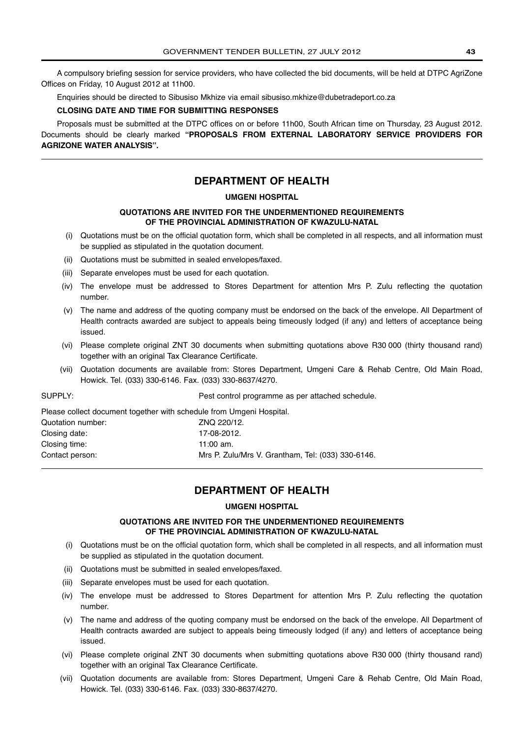A compulsory briefing session for service providers, who have collected the bid documents, will be held at DTPC AgriZone Offices on Friday, 10 August 2012 at 11h00.

Enquiries should be directed to Sibusiso Mkhize via email sibusiso.mkhize@dubetradeport.co.za

### **CLOSING DATE AND TIME FOR SUBMITTING RESPONSES**

Proposals must be submitted at the DTPC offices on or before 11h00, South African time on Thursday, 23 August 2012. Documents should be clearly marked **"PROPOSALS FROM EXTERNAL LABORATORY SERVICE PROVIDERS FOR AGRIZONE WATER ANALYSIS".**

# **DEPARTMENT OF HEALTH**

#### **UMGENI HOSPITAL**

### **QUOTATIONS ARE INVITED FOR THE UNDERMENTIONED REQUIREMENTS OF THE PROVINCIAL ADMINISTRATION OF KWAZULU-NATAL**

- (i) Quotations must be on the official quotation form, which shall be completed in all respects, and all information must be supplied as stipulated in the quotation document.
- (ii) Quotations must be submitted in sealed envelopes/faxed.
- (iii) Separate envelopes must be used for each quotation.
- (iv) The envelope must be addressed to Stores Department for attention Mrs P. Zulu reflecting the quotation number.
- (v) The name and address of the quoting company must be endorsed on the back of the envelope. All Department of Health contracts awarded are subject to appeals being timeously lodged (if any) and letters of acceptance being issued.
- (vi) Please complete original ZNT 30 documents when submitting quotations above R30 000 (thirty thousand rand) together with an original Tax Clearance Certificate.
- (vii) Quotation documents are available from: Stores Department, Umgeni Care & Rehab Centre, Old Main Road, Howick. Tel. (033) 330-6146. Fax. (033) 330-8637/4270.

| SUPPLY:                                                              | Pest control programme as per attached schedule.  |
|----------------------------------------------------------------------|---------------------------------------------------|
| Please collect document together with schedule from Umgeni Hospital. |                                                   |
| Quotation number:                                                    | ZNO 220/12.                                       |
| Closing date:                                                        | 17-08-2012.                                       |
| Closing time:                                                        | 11:00 $am.$                                       |
| Contact person:                                                      | Mrs P. Zulu/Mrs V. Grantham, Tel: (033) 330-6146. |

# **DEPARTMENT OF HEALTH**

### **UMGENI HOSPITAL**

## **QUOTATIONS ARE INVITED FOR THE UNDERMENTIONED REQUIREMENTS OF THE PROVINCIAL ADMINISTRATION OF KWAZULU-NATAL**

- (i) Quotations must be on the official quotation form, which shall be completed in all respects, and all information must be supplied as stipulated in the quotation document.
- (ii) Quotations must be submitted in sealed envelopes/faxed.
- (iii) Separate envelopes must be used for each quotation.
- (iv) The envelope must be addressed to Stores Department for attention Mrs P. Zulu reflecting the quotation number.
- (v) The name and address of the quoting company must be endorsed on the back of the envelope. All Department of Health contracts awarded are subject to appeals being timeously lodged (if any) and letters of acceptance being issued.
- (vi) Please complete original ZNT 30 documents when submitting quotations above R30 000 (thirty thousand rand) together with an original Tax Clearance Certificate.
- (vii) Quotation documents are available from: Stores Department, Umgeni Care & Rehab Centre, Old Main Road, Howick. Tel. (033) 330-6146. Fax. (033) 330-8637/4270.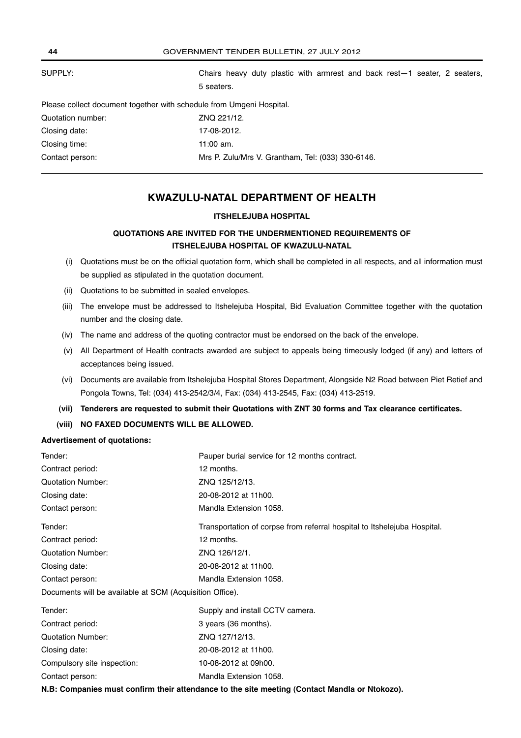| 44                | GOVERNMENT TENDER BULLETIN, 27 JULY 2012                                                   |
|-------------------|--------------------------------------------------------------------------------------------|
| SUPPLY:           | Chairs heavy duty plastic with armrest and back rest $-1$ seater, 2 seaters,<br>5 seaters. |
|                   | Please collect document together with schedule from Umgeni Hospital.                       |
| Quotation number: | ZNO 221/12.                                                                                |
| Closing date:     | 17-08-2012.                                                                                |
| Closing time:     | $11:00$ am.                                                                                |
| Contact person:   | Mrs P. Zulu/Mrs V. Grantham, Tel: (033) 330-6146.                                          |

# **KWAZULU-NATAL DEPARTMENT OF HEALTH**

# **ITSHELEJUBA HOSPITAL**

# **QUOTATIONS ARE INVITED FOR THE UNDERMENTIONED REQUIREMENTS OF ITSHELEJUBA HOSPITAL OF KWAZULU-NATAL**

- (i) Quotations must be on the official quotation form, which shall be completed in all respects, and all information must be supplied as stipulated in the quotation document.
- (ii) Quotations to be submitted in sealed envelopes.
- (iii) The envelope must be addressed to Itshelejuba Hospital, Bid Evaluation Committee together with the quotation number and the closing date.
- (iv) The name and address of the quoting contractor must be endorsed on the back of the envelope.
- (v) All Department of Health contracts awarded are subject to appeals being timeously lodged (if any) and letters of acceptances being issued.
- (vi) Documents are available from Itshelejuba Hospital Stores Department, Alongside N2 Road between Piet Retief and Pongola Towns, Tel: (034) 413-2542/3/4, Fax: (034) 413-2545, Fax: (034) 413-2519.
- **(vii) Tenderers are requested to submit their Quotations with ZNT 30 forms and Tax clearance certificates.**
- **(viii) NO FAXED DOCUMENTS WILL BE ALLOWED.**

#### **Advertisement of quotations:**

| Tender:                                                  | Pauper burial service for 12 months contract.                            |
|----------------------------------------------------------|--------------------------------------------------------------------------|
| Contract period:                                         | 12 months.                                                               |
| <b>Quotation Number:</b>                                 | ZNQ 125/12/13.                                                           |
| Closing date:                                            | 20-08-2012 at 11h00.                                                     |
| Contact person:                                          | Mandla Extension 1058.                                                   |
| Tender:                                                  | Transportation of corpse from referral hospital to Itshelejuba Hospital. |
| Contract period:                                         | 12 months.                                                               |
| <b>Quotation Number:</b>                                 | ZNQ 126/12/1.                                                            |
| Closing date:                                            | 20-08-2012 at 11h00.                                                     |
| Contact person:                                          | Mandla Extension 1058.                                                   |
| Documents will be available at SCM (Acquisition Office). |                                                                          |
| Tender:                                                  | Supply and install CCTV camera.                                          |
| .                                                        | $\sqrt{2}$                                                               |

| Tender:                     | Supply and install CCTV camera. |
|-----------------------------|---------------------------------|
| Contract period:            | 3 years (36 months).            |
| Quotation Number:           | ZNQ 127/12/13.                  |
| Closing date:               | 20-08-2012 at 11h00.            |
| Compulsory site inspection: | 10-08-2012 at 09h00.            |
| Contact person:             | Mandla Extension 1058.          |
|                             |                                 |

**N.B: Companies must confirm their attendance to the site meeting (Contact Mandla or Ntokozo).**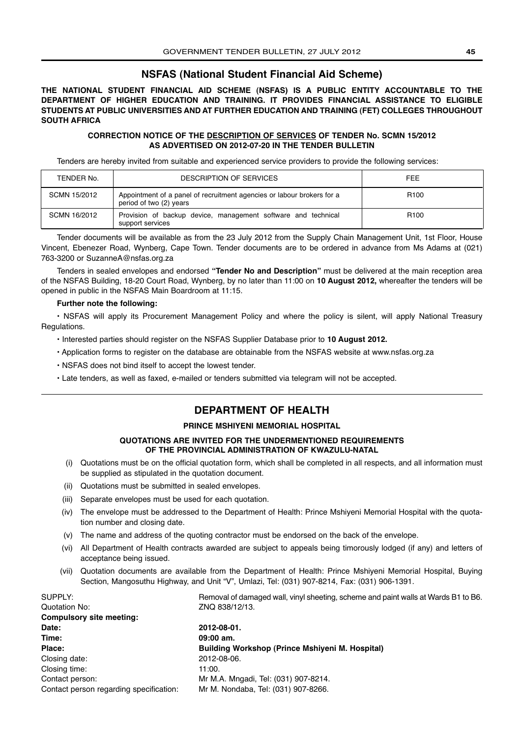# **NSFAS (National Student Financial Aid Scheme)**

**THE NATIONAL STUDENT FINANCIAL AID SCHEME (NSFAS) IS A PUBLIC ENTITY ACCOUNTABLE TO THE DEPARTMENT OF HIGHER EDUCATION AND TRAINING. IT PROVIDES FINANCIAL ASSISTANCE TO ELIGIBLE STUDENTS AT PUBLIC UNIVERSITIES AND AT FURTHER EDUCATION AND TRAINING (FET) COLLEGES THROUGHOUT SOUTH AFRICA**

### **CORRECTION NOTICE OF THE DESCRIPTION OF SERVICES OF TENDER No. SCMN 15/2012 AS ADVERTISED ON 2012-07-20 IN THE TENDER BULLETIN**

Tenders are hereby invited from suitable and experienced service providers to provide the following services:

| TENDER No.   | <b>DESCRIPTION OF SERVICES</b>                                                                    | <b>FEE</b>       |
|--------------|---------------------------------------------------------------------------------------------------|------------------|
| SCMN 15/2012 | Appointment of a panel of recruitment agencies or labour brokers for a<br>period of two (2) years | R <sub>100</sub> |
| SCMN 16/2012 | Provision of backup device, management software and technical<br>support services                 | R <sub>100</sub> |

Tender documents will be available as from the 23 July 2012 from the Supply Chain Management Unit, 1st Floor, House Vincent, Ebenezer Road, Wynberg, Cape Town. Tender documents are to be ordered in advance from Ms Adams at (021) 763-3200 or SuzanneA@nsfas.org.za

Tenders in sealed envelopes and endorsed **"Tender No and Description"** must be delivered at the main reception area of the NSFAS Building, 18-20 Court Road, Wynberg, by no later than 11:00 on **10 August 2012,** whereafter the tenders will be opened in public in the NSFAS Main Boardroom at 11:15.

# **Further note the following:**

• NSFAS will apply its Procurement Management Policy and where the policy is silent, will apply National Treasury Regulations.

- Interested parties should register on the NSFAS Supplier Database prior to **10 August 2012.**
- Application forms to register on the database are obtainable from the NSFAS website at www.nsfas.org.za
- NSFAS does not bind itself to accept the lowest tender.
- Late tenders, as well as faxed, e-mailed or tenders submitted via telegram will not be accepted.

# **DEPARTMENT OF HEALTH**

# **PRINCE MSHIYENI MEMORIAL HOSPITAL**

### **QUOTATIONS ARE INVITED FOR THE UNDERMENTIONED REQUIREMENTS OF THE PROVINCIAL ADMINISTRATION OF KWAZULU-NATAL**

- (i) Quotations must be on the official quotation form, which shall be completed in all respects, and all information must be supplied as stipulated in the quotation document.
- (ii) Quotations must be submitted in sealed envelopes.
- (iii) Separate envelopes must be used for each quotation.
- (iv) The envelope must be addressed to the Department of Health: Prince Mshiyeni Memorial Hospital with the quotation number and closing date.
- (v) The name and address of the quoting contractor must be endorsed on the back of the envelope.
- (vi) All Department of Health contracts awarded are subject to appeals being timorously lodged (if any) and letters of acceptance being issued.
- (vii) Quotation documents are available from the Department of Health: Prince Mshiyeni Memorial Hospital, Buying Section, Mangosuthu Highway, and Unit "V", Umlazi, Tel: (031) 907-8214, Fax: (031) 906-1391.

| SUPPLY:                                 | Removal of damaged wall, vinyl sheeting, scheme and paint walls at Wards B1 to B6. |
|-----------------------------------------|------------------------------------------------------------------------------------|
| Quotation No:                           | ZNQ 838/12/13.                                                                     |
| Compulsory site meeting:                |                                                                                    |
| Date:                                   | 2012-08-01.                                                                        |
| Time:                                   | $09:00$ am.                                                                        |
| Place:                                  | Building Workshop (Prince Mshiyeni M. Hospital)                                    |
| Closing date:                           | 2012-08-06.                                                                        |
| Closing time:                           | 11:00.                                                                             |
| Contact person:                         | Mr M.A. Mngadi, Tel: (031) 907-8214.                                               |
| Contact person regarding specification: | Mr M. Nondaba, Tel: (031) 907-8266.                                                |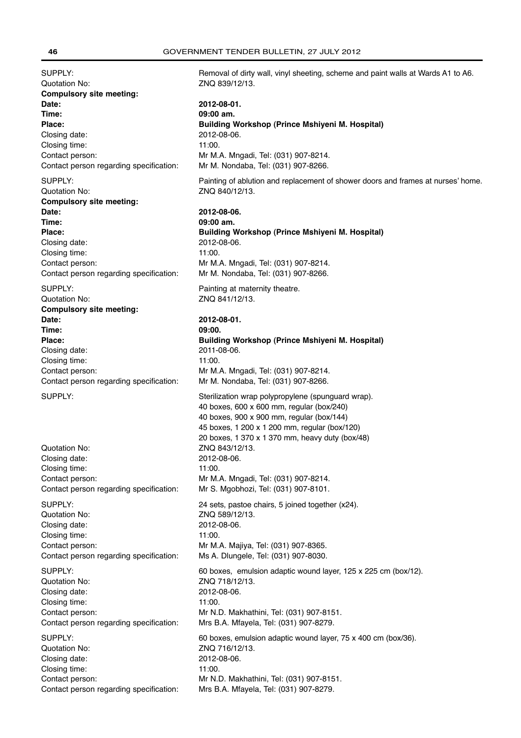Quotation No: ZNQ 839/12/13. **Compulsory site meeting: Date: 2012-08-01. Time: 09:00 am.** Closing date: 2012-08-06. Closing time: 11:00. Contact person regarding specification: Mr M. Nondaba, Tel: (031) 907-8266. Quotation No: ZNQ 840/12/13. **Compulsory site meeting: Date: 2012-08-06.**

**Time: 09:00 am.** Closing date: 2012-08-06. Closing time: 11:00. Contact person: Mr M.A. Mngadi, Tel: (031) 907-8214. Contact person regarding specification: Mr M. Nondaba, Tel: (031) 907-8266.

**Compulsory site meeting: Date: 2012-08-01. Time: 09:00. Place: Building Workshop (Prince Mshiyeni M. Hospital)** Closing date: 2011-08-06. Closing time: 11:00. Contact person: Mr M.A. Mngadi, Tel: (031) 907-8214. Contact person regarding specification: Mr M. Nondaba, Tel: (031) 907-8266.

Quotation No: ZNQ 843/12/13. Closing date: 2012-08-06. Closing time: 11:00. Contact person: Mr M.A. Mngadi, Tel: (031) 907-8214. Contact person regarding specification: Mr S. Mgobhozi, Tel: (031) 907-8101. Quotation No: ZNQ 589/12/13. Closing date: 2012-08-06. Closing time: 11:00. Contact person: Mr M.A. Majiya, Tel: (031) 907-8365. Contact person regarding specification: Ms A. Dlungele, Tel: (031) 907-8030. Quotation No: ZNQ 718/12/13. Closing date: 2012-08-06. Closing time: 11:00. Contact person regarding specification: Mrs B.A. Mfayela, Tel: (031) 907-8279.

Quotation No: <br>Closing date: 2012-08-06 Closing date: Closing time: 11:00. Contact person: Mr N.D. Makhathini, Tel: (031) 907-8151. Contact person regarding specification: Mrs B.A. Mfayela, Tel: (031) 907-8279.

SUPPLY: SUPPLY: Removal of dirty wall, vinyl sheeting, scheme and paint walls at Wards A1 to A6.

**Place: Building Workshop (Prince Mshiyeni M. Hospital)** Contact person: Mr M.A. Mngadi, Tel: (031) 907-8214.

SUPPLY: **Painting of ablution and replacement of shower doors and frames at nurses' home.** 

**Place: Building Workshop (Prince Mshiyeni M. Hospital)**

SUPPLY: Painting at maternity theatre. Quotation No: ZNQ 841/12/13.

SUPPLY: SUPPLY: Sterilization wrap polypropylene (spunguard wrap). 40 boxes, 600 x 600 mm, regular (box/240) 40 boxes, 900 x 900 mm, regular (box/144) 45 boxes, 1 200 x 1 200 mm, regular (box/120) 20 boxes, 1 370 x 1 370 mm, heavy duty (box/48) SUPPLY: 24 sets, pastoe chairs, 5 joined together (x24). SUPPLY: 60 boxes, emulsion adaptic wound layer, 125 x 225 cm (box/12). Contact person: Mr N.D. Makhathini, Tel: (031) 907-8151. SUPPLY: 60 boxes, emulsion adaptic wound layer, 75 x 400 cm (box/36).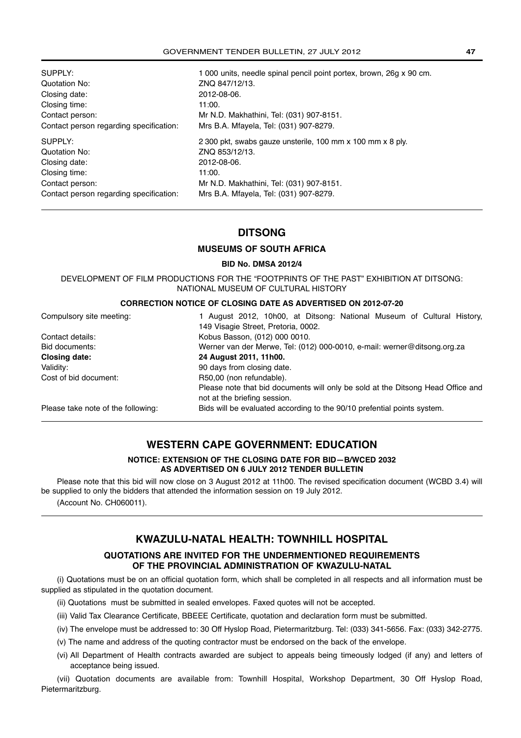| SUPPLY:                                 | 1 000 units, needle spinal pencil point portex, brown, 26g x 90 cm. |
|-----------------------------------------|---------------------------------------------------------------------|
| Quotation No:                           | ZNQ 847/12/13.                                                      |
| Closing date:                           | 2012-08-06.                                                         |
| Closing time:                           | 11:00.                                                              |
| Contact person:                         | Mr N.D. Makhathini, Tel: (031) 907-8151.                            |
| Contact person regarding specification: | Mrs B.A. Mfayela, Tel: (031) 907-8279.                              |
| SUPPLY:                                 | 2 300 pkt, swabs gauze unsterile, 100 mm x 100 mm x 8 ply.          |
|                                         |                                                                     |
| Quotation No:                           | ZNQ 853/12/13.                                                      |
| Closing date:                           | 2012-08-06.                                                         |
| Closing time:                           | 11:00.                                                              |
| Contact person:                         | Mr N.D. Makhathini, Tel: (031) 907-8151.                            |
| Contact person regarding specification: | Mrs B.A. Mfayela, Tel: (031) 907-8279.                              |

# **DITSONG**

# **MUSEUMS OF SOUTH AFRICA**

**BID No. DMSA 2012/4**

DEVELOPMENT OF FILM PRODUCTIONS FOR THE "FOOTPRINTS OF THE PAST" EXHIBITION AT DITSONG: NATIONAL MUSEUM OF CULTURAL HISTORY

# **CORRECTION NOTICE OF CLOSING DATE AS ADVERTISED ON 2012-07-20**

| Compulsory site meeting:           | 1 August 2012, 10h00, at Ditsong: National Museum of Cultural History,          |  |
|------------------------------------|---------------------------------------------------------------------------------|--|
|                                    | 149 Visagie Street, Pretoria, 0002.                                             |  |
| Contact details:                   | Kobus Basson, (012) 000 0010.                                                   |  |
| Bid documents:                     | Werner van der Merwe, Tel: (012) 000-0010, e-mail: werner@ditsong.org.za        |  |
| <b>Closing date:</b>               | 24 August 2011, 11h00.                                                          |  |
| Validity:                          | 90 days from closing date.                                                      |  |
| Cost of bid document:              | R50,00 (non refundable).                                                        |  |
|                                    | Please note that bid documents will only be sold at the Ditsong Head Office and |  |
|                                    | not at the briefing session.                                                    |  |
| Please take note of the following: | Bids will be evaluated according to the 90/10 prefential points system.         |  |

# **WESTERN CAPE GOVERNMENT: EDUCATION**

**NOTICE: EXTENSION OF THE CLOSING DATE FOR BID—B/WCED 2032 AS ADVERTISED ON 6 JULY 2012 TENDER BULLETIN**

Please note that this bid will now close on 3 August 2012 at 11h00. The revised specification document (WCBD 3.4) will be supplied to only the bidders that attended the information session on 19 July 2012.

(Account No. CH060011).

# **KWAZULU-NATAL HEALTH: TOWNHILL HOSPITAL**

# **QUOTATIONS ARE INVITED FOR THE UNDERMENTIONED REQUIREMENTS OF THE PROVINCIAL ADMINISTRATION OF KWAZULU-NATAL**

(i) Quotations must be on an official quotation form, which shall be completed in all respects and all information must be supplied as stipulated in the quotation document.

- (ii) Quotations must be submitted in sealed envelopes. Faxed quotes will not be accepted.
- (iii) Valid Tax Clearance Certificate, BBEEE Certificate, quotation and declaration form must be submitted.
- (iv) The envelope must be addressed to: 30 Off Hyslop Road, Pietermaritzburg. Tel: (033) 341-5656. Fax: (033) 342-2775.
- (v) The name and address of the quoting contractor must be endorsed on the back of the envelope.
- (vi) All Department of Health contracts awarded are subject to appeals being timeously lodged (if any) and letters of acceptance being issued.

(vii) Quotation documents are available from: Townhill Hospital, Workshop Department, 30 Off Hyslop Road, Pietermaritzburg.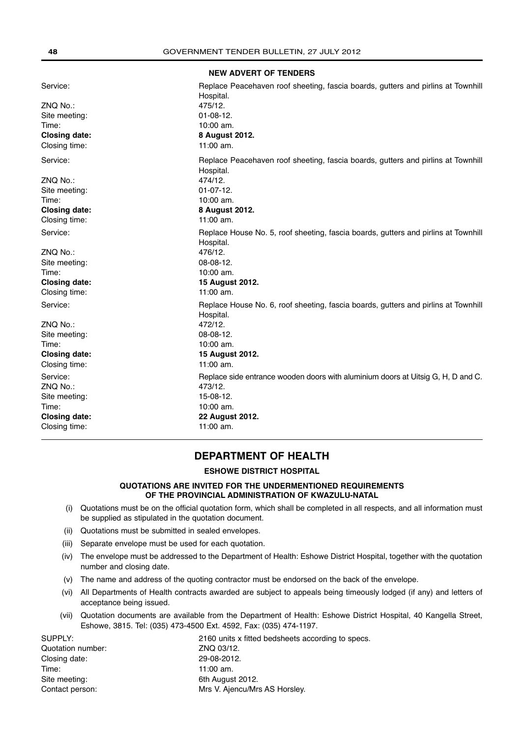**NEW ADVERT OF TENDERS**

| Service:<br>ZNQ No.:<br>Site meeting:<br>Time:<br><b>Closing date:</b><br>Closing time: | Replace Peacehaven roof sheeting, fascia boards, gutters and pirlins at Townhill<br>Hospital.<br>475/12.<br>$01-08-12.$<br>10:00 am.<br>8 August 2012.<br>$11:00$ am.  |
|-----------------------------------------------------------------------------------------|------------------------------------------------------------------------------------------------------------------------------------------------------------------------|
| Service:<br>ZNQ No.:<br>Site meeting:<br>Time:<br><b>Closing date:</b>                  | Replace Peacehaven roof sheeting, fascia boards, gutters and pirlins at Townhill<br>Hospital.<br>474/12.<br>$01-07-12.$<br>10:00 am.<br>8 August 2012.                 |
| Closing time:                                                                           | $11:00$ am.                                                                                                                                                            |
| Service:<br>ZNQ No.:<br>Site meeting:<br>Time:<br><b>Closing date:</b><br>Closing time: | Replace House No. 5, roof sheeting, fascia boards, gutters and pirlins at Townhill<br>Hospital.<br>476/12.<br>08-08-12.<br>10:00 am.<br>15 August 2012.<br>$11:00$ am. |
| Service:<br>ZNQ No.:<br>Site meeting:<br>Time:<br><b>Closing date:</b><br>Closing time: | Replace House No. 6, roof sheeting, fascia boards, gutters and pirlins at Townhill<br>Hospital.<br>472/12.<br>08-08-12.<br>10:00 am.<br>15 August 2012.<br>$11:00$ am. |
| Service:<br>ZNQ No.:<br>Site meeting:<br>Time:<br><b>Closing date:</b><br>Closing time: | Replace side entrance wooden doors with aluminium doors at Uitsig G, H, D and C.<br>473/12.<br>15-08-12.<br>10:00 am.<br>22 August 2012.<br>11:00 am.                  |

# **DEPARTMENT OF HEALTH**

# **ESHOWE DISTRICT HOSPITAL**

# **QUOTATIONS ARE INVITED FOR THE UNDERMENTIONED REQUIREMENTS OF THE PROVINCIAL ADMINISTRATION OF KWAZULU-NATAL**

- (i) Quotations must be on the official quotation form, which shall be completed in all respects, and all information must be supplied as stipulated in the quotation document.
- (ii) Quotations must be submitted in sealed envelopes.
- (iii) Separate envelope must be used for each quotation.
- (iv) The envelope must be addressed to the Department of Health: Eshowe District Hospital, together with the quotation number and closing date.
- (v) The name and address of the quoting contractor must be endorsed on the back of the envelope.
- (vi) All Departments of Health contracts awarded are subject to appeals being timeously lodged (if any) and letters of acceptance being issued.
- (vii) Quotation documents are available from the Department of Health: Eshowe District Hospital, 40 Kangella Street, Eshowe, 3815. Tel: (035) 473-4500 Ext. 4592, Fax: (035) 474-1197.

| 2160 units x fitted bedsheets according to specs. |
|---------------------------------------------------|
| ZNQ 03/12.                                        |
| 29-08-2012.                                       |
| 11:00 am.                                         |
| 6th August 2012.                                  |
| Mrs V. Ajencu/Mrs AS Horsley.                     |
|                                                   |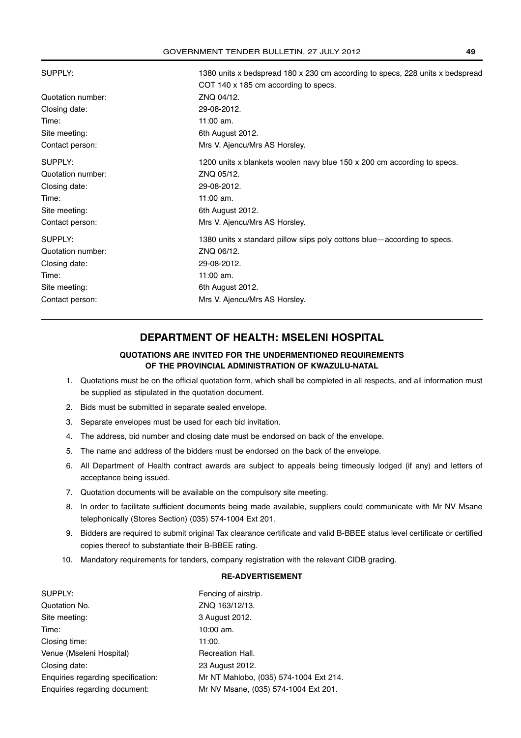| SUPPLY:           | 1380 units x bedspread 180 x 230 cm according to specs, 228 units x bedspread |
|-------------------|-------------------------------------------------------------------------------|
|                   | COT 140 x 185 cm according to specs.                                          |
| Quotation number: | ZNQ 04/12.                                                                    |
| Closing date:     | 29-08-2012.                                                                   |
| Time:             | 11:00 am.                                                                     |
| Site meeting:     | 6th August 2012.                                                              |
| Contact person:   | Mrs V. Ajencu/Mrs AS Horsley.                                                 |
| SUPPLY:           | 1200 units x blankets woolen navy blue 150 x 200 cm according to specs.       |
| Quotation number: | ZNQ 05/12.                                                                    |
| Closing date:     | 29-08-2012.                                                                   |
| Time:             | 11:00 am.                                                                     |
| Site meeting:     | 6th August 2012.                                                              |
| Contact person:   | Mrs V. Ajencu/Mrs AS Horsley.                                                 |
| SUPPLY:           | 1380 units x standard pillow slips poly cottons blue—according to specs.      |
| Quotation number: | ZNQ 06/12.                                                                    |
| Closing date:     | 29-08-2012.                                                                   |
| Time:             | 11:00 am.                                                                     |
| Site meeting:     | 6th August 2012.                                                              |
| Contact person:   | Mrs V. Ajencu/Mrs AS Horsley.                                                 |
|                   |                                                                               |

# **DEPARTMENT OF HEALTH: MSELENI HOSPITAL**

# **QUOTATIONS ARE INVITED FOR THE UNDERMENTIONED REQUIREMENTS OF THE PROVINCIAL ADMINISTRATION OF KWAZULU-NATAL**

- 1. Quotations must be on the official quotation form, which shall be completed in all respects, and all information must be supplied as stipulated in the quotation document.
- 2. Bids must be submitted in separate sealed envelope.
- 3. Separate envelopes must be used for each bid invitation.
- 4. The address, bid number and closing date must be endorsed on back of the envelope.
- 5. The name and address of the bidders must be endorsed on the back of the envelope.
- 6. All Department of Health contract awards are subject to appeals being timeously lodged (if any) and letters of acceptance being issued.
- 7. Quotation documents will be available on the compulsory site meeting.
- 8. In order to facilitate sufficient documents being made available, suppliers could communicate with Mr NV Msane telephonically (Stores Section) (035) 574-1004 Ext 201.
- 9. Bidders are required to submit original Tax clearance certificate and valid B-BBEE status level certificate or certified copies thereof to substantiate their B-BBEE rating.
- 10. Mandatory requirements for tenders, company registration with the relevant CIDB grading.

### **RE-ADVERTISEMENT**

| SUPPLY:                            | Fencing of airstrip.                   |
|------------------------------------|----------------------------------------|
| Quotation No.                      | ZNQ 163/12/13.                         |
| Site meeting:                      | 3 August 2012.                         |
| Time:                              | $10:00$ am.                            |
| Closing time:                      | 11:00.                                 |
| Venue (Mseleni Hospital)           | Recreation Hall.                       |
| Closing date:                      | 23 August 2012.                        |
| Enquiries regarding specification: | Mr NT Mahlobo, (035) 574-1004 Ext 214. |
| Enquiries regarding document:      | Mr NV Msane, (035) 574-1004 Ext 201.   |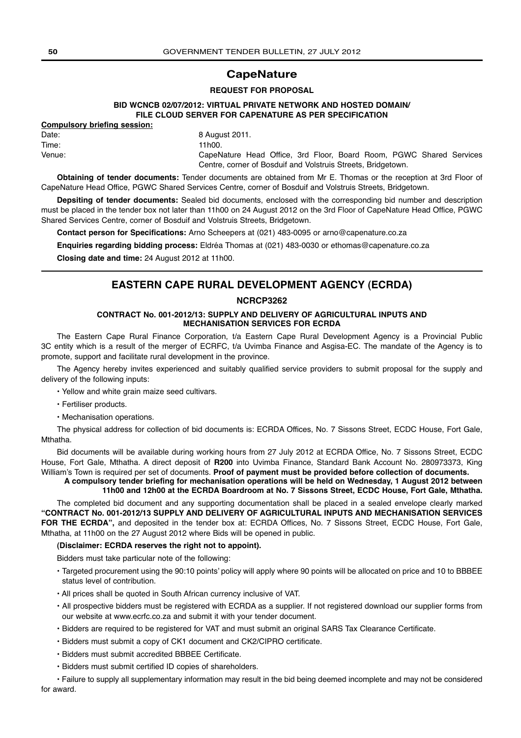# **CapeNature**

#### **REQUEST FOR PROPOSAL**

### **BID WCNCB 02/07/2012: VIRTUAL PRIVATE NETWORK AND HOSTED DOMAIN/ FILE CLOUD SERVER FOR CAPENATURE AS PER SPECIFICATION**

# **Compulsory briefing session:**

Date: 8 August 2011. Time: 11h00. Venue: CapeNature Head Office, 3rd Floor, Board Room, PGWC Shared Services Centre, corner of Bosduif and Volstruis Streets, Bridgetown.

**Obtaining of tender documents:** Tender documents are obtained from Mr E. Thomas or the reception at 3rd Floor of CapeNature Head Office, PGWC Shared Services Centre, corner of Bosduif and Volstruis Streets, Bridgetown.

**Depsiting of tender documents:** Sealed bid documents, enclosed with the corresponding bid number and description must be placed in the tender box not later than 11h00 on 24 August 2012 on the 3rd Floor of CapeNature Head Office, PGWC Shared Services Centre, corner of Bosduif and Volstruis Streets, Bridgetown.

**Contact person for Specifications:** Arno Scheepers at (021) 483-0095 or arno@capenature.co.za

**Enquiries regarding bidding process:** Eldréa Thomas at (021) 483-0030 or ethomas@capenature.co.za

**Closing date and time:** 24 August 2012 at 11h00.

# **EASTERN CAPE RURAL DEVELOPMENT AGENCY (ECRDA)**

### **NCRCP3262**

#### **CONTRACT No. 001-2012/13: SUPPLY AND DELIVERY OF AGRICULTURAL INPUTS AND MECHANISATION SERVICES FOR ECRDA**

The Eastern Cape Rural Finance Corporation, t/a Eastern Cape Rural Development Agency is a Provincial Public 3C entity which is a result of the merger of ECRFC, t/a Uvimba Finance and Asgisa-EC. The mandate of the Agency is to promote, support and facilitate rural development in the province.

The Agency hereby invites experienced and suitably qualified service providers to submit proposal for the supply and delivery of the following inputs:

- Yellow and white grain maize seed cultivars.
- Fertiliser products.
- Mechanisation operations.

The physical address for collection of bid documents is: ECRDA Offices, No. 7 Sissons Street, ECDC House, Fort Gale, Mthatha.

Bid documents will be available during working hours from 27 July 2012 at ECRDA Office, No. 7 Sissons Street, ECDC House, Fort Gale, Mthatha. A direct deposit of **R200** into Uvimba Finance, Standard Bank Account No. 280973373, King William's Town is required per set of documents. **Proof of payment must be provided before collection of documents.**

**A compulsory tender briefing for mechanisation operations will be held on Wednesday, 1 August 2012 between 11h00 and 12h00 at the ECRDA Boardroom at No. 7 Sissons Street, ECDC House, Fort Gale, Mthatha.**

The completed bid document and any supporting documentation shall be placed in a sealed envelope clearly marked **"CONTRACT No. 001-2012/13 SUPPLY AND DELIVERY OF AGRICULTURAL INPUTS AND MECHANISATION SERVICES** FOR THE ECRDA", and deposited in the tender box at: ECRDA Offices, No. 7 Sissons Street, ECDC House, Fort Gale, Mthatha, at 11h00 on the 27 August 2012 where Bids will be opened in public.

#### **(Disclaimer: ECRDA reserves the right not to appoint).**

Bidders must take particular note of the following:

- Targeted procurement using the 90:10 points' policy will apply where 90 points will be allocated on price and 10 to BBBEE status level of contribution.
- All prices shall be quoted in South African currency inclusive of VAT.
- All prospective bidders must be registered with ECRDA as a supplier. If not registered download our supplier forms from our website at www.ecrfc.co.za and submit it with your tender document.
- Bidders are required to be registered for VAT and must submit an original SARS Tax Clearance Certificate.
- Bidders must submit a copy of CK1 document and CK2/CIPRO certificate.
- Bidders must submit accredited BBBEE Certificate.
- Bidders must submit certified ID copies of shareholders.
- Failure to supply all supplementary information may result in the bid being deemed incomplete and may not be considered for award.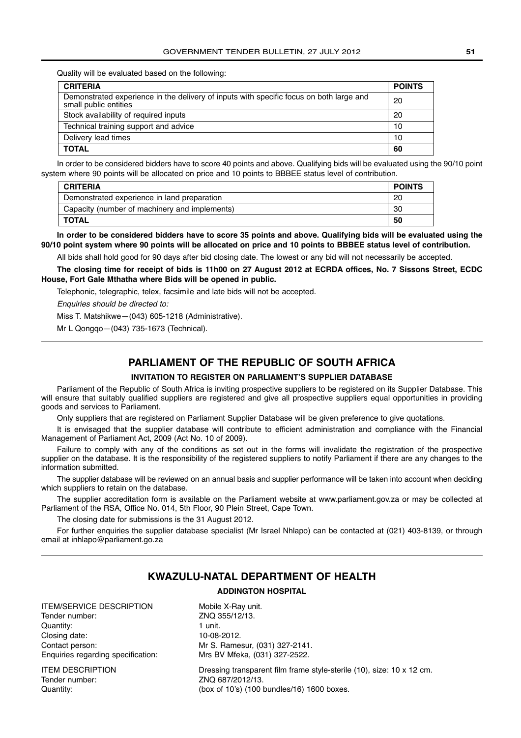Quality will be evaluated based on the following:

| <b>CRITERIA</b>                                                                                                  | <b>POINTS</b> |
|------------------------------------------------------------------------------------------------------------------|---------------|
| Demonstrated experience in the delivery of inputs with specific focus on both large and<br>small public entities | 20            |
| Stock availability of required inputs                                                                            | 20            |
| Technical training support and advice                                                                            | 10            |
| Delivery lead times                                                                                              | 10            |
| <b>TOTAL</b>                                                                                                     | 60            |

In order to be considered bidders have to score 40 points and above. Qualifying bids will be evaluated using the 90/10 point system where 90 points will be allocated on price and 10 points to BBBEE status level of contribution.

| <b>CRITERIA</b>                               | <b>POINTS</b> |
|-----------------------------------------------|---------------|
| Demonstrated experience in land preparation   | 20            |
| Capacity (number of machinery and implements) | 30            |
| TOTAL                                         | 50            |

**In order to be considered bidders have to score 35 points and above. Qualifying bids will be evaluated using the 90/10 point system where 90 points will be allocated on price and 10 points to BBBEE status level of contribution.**

All bids shall hold good for 90 days after bid closing date. The lowest or any bid will not necessarily be accepted.

**The closing time for receipt of bids is 11h00 on 27 August 2012 at ECRDA offices, No. 7 Sissons Street, ECDC House, Fort Gale Mthatha where Bids will be opened in public.**

Telephonic, telegraphic, telex, facsimile and late bids will not be accepted.

Enquiries should be directed to:

Miss T. Matshikwe—(043) 605-1218 (Administrative).

Mr L Qongqo—(043) 735-1673 (Technical).

# **PARLIAMENT OF THE REPUBLIC OF SOUTH AFRICA**

#### **INVITATION TO REGISTER ON PARLIAMENT'S SUPPLIER DATABASE**

Parliament of the Republic of South Africa is inviting prospective suppliers to be registered on its Supplier Database. This will ensure that suitably qualified suppliers are registered and give all prospective suppliers equal opportunities in providing goods and services to Parliament.

Only suppliers that are registered on Parliament Supplier Database will be given preference to give quotations.

It is envisaged that the supplier database will contribute to efficient administration and compliance with the Financial Management of Parliament Act, 2009 (Act No. 10 of 2009).

Failure to comply with any of the conditions as set out in the forms will invalidate the registration of the prospective supplier on the database. It is the responsibility of the registered suppliers to notify Parliament if there are any changes to the information submitted.

The supplier database will be reviewed on an annual basis and supplier performance will be taken into account when deciding which suppliers to retain on the database.

The supplier accreditation form is available on the Parliament website at www.parliament.gov.za or may be collected at Parliament of the RSA, Office No. 014, 5th Floor, 90 Plein Street, Cape Town.

The closing date for submissions is the 31 August 2012.

For further enquiries the supplier database specialist (Mr Israel Nhlapo) can be contacted at (021) 403-8139, or through email at inhlapo@parliament.go.za

# **KWAZULU-NATAL DEPARTMENT OF HEALTH**

### **ADDINGTON HOSPITAL**

ITEM/SERVICE DESCRIPTION Mobile X-Ray unit. Tender number: ZNQ 355/12/13. Quantity: 1 unit. Closing date: 10-08-2012. Contact person: Mr S. Ramesur, (031) 327-2141. Enquiries regarding specification: Mrs BV Mfeka, (031) 327-2522.

Tender number: ZNQ 687/2012/13.

ITEM DESCRIPTION Dressing transparent film frame style-sterile (10), size: 10 x 12 cm. Quantity: (box of 10's) (100 bundles/16) 1600 boxes.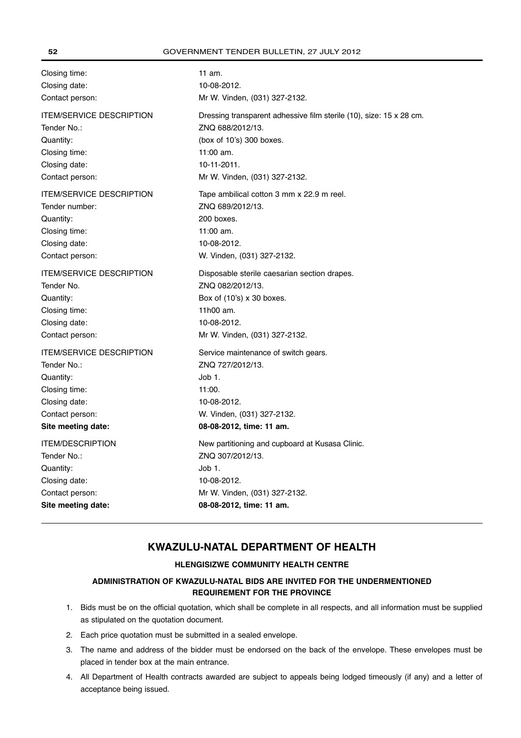| Closing time:                   | 11 am.                                                              |
|---------------------------------|---------------------------------------------------------------------|
| Closing date:                   | 10-08-2012.                                                         |
| Contact person:                 | Mr W. Vinden, (031) 327-2132.                                       |
| <b>ITEM/SERVICE DESCRIPTION</b> | Dressing transparent adhessive film sterile (10), size: 15 x 28 cm. |
| Tender No.:                     | ZNQ 688/2012/13.                                                    |
| Quantity:                       | (box of 10's) 300 boxes.                                            |
| Closing time:                   | 11:00 am.                                                           |
| Closing date:                   | 10-11-2011.                                                         |
| Contact person:                 | Mr W. Vinden, (031) 327-2132.                                       |
| <b>ITEM/SERVICE DESCRIPTION</b> | Tape ambilical cotton 3 mm x 22.9 m reel.                           |
| Tender number:                  | ZNQ 689/2012/13.                                                    |
| Quantity:                       | 200 boxes.                                                          |
| Closing time:                   | 11:00 am.                                                           |
| Closing date:                   | 10-08-2012.                                                         |
| Contact person:                 | W. Vinden, (031) 327-2132.                                          |
| <b>ITEM/SERVICE DESCRIPTION</b> | Disposable sterile caesarian section drapes.                        |
| Tender No.                      | ZNQ 082/2012/13.                                                    |
| Quantity:                       | Box of (10's) x 30 boxes.                                           |
| Closing time:                   | 11h00 am.                                                           |
| Closing date:                   | 10-08-2012.                                                         |
| Contact person:                 | Mr W. Vinden, (031) 327-2132.                                       |
| <b>ITEM/SERVICE DESCRIPTION</b> | Service maintenance of switch gears.                                |
| Tender No.:                     | ZNQ 727/2012/13.                                                    |
| Quantity:                       | Job 1.                                                              |
| Closing time:                   | 11:00.                                                              |
| Closing date:                   | 10-08-2012.                                                         |
| Contact person:                 | W. Vinden, (031) 327-2132.                                          |
| Site meeting date:              | 08-08-2012, time: 11 am.                                            |
| <b>ITEM/DESCRIPTION</b>         | New partitioning and cupboard at Kusasa Clinic.                     |
| Tender No.:                     | ZNQ 307/2012/13.                                                    |
| Quantity:                       | Job 1.                                                              |
| Closing date:                   | 10-08-2012.                                                         |
| Contact person:                 | Mr W. Vinden, (031) 327-2132.                                       |
| Site meeting date:              | 08-08-2012, time: 11 am.                                            |

# **KWAZULU-NATAL DEPARTMENT OF HEALTH**

# **HLENGISIZWE COMMUNITY HEALTH CENTRE**

# **ADMINISTRATION OF KWAZULU-NATAL BIDS ARE INVITED FOR THE UNDERMENTIONED REQUIREMENT FOR THE PROVINCE**

- 1. Bids must be on the official quotation, which shall be complete in all respects, and all information must be supplied as stipulated on the quotation document.
- 2. Each price quotation must be submitted in a sealed envelope.
- 3. The name and address of the bidder must be endorsed on the back of the envelope. These envelopes must be placed in tender box at the main entrance.
- 4. All Department of Health contracts awarded are subject to appeals being lodged timeously (if any) and a letter of acceptance being issued.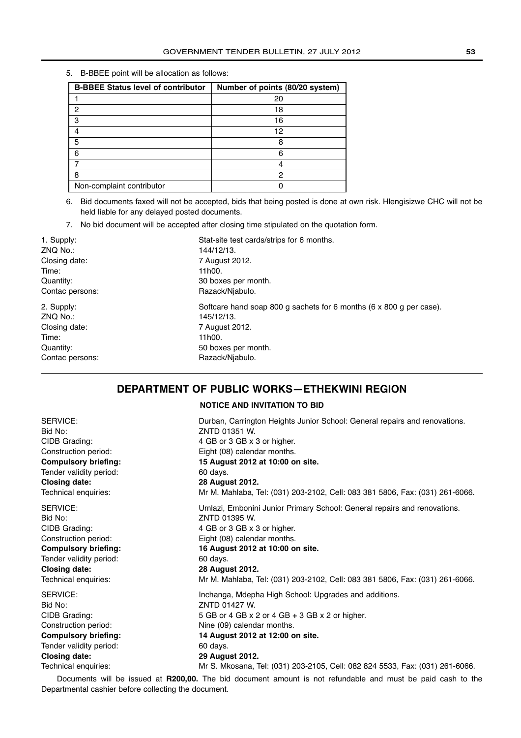5. B-BBEE point will be allocation as follows:

| <b>B-BBEE Status level of contributor</b> | Number of points (80/20 system) |
|-------------------------------------------|---------------------------------|
|                                           | 20                              |
| 2                                         | 18                              |
| 3                                         | 16                              |
|                                           | 12                              |
| 5                                         | 8                               |
| 6                                         | հ                               |
|                                           |                                 |
| 8                                         | 2                               |
| Non-complaint contributor                 |                                 |

<sup>6.</sup> Bid documents faxed will not be accepted, bids that being posted is done at own risk. Hlengisizwe CHC will not be held liable for any delayed posted documents.

7. No bid document will be accepted after closing time stipulated on the quotation form.

| 1. Supply:      | Stat-site test cards/strips for 6 months.                           |
|-----------------|---------------------------------------------------------------------|
| ZNQ No.:        | 144/12/13.                                                          |
| Closing date:   | 7 August 2012.                                                      |
| Time:           | 11h00.                                                              |
| Quantity:       | 30 boxes per month.                                                 |
| Contac persons: | Razack/Niabulo.                                                     |
| 2. Supply:      | Softcare hand soap 800 g sachets for 6 months (6 x 800 g per case). |
| ZNQ No.:        | 145/12/13.                                                          |
| Closing date:   | 7 August 2012.                                                      |
| Time:           | 11h00.                                                              |
| Quantity:       | 50 boxes per month.                                                 |
| Contac persons: | Razack/Niabulo.                                                     |

# **DEPARTMENT OF PUBLIC WORKS—ETHEKWINI REGION**

**NOTICE AND INVITATION TO BID**

| SERVICE:                    | Durban, Carrington Heights Junior School: General repairs and renovations.   |
|-----------------------------|------------------------------------------------------------------------------|
| Bid No:                     | ZNTD 01351 W.                                                                |
| CIDB Grading:               | 4 GB or 3 GB x 3 or higher.                                                  |
| Construction period:        | Eight (08) calendar months.                                                  |
| <b>Compulsory briefing:</b> | 15 August 2012 at 10:00 on site.                                             |
| Tender validity period:     | 60 days.                                                                     |
| <b>Closing date:</b>        | 28 August 2012.                                                              |
| Technical enquiries:        | Mr M. Mahlaba, Tel: (031) 203-2102, Cell: 083 381 5806, Fax: (031) 261-6066. |
| SERVICE:                    | Umlazi, Embonini Junior Primary School: General repairs and renovations.     |
| Bid No:                     | ZNTD 01395 W.                                                                |
| CIDB Grading:               | 4 GB or 3 GB x 3 or higher.                                                  |
| Construction period:        | Eight (08) calendar months.                                                  |
| <b>Compulsory briefing:</b> | 16 August 2012 at 10:00 on site.                                             |
| Tender validity period:     | 60 days.                                                                     |
| <b>Closing date:</b>        | 28 August 2012.                                                              |
| Technical enquiries:        | Mr M. Mahlaba, Tel: (031) 203-2102, Cell: 083 381 5806, Fax: (031) 261-6066. |
| SERVICE:                    | Inchanga, Mdepha High School: Upgrades and additions.                        |
| Bid No:                     | ZNTD 01427 W.                                                                |
| CIDB Grading:               | 5 GB or 4 GB $\times$ 2 or 4 GB $+$ 3 GB $\times$ 2 or higher.               |
| Construction period:        | Nine (09) calendar months.                                                   |
| <b>Compulsory briefing:</b> | 14 August 2012 at 12:00 on site.                                             |
| Tender validity period:     | 60 days.                                                                     |
| <b>Closing date:</b>        | 29 August 2012.                                                              |
| Technical enguiries:        | Mr S. Mkosana. Tel: (031) 203-2105. Cell: 082 824 5533. Fax: (031) 261-6066. |

Documents will be issued at **R200,00.** The bid document amount is not refundable and must be paid cash to the Departmental cashier before collecting the document.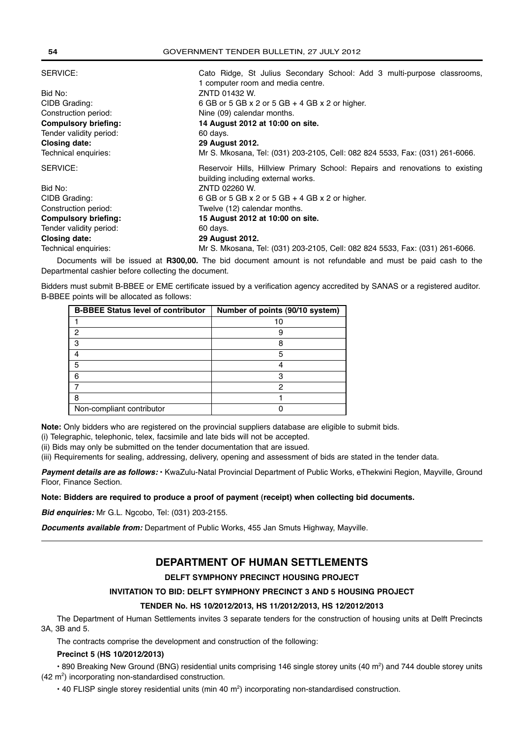| SERVICE:                    | Cato Ridge, St Julius Secondary School: Add 3 multi-purpose classrooms,       |  |
|-----------------------------|-------------------------------------------------------------------------------|--|
|                             | 1 computer room and media centre.                                             |  |
| Bid No:                     | ZNTD 01432 W.                                                                 |  |
| CIDB Grading:               | 6 GB or 5 GB $\times$ 2 or 5 GB $+$ 4 GB $\times$ 2 or higher.                |  |
| Construction period:        | Nine (09) calendar months.                                                    |  |
| <b>Compulsory briefing:</b> | 14 August 2012 at 10:00 on site.                                              |  |
| Tender validity period:     | 60 days.                                                                      |  |
| <b>Closing date:</b>        | <b>29 August 2012.</b>                                                        |  |
| Technical enquiries:        | Mr S. Mkosana, Tel: (031) 203-2105, Cell: 082 824 5533, Fax: (031) 261-6066.  |  |
| SERVICE:                    | Reservoir Hills, Hillview Primary School: Repairs and renovations to existing |  |
|                             | building including external works.                                            |  |
|                             |                                                                               |  |
| Bid No:                     | ZNTD 02260 W.                                                                 |  |
| CIDB Grading:               | 6 GB or 5 GB $\times$ 2 or 5 GB $+$ 4 GB $\times$ 2 or higher.                |  |
| Construction period:        | Twelve (12) calendar months.                                                  |  |
| <b>Compulsory briefing:</b> | 15 August 2012 at 10:00 on site.                                              |  |
| Tender validity period:     | 60 days.                                                                      |  |
| Closing date:               | 29 August 2012.                                                               |  |

Documents will be issued at **R300,00.** The bid document amount is not refundable and must be paid cash to the Departmental cashier before collecting the document.

Bidders must submit B-BBEE or EME certificate issued by a verification agency accredited by SANAS or a registered auditor. B-BBEE points will be allocated as follows:

| <b>B-BBEE Status level of contributor</b> | Number of points (90/10 system) |
|-------------------------------------------|---------------------------------|
|                                           |                                 |
| 2                                         |                                 |
| з                                         |                                 |
|                                           | 5                               |
| 5                                         |                                 |
| 6                                         | З                               |
|                                           | ⌒                               |
| 8                                         |                                 |
| Non-compliant contributor                 |                                 |

**Note:** Only bidders who are registered on the provincial suppliers database are eligible to submit bids.

(i) Telegraphic, telephonic, telex, facsimile and late bids will not be accepted.

(ii) Bids may only be submitted on the tender documentation that are issued.

(iii) Requirements for sealing, addressing, delivery, opening and assessment of bids are stated in the tender data.

*Payment details are as follows:* • KwaZulu-Natal Provincial Department of Public Works, eThekwini Region, Mayville, Ground Floor, Finance Section.

### **Note: Bidders are required to produce a proof of payment (receipt) when collecting bid documents.**

*Bid enquiries:* Mr G.L. Ngcobo, Tel: (031) 203-2155.

*Documents available from:* Department of Public Works, 455 Jan Smuts Highway, Mayville.

# **DEPARTMENT OF HUMAN SETTLEMENTS**

# **DELFT SYMPHONY PRECINCT HOUSING PROJECT**

# **INVITATION TO BID: DELFT SYMPHONY PRECINCT 3 AND 5 HOUSING PROJECT**

### **TENDER No. HS 10/2012/2013, HS 11/2012/2013, HS 12/2012/2013**

The Department of Human Settlements invites 3 separate tenders for the construction of housing units at Delft Precincts 3A, 3B and 5.

The contracts comprise the development and construction of the following:

### **Precinct 5 (HS 10/2012/2013)**

• 890 Breaking New Ground (BNG) residential units comprising 146 single storey units (40 m<sup>2</sup>) and 744 double storey units  $(42 \text{ m}^2)$  incorporating non-standardised construction.

 $\cdot$  40 FLISP single storey residential units (min 40 m<sup>2</sup>) incorporating non-standardised construction.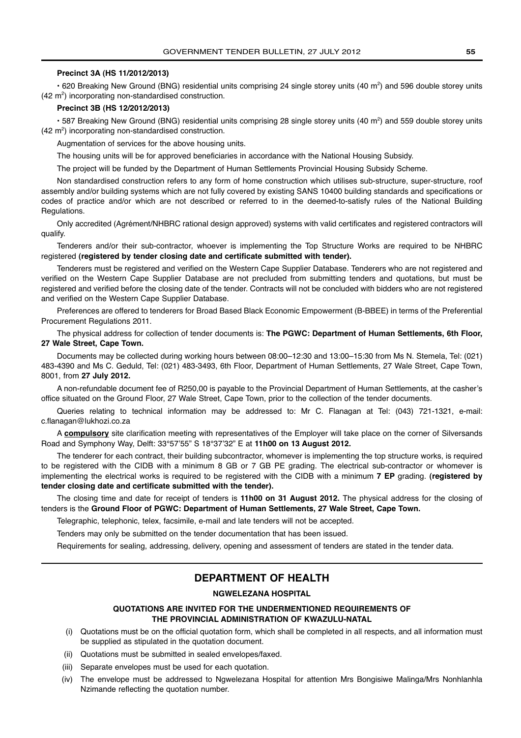#### **Precinct 3A (HS 11/2012/2013)**

 $\cdot$  620 Breaking New Ground (BNG) residential units comprising 24 single storey units (40 m<sup>2</sup>) and 596 double storey units  $(42 \text{ m}^2)$  incorporating non-standardised construction.

#### **Precinct 3B (HS 12/2012/2013)**

 $\cdot$  587 Breaking New Ground (BNG) residential units comprising 28 single storey units (40 m<sup>2</sup>) and 559 double storey units  $(42 \text{ m}^2)$  incorporating non-standardised construction.

Augmentation of services for the above housing units.

The housing units will be for approved beneficiaries in accordance with the National Housing Subsidy.

The project will be funded by the Department of Human Settlements Provincial Housing Subsidy Scheme.

Non standardised construction refers to any form of home construction which utilises sub-structure, super-structure, roof assembly and/or building systems which are not fully covered by existing SANS 10400 building standards and specifications or codes of practice and/or which are not described or referred to in the deemed-to-satisfy rules of the National Building Regulations.

Only accredited (Agrément/NHBRC rational design approved) systems with valid certificates and registered contractors will qualify.

Tenderers and/or their sub-contractor, whoever is implementing the Top Structure Works are required to be NHBRC registered **(registered by tender closing date and certificate submitted with tender).**

Tenderers must be registered and verified on the Western Cape Supplier Database. Tenderers who are not registered and verified on the Western Cape Supplier Database are not precluded from submitting tenders and quotations, but must be registered and verified before the closing date of the tender. Contracts will not be concluded with bidders who are not registered and verified on the Western Cape Supplier Database.

Preferences are offered to tenderers for Broad Based Black Economic Empowerment (B-BBEE) in terms of the Preferential Procurement Regulations 2011.

The physical address for collection of tender documents is: **The PGWC: Department of Human Settlements, 6th Floor, 27 Wale Street, Cape Town.**

Documents may be collected during working hours between 08:00–12:30 and 13:00–15:30 from Ms N. Stemela, Tel: (021) 483-4390 and Ms C. Geduld, Tel: (021) 483-3493, 6th Floor, Department of Human Settlements, 27 Wale Street, Cape Town, 8001, from **27 July 2012.**

A non-refundable document fee of R250,00 is payable to the Provincial Department of Human Settlements, at the casher's office situated on the Ground Floor, 27 Wale Street, Cape Town, prior to the collection of the tender documents.

Queries relating to technical information may be addressed to: Mr C. Flanagan at Tel: (043) 721-1321, e-mail: c.flanagan@lukhozi.co.za

A **compulsory** site clarification meeting with representatives of the Employer will take place on the corner of Silversands Road and Symphony Way, Delft: 33°57'55" S 18°37'32" E at **11h00 on 13 August 2012.**

The tenderer for each contract, their building subcontractor, whomever is implementing the top structure works, is required to be registered with the CIDB with a minimum 8 GB or 7 GB PE grading. The electrical sub-contractor or whomever is implementing the electrical works is required to be registered with the CIDB with a minimum **7 EP** grading. **(registered by tender closing date and certificate submitted with the tender).**

The closing time and date for receipt of tenders is **11h00 on 31 August 2012.** The physical address for the closing of tenders is the **Ground Floor of PGWC: Department of Human Settlements, 27 Wale Street, Cape Town.**

Telegraphic, telephonic, telex, facsimile, e-mail and late tenders will not be accepted.

Tenders may only be submitted on the tender documentation that has been issued.

Requirements for sealing, addressing, delivery, opening and assessment of tenders are stated in the tender data.

# **DEPARTMENT OF HEALTH**

#### **NGWELEZANA HOSPITAL**

### **QUOTATIONS ARE INVITED FOR THE UNDERMENTIONED REQUIREMENTS OF THE PROVINCIAL ADMINISTRATION OF KWAZULU-NATAL**

- (i) Quotations must be on the official quotation form, which shall be completed in all respects, and all information must be supplied as stipulated in the quotation document.
- (ii) Quotations must be submitted in sealed envelopes/faxed.
- (iii) Separate envelopes must be used for each quotation.
- (iv) The envelope must be addressed to Ngwelezana Hospital for attention Mrs Bongisiwe Malinga/Mrs Nonhlanhla Nzimande reflecting the quotation number.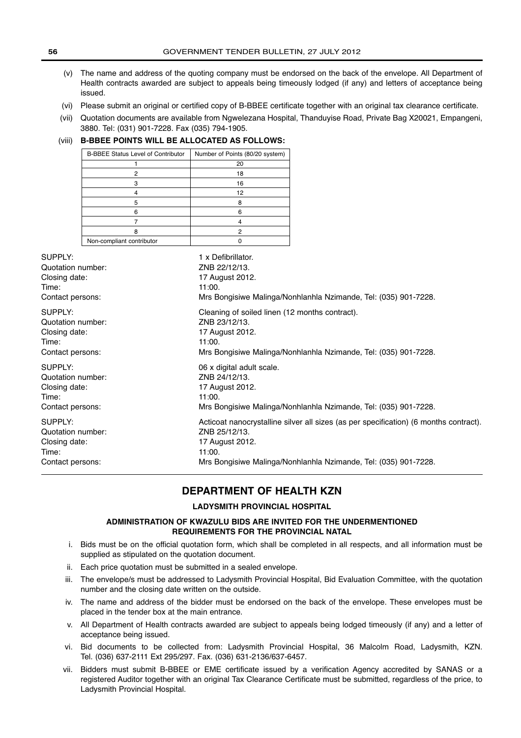- (v) The name and address of the quoting company must be endorsed on the back of the envelope. All Department of Health contracts awarded are subject to appeals being timeously lodged (if any) and letters of acceptance being issued.
- (vi) Please submit an original or certified copy of B-BBEE certificate together with an original tax clearance certificate.
- (vii) Quotation documents are available from Ngwelezana Hospital, Thanduyise Road, Private Bag X20021, Empangeni, 3880. Tel: (031) 901-7228. Fax (035) 794-1905.

# (viii) **B-BBEE POINTS WILL BE ALLOCATED AS FOLLOWS:**

| <b>B-BBEE Status Level of Contributor</b> | Number of Points (80/20 system) |
|-------------------------------------------|---------------------------------|
|                                           | 20                              |
| 2                                         | 18                              |
|                                           | 16                              |
|                                           | 12                              |
| 5                                         | 8                               |
| 6                                         | 6                               |
|                                           |                                 |
|                                           | 2                               |
| Non-compliant contributor                 |                                 |

| SUPPLY:           | 1 x Defibrillator.                                                                    |
|-------------------|---------------------------------------------------------------------------------------|
| Quotation number: | ZNB 22/12/13.                                                                         |
| Closing date:     | 17 August 2012.                                                                       |
| Time:             | 11:00.                                                                                |
| Contact persons:  | Mrs Bongisiwe Malinga/Nonhlanhla Nzimande, Tel: (035) 901-7228.                       |
| SUPPLY:           | Cleaning of soiled linen (12 months contract).                                        |
| Quotation number: | ZNB 23/12/13.                                                                         |
| Closing date:     | 17 August 2012.                                                                       |
| Time:             | 11:00.                                                                                |
| Contact persons:  | Mrs Bongisiwe Malinga/Nonhlanhla Nzimande, Tel: (035) 901-7228.                       |
| SUPPLY:           | 06 x digital adult scale.                                                             |
| Quotation number: | ZNB 24/12/13.                                                                         |
| Closing date:     | 17 August 2012.                                                                       |
| Time:             | 11:00.                                                                                |
| Contact persons:  | Mrs Bongisiwe Malinga/Nonhlanhla Nzimande, Tel: (035) 901-7228.                       |
| SUPPLY:           | Acticoat nanocrystalline silver all sizes (as per specification) (6 months contract). |
| Quotation number: | ZNB 25/12/13.                                                                         |
| Closing date:     | 17 August 2012.                                                                       |
| Time:             | 11:00.                                                                                |
| Contact persons:  | Mrs Bongisiwe Malinga/Nonhlanhla Nzimande, Tel: (035) 901-7228.                       |

# **DEPARTMENT OF HEALTH KZN**

### **LADYSMITH PROVINCIAL HOSPITAL**

### **ADMINISTRATION OF KWAZULU BIDS ARE INVITED FOR THE UNDERMENTIONED REQUIREMENTS FOR THE PROVINCIAL NATAL**

- i. Bids must be on the official quotation form, which shall be completed in all respects, and all information must be supplied as stipulated on the quotation document.
- ii. Each price quotation must be submitted in a sealed envelope.
- iii. The envelope/s must be addressed to Ladysmith Provincial Hospital, Bid Evaluation Committee, with the quotation number and the closing date written on the outside.
- iv. The name and address of the bidder must be endorsed on the back of the envelope. These envelopes must be placed in the tender box at the main entrance.
- v. All Department of Health contracts awarded are subject to appeals being lodged timeously (if any) and a letter of acceptance being issued.
- vi. Bid documents to be collected from: Ladysmith Provincial Hospital, 36 Malcolm Road, Ladysmith, KZN. Tel. (036) 637-2111 Ext 295/297. Fax. (036) 631-2136/637-6457.
- vii. Bidders must submit B-BBEE or EME certificate issued by a verification Agency accredited by SANAS or a registered Auditor together with an original Tax Clearance Certificate must be submitted, regardless of the price, to Ladysmith Provincial Hospital.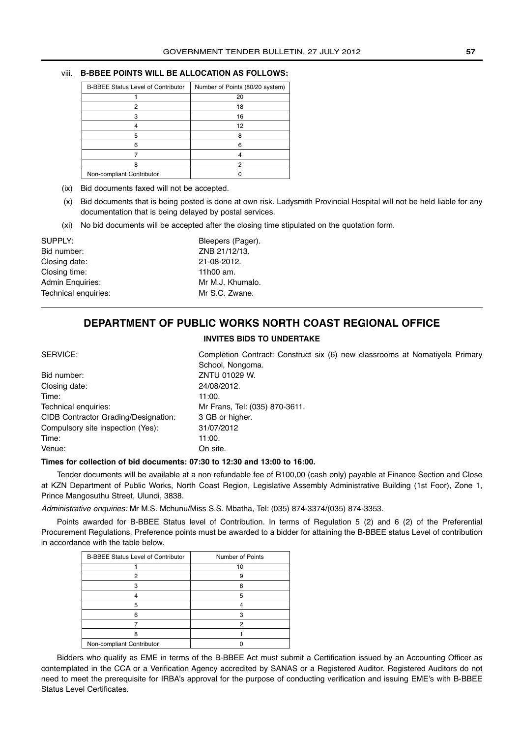## viii. **B-BBEE POINTS WILL BE ALLOCATION AS FOLLOWS:**

| <b>B-BBEE Status Level of Contributor</b> | Number of Points (80/20 system) |
|-------------------------------------------|---------------------------------|
|                                           | 20                              |
| 2                                         | 18                              |
| з                                         | 16                              |
|                                           | 12                              |
| 5                                         | 8                               |
| 6                                         | 6                               |
|                                           |                                 |
| 8                                         | 2                               |
| Non-compliant Contributor                 |                                 |

(ix) Bid documents faxed will not be accepted.

- (x) Bid documents that is being posted is done at own risk. Ladysmith Provincial Hospital will not be held liable for any documentation that is being delayed by postal services.
- (xi) No bid documents will be accepted after the closing time stipulated on the quotation form.

| SUPPLY:                 |  |
|-------------------------|--|
| Bid number:             |  |
| Closing date:           |  |
| Closing time:           |  |
| <b>Admin Enquiries:</b> |  |
| Technical enquiries:    |  |

Bleepers (Pager). ZNB 21/12/13. Closing date: 21-08-2012.  $11h00$  am. Mr M.J. Khumalo. Mr S.C. Zwane.

# **DEPARTMENT OF PUBLIC WORKS NORTH COAST REGIONAL OFFICE**

#### **INVITES BIDS TO UNDERTAKE**

SERVICE: Completion Contract: Construct six (6) new classrooms at Nomatiyela Primary School, Nongoma. Bid number: ZNTU 01029 W. Closing date: 24/08/2012. Time: 11:00. Technical enquiries: Mr Frans, Tel: (035) 870-3611. CIDB Contractor Grading/Designation: 3 GB or higher. Compulsory site inspection (Yes): 31/07/2012 Time: 11:00. Venue: On site.

### **Times for collection of bid documents: 07:30 to 12:30 and 13:00 to 16:00.**

Tender documents will be available at a non refundable fee of R100,00 (cash only) payable at Finance Section and Close at KZN Department of Public Works, North Coast Region, Legislative Assembly Administrative Building (1st Foor), Zone 1, Prince Mangosuthu Street, Ulundi, 3838.

Administrative enquiries: Mr M.S. Mchunu/Miss S.S. Mbatha, Tel: (035) 874-3374/(035) 874-3353.

Points awarded for B-BBEE Status level of Contribution. In terms of Regulation 5 (2) and 6 (2) of the Preferential Procurement Regulations, Preference points must be awarded to a bidder for attaining the B-BBEE status Level of contribution in accordance with the table below.

| <b>B-BBEE Status Level of Contributor</b> | Number of Points |
|-------------------------------------------|------------------|
|                                           | 10               |
| 2                                         | 9                |
|                                           | 8                |
|                                           | 5                |
| 5                                         |                  |
| ี                                         |                  |
|                                           | 2                |
| я                                         |                  |
| Non-compliant Contributor                 |                  |

Bidders who qualify as EME in terms of the B-BBEE Act must submit a Certification issued by an Accounting Officer as contemplated in the CCA or a Verification Agency accredited by SANAS or a Registered Auditor. Registered Auditors do not need to meet the prerequisite for IRBA's approval for the purpose of conducting verification and issuing EME's with B-BBEE Status Level Certificates.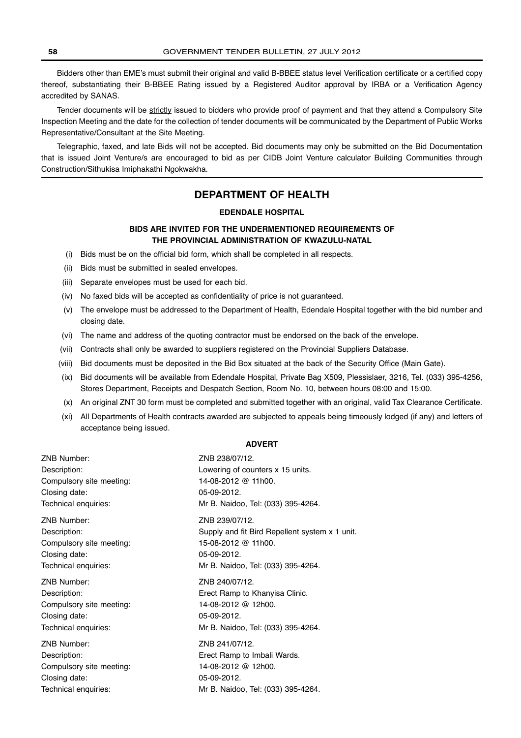Bidders other than EME's must submit their original and valid B-BBEE status level Verification certificate or a certified copy thereof, substantiating their B-BBEE Rating issued by a Registered Auditor approval by IRBA or a Verification Agency accredited by SANAS.

Tender documents will be strictly issued to bidders who provide proof of payment and that they attend a Compulsory Site Inspection Meeting and the date for the collection of tender documents will be communicated by the Department of Public Works Representative/Consultant at the Site Meeting.

Telegraphic, faxed, and late Bids will not be accepted. Bid documents may only be submitted on the Bid Documentation that is issued Joint Venture/s are encouraged to bid as per CIDB Joint Venture calculator Building Communities through Construction/Sithukisa Imiphakathi Ngokwakha.

# **DEPARTMENT OF HEALTH**

### **EDENDALE HOSPITAL**

# **BIDS ARE INVITED FOR THE UNDERMENTIONED REQUIREMENTS OF THE PROVINCIAL ADMINISTRATION OF KWAZULU-NATAL**

- (i) Bids must be on the official bid form, which shall be completed in all respects.
- (ii) Bids must be submitted in sealed envelopes.
- (iii) Separate envelopes must be used for each bid.
- (iv) No faxed bids will be accepted as confidentiality of price is not guaranteed.
- (v) The envelope must be addressed to the Department of Health, Edendale Hospital together with the bid number and closing date.
- (vi) The name and address of the quoting contractor must be endorsed on the back of the envelope.
- (vii) Contracts shall only be awarded to suppliers registered on the Provincial Suppliers Database.
- (viii) Bid documents must be deposited in the Bid Box situated at the back of the Security Office (Main Gate).
- (ix) Bid documents will be available from Edendale Hospital, Private Bag X509, Plessislaer, 3216, Tel. (033) 395-4256, Stores Department, Receipts and Despatch Section, Room No. 10, between hours 08:00 and 15:00.
- (x) An original ZNT 30 form must be completed and submitted together with an original, valid Tax Clearance Certificate.
- (xi) All Departments of Health contracts awarded are subjected to appeals being timeously lodged (if any) and letters of acceptance being issued.

#### **ADVERT**

| ZNB Number:              | ZNB 238/07/12.                                 |
|--------------------------|------------------------------------------------|
| Description:             | Lowering of counters x 15 units.               |
| Compulsory site meeting: | 14-08-2012 @ 11h00.                            |
| Closing date:            | 05-09-2012.                                    |
| Technical enquiries:     | Mr B. Naidoo, Tel: (033) 395-4264.             |
| ZNB Number:              | ZNB 239/07/12.                                 |
| Description:             | Supply and fit Bird Repellent system x 1 unit. |
| Compulsory site meeting: | 15-08-2012 @ 11h00.                            |
| Closing date:            | 05-09-2012.                                    |
| Technical enquiries:     | Mr B. Naidoo, Tel: (033) 395-4264.             |
| ZNB Number:              | ZNB 240/07/12.                                 |
| Description:             | Erect Ramp to Khanyisa Clinic.                 |
| Compulsory site meeting: | 14-08-2012 @ 12h00.                            |
| Closing date:            | 05-09-2012.                                    |
| Technical enquiries:     | Mr B. Naidoo, Tel: (033) 395-4264.             |
| ZNB Number:              | ZNB 241/07/12.                                 |
| Description:             | Erect Ramp to Imbali Wards.                    |
| Compulsory site meeting: | 14-08-2012 @ 12h00.                            |
| Closing date:            | 05-09-2012.                                    |
| Technical enquiries:     | Mr B. Naidoo, Tel: (033) 395-4264.             |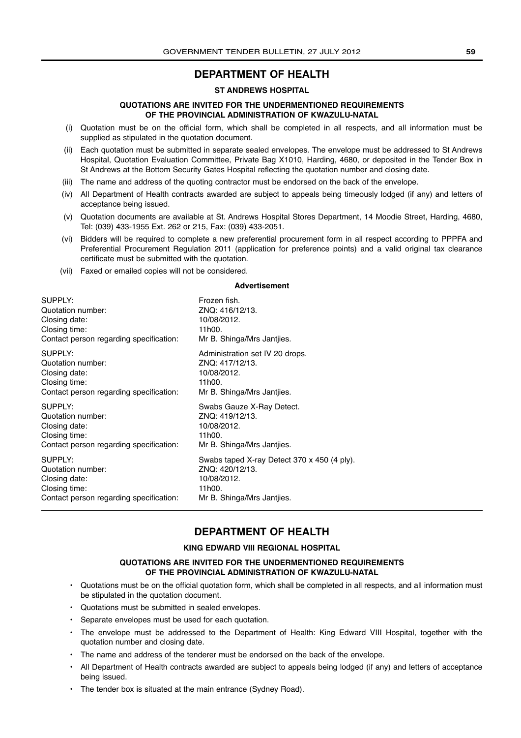# **DEPARTMENT OF HEALTH**

### **ST ANDREWS HOSPITAL**

#### **QUOTATIONS ARE INVITED FOR THE UNDERMENTIONED REQUIREMENTS OF THE PROVINCIAL ADMINISTRATION OF KWAZULU-NATAL**

- (i) Quotation must be on the official form, which shall be completed in all respects, and all information must be supplied as stipulated in the quotation document.
- (ii) Each quotation must be submitted in separate sealed envelopes. The envelope must be addressed to St Andrews Hospital, Quotation Evaluation Committee, Private Bag X1010, Harding, 4680, or deposited in the Tender Box in St Andrews at the Bottom Security Gates Hospital reflecting the quotation number and closing date.
- (iii) The name and address of the quoting contractor must be endorsed on the back of the envelope.
- (iv) All Department of Health contracts awarded are subject to appeals being timeously lodged (if any) and letters of acceptance being issued.
- (v) Quotation documents are available at St. Andrews Hospital Stores Department, 14 Moodie Street, Harding, 4680, Tel: (039) 433-1955 Ext. 262 or 215, Fax: (039) 433-2051.
- (vi) Bidders will be required to complete a new preferential procurement form in all respect according to PPPFA and Preferential Procurement Regulation 2011 (application for preference points) and a valid original tax clearance certificate must be submitted with the quotation.
- (vii) Faxed or emailed copies will not be considered.

#### **Advertisement**

| SUPPLY:                                 | Frozen fish.                                |
|-----------------------------------------|---------------------------------------------|
| Quotation number:                       | ZNQ: 416/12/13.                             |
| Closing date:                           | 10/08/2012.                                 |
| Closing time:                           | 11h00.                                      |
| Contact person regarding specification: | Mr B. Shinga/Mrs Jantijes.                  |
| SUPPLY:                                 | Administration set IV 20 drops.             |
| Quotation number:                       | ZNO: 417/12/13.                             |
| Closing date:                           | 10/08/2012.                                 |
| Closing time:                           | 11h00.                                      |
| Contact person regarding specification: | Mr B. Shinga/Mrs Jantijes.                  |
| SUPPLY:                                 | Swabs Gauze X-Ray Detect.                   |
| Quotation number:                       | ZNQ: 419/12/13.                             |
| Closing date:                           | 10/08/2012.                                 |
| Closing time:                           | 11h00.                                      |
| Contact person regarding specification: | Mr B. Shinga/Mrs Jantijes.                  |
| SUPPLY:                                 | Swabs taped X-ray Detect 370 x 450 (4 ply). |
| Quotation number:                       | ZNO: 420/12/13.                             |
| Closing date:                           | 10/08/2012.                                 |
| Closing time:                           | 11h00.                                      |
| Contact person regarding specification: | Mr B. Shinga/Mrs Jantijes.                  |

# **DEPARTMENT OF HEALTH**

#### **KING EDWARD VIII REGIONAL HOSPITAL**

### **QUOTATIONS ARE INVITED FOR THE UNDERMENTIONED REQUIREMENTS OF THE PROVINCIAL ADMINISTRATION OF KWAZULU-NATAL**

- Quotations must be on the official quotation form, which shall be completed in all respects, and all information must be stipulated in the quotation document.
- Quotations must be submitted in sealed envelopes.
- Separate envelopes must be used for each quotation.
- The envelope must be addressed to the Department of Health: King Edward VIII Hospital, together with the quotation number and closing date.
- The name and address of the tenderer must be endorsed on the back of the envelope.
- All Department of Health contracts awarded are subject to appeals being lodged (if any) and letters of acceptance being issued.
- The tender box is situated at the main entrance (Sydney Road).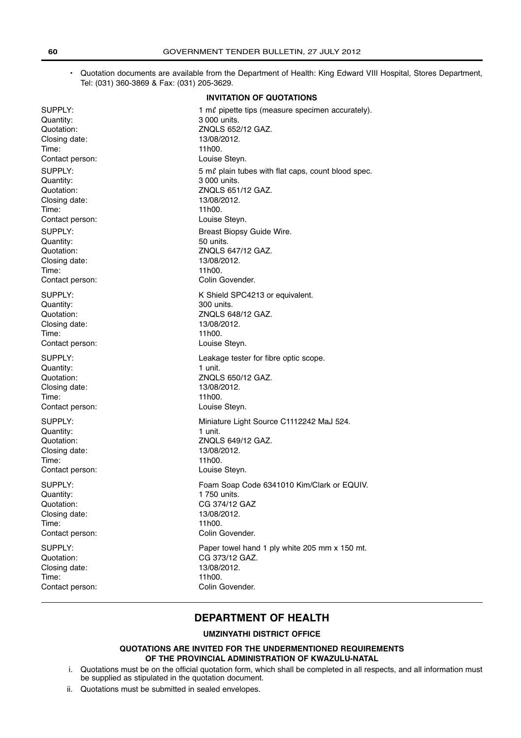• Quotation documents are available from the Department of Health: King Edward VIII Hospital, Stores Department, Tel: (031) 360-3869 & Fax: (031) 205-3629.

### **INVITATION OF QUOTATIONS**

| SUPPLY:         | 1 m $\ell$ pipette tips (measure specimen accurately). |
|-----------------|--------------------------------------------------------|
| Quantity:       | 3 000 units.                                           |
| Quotation:      | ZNQLS 652/12 GAZ.                                      |
| Closing date:   | 13/08/2012.                                            |
| Time:           | 11h00.                                                 |
| Contact person: | Louise Steyn.                                          |
| SUPPLY:         | 5 ml plain tubes with flat caps, count blood spec.     |
| Quantity:       | 3 000 units.                                           |
| Quotation:      | ZNQLS 651/12 GAZ.                                      |
| Closing date:   | 13/08/2012.                                            |
| Time:           | 11h00.                                                 |
| Contact person: | Louise Steyn.                                          |
| SUPPLY:         | Breast Biopsy Guide Wire.                              |
| Quantity:       | 50 units.                                              |
| Quotation:      | ZNQLS 647/12 GAZ.                                      |
| Closing date:   | 13/08/2012.                                            |
| Time:           | 11h00.                                                 |
| Contact person: | Colin Govender.                                        |
| SUPPLY:         | K Shield SPC4213 or equivalent.                        |
| Quantity:       | 300 units.                                             |
| Quotation:      | ZNQLS 648/12 GAZ.                                      |
| Closing date:   | 13/08/2012.                                            |
| Time:           | 11h00.                                                 |
| Contact person: | Louise Steyn.                                          |
| SUPPLY:         | Leakage tester for fibre optic scope.                  |
| Quantity:       | 1 unit.                                                |
| Quotation:      | ZNQLS 650/12 GAZ.                                      |
| Closing date:   | 13/08/2012.                                            |
| Time:           | 11h00.                                                 |
| Contact person: | Louise Steyn.                                          |
| SUPPLY:         | Miniature Light Source C1112242 MaJ 524.               |
| Quantity:       | 1 unit.                                                |
| Quotation:      | ZNQLS 649/12 GAZ.                                      |
| Closing date:   | 13/08/2012.                                            |
| Time:           | 11h00.                                                 |
| Contact person: | Louise Steyn.                                          |
| SUPPLY:         | Foam Soap Code 6341010 Kim/Clark or EQUIV.             |
| Quantity:       | 1 750 units.                                           |
| Quotation:      | CG 374/12 GAZ                                          |
| Closing date:   | 13/08/2012.                                            |
| Time:           | 11h00.                                                 |
| Contact person: | Colin Govender.                                        |
| SUPPLY:         | Paper towel hand 1 ply white 205 mm x 150 mt.          |
| Quotation:      | CG 373/12 GAZ.                                         |
| Closing date:   | 13/08/2012.                                            |
| Time:           | 11h00.                                                 |
| Contact person: | Colin Govender.                                        |

# **DEPARTMENT OF HEALTH**

### **UMZINYATHI DISTRICT OFFICE**

## **QUOTATIONS ARE INVITED FOR THE UNDERMENTIONED REQUIREMENTS OF THE PROVINCIAL ADMINISTRATION OF KWAZULU-NATAL**

- i. Quotations must be on the official quotation form, which shall be completed in all respects, and all information must be supplied as stipulated in the quotation document.
- ii. Quotations must be submitted in sealed envelopes.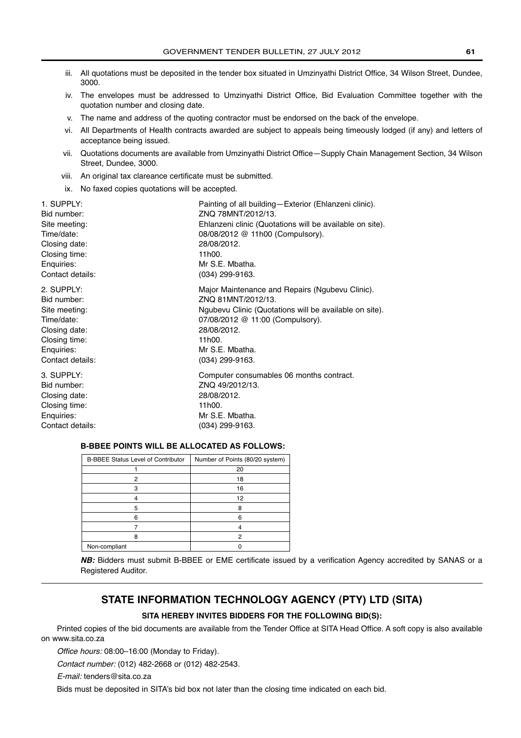- iii. All quotations must be deposited in the tender box situated in Umzinyathi District Office, 34 Wilson Street, Dundee, 3000.
- iv. The envelopes must be addressed to Umzinyathi District Office, Bid Evaluation Committee together with the quotation number and closing date.
- v. The name and address of the quoting contractor must be endorsed on the back of the envelope.
- vi. All Departments of Health contracts awarded are subject to appeals being timeously lodged (if any) and letters of acceptance being issued.
- vii. Quotations documents are available from Umzinyathi District Office—Supply Chain Management Section, 34 Wilson Street, Dundee, 3000.
- viii. An original tax clareance certificate must be submitted.
- ix. No faxed copies quotations will be accepted.

| 1. SUPPLY:       | Painting of all building-Exterior (Ehlanzeni clinic).    |
|------------------|----------------------------------------------------------|
| Bid number:      | ZNQ 78MNT/2012/13.                                       |
| Site meeting:    | Ehlanzeni clinic (Quotations will be available on site). |
| Time/date:       | 08/08/2012 @ 11h00 (Compulsory).                         |
| Closing date:    | 28/08/2012.                                              |
| Closing time:    | 11h00.                                                   |
| Enquiries:       | Mr S.E. Mbatha.                                          |
| Contact details: | (034) 299-9163.                                          |
| 2. SUPPLY:       | Major Maintenance and Repairs (Ngubevu Clinic).          |
| Bid number:      | ZNO 81MNT/2012/13.                                       |
| Site meeting:    | Ngubevu Clinic (Quotations will be available on site).   |
| Time/date:       | 07/08/2012 @ 11:00 (Compulsory).                         |
| Closing date:    | 28/08/2012.                                              |
| Closing time:    | 11h00.                                                   |
| Enquiries:       | Mr S.E. Mbatha.                                          |
| Contact details: | (034) 299-9163.                                          |
| 3. SUPPLY:       | Computer consumables 06 months contract.                 |
| Bid number:      | ZNQ 49/2012/13.                                          |
| Closing date:    | 28/08/2012.                                              |
| Closing time:    | 11h00.                                                   |
| Enquiries:       | Mr S.E. Mbatha.                                          |
| Contact details: | (034) 299-9163.                                          |

# **B-BBEE POINTS WILL BE ALLOCATED AS FOLLOWS:**

| <b>B-BBEE Status Level of Contributor</b> | Number of Points (80/20 system) |
|-------------------------------------------|---------------------------------|
|                                           | 20                              |
| 2                                         | 18                              |
|                                           | 16                              |
|                                           | 12                              |
| 5                                         | 8                               |
| ี                                         | ค                               |
|                                           |                                 |
|                                           | 2                               |
| Non-compliant                             |                                 |

**NB:** Bidders must submit B-BBEE or EME certificate issued by a verification Agency accredited by SANAS or a Registered Auditor.

# **STATE INFORMATION TECHNOLOGY AGENCY (PTY) LTD (SITA)**

### **SITA HEREBY INVITES BIDDERS FOR THE FOLLOWING BID(S):**

Printed copies of the bid documents are available from the Tender Office at SITA Head Office. A soft copy is also available on www.sita.co.za

Office hours: 08:00–16:00 (Monday to Friday).

Contact number: (012) 482-2668 or (012) 482-2543.

E-mail: tenders@sita.co.za

Bids must be deposited in SITA's bid box not later than the closing time indicated on each bid.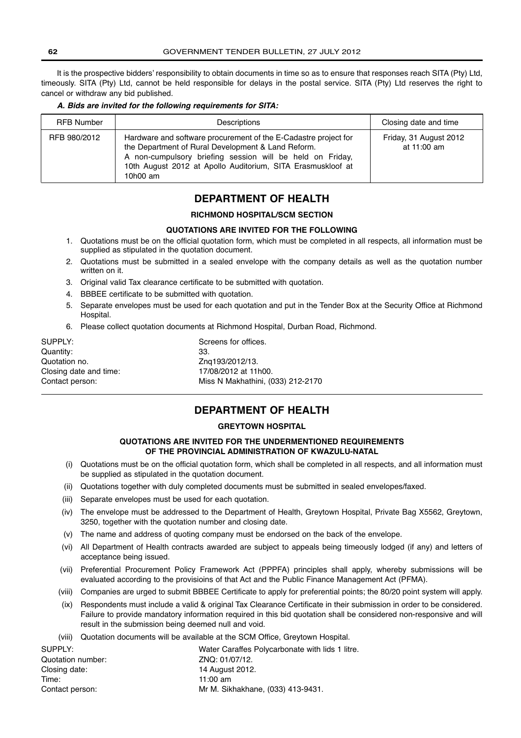It is the prospective bidders' responsibility to obtain documents in time so as to ensure that responses reach SITA (Pty) Ltd, timeously. SITA (Pty) Ltd, cannot be held responsible for delays in the postal service. SITA (Pty) Ltd reserves the right to cancel or withdraw any bid published.

#### *A. Bids are invited for the following requirements for SITA:*

| <b>RFB Number</b> | Descriptions                                                                                                                                                                                                                                                      | Closing date and time                 |
|-------------------|-------------------------------------------------------------------------------------------------------------------------------------------------------------------------------------------------------------------------------------------------------------------|---------------------------------------|
| RFB 980/2012      | Hardware and software procurement of the E-Cadastre project for<br>the Department of Rural Development & Land Reform.<br>A non-cumpulsory briefing session will be held on Friday,<br>10th August 2012 at Apollo Auditorium, SITA Erasmuskloof at<br>10 $h$ 00 am | Friday, 31 August 2012<br>at 11:00 am |

# **DEPARTMENT OF HEALTH**

#### **RICHMOND HOSPITAL/SCM SECTION**

#### **QUOTATIONS ARE INVITED FOR THE FOLLOWING**

- 1. Quotations must be on the official quotation form, which must be completed in all respects, all information must be supplied as stipulated in the quotation document.
- 2. Quotations must be submitted in a sealed envelope with the company details as well as the quotation number written on it.
- 3. Original valid Tax clearance certificate to be submitted with quotation.
- 4. BBBEE certificate to be submitted with quotation.
- 5. Separate envelopes must be used for each quotation and put in the Tender Box at the Security Office at Richmond Hospital.
- 6. Please collect quotation documents at Richmond Hospital, Durban Road, Richmond.

| SUPPLY:                | Screens for offices.              |
|------------------------|-----------------------------------|
| Quantity:              | 33.                               |
| Quotation no.          | Zng193/2012/13.                   |
| Closing date and time: | 17/08/2012 at 11h00.              |
| Contact person:        | Miss N Makhathini, (033) 212-2170 |

# **DEPARTMENT OF HEALTH**

# **GREYTOWN HOSPITAL**

# **QUOTATIONS ARE INVITED FOR THE UNDERMENTIONED REQUIREMENTS OF THE PROVINCIAL ADMINISTRATION OF KWAZULU-NATAL**

- (i) Quotations must be on the official quotation form, which shall be completed in all respects, and all information must be supplied as stipulated in the quotation document.
- (ii) Quotations together with duly completed documents must be submitted in sealed envelopes/faxed.
- (iii) Separate envelopes must be used for each quotation.
- (iv) The envelope must be addressed to the Department of Health, Greytown Hospital, Private Bag X5562, Greytown, 3250, together with the quotation number and closing date.
- (v) The name and address of quoting company must be endorsed on the back of the envelope.
- (vi) All Department of Health contracts awarded are subject to appeals being timeously lodged (if any) and letters of acceptance being issued.
- (vii) Preferential Procurement Policy Framework Act (PPPFA) principles shall apply, whereby submissions will be evaluated according to the provisioins of that Act and the Public Finance Management Act (PFMA).
- (viii) Companies are urged to submit BBBEE Certificate to apply for preferential points; the 80/20 point system will apply.
- (ix) Respondents must include a valid & original Tax Clearance Certificate in their submission in order to be considered. Failure to provide mandatory information required in this bid quotation shall be considered non-responsive and will result in the submission being deemed null and void.
- (viii) Quotation documents will be available at the SCM Office, Greytown Hospital.

| SUPPLY:           | Water Caraffes Polycarbonate with lids 1 litre. |
|-------------------|-------------------------------------------------|
| Quotation number: | ZNQ: 01/07/12.                                  |
| Closing date:     | 14 August 2012.                                 |
| Time:             | 11:00 am                                        |
| Contact person:   | Mr M. Sikhakhane, (033) 413-9431.               |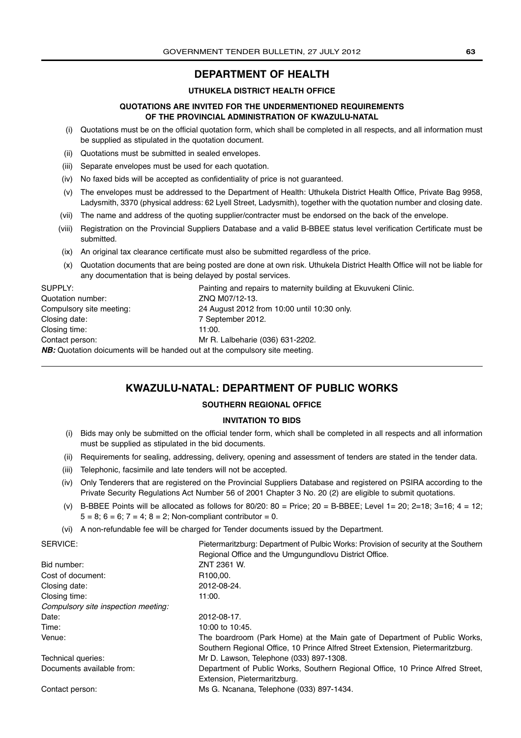# **DEPARTMENT OF HEALTH**

### **UTHUKELA DISTRICT HEALTH OFFICE**

### **QUOTATIONS ARE INVITED FOR THE UNDERMENTIONED REQUIREMENTS OF THE PROVINCIAL ADMINISTRATION OF KWAZULU-NATAL**

- (i) Quotations must be on the official quotation form, which shall be completed in all respects, and all information must be supplied as stipulated in the quotation document.
- (ii) Quotations must be submitted in sealed envelopes.
- (iii) Separate envelopes must be used for each quotation.
- (iv) No faxed bids will be accepted as confidentiality of price is not guaranteed.
- (v) The envelopes must be addressed to the Department of Health: Uthukela District Health Office, Private Bag 9958, Ladysmith, 3370 (physical address: 62 Lyell Street, Ladysmith), together with the quotation number and closing date.
- (vii) The name and address of the quoting supplier/contracter must be endorsed on the back of the envelope.
- (viii) Registration on the Provincial Suppliers Database and a valid B-BBEE status level verification Certificate must be submitted.
- (ix) An original tax clearance certificate must also be submitted regardless of the price.
- (x) Quotation documents that are being posted are done at own risk. Uthukela District Health Office will not be liable for any documentation that is being delayed by postal services.

SUPPLY: **Example 20 SUPPLY:** Painting and repairs to maternity building at Ekuvukeni Clinic. Quotation number: <br>
ZNQ M07/12-13. Compulsory site meeting: 24 August 2012 from 10:00 until 10:30 only. Closing date: 7 September 2012. Closing time: 11:00. Contact person: Mr R. Lalbeharie (036) 631-2202. **NB:** Quotation doicuments will be handed out at the compulsory site meeting.

# **KWAZULU-NATAL: DEPARTMENT OF PUBLIC WORKS**

### **SOUTHERN REGIONAL OFFICE**

#### **INVITATION TO BIDS**

- (i) Bids may only be submitted on the official tender form, which shall be completed in all respects and all information must be supplied as stipulated in the bid documents.
- (ii) Requirements for sealing, addressing, delivery, opening and assessment of tenders are stated in the tender data.
- (iii) Telephonic, facsimile and late tenders will not be accepted.
- (iv) Only Tenderers that are registered on the Provincial Suppliers Database and registered on PSIRA according to the Private Security Regulations Act Number 56 of 2001 Chapter 3 No. 20 (2) are eligible to submit quotations.
- (v) B-BBEE Points will be allocated as follows for 80/20;  $80 =$  Price;  $20 =$  B-BBEE; Level 1= 20; 2=18; 3=16; 4 = 12;  $5 = 8$ ;  $6 = 6$ ;  $7 = 4$ ;  $8 = 2$ ; Non-compliant contributor = 0.
- (vi) A non-refundable fee will be charged for Tender documents issued by the Department.

| SERVICE:                            | Pietermaritzburg: Department of Pulbic Works: Provision of security at the Southern |  |
|-------------------------------------|-------------------------------------------------------------------------------------|--|
|                                     | Regional Office and the Umgungundlovu District Office.                              |  |
| Bid number:                         | ZNT 2361 W.                                                                         |  |
| Cost of document:                   | R <sub>100,00</sub> .                                                               |  |
| Closing date:                       | 2012-08-24.                                                                         |  |
| Closing time:                       | 11:00.                                                                              |  |
| Compulsory site inspection meeting: |                                                                                     |  |
| Date:                               | 2012-08-17.                                                                         |  |
| Time:                               | 10:00 to 10:45.                                                                     |  |
| Venue:                              | The boardroom (Park Home) at the Main gate of Department of Public Works,           |  |
|                                     | Southern Regional Office, 10 Prince Alfred Street Extension, Pietermaritzburg.      |  |
| Technical queries:                  | Mr D. Lawson, Telephone (033) 897-1308.                                             |  |
| Documents available from:           | Department of Public Works, Southern Regional Office, 10 Prince Alfred Street,      |  |
|                                     | Extension, Pietermaritzburg.                                                        |  |
| Contact person:                     | Ms G. Ncanana, Telephone (033) 897-1434.                                            |  |
|                                     |                                                                                     |  |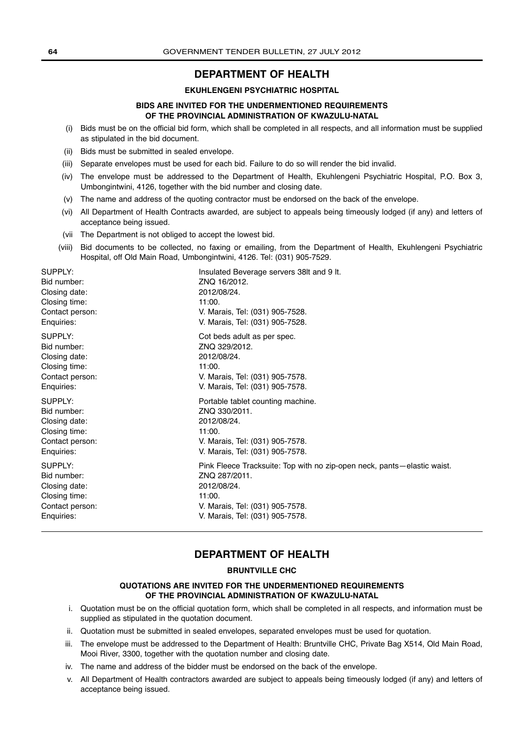# **DEPARTMENT OF HEALTH**

#### **EKUHLENGENI PSYCHIATRIC HOSPITAL**

### **BIDS ARE INVITED FOR THE UNDERMENTIONED REQUIREMENTS OF THE PROVINCIAL ADMINISTRATION OF KWAZULU-NATAL**

- (i) Bids must be on the official bid form, which shall be completed in all respects, and all information must be supplied as stipulated in the bid document.
- (ii) Bids must be submitted in sealed envelope.
- (iii) Separate envelopes must be used for each bid. Failure to do so will render the bid invalid.
- (iv) The envelope must be addressed to the Department of Health, Ekuhlengeni Psychiatric Hospital, P.O. Box 3, Umbongintwini, 4126, together with the bid number and closing date.
- (v) The name and address of the quoting contractor must be endorsed on the back of the envelope.
- (vi) All Department of Health Contracts awarded, are subject to appeals being timeously lodged (if any) and letters of acceptance being issued.
- (vii The Department is not obliged to accept the lowest bid.
- (viii) Bid documents to be collected, no faxing or emailing, from the Department of Health, Ekuhlengeni Psychiatric Hospital, off Old Main Road, Umbongintwini, 4126. Tel: (031) 905-7529.

SUPPLY: **Insulated Beverage servers 38lt and 9 lt.** Bid number: ZNQ 16/2012. Closing date: 2012/08/24. Closing time: 11:00. Contact person: V. Marais, Tel: (031) 905-7528. Enquiries: V. Marais, Tel: (031) 905-7528. SUPPLY: Cot beds adult as per spec. Bid number: ZNQ 329/2012. Closing date: 2012/08/24. Closing time: 11:00. Contact person: V. Marais, Tel: (031) 905-7578. Enquiries: V. Marais, Tel: (031) 905-7578. SUPPLY: SUPPLY: Bid number:  $ZNQ$  330/2011. Closing date: 2012/08/24. Closing time: 11:00. Contact person: V. Marais, Tel: (031) 905-7578. Enquiries: V. Marais, Tel: (031) 905-7578. SUPPLY: Pink Fleece Tracksuite: Top with no zip-open neck, pants—elastic waist. Bid number: ZNQ 287/2011. Closing date: 2012/08/24. Closing time: 11:00. Contact person: V. Marais, Tel: (031) 905-7578. Enquiries: V. Marais, Tel: (031) 905-7578.

# **DEPARTMENT OF HEALTH**

#### **BRUNTVILLE CHC**

### **QUOTATIONS ARE INVITED FOR THE UNDERMENTIONED REQUIREMENTS OF THE PROVINCIAL ADMINISTRATION OF KWAZULU-NATAL**

- i. Quotation must be on the official quotation form, which shall be completed in all respects, and information must be supplied as stipulated in the quotation document.
- ii. Quotation must be submitted in sealed envelopes, separated envelopes must be used for quotation.
- iii. The envelope must be addressed to the Department of Health: Bruntville CHC, Private Bag X514, Old Main Road, Mooi River, 3300, together with the quotation number and closing date.
- iv. The name and address of the bidder must be endorsed on the back of the envelope.
- v. All Department of Health contractors awarded are subject to appeals being timeously lodged (if any) and letters of acceptance being issued.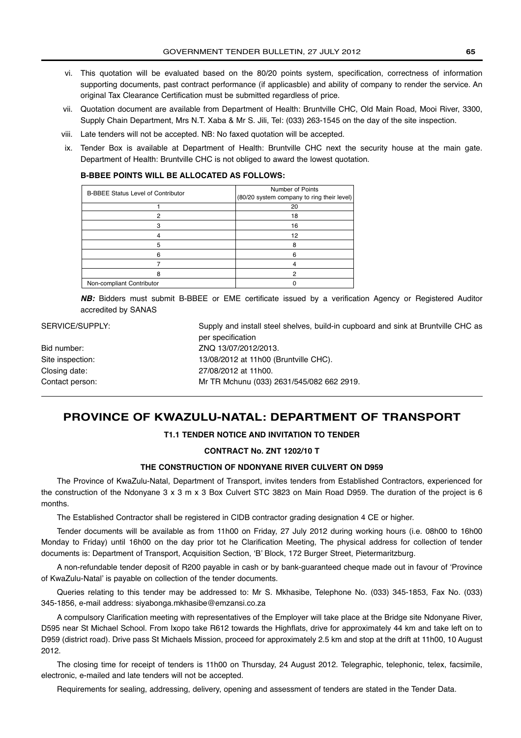- vi. This quotation will be evaluated based on the 80/20 points system, specification, correctness of information supporting documents, past contract performance (if applicasble) and ability of company to render the service. An original Tax Clearance Certification must be submitted regardless of price.
- vii. Quotation document are available from Department of Health: Bruntville CHC, Old Main Road, Mooi River, 3300, Supply Chain Department, Mrs N.T. Xaba & Mr S. Jili, Tel: (033) 263-1545 on the day of the site inspection.
- viii. Late tenders will not be accepted. NB: No faxed quotation will be accepted.
- ix. Tender Box is available at Department of Health: Bruntville CHC next the security house at the main gate. Department of Health: Bruntville CHC is not obliged to award the lowest quotation.

#### **B-BBEE POINTS WILL BE ALLOCATED AS FOLLOWS:**

| <b>B-BBEE Status Level of Contributor</b> | Number of Points<br>(80/20 system company to ring their level) |
|-------------------------------------------|----------------------------------------------------------------|
|                                           | 20                                                             |
| 0                                         | 18                                                             |
|                                           | 16                                                             |
|                                           | 12                                                             |
|                                           | 8                                                              |
|                                           |                                                                |
|                                           |                                                                |
|                                           | 2                                                              |
| Non-compliant Contributor                 |                                                                |

*NB:* Bidders must submit B-BBEE or EME certificate issued by a verification Agency or Registered Auditor accredited by SANAS

| SERVICE/SUPPLY:  | Supply and install steel shelves, build-in cupboard and sink at Bruntville CHC as |
|------------------|-----------------------------------------------------------------------------------|
|                  | per specification                                                                 |
| Bid number:      | ZNQ 13/07/2012/2013.                                                              |
| Site inspection: | 13/08/2012 at 11h00 (Bruntville CHC).                                             |
| Closing date:    | 27/08/2012 at 11h00.                                                              |
| Contact person:  | Mr TR Mchunu (033) 2631/545/082 662 2919.                                         |
|                  |                                                                                   |

# **PROVINCE OF KWAZULU-NATAL: DEPARTMENT OF TRANSPORT**

# **T1.1 TENDER NOTICE AND INVITATION TO TENDER**

### **CONTRACT No. ZNT 1202/10 T**

### **THE CONSTRUCTION OF NDONYANE RIVER CULVERT ON D959**

The Province of KwaZulu-Natal, Department of Transport, invites tenders from Established Contractors, experienced for the construction of the Ndonyane 3 x 3 m x 3 Box Culvert STC 3823 on Main Road D959. The duration of the project is 6 months.

The Established Contractor shall be registered in CIDB contractor grading designation 4 CE or higher.

Tender documents will be available as from 11h00 on Friday, 27 July 2012 during working hours (i.e. 08h00 to 16h00 Monday to Friday) until 16h00 on the day prior tot he Clarification Meeting, The physical address for collection of tender documents is: Department of Transport, Acquisition Section, ʻB' Block, 172 Burger Street, Pietermaritzburg.

A non-refundable tender deposit of R200 payable in cash or by bank-guaranteed cheque made out in favour of ʻProvince of KwaZulu-Natal' is payable on collection of the tender documents.

Queries relating to this tender may be addressed to: Mr S. Mkhasibe, Telephone No. (033) 345-1853, Fax No. (033) 345-1856, e-mail address: siyabonga.mkhasibe@emzansi.co.za

A compulsory Clarification meeting with representatives of the Employer will take place at the Bridge site Ndonyane River, D595 near St Michael School. From Ixopo take R612 towards the Highflats, drive for approximately 44 km and take left on to D959 (district road). Drive pass St Michaels Mission, proceed for approximately 2.5 km and stop at the drift at 11h00, 10 August 2012.

The closing time for receipt of tenders is 11h00 on Thursday, 24 August 2012. Telegraphic, telephonic, telex, facsimile, electronic, e-mailed and late tenders will not be accepted.

Requirements for sealing, addressing, delivery, opening and assessment of tenders are stated in the Tender Data.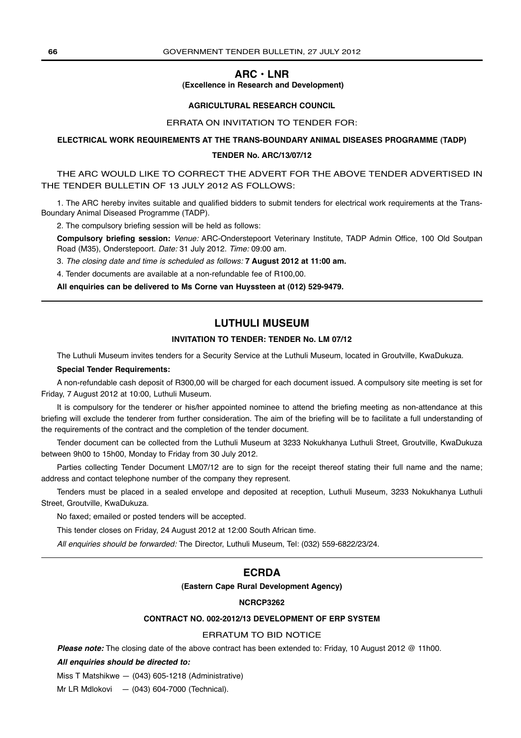# **ARC • LNR**

#### **(Excellence in Research and Development)**

#### **AGRICULTURAL RESEARCH COUNCIL**

#### ERRATA ON INVITATION TO TENDER FOR:

#### **ELECTRICAL WORK REQUIREMENTS AT THE TRANS-BOUNDARY ANIMAL DISEASES PROGRAMME (TADP)**

#### **TENDER No. ARC/13/07/12**

THE ARC WOULD LIKE TO CORRECT THE ADVERT FOR THE ABOVE TENDER ADVERTISED IN THE TENDER BULLETIN OF 13 JULY 2012 AS FOLLOWS:

1. The ARC hereby invites suitable and qualified bidders to submit tenders for electrical work requirements at the Trans-Boundary Animal Diseased Programme (TADP).

2. The compulsory briefing session will be held as follows:

**Compulsory briefing session:** Venue: ARC-Onderstepoort Veterinary Institute, TADP Admin Office, 100 Old Soutpan Road (M35), Onderstepoort. Date: 31 July 2012. Time: 09:00 am.

3. The closing date and time is scheduled as follows: **7 August 2012 at 11:00 am.**

4. Tender documents are available at a non-refundable fee of R100,00.

**All enquiries can be delivered to Ms Corne van Huyssteen at (012) 529-9479.**

# **LUTHULI MUSEUM**

### **INVITATION TO TENDER: TENDER No. LM 07/12**

The Luthuli Museum invites tenders for a Security Service at the Luthuli Museum, located in Groutville, KwaDukuza.

#### **Special Tender Requirements:**

A non-refundable cash deposit of R300,00 will be charged for each document issued. A compulsory site meeting is set for Friday, 7 August 2012 at 10:00, Luthuli Museum.

It is compulsory for the tenderer or his/her appointed nominee to attend the briefing meeting as non-attendance at this briefing will exclude the tenderer from further consideration. The aim of the briefing will be to facilitate a full understanding of the requirements of the contract and the completion of the tender document.

Tender document can be collected from the Luthuli Museum at 3233 Nokukhanya Luthuli Street, Groutville, KwaDukuza between 9h00 to 15h00, Monday to Friday from 30 July 2012.

Parties collecting Tender Document LM07/12 are to sign for the receipt thereof stating their full name and the name; address and contact telephone number of the company they represent.

Tenders must be placed in a sealed envelope and deposited at reception, Luthuli Museum, 3233 Nokukhanya Luthuli Street, Groutville, KwaDukuza.

No faxed; emailed or posted tenders will be accepted.

This tender closes on Friday, 24 August 2012 at 12:00 South African time.

All enquiries should be forwarded: The Director, Luthuli Museum, Tel: (032) 559-6822/23/24.

# **ECRDA**

#### **(Eastern Cape Rural Development Agency)**

#### **NCRCP3262**

### **CONTRACT NO. 002-2012/13 DEVELOPMENT OF ERP SYSTEM**

#### ERRATUM TO BID NOTICE

*Please note:* The closing date of the above contract has been extended to: Friday, 10 August 2012 @ 11h00.

*All enquiries should be directed to:*

Miss T Matshikwe — (043) 605-1218 (Administrative)

Mr LR Mdlokovi — (043) 604-7000 (Technical).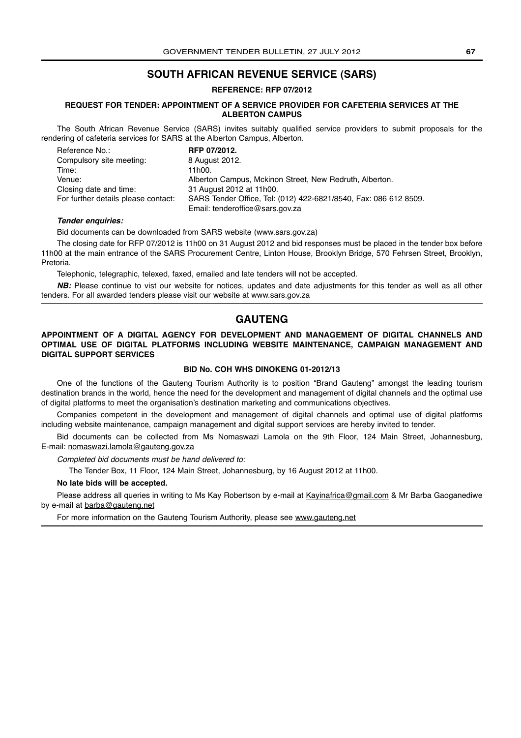# **SOUTH AFRICAN REVENUE SERVICE (SARS)**

**REFERENCE: RFP 07/2012**

### **REQUEST FOR TENDER: APPOINTMENT OF A SERVICE PROVIDER FOR CAFETERIA SERVICES AT THE ALBERTON CAMPUS**

The South African Revenue Service (SARS) invites suitably qualified service providers to submit proposals for the rendering of cafeteria services for SARS at the Alberton Campus, Alberton.

| Reference No.:                      | RFP 07/2012.                                                     |
|-------------------------------------|------------------------------------------------------------------|
| Compulsory site meeting:            | 8 August 2012.                                                   |
| Time:                               | 11h00.                                                           |
| Venue:                              | Alberton Campus, Mckinon Street, New Redruth, Alberton.          |
| Closing date and time:              | 31 August 2012 at 11h00.                                         |
| For further details please contact: | SARS Tender Office, Tel: (012) 422-6821/8540, Fax: 086 612 8509. |
|                                     | Email: tenderoffice@sars.gov.za                                  |

#### *Tender enquiries:*

Bid documents can be downloaded from SARS website (www.sars.gov.za)

The closing date for RFP 07/2012 is 11h00 on 31 August 2012 and bid responses must be placed in the tender box before 11h00 at the main entrance of the SARS Procurement Centre, Linton House, Brooklyn Bridge, 570 Fehrsen Street, Brooklyn, Pretoria.

Telephonic, telegraphic, telexed, faxed, emailed and late tenders will not be accepted.

*NB:* Please continue to vist our website for notices, updates and date adjustments for this tender as well as all other tenders. For all awarded tenders please visit our website at www.sars.gov.za

# **GAUTENG**

### **APPOINTMENT OF A DIGITAL AGENCY FOR DEVELOPMENT AND MANAGEMENT OF DIGITAL CHANNELS AND OPTIMAL USE OF DIGITAL PLATFORMS INCLUDING WEBSITE MAINTENANCE, CAMPAIGN MANAGEMENT AND DIGITAL SUPPORT SERVICES**

### **BID No. COH WHS DINOKENG 01-2012/13**

One of the functions of the Gauteng Tourism Authority is to position "Brand Gauteng" amongst the leading tourism destination brands in the world, hence the need for the development and management of digital channels and the optimal use of digital platforms to meet the organisation's destination marketing and communications objectives.

Companies competent in the development and management of digital channels and optimal use of digital platforms including website maintenance, campaign management and digital support services are hereby invited to tender.

Bid documents can be collected from Ms Nomaswazi Lamola on the 9th Floor, 124 Main Street, Johannesburg, E-mail: nomaswazi.lamola@gauteng.gov.za

Completed bid documents must be hand delivered to:

The Tender Box, 11 Floor, 124 Main Street, Johannesburg, by 16 August 2012 at 11h00.

#### **No late bids will be accepted.**

Please address all queries in writing to Ms Kay Robertson by e-mail at Kayinafrica@gmail.com & Mr Barba Gaoganediwe by e-mail at barba@gauteng.net

For more information on the Gauteng Tourism Authority, please see www.gauteng.net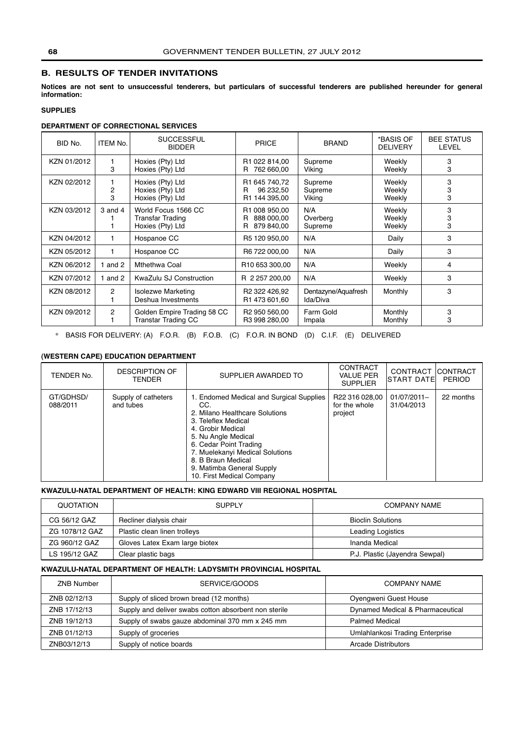# **B. RESULTS OF TENDER INVITATIONS**

**Notices are not sent to unsuccessful tenderers, but particulars of successful tenderers are published hereunder for general information:**

# **SUPPLIES**

# **DEPARTMENT OF CORRECTIONAL SERVICES**

| BID No.     | <b>ITEM No.</b> | <b>SUCCESSFUL</b><br><b>BIDDER</b>                                 | <b>PRICE</b>                                         | <b>BRAND</b>                    | *BASIS OF<br><b>DELIVERY</b> | <b>BEE STATUS</b><br>LEVEL |
|-------------|-----------------|--------------------------------------------------------------------|------------------------------------------------------|---------------------------------|------------------------------|----------------------------|
| KZN 01/2012 | 3               | Hoxies (Pty) Ltd<br>Hoxies (Pty) Ltd                               | R1 022 814,00<br>762 660,00<br>R.                    | Supreme<br>Viking               | Weekly<br>Weekly             | 3<br>3                     |
| KZN 02/2012 | 2<br>3          | Hoxies (Pty) Ltd<br>Hoxies (Pty) Ltd<br>Hoxies (Pty) Ltd           | R1 645 740,72<br>96 232,50<br>R<br>R1 144 395,00     | Supreme<br>Supreme<br>Viking    | Weekly<br>Weekly<br>Weekly   | 3<br>3<br>3                |
| KZN 03/2012 | $3$ and $4$     | World Focus 1566 CC<br><b>Transfar Trading</b><br>Hoxies (Pty) Ltd | R1 008 950,00<br>888 000.00<br>R<br>879 840,00<br>R. | N/A<br>Overberg<br>Supreme      | Weekly<br>Weekly<br>Weekly   | 3<br>3<br>3                |
| KZN 04/2012 | 1               | Hospanoe CC                                                        | R5 120 950,00                                        | N/A                             | Daily                        | 3                          |
| KZN 05/2012 | 1               | Hospanoe CC                                                        | R6 722 000,00                                        | N/A                             | Daily                        | 3                          |
| KZN 06/2012 | and 2           | Mthethwa Coal                                                      | R <sub>10</sub> 653 300,00                           | N/A                             | Weekly                       | 4                          |
| KZN 07/2012 | and 2           | KwaZulu SJ Construction                                            | R 2 257 200,00                                       | N/A                             | Weekly                       | 3                          |
| KZN 08/2012 | 2               | <b>Isolezwe Marketing</b><br>Deshua Investments                    | R <sub>2</sub> 322 426,92<br>R1 473 601,60           | Dentazyne/Aquafresh<br>Ida/Diva | Monthly                      | 3                          |
| KZN 09/2012 | 2               | Golden Empire Trading 58 CC<br><b>Transtar Trading CC</b>          | R <sub>2</sub> 950 560.00<br>R3 998 280,00           | Farm Gold<br>Impala             | Monthly<br>Monthly           | 3<br>3                     |

\* BASIS FOR DELIVERY: (A) F.O.R. (B) F.O.B. (C) F.O.R. IN BOND (D) C.I.F. (E) DELIVERED

# **(WESTERN CAPE) EDUCATION DEPARTMENT**

| <b>DESCRIPTION OF</b><br>TENDER No.<br><b>TENDER</b>      | SUPPLIER AWARDED TO                                                                                                                                                                                                                                                                               | <b>CONTRACT</b><br><b>VALUE PER</b><br><b>SUPPLIER</b> | CONTRACT CONTRACT<br><b>ISTART DATEI</b> | <b>PERIOD</b> |
|-----------------------------------------------------------|---------------------------------------------------------------------------------------------------------------------------------------------------------------------------------------------------------------------------------------------------------------------------------------------------|--------------------------------------------------------|------------------------------------------|---------------|
| GT/GDHSD/<br>Supply of catheters<br>and tubes<br>088/2011 | 1. Endomed Medical and Surgical Supplies<br>CC.<br>2. Milano Healthcare Solutions<br>3. Teleflex Medical<br>4. Grobir Medical<br>5. Nu Angle Medical<br>6. Cedar Point Trading<br>7. Muelekanyi Medical Solutions<br>8. B Braun Medical<br>9. Matimba General Supply<br>10. First Medical Company | R22 316 028,00<br>for the whole<br>project             | 01/07/2011-<br>31/04/2013                | 22 months     |

# **KWAZULU-NATAL DEPARTMENT OF HEALTH: KING EDWARD VIII REGIONAL HOSPITAL**

| QUOTATION      | <b>SUPPLY</b>                  | <b>COMPANY NAME</b>            |
|----------------|--------------------------------|--------------------------------|
| CG 56/12 GAZ   | Recliner dialysis chair        | <b>Bioclin Solutions</b>       |
| ZG 1078/12 GAZ | Plastic clean linen trolleys   | Leading Logistics              |
| ZG 960/12 GAZ  | Gloves Latex Exam large biotex | Inanda Medical                 |
| LS 195/12 GAZ  | Clear plastic bags             | P.J. Plastic (Jayendra Sewpal) |

### **KWAZULU-NATAL DEPARTMENT OF HEALTH: LADYSMITH PROVINCIAL HOSPITAL**

| <b>ZNB Number</b> | SERVICE/GOODS                                         | <b>COMPANY NAME</b>              |
|-------------------|-------------------------------------------------------|----------------------------------|
| ZNB 02/12/13      | Supply of sliced brown bread (12 months)              | Oyengweni Guest House            |
| ZNB 17/12/13      | Supply and deliver swabs cotton absorbent non sterile | Dynamed Medical & Pharmaceutical |
| ZNB 19/12/13      | Supply of swabs gauze abdominal 370 mm x 245 mm       | <b>Palmed Medical</b>            |
| ZNB 01/12/13      | Supply of groceries                                   | Umlahlankosi Trading Enterprise  |
| ZNB03/12/13       | Supply of notice boards                               | Arcade Distributors              |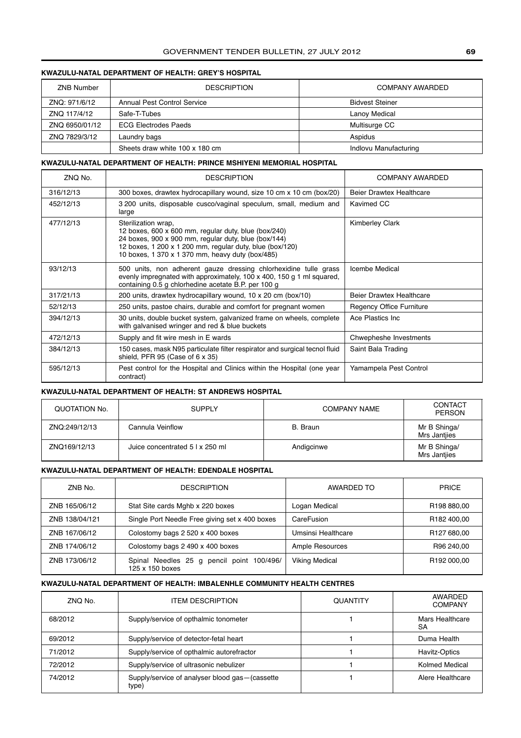# GOVERNMENT TENDER BULLETIN, 27 JULY 2012 **69**

# **KWAZULU-NATAL DEPARTMENT OF HEALTH: GREY'S HOSPITAL**

| <b>ZNB Number</b> | <b>DESCRIPTION</b>                 | <b>COMPANY AWARDED</b> |
|-------------------|------------------------------------|------------------------|
| ZNO: 971/6/12     | <b>Annual Pest Control Service</b> | <b>Bidvest Steiner</b> |
| ZNO 117/4/12      | Safe-T-Tubes                       | Lanoy Medical          |
| ZNQ 6950/01/12    | <b>ECG Electrodes Paeds</b>        | Multisurge CC          |
| ZNQ 7829/3/12     | Laundry bags                       | Aspidus                |
|                   | Sheets draw white 100 x 180 cm     | Indlovu Manufacturing  |

### **KWAZULU-NATAL DEPARTMENT OF HEALTH: PRINCE MSHIYENI MEMORIAL HOSPITAL**

| ZNQ No.   | <b>DESCRIPTION</b>                                                                                                                                                                                                                                  | COMPANY AWARDED                 |
|-----------|-----------------------------------------------------------------------------------------------------------------------------------------------------------------------------------------------------------------------------------------------------|---------------------------------|
| 316/12/13 | 300 boxes, drawtex hydrocapillary wound, size 10 cm x 10 cm (box/20)                                                                                                                                                                                | Beier Drawtex Healthcare        |
| 452/12/13 | 3 200 units, disposable cusco/vaginal speculum, small, medium and<br>large                                                                                                                                                                          | Kavimed CC                      |
| 477/12/13 | Sterilization wrap,<br>12 boxes, 600 x 600 mm, regular duty, blue (box/240)<br>24 boxes, 900 x 900 mm, regular duty, blue (box/144)<br>12 boxes, 1 200 x 1 200 mm, regular duty, blue (box/120)<br>10 boxes, 1 370 x 1 370 mm, heavy duty (box/485) | <b>Kimberley Clark</b>          |
| 93/12/13  | 500 units, non adherent gauze dressing chlorhexidine tulle grass<br>evenly impregnated with approximately, 100 x 400, 150 g 1 ml squared,<br>containing 0.5 g chlorhedine acetate B.P. per 100 g                                                    | <b>Icembe Medical</b>           |
| 317/21/13 | 200 units, drawtex hydrocapillary wound, 10 x 20 cm (box/10)                                                                                                                                                                                        | <b>Beier Drawtex Healthcare</b> |
| 52/12/13  | 250 units, pastoe chairs, durable and comfort for pregnant women                                                                                                                                                                                    | <b>Regency Office Furniture</b> |
| 394/12/13 | 30 units, double bucket system, galvanized frame on wheels, complete<br>with galvanised wringer and red & blue buckets                                                                                                                              | Ace Plastics Inc.               |
| 472/12/13 | Supply and fit wire mesh in E wards                                                                                                                                                                                                                 | Chwepheshe Investments          |
| 384/12/13 | 150 cases, mask N95 particulate filter respirator and surgical tecnol fluid<br>shield, PFR 95 (Case of 6 x 35)                                                                                                                                      | Saint Bala Trading              |
| 595/12/13 | Pest control for the Hospital and Clinics within the Hospital (one year<br>contract)                                                                                                                                                                | Yamampela Pest Control          |

#### **KWAZULU-NATAL DEPARTMENT OF HEALTH: ST ANDREWS HOSPITAL**

| QUOTATION No. | <b>SUPPLY</b>                   | <b>COMPANY NAME</b> | CONTACT<br><b>PERSON</b>     |
|---------------|---------------------------------|---------------------|------------------------------|
| ZNQ:249/12/13 | Cannula Veinflow                | B. Braun            | Mr B Shinga/<br>Mrs Jantjies |
| ZNQ169/12/13  | Juice concentrated 5   x 250 ml | Andigcinwe          | Mr B Shinga/<br>Mrs Jantjies |

#### **KWAZULU-NATAL DEPARTMENT OF HEALTH: EDENDALE HOSPITAL**

| ZNB No.        | <b>DESCRIPTION</b>                                           | AWARDED TO             | <b>PRICE</b>            |
|----------------|--------------------------------------------------------------|------------------------|-------------------------|
| ZNB 165/06/12  | Stat Site cards Mghb x 220 boxes                             | Logan Medical          | R <sub>198</sub> 880,00 |
| ZNB 138/04/121 | Single Port Needle Free giving set x 400 boxes               | CareFusion             | R182 400.00             |
| ZNB 167/06/12  | Colostomy bags 2 520 x 400 boxes                             | Umsinsi Healthcare     | R127 680,00             |
| ZNB 174/06/12  | Colostomy bags 2 490 x 400 boxes                             | <b>Ample Resources</b> | R96 240.00              |
| ZNB 173/06/12  | Spinal Needles 25 g pencil point 100/496/<br>125 x 150 boxes | <b>Viking Medical</b>  | R <sub>192</sub> 000.00 |

# **KWAZULU-NATAL DEPARTMENT OF HEALTH: IMBALENHLE COMMUNITY HEALTH CENTRES**

| ZNO No. | <b>ITEM DESCRIPTION</b>                                   | <b>QUANTITY</b> | AWARDED<br><b>COMPANY</b> |
|---------|-----------------------------------------------------------|-----------------|---------------------------|
| 68/2012 | Supply/service of opthalmic tonometer                     |                 | Mars Healthcare<br>SA     |
| 69/2012 | Supply/service of detector-fetal heart                    |                 | Duma Health               |
| 71/2012 | Supply/service of opthalmic autorefractor                 |                 | Havitz-Optics             |
| 72/2012 | Supply/service of ultrasonic nebulizer                    |                 | Kolmed Medical            |
| 74/2012 | Supply/service of analyser blood gas - (cassette<br>type) |                 | Alere Healthcare          |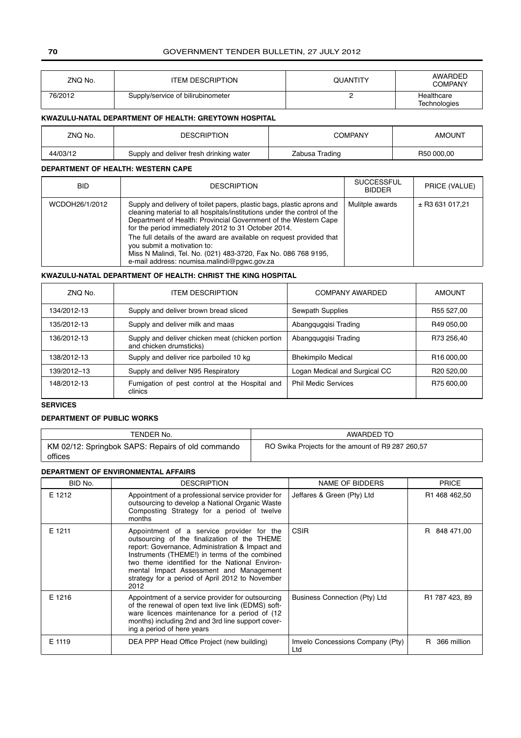# **70** GOVERNMENT TENDER BULLETIN, 27 JULY 2012

| ZNQ No. | <b>ITEM DESCRIPTION</b>           | <b>QUANTITY</b> | <b>AWARDED</b><br><b>COMPANY</b> |
|---------|-----------------------------------|-----------------|----------------------------------|
| 76/2012 | Supply/service of bilirubinometer |                 | Healthcare<br>Technologies       |

### **KWAZULU-NATAL DEPARTMENT OF HEALTH: GREYTOWN HOSPITAL**

| ZNQ No.  | <b>DESCRIPTION</b>                      | COMPANY        | <b>AMOUNT</b> |
|----------|-----------------------------------------|----------------|---------------|
| 44/03/12 | Supply and deliver fresh drinking water | Zabusa Trading | R50 000.00    |

# **DEPARTMENT OF HEALTH: WESTERN CAPE**

| BID.           | <b>DESCRIPTION</b>                                                                                                                                                                                                                                                                                                                                                                                                                                                                                   | <b>SUCCESSFUL</b><br><b>BIDDER</b> | PRICE (VALUE)       |
|----------------|------------------------------------------------------------------------------------------------------------------------------------------------------------------------------------------------------------------------------------------------------------------------------------------------------------------------------------------------------------------------------------------------------------------------------------------------------------------------------------------------------|------------------------------------|---------------------|
| WCDOH26/1/2012 | Supply and delivery of toilet papers, plastic bags, plastic aprons and<br>cleaning material to all hospitals/institutions under the control of the<br>Department of Health: Provincial Government of the Western Cape<br>for the period immediately 2012 to 31 October 2014.<br>The full details of the award are available on request provided that<br>you submit a motivation to:<br>Miss N Malindi, Tel. No. (021) 483-3720, Fax No. 086 768 9195,<br>e-mail address: ncumisa.malindi@pqwc.gov.za | Mulitple awards                    | $\pm$ R3 631 017,21 |

# **KWAZULU-NATAL DEPARTMENT OF HEALTH: CHRIST THE KING HOSPITAL**

| ZNO No.     | <b>ITEM DESCRIPTION</b>                                                     | COMPANY AWARDED               | <b>AMOUNT</b>          |
|-------------|-----------------------------------------------------------------------------|-------------------------------|------------------------|
| 134/2012-13 | Supply and deliver brown bread sliced                                       | Sewpath Supplies              | R55 527.00             |
| 135/2012-13 | Supply and deliver milk and maas                                            | Abangguggisi Trading          | R49 050,00             |
| 136/2012-13 | Supply and deliver chicken meat (chicken portion<br>and chicken drumsticks) | Abangguggisi Trading          | R73 256,40             |
| 138/2012-13 | Supply and deliver rice parboiled 10 kg                                     | <b>Bhekimpilo Medical</b>     | R <sub>16</sub> 000.00 |
| 139/2012-13 | Supply and deliver N95 Respiratory                                          | Logan Medical and Surgical CC | R <sub>20</sub> 520.00 |
| 148/2012-13 | Fumigation of pest control at the Hospital and<br>clinics                   | <b>Phil Medic Services</b>    | R75 600,00             |

# **SERVICES**

### **DEPARTMENT OF PUBLIC WORKS**

| TENDER No.                                                   | AWARDED TO                                        |
|--------------------------------------------------------------|---------------------------------------------------|
| KM 02/12: Springbok SAPS: Repairs of old commando<br>offices | RO Swika Projects for the amount of R9 287 260,57 |

# **DEPARTMENT OF ENVIRONMENTAL AFFAIRS**

| BID No. | <b>DESCRIPTION</b>                                                                                                                                                                                                                                                                                                                                    | NAME OF BIDDERS                         | <b>PRICE</b>      |
|---------|-------------------------------------------------------------------------------------------------------------------------------------------------------------------------------------------------------------------------------------------------------------------------------------------------------------------------------------------------------|-----------------------------------------|-------------------|
| E 1212  | Appointment of a professional service provider for<br>outsourcing to develop a National Organic Waste<br>Composting Strategy for a period of twelve<br>months                                                                                                                                                                                         | Jeffares & Green (Pty) Ltd              | R1 468 462,50     |
| E 1211  | Appointment of a service provider for the<br>outsourcing of the finalization of the THEME<br>report: Governance, Administration & Impact and<br>Instruments (THEME!) in terms of the combined<br>two theme identified for the National Environ-<br>mental Impact Assessment and Management<br>strategy for a period of April 2012 to November<br>2012 | <b>CSIR</b>                             | R 848 471,00      |
| E 1216  | Appointment of a service provider for outsourcing<br>of the renewal of open text live link (EDMS) soft-<br>ware licences maintenance for a period of (12<br>months) including 2nd and 3rd line support cover-<br>ing a period of here years                                                                                                           | Business Connection (Pty) Ltd           | R1 787 423, 89    |
| E 1119  | DEA PPP Head Office Project (new building)                                                                                                                                                                                                                                                                                                            | Imvelo Concessions Company (Pty)<br>Ltd | R.<br>366 million |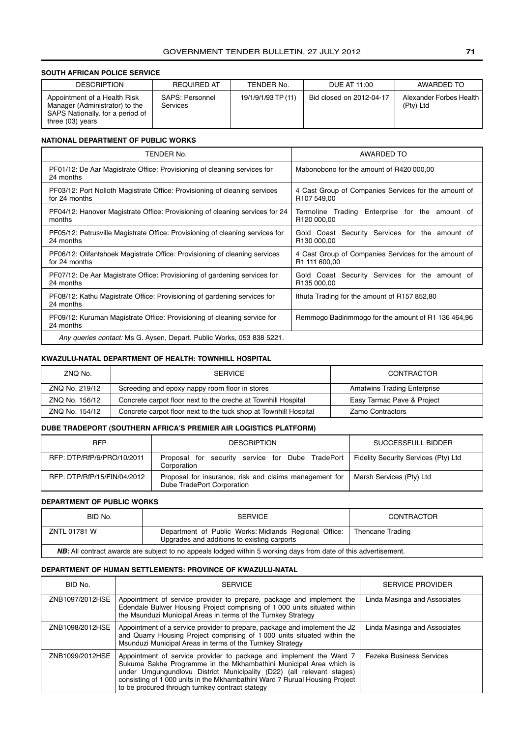# **SOUTH AFRICAN POLICE SERVICE**

| <b>DESCRIPTION</b>                                                                                                     | <b>REQUIRED AT</b>                 | TENDER No.          | DUE AT 11:00             | AWARDED TO                             |
|------------------------------------------------------------------------------------------------------------------------|------------------------------------|---------------------|--------------------------|----------------------------------------|
| Appointment of a Health Risk<br>Manager (Administrator) to the<br>SAPS Nationally, for a period of<br>three (03) years | SAPS: Personnel<br><b>Services</b> | 19/1/9/1/93 TP (11) | Bid closed on 2012-04-17 | Alexander Forbes Health<br>$(PtV)$ Ltd |

#### **NATIONAL DEPARTMENT OF PUBLIC WORKS**

| TENDER No.                                                                            | AWARDED TO                                           |  |  |
|---------------------------------------------------------------------------------------|------------------------------------------------------|--|--|
| PF01/12: De Aar Magistrate Office: Provisioning of cleaning services for<br>24 months | Mabonobono for the amount of R420 000,00             |  |  |
| PF03/12: Port Nolloth Magistrate Office: Provisioning of cleaning services            | 4 Cast Group of Companies Services for the amount of |  |  |
| for 24 months                                                                         | R <sub>107</sub> 549,00                              |  |  |
| PF04/12: Hanover Magistrate Office: Provisioning of cleaning services for 24          | Termoline Trading Enterprise for the amount of       |  |  |
| months                                                                                | R120 000.00                                          |  |  |
| PF05/12: Petrusville Magistrate Office: Provisioning of cleaning services for         | Gold Coast Security Services for the amount of       |  |  |
| 24 months                                                                             | R130 000.00                                          |  |  |
| PF06/12: Olifantshoek Magistrate Office: Provisioning of cleaning services            | 4 Cast Group of Companies Services for the amount of |  |  |
| for 24 months                                                                         | R1 111 600,00                                        |  |  |
| PF07/12: De Aar Magistrate Office: Provisioning of gardening services for             | Gold Coast Security Services for the amount of       |  |  |
| 24 months                                                                             | R135 000.00                                          |  |  |
| PF08/12: Kathu Magistrate Office: Provisioning of gardening services for<br>24 months | Ithuta Trading for the amount of R157 852,80         |  |  |
| PF09/12: Kuruman Magistrate Office: Provisioning of cleaning service for<br>24 months | Remmogo Badirimmogo for the amount of R1 136 464,96  |  |  |
| Any queries contact: Ms G. Aysen, Depart. Public Works, 053 838 5221.                 |                                                      |  |  |

### **KWAZULU-NATAL DEPARTMENT OF HEALTH: TOWNHILL HOSPITAL**

| ZNQ No.        | <b>SERVICE</b>                                                   | CONTRACTOR                         |
|----------------|------------------------------------------------------------------|------------------------------------|
| ZNQ No. 219/12 | Screeding and epoxy nappy room floor in stores                   | <b>Amatwins Trading Enterprise</b> |
| ZNQ No. 156/12 | Concrete carpot floor next to the creche at Townhill Hospital    | Easy Tarmac Pave & Project         |
| ZNQ No. 154/12 | Concrete carpot floor next to the tuck shop at Townhill Hospital | <b>Zamo Contractors</b>            |

### **DUBE TRADEPORT (SOUTHERN AFRICA'S PREMIER AIR LOGISTICS PLATFORM)**

| <b>RFP</b>                  | <b>DESCRIPTION</b>                                                                                     | SUCCESSFULL BIDDER       |
|-----------------------------|--------------------------------------------------------------------------------------------------------|--------------------------|
| RFP: DTP/RfP/6/PRO/10/2011  | Proposal for security service for Dube TradePort   Fidelity Security Services (Pty) Ltd<br>Corporation |                          |
| RFP: DTP/RfP/15/FIN/04/2012 | Proposal for insurance, risk and claims management for<br>Dube TradePort Corporation                   | Marsh Services (Pty) Ltd |

#### **DEPARTMENT OF PUBLIC WORKS**

| BID No.                                                                                                                | <b>SERVICE</b>                                                                                       | CONTRACTOR       |  |
|------------------------------------------------------------------------------------------------------------------------|------------------------------------------------------------------------------------------------------|------------------|--|
| ZNTL 01781 W                                                                                                           | Department of Public Works: Midlands Regional Office:<br>Upgrades and additions to existing carports | Thencane Trading |  |
| <b>NB:</b> All contract awards are subject to no appeals lodged within 5 working days from date of this advertisement. |                                                                                                      |                  |  |

### **DEPARTMENT OF HUMAN SETTLEMENTS: PROVINCE OF KWAZULU-NATAL**

| BID No.         | <b>SERVICE</b>                                                                                                                                                                                                                                                                                                                                       | <b>SERVICE PROVIDER</b>         |
|-----------------|------------------------------------------------------------------------------------------------------------------------------------------------------------------------------------------------------------------------------------------------------------------------------------------------------------------------------------------------------|---------------------------------|
| ZNB1097/2012HSE | Appointment of service provider to prepare, package and implement the<br>Edendale Bulwer Housing Project comprising of 1 000 units situated within<br>the Msunduzi Municipal Areas in terms of the Turnkey Strategy                                                                                                                                  | Linda Masinga and Associates    |
| ZNB1098/2012HSE | Appointment of a service provider to prepare, package and implement the J2<br>and Quarry Housing Project comprising of 1 000 units situated within the<br>Msunduzi Municipal Areas in terms of the Turnkey Strategy                                                                                                                                  | Linda Masinga and Associates    |
| ZNB1099/2012HSE | Appointment of service provider to package and implement the Ward 7<br>Sukuma Sakhe Programme in the Mkhambathini Municipal Area which is<br>under Umgungundlovu District Municipality (D22) (all relevant stages)<br>consisting of 1 000 units in the Mkhambathini Ward 7 Rurual Housing Project<br>to be procured through turnkey contract stategy | <b>Fezeka Business Services</b> |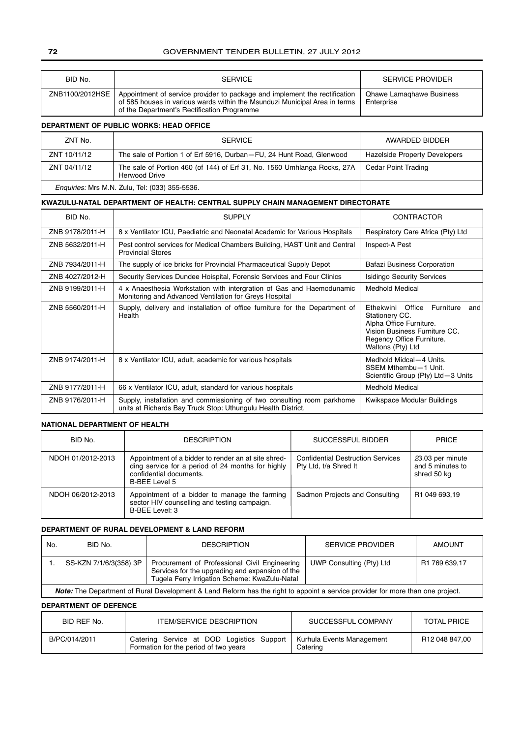### **72** GOVERNMENT TENDER BULLETIN, 27 JULY 2012

| BID No.         | <b>SERVICE</b>                                                                                                                                                                                          | <b>SERVICE PROVIDER</b>                       |
|-----------------|---------------------------------------------------------------------------------------------------------------------------------------------------------------------------------------------------------|-----------------------------------------------|
| ZNB1100/2012HSE | Appointment of service provider to package and implement the rectification<br>of 585 houses in various wards within the Msunduzi Municipal Area in terms<br>of the Department's Rectification Programme | <b>Qhawe Lamaghawe Business</b><br>Enterprise |

#### **DEPARTMENT OF PUBLIC WORKS: HEAD OFFICE**

| ZNT No.                                               | <b>SERVICE</b>                                                                                   | AWARDED BIDDER                       |
|-------------------------------------------------------|--------------------------------------------------------------------------------------------------|--------------------------------------|
|                                                       |                                                                                                  |                                      |
| ZNT 10/11/12                                          | The sale of Portion 1 of Erf 5916, Durban–FU, 24 Hunt Road, Glenwood                             | <b>Hazelside Property Developers</b> |
| ZNT 04/11/12                                          | The sale of Portion 460 (of 144) of Erf 31, No. 1560 Umhlanga Rocks, 27A<br><b>Herwood Drive</b> | Cedar Point Trading                  |
| <i>Enquiries: Mrs M.N. Zulu, Tel: (033) 355-5536.</i> |                                                                                                  |                                      |

### **KWAZULU-NATAL DEPARTMENT OF HEALTH: CENTRAL SUPPLY CHAIN MANAGEMENT DIRECTORATE**

| BID No.         | <b>SUPPLY</b>                                                                                                                          | CONTRACTOR                                                                                                                                                              |  |
|-----------------|----------------------------------------------------------------------------------------------------------------------------------------|-------------------------------------------------------------------------------------------------------------------------------------------------------------------------|--|
| ZNB 9178/2011-H | 8 x Ventilator ICU, Paediatric and Neonatal Academic for Various Hospitals                                                             | Respiratory Care Africa (Pty) Ltd                                                                                                                                       |  |
| ZNB 5632/2011-H | Pest control services for Medical Chambers Building, HAST Unit and Central<br><b>Provincial Stores</b>                                 | Inspect-A Pest                                                                                                                                                          |  |
| ZNB 7934/2011-H | The supply of ice bricks for Provincial Pharmaceutical Supply Depot                                                                    | <b>Bafazi Business Corporation</b>                                                                                                                                      |  |
| ZNB 4027/2012-H | Security Services Dundee Hoispital, Forensic Services and Four Clinics                                                                 | <b>Isidingo Security Services</b>                                                                                                                                       |  |
| ZNB 9199/2011-H | 4 x Anaesthesia Workstation with intergration of Gas and Haemodunamic<br>Monitoring and Advanced Ventilation for Greys Hospital        | <b>Medhold Medical</b>                                                                                                                                                  |  |
| ZNB 5560/2011-H | Supply, delivery and installation of office furniture for the Department of<br>Health                                                  | Office<br>Furniture<br>Ethekwini<br>and<br>Stationery CC.<br>Alpha Office Furniture.<br>Vision Business Furniture CC.<br>Regency Office Furniture.<br>Waltons (Pty) Ltd |  |
| ZNB 9174/2011-H | 8 x Ventilator ICU, adult, academic for various hospitals                                                                              | Medhold Midcal-4 Units.<br>SSEM Mthembu-1 Unit.<br>Scientific Group (Pty) Ltd-3 Units                                                                                   |  |
| ZNB 9177/2011-H | 66 x Ventilator ICU, adult, standard for various hospitals                                                                             | <b>Medhold Medical</b>                                                                                                                                                  |  |
| ZNB 9176/2011-H | Supply, installation and commissioning of two consulting room parkhome<br>units at Richards Bay Truck Stop: Uthungulu Health District. | Kwikspace Modular Buildings                                                                                                                                             |  |

### **NATIONAL DEPARTMENT OF HEALTH**

| BID No.           | <b>DESCRIPTION</b>                                                                                                                                   | SUCCESSFUL BIDDER                                                 | <b>PRICE</b>                                        |
|-------------------|------------------------------------------------------------------------------------------------------------------------------------------------------|-------------------------------------------------------------------|-----------------------------------------------------|
| NDOH 01/2012-2013 | Appointment of a bidder to render an at site shred-<br>ding service for a period of 24 months for highly<br>confidential documents.<br>B-BEE Level 5 | <b>Confidential Destruction Services</b><br>Pty Ltd, t/a Shred It | 23.03 per minute<br>and 5 minutes to<br>shred 50 kg |
| NDOH 06/2012-2013 | Appointment of a bidder to manage the farming<br>sector HIV counselling and testing campaign.<br>B-BEE Level: 3                                      | Sadmon Projects and Consulting                                    | R1 049 693,19                                       |

#### **DEPARTMENT OF RURAL DEVELOPMENT & LAND REFORM**

| No. | BID No.                                                                                                                               | <b>DESCRIPTION</b>                                                                                                                                | <b>SERVICE PROVIDER</b>  | <b>AMOUNT</b> |
|-----|---------------------------------------------------------------------------------------------------------------------------------------|---------------------------------------------------------------------------------------------------------------------------------------------------|--------------------------|---------------|
|     | SS-KZN 7/1/6/3(358) 3P                                                                                                                | Procurement of Professional Civil Engineering<br>Services for the upgrading and expansion of the<br>Tugela Ferry Irrigation Scheme: KwaZulu-Natal | UWP Consulting (Pty) Ltd | R1 769 639.17 |
|     | <b>Note:</b> The Department of Rural Development & Land Reform has the right to appoint a service provider for more than one project. |                                                                                                                                                   |                          |               |

#### **DEPARTMENT OF DEFENCE**

| BID REF No.   | <b>ITEM/SERVICE DESCRIPTION</b>                                                    | SUCCESSFUL COMPANY                    | <b>TOTAL PRICE</b> |
|---------------|------------------------------------------------------------------------------------|---------------------------------------|--------------------|
| B/PC/014/2011 | Catering Service at DOD Logistics Support<br>Formation for the period of two years | Kurhula Events Management<br>Catering | R12 048 847.00     |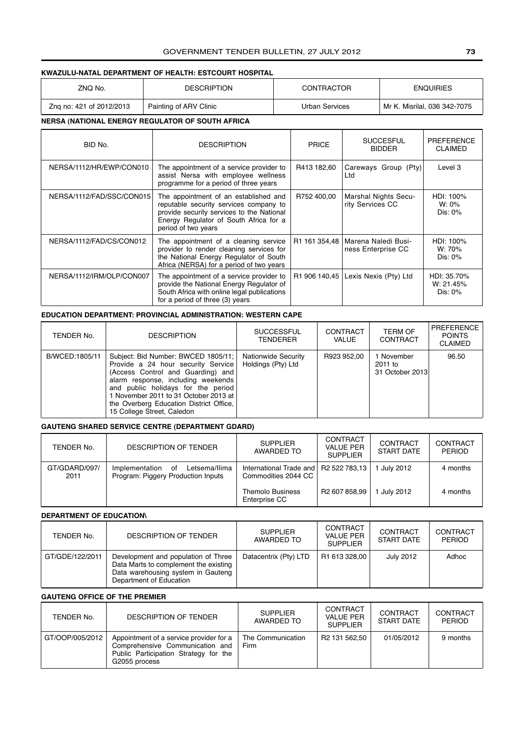#### GOVERNMENT TENDER BULLETIN, 27 JULY 2012 **73**

#### **KWAZULU-NATAL DEPARTMENT OF HEALTH: ESTCOURT HOSPITAL**

| ZNQ No.                  | <b>DESCRIPTION</b>     | <b>CONTRACTOR</b> | <b>ENQUIRIES</b>             |
|--------------------------|------------------------|-------------------|------------------------------|
| Zng no: 421 of 2012/2013 | Painting of ARV Clinic | Urban Services    | Mr K. Misrilal, 036 342-7075 |

#### **NERSA (NATIONAL ENERGY REGULATOR OF SOUTH AFRICA**

| BID No.                   | <b>DESCRIPTION</b>                                                                                                                                                                            | <b>PRICE</b> | <b>SUCCESFUL</b><br><b>BIDDER</b>                         | <b>PREFERENCE</b><br><b>CLAIMED</b>    |
|---------------------------|-----------------------------------------------------------------------------------------------------------------------------------------------------------------------------------------------|--------------|-----------------------------------------------------------|----------------------------------------|
| NERSA/1112/HR/EWP/CON010  | The appointment of a service provider to<br>assist Nersa with employee wellness<br>programme for a period of three years                                                                      | R413 182,60  | Careways Group (Pty)<br>Ltd                               | Level 3                                |
| NERSA/1112/FAD/SSC/CON015 | The appointment of an established and<br>reputable security services company to<br>provide security services to the National<br>Energy Regulator of South Africa for a<br>period of two years | R752 400.00  | <b>Marshal Nights Secu-</b><br>rity Services CC           | HDI: 100%<br>W: 0%<br>$Dis: 0\%$       |
| NERSA/1112/FAD/CS/CON012  | The appointment of a cleaning service<br>provider to render cleaning services for<br>the National Energy Regulator of South<br>Africa (NERSA) for a period of two years                       |              | R1 161 354,48   Marena Naledi Busi-<br>ness Enterprise CC | HDI: 100%<br>W: 70%<br>Dis: $0\%$      |
| NERSA/1112/IRM/OLP/CON007 | The appointment of a service provider to<br>provide the National Energy Regulator of<br>South Africa with online legal publications<br>for a period of three (3) years                        |              | R1 906 140,45   Lexis Nexis (Pty) Ltd                     | HDI: 35.70%<br>W: 21.45%<br>Dis: $0\%$ |

#### **EDUCATION DEPARTMENT: PROVINCIAL ADMINISTRATION: WESTERN CAPE**

| TENDER No.     | <b>DESCRIPTION</b>                                                                                                                                                                                                                                                                                             | <b>SUCCESSFUL</b><br><b>TENDERER</b>             | CONTRACT<br>VALUE | <b>TERM OF</b><br><b>CONTRACT</b>        | PREFERENCE<br><b>POINTS</b><br><b>CLAIMED</b> |
|----------------|----------------------------------------------------------------------------------------------------------------------------------------------------------------------------------------------------------------------------------------------------------------------------------------------------------------|--------------------------------------------------|-------------------|------------------------------------------|-----------------------------------------------|
| B/WCED:1805/11 | Subject: Bid Number: BWCED 1805/11;<br>Provide a 24 hour security Service<br>(Access Control and Guarding) and<br>alarm response, including weekends<br>and public holidays for the period<br>l November 2011 to 31 October 2013 at l<br>the Overberg Education District Office,<br>15 College Street, Caledon | <b>Nationwide Security</b><br>Holdings (Pty) Ltd | R923 952,00       | 1 November<br>2011 to<br>31 October 2013 | 96.50                                         |

#### **GAUTENG SHARED SERVICE CENTRE (DEPARTMENT GDARD)**

| TENDER No.            | <b>DESCRIPTION OF TENDER</b>                                                | <b>SUPPLIER</b><br>AWARDED TO                                  | CONTRACT<br><b>VALUE PER</b><br>SUPPLIFR | CONTRACT<br><b>START DATE</b> | CONTRACT<br><b>PERIOD</b> |
|-----------------------|-----------------------------------------------------------------------------|----------------------------------------------------------------|------------------------------------------|-------------------------------|---------------------------|
| GT/GDARD/097/<br>2011 | Letsema/Ilima<br>Implementation<br>οf<br>Program: Piggery Production Inputs | International Trade and   R2 522 783,13<br>Commodities 2044 CC |                                          | July 2012                     | 4 months                  |
|                       |                                                                             | <b>Themolo Business</b><br>Enterprise CC                       | R <sub>2</sub> 607 858.99                | July 2012                     | 4 months                  |

#### **DEPARTMENT OF EDUCATION\**

| TENDER No.      | DESCRIPTION OF TENDER                                                                                                                         | <b>SUPPLIER</b><br>AWARDED TO | <b>CONTRACT</b><br><b>VALUE PER</b><br><b>SUPPLIER</b> | CONTRACT<br><b>START DATE</b> | CONTRACT<br>PERIOD |
|-----------------|-----------------------------------------------------------------------------------------------------------------------------------------------|-------------------------------|--------------------------------------------------------|-------------------------------|--------------------|
| GT/GDE/122/2011 | Development and population of Three<br>Data Marts to complement the existing<br>Data warehousing system in Gauteng<br>Department of Education | Datacentrix (Pty) LTD         | R1 613 328.00                                          | July 2012                     | Adhoc              |

#### **GAUTENG OFFICE OF THE PREMIER**

| TENDER No.      | <b>DESCRIPTION OF TENDER</b>                                                                                                         | <b>SUPPLIER</b><br>AWARDED TO | <b>CONTRACT</b><br><b>VALUE PER</b><br><b>SUPPLIER</b> | CONTRACT<br>START DATE | CONTRACT<br><b>PERIOD</b> |
|-----------------|--------------------------------------------------------------------------------------------------------------------------------------|-------------------------------|--------------------------------------------------------|------------------------|---------------------------|
| GT/OOP/005/2012 | Appointment of a service provider for a<br>Comprehensive Communication and<br>Public Participation Strategy for the<br>G2055 process | The Communication<br>Firm     | R <sub>2</sub> 131 562.50                              | 01/05/2012             | 9 months                  |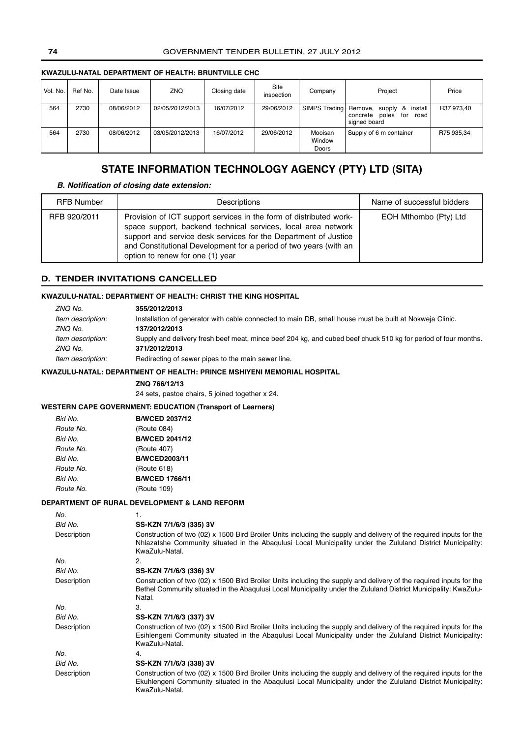#### **KWAZULU-NATAL DEPARTMENT OF HEALTH: BRUNTVILLE CHC**

| Vol. No. | Ref No. | Date Issue | ZNQ             | Closing date | Site<br>inspection | Company                    | Project                                                                                           | Price      |
|----------|---------|------------|-----------------|--------------|--------------------|----------------------------|---------------------------------------------------------------------------------------------------|------------|
| 564      | 2730    | 08/06/2012 | 02/05/2012/2013 | 16/07/2012   | 29/06/2012         |                            | SIMPS Trading Remove, supply<br>install<br>୍ଷ<br>poles<br>concrete<br>for<br>road<br>signed board | R37 973,40 |
| 564      | 2730    | 08/06/2012 | 03/05/2012/2013 | 16/07/2012   | 29/06/2012         | Mooisan<br>Window<br>Doors | Supply of 6 m container                                                                           | R75 935,34 |

# **STATE INFORMATION TECHNOLOGY AGENCY (PTY) LTD (SITA)**

#### *B. Notification of closing date extension:*

| <b>RFB Number</b> | Descriptions                                                                                                                                                                                                                                                                                                    | Name of successful bidders |
|-------------------|-----------------------------------------------------------------------------------------------------------------------------------------------------------------------------------------------------------------------------------------------------------------------------------------------------------------|----------------------------|
| RFB 920/2011      | Provision of ICT support services in the form of distributed work-<br>space support, backend technical services, local area network<br>support and service desk services for the Department of Justice<br>and Constitutional Development for a period of two years (with an<br>option to renew for one (1) year | EOH Mthombo (Pty) Ltd      |

#### **D. TENDER INVITATIONS CANCELLED**

#### **KWAZULU-NATAL: DEPARTMENT OF HEALTH: CHRIST THE KING HOSPITAL**

| ZNQ No.           | 355/2012/2013                                                                                                  |
|-------------------|----------------------------------------------------------------------------------------------------------------|
| Item description: | Installation of generator with cable connected to main DB, small house must be built at Nokweja Clinic.        |
| ZNQ No.           | 137/2012/2013                                                                                                  |
| Item description: | Supply and delivery fresh beef meat, mince beef 204 kg, and cubed beef chuck 510 kg for period of four months. |
| ZNQ No.           | 371/2012/2013                                                                                                  |
| Item description: | Redirecting of sewer pipes to the main sewer line.                                                             |

#### **KWAZULU-NATAL: DEPARTMENT OF HEALTH: PRINCE MSHIYENI MEMORIAL HOSPITAL**

**ZNQ 766/12/13**

24 sets, pastoe chairs, 5 joined together x 24.

#### **WESTERN CAPE GOVERNMENT: EDUCATION (Transport of Learners)**

| Bid No.   | <b>B/WCED 2037/12</b> |
|-----------|-----------------------|
| Route No. | (Route 084)           |
| Bid No.   | <b>B/WCED 2041/12</b> |
| Route No. | (Route 407)           |
| Bid No.   | <b>B/WCED2003/11</b>  |
| Route No. | (Route 618)           |
| Bid No.   | <b>B/WCED 1766/11</b> |
| Route No. | (Route 109)           |

#### **DEPARTMENT OF RURAL DEVELOPMENT & LAND REFORM**

| No.         | 1.                                                                                                                                                                                                                                                    |
|-------------|-------------------------------------------------------------------------------------------------------------------------------------------------------------------------------------------------------------------------------------------------------|
| Bid No.     | SS-KZN 7/1/6/3 (335) 3V                                                                                                                                                                                                                               |
| Description | Construction of two (02) x 1500 Bird Broiler Units including the supply and delivery of the required inputs for the<br>Nhlazatshe Community situated in the Abagulusi Local Municipality under the Zululand District Municipality:<br>KwaZulu-Natal.  |
| No.         | 2.                                                                                                                                                                                                                                                    |
| Bid No.     | SS-KZN 7/1/6/3 (336) 3V                                                                                                                                                                                                                               |
| Description | Construction of two (02) x 1500 Bird Broiler Units including the supply and delivery of the required inputs for the<br>Bethel Community situated in the Abagulusi Local Municipality under the Zululand District Municipality: KwaZulu-<br>Natal.     |
| No.         | 3.                                                                                                                                                                                                                                                    |
| Bid No.     | SS-KZN 7/1/6/3 (337) 3V                                                                                                                                                                                                                               |
| Description | Construction of two (02) x 1500 Bird Broiler Units including the supply and delivery of the required inputs for the<br>Esihlengeni Community situated in the Abagulusi Local Municipality under the Zululand District Municipality:<br>KwaZulu-Natal. |
| No.         | 4.                                                                                                                                                                                                                                                    |
| Bid No.     | SS-KZN 7/1/6/3 (338) 3V                                                                                                                                                                                                                               |
| Description | Construction of two (02) x 1500 Bird Broiler Units including the supply and delivery of the required inputs for the<br>Ekuhlengeni Community situated in the Abagulusi Local Municipality under the Zululand District Municipality:<br>KwaZulu-Natal. |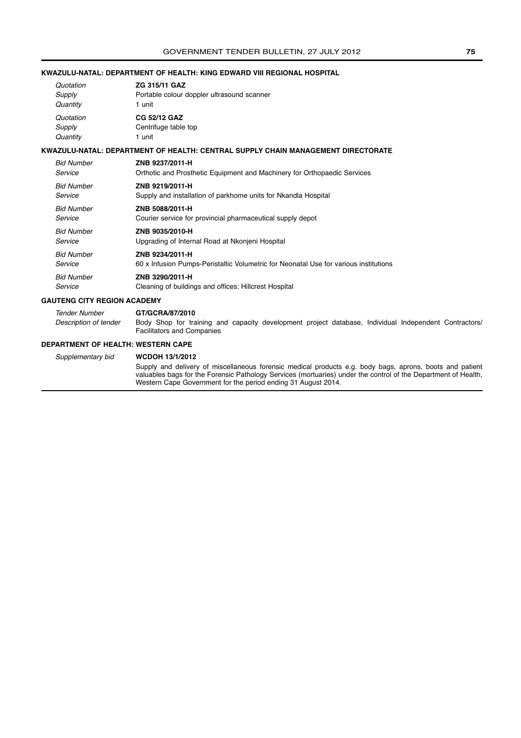#### **KWAZULU-NATAL: DEPARTMENT OF HEALTH: KING EDWARD VIII REGIONAL HOSPITAL**

| Quotation | ZG 315/11 GAZ                              |
|-----------|--------------------------------------------|
| Supply    | Portable colour doppler ultrasound scanner |
| Quantity  | 1 unit                                     |
| Quotation | <b>CG 52/12 GAZ</b>                        |
| Supply    | Centrifuge table top                       |
| Quantity  | 1 unit                                     |

#### **KWAZULU-NATAL: DEPARTMENT OF HEALTH: CENTRAL SUPPLY CHAIN MANAGEMENT DIRECTORATE**

| <b>Bid Number</b> | ZNB 9237/2011-H                                                                      |
|-------------------|--------------------------------------------------------------------------------------|
| Service           | Orthotic and Prosthetic Equipment and Machinery for Orthopaedic Services             |
| <b>Bid Number</b> | ZNB 9219/2011-H                                                                      |
| Service           | Supply and installation of parkhome units for Nkandla Hospital                       |
| <b>Bid Number</b> | ZNB 5088/2011-H                                                                      |
| Service           | Courier service for provincial pharmaceutical supply depot                           |
| <b>Bid Number</b> | ZNB 9035/2010-H                                                                      |
| Service           | Upgrading of Internal Road at Nkonieni Hospital                                      |
| <b>Bid Number</b> | ZNB 9234/2011-H                                                                      |
| Service           | 60 x Infusion Pumps-Peristaltic Volumetric for Neonatal Use for various institutions |
| <b>Bid Number</b> | ZNB 3290/2011-H                                                                      |
| Service           | Cleaning of buildings and offices: Hillcrest Hospital                                |

#### **GAUTENG CITY REGION ACADEMY**

Tender Number **GT/GCRA/87/2010** Description of tender Body Shop for training and capacity development project database, Individual Independent Contractors/ Facilitators and Companies

#### **DEPARTMENT OF HEALTH: WESTERN CAPE**

Supplementary bid **WCDOH 13/1/2012** Supply and delivery of miscellaneous forensic medical products e.g. body bags, aprons, boots and patient valuables bags for the Forensic Pathology Services (mortuaries) under the control of the Department of Health, Western Cape Government for the period ending 31 August 2014.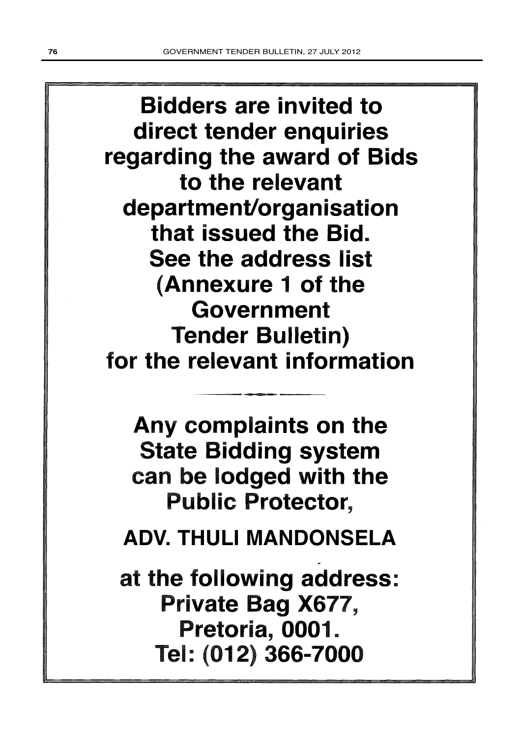Bidders are invited to direct tender enquiries regarding the award of Bids to the relevant department/organisation that issued the Bid. See the address list (Annexure 1 of the Government Tender Bulletin) for the relevant information

Any complaints on the State Bidding system can be lodged with the Public Protector,

N THILL MANDONSELA TULI MANUUTIULL **ADV. THULI MANDONSELA**

at the following address: Private Bag X677, Pretoria, 0001. Tel: (012) 366-7000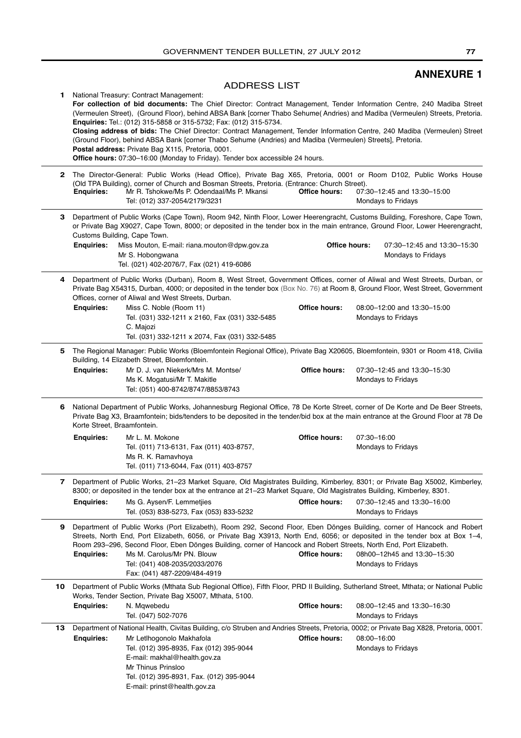# **ANNEXURE 1**

### ADDRESS LIST

| 1.  |                             | National Treasury: Contract Management:<br>For collection of bid documents: The Chief Director: Contract Management, Tender Information Centre, 240 Madiba Street<br>(Vermeulen Street), (Ground Floor), behind ABSA Bank [corner Thabo Sehume( Andries) and Madiba (Vermeulen) Streets, Pretoria.<br>Enquiries: Tel.: (012) 315-5858 or 315-5732; Fax: (012) 315-5734.<br>Closing address of bids: The Chief Director: Contract Management, Tender Information Centre, 240 Madiba (Vermeulen) Street<br>(Ground Floor), behind ABSA Bank [corner Thabo Sehume (Andries) and Madiba (Vermeulen) Streets], Pretoria.<br>Postal address: Private Bag X115, Pretoria, 0001.<br><b>Office hours:</b> 07:30-16:00 (Monday to Friday). Tender box accessible 24 hours. |                      |                                                         |
|-----|-----------------------------|------------------------------------------------------------------------------------------------------------------------------------------------------------------------------------------------------------------------------------------------------------------------------------------------------------------------------------------------------------------------------------------------------------------------------------------------------------------------------------------------------------------------------------------------------------------------------------------------------------------------------------------------------------------------------------------------------------------------------------------------------------------|----------------------|---------------------------------------------------------|
| 2   | <b>Enquiries:</b>           | The Director-General: Public Works (Head Office), Private Bag X65, Pretoria, 0001 or Room D102, Public Works House<br>(Old TPA Building), corner of Church and Bosman Streets, Pretoria. (Entrance: Church Street).<br>Mr R. Tshokwe/Ms P. Odendaal/Ms P. Mkansi<br>Tel: (012) 337-2054/2179/3231                                                                                                                                                                                                                                                                                                                                                                                                                                                                | Office hours:        | 07:30-12:45 and 13:30-15:00<br>Mondays to Fridays       |
| З.  | <b>Enquiries:</b>           | Department of Public Works (Cape Town), Room 942, Ninth Floor, Lower Heerengracht, Customs Building, Foreshore, Cape Town,<br>or Private Bag X9027, Cape Town, 8000; or deposited in the tender box in the main entrance, Ground Floor, Lower Heerengracht,<br>Customs Building, Cape Town.<br>Miss Mouton, E-mail: riana.mouton@dpw.gov.za<br>Mr S. Hobongwana                                                                                                                                                                                                                                                                                                                                                                                                  | Office hours:        | 07:30-12:45 and 13:30-15:30<br>Mondays to Fridays       |
|     |                             | Tel. (021) 402-2076/7, Fax (021) 419-6086                                                                                                                                                                                                                                                                                                                                                                                                                                                                                                                                                                                                                                                                                                                        |                      |                                                         |
| 4   | <b>Enquiries:</b>           | Department of Public Works (Durban), Room 8, West Street, Government Offices, corner of Aliwal and West Streets, Durban, or<br>Private Bag X54315, Durban, 4000; or deposited in the tender box (Box No. 76) at Room 8, Ground Floor, West Street, Government<br>Offices, corner of Aliwal and West Streets, Durban.<br>Miss C. Noble (Room 11)<br>Tel. (031) 332-1211 x 2160, Fax (031) 332-5485<br>C. Majozi<br>Tel. (031) 332-1211 x 2074, Fax (031) 332-5485                                                                                                                                                                                                                                                                                                 | <b>Office hours:</b> | 08:00-12:00 and 13:30-15:00<br>Mondays to Fridays       |
| 5   | <b>Enquiries:</b>           | The Regional Manager: Public Works (Bloemfontein Regional Office), Private Bag X20605, Bloemfontein, 9301 or Room 418, Civilia<br>Building, 14 Elizabeth Street, Bloemfontein.<br>Mr D. J. van Niekerk/Mrs M. Montse/<br>Ms K. Mogatusi/Mr T. Makitle<br>Tel: (051) 400-8742/8747/8853/8743                                                                                                                                                                                                                                                                                                                                                                                                                                                                      | <b>Office hours:</b> | 07:30-12:45 and 13:30-15:30<br>Mondays to Fridays       |
| 6   | Korte Street, Braamfontein. | National Department of Public Works, Johannesburg Regional Office, 78 De Korte Street, corner of De Korte and De Beer Streets,<br>Private Bag X3, Braamfontein; bids/tenders to be deposited in the tender/bid box at the main entrance at the Ground Floor at 78 De                                                                                                                                                                                                                                                                                                                                                                                                                                                                                             |                      |                                                         |
|     | <b>Enquiries:</b>           | Mr L. M. Mokone<br>Tel. (011) 713-6131, Fax (011) 403-8757,<br>Ms R. K. Ramavhoya<br>Tel. (011) 713-6044, Fax (011) 403-8757                                                                                                                                                                                                                                                                                                                                                                                                                                                                                                                                                                                                                                     | <b>Office hours:</b> | 07:30-16:00<br>Mondays to Fridays                       |
| 7   | <b>Enquiries:</b>           | Department of Public Works, 21-23 Market Square, Old Magistrates Building, Kimberley, 8301; or Private Bag X5002, Kimberley,<br>8300; or deposited in the tender box at the entrance at 21-23 Market Square, Old Magistrates Building, Kimberley, 8301.<br>Ms G. Aysen/F. Lemmetjies<br>Tel. (053) 838-5273, Fax (053) 833-5232                                                                                                                                                                                                                                                                                                                                                                                                                                  | Office hours:        | 07:30-12:45 and 13:30-16:00<br>Mondays to Fridays       |
| 9   | <b>Enquiries:</b>           | Department of Public Works (Port Elizabeth), Room 292, Second Floor, Eben Dönges Building, corner of Hancock and Robert<br>Streets, North End, Port Elizabeth, 6056, or Private Bag X3913, North End, 6056; or deposited in the tender box at Box 1-4,<br>Room 293-296, Second Floor, Eben Dönges Building, corner of Hancock and Robert Streets, North End, Port Elizabeth.<br>Ms M. Carolus/Mr PN. Blouw<br>Tel: (041) 408-2035/2033/2076<br>Fax: (041) 487-2209/484-4919                                                                                                                                                                                                                                                                                      | Office hours:        | 08h00-12h45 and 13:30-15:30<br>Mondays to Fridays       |
| 10. | <b>Enquiries:</b>           | Department of Public Works (Mthata Sub Regional Office), Fifth Floor, PRD II Building, Sutherland Street, Mthata; or National Public<br>Works, Tender Section, Private Bag X5007, Mthata, 5100.<br>N. Mqwebedu                                                                                                                                                                                                                                                                                                                                                                                                                                                                                                                                                   | Office hours:        | 08:00-12:45 and 13:30-16:30                             |
| 13  | <b>Enquiries:</b>           | Tel. (047) 502-7076<br>Department of National Health, Civitas Building, c/o Struben and Andries Streets, Pretoria, 0002; or Private Bag X828, Pretoria, 0001.<br>Mr Letlhogonolo Makhafola<br>Tel. (012) 395-8935, Fax (012) 395-9044<br>E-mail: makhal@health.gov.za<br>Mr Thinus Prinsloo<br>Tel. (012) 395-8931, Fax. (012) 395-9044<br>E-mail: prinst@health.gov.za                                                                                                                                                                                                                                                                                                                                                                                          | Office hours:        | Mondays to Fridays<br>08:00-16:00<br>Mondays to Fridays |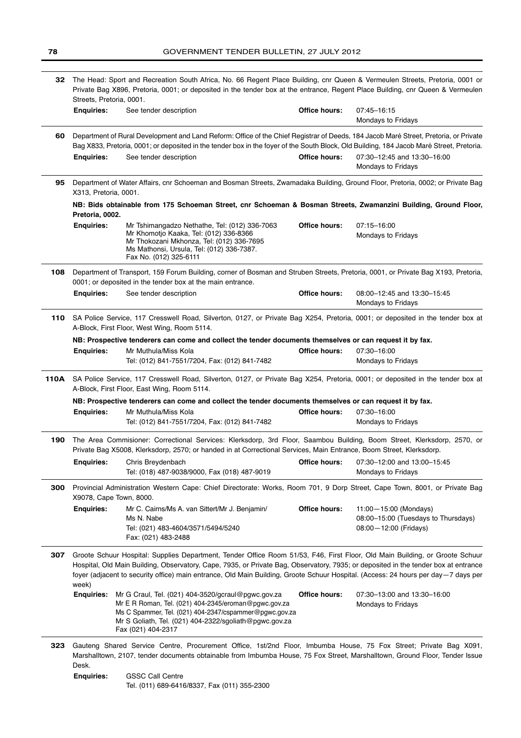| The Head: Sport and Recreation South Africa, No. 66 Regent Place Building, cnr Queen & Vermeulen Streets, Pretoria, 0001 or<br>32<br>Private Bag X896, Pretoria, 0001; or deposited in the tender box at the entrance, Regent Place Building, cnr Queen & Vermeulen<br>Streets, Pretoria, 0001. |                                                                                                                                                                                                                                                                                                                                                                                                                    |                                                                                                                                                                                                                                                                                                            |               |                                                                            |  |
|-------------------------------------------------------------------------------------------------------------------------------------------------------------------------------------------------------------------------------------------------------------------------------------------------|--------------------------------------------------------------------------------------------------------------------------------------------------------------------------------------------------------------------------------------------------------------------------------------------------------------------------------------------------------------------------------------------------------------------|------------------------------------------------------------------------------------------------------------------------------------------------------------------------------------------------------------------------------------------------------------------------------------------------------------|---------------|----------------------------------------------------------------------------|--|
|                                                                                                                                                                                                                                                                                                 | <b>Enquiries:</b>                                                                                                                                                                                                                                                                                                                                                                                                  | See tender description                                                                                                                                                                                                                                                                                     | Office hours: | 07:45-16:15<br>Mondays to Fridays                                          |  |
| 60                                                                                                                                                                                                                                                                                              | <b>Enquiries:</b>                                                                                                                                                                                                                                                                                                                                                                                                  | Department of Rural Development and Land Reform: Office of the Chief Registrar of Deeds, 184 Jacob Maré Street, Pretoria, or Private<br>Bag X833, Pretoria, 0001; or deposited in the tender box in the foyer of the South Block, Old Building, 184 Jacob Maré Street, Pretoria.<br>See tender description | Office hours: | 07:30-12:45 and 13:30-16:00<br>Mondays to Fridays                          |  |
| 95.                                                                                                                                                                                                                                                                                             | X313, Pretoria, 0001.                                                                                                                                                                                                                                                                                                                                                                                              | Department of Water Affairs, cnr Schoeman and Bosman Streets, Zwamadaka Building, Ground Floor, Pretoria, 0002; or Private Bag                                                                                                                                                                             |               |                                                                            |  |
|                                                                                                                                                                                                                                                                                                 | Pretoria, 0002.                                                                                                                                                                                                                                                                                                                                                                                                    | NB: Bids obtainable from 175 Schoeman Street, cnr Schoeman & Bosman Streets, Zwamanzini Building, Ground Floor,                                                                                                                                                                                            |               |                                                                            |  |
|                                                                                                                                                                                                                                                                                                 | <b>Enquiries:</b>                                                                                                                                                                                                                                                                                                                                                                                                  | Mr Tshimangadzo Nethathe, Tel: (012) 336-7063<br>Mr Khomotjo Kaaka, Tel: (012) 336-8366<br>Mr Thokozani Mkhonza, Tel: (012) 336-7695<br>Ms Mathonsi, Ursula, Tel: (012) 336-7387.<br>Fax No. (012) 325-6111                                                                                                | Office hours: | 07:15-16:00<br>Mondays to Fridays                                          |  |
| 108                                                                                                                                                                                                                                                                                             |                                                                                                                                                                                                                                                                                                                                                                                                                    | Department of Transport, 159 Forum Building, corner of Bosman and Struben Streets, Pretoria, 0001, or Private Bag X193, Pretoria,<br>0001; or deposited in the tender box at the main entrance.                                                                                                            |               |                                                                            |  |
|                                                                                                                                                                                                                                                                                                 | <b>Enquiries:</b>                                                                                                                                                                                                                                                                                                                                                                                                  | See tender description                                                                                                                                                                                                                                                                                     | Office hours: | 08:00-12:45 and 13:30-15:45<br>Mondays to Fridays                          |  |
| 110                                                                                                                                                                                                                                                                                             |                                                                                                                                                                                                                                                                                                                                                                                                                    | SA Police Service, 117 Cresswell Road, Silverton, 0127, or Private Bag X254, Pretoria, 0001; or deposited in the tender box at<br>A-Block, First Floor, West Wing, Room 5114.                                                                                                                              |               |                                                                            |  |
|                                                                                                                                                                                                                                                                                                 |                                                                                                                                                                                                                                                                                                                                                                                                                    | NB: Prospective tenderers can come and collect the tender documents themselves or can request it by fax.                                                                                                                                                                                                   |               |                                                                            |  |
|                                                                                                                                                                                                                                                                                                 | <b>Enquiries:</b>                                                                                                                                                                                                                                                                                                                                                                                                  | Mr Muthula/Miss Kola                                                                                                                                                                                                                                                                                       | Office hours: | 07:30-16:00                                                                |  |
|                                                                                                                                                                                                                                                                                                 |                                                                                                                                                                                                                                                                                                                                                                                                                    | Tel: (012) 841-7551/7204, Fax: (012) 841-7482                                                                                                                                                                                                                                                              |               | Mondays to Fridays                                                         |  |
| 110A                                                                                                                                                                                                                                                                                            |                                                                                                                                                                                                                                                                                                                                                                                                                    | SA Police Service, 117 Cresswell Road, Silverton, 0127, or Private Bag X254, Pretoria, 0001; or deposited in the tender box at<br>A-Block, First Floor, East Wing, Room 5114.                                                                                                                              |               |                                                                            |  |
|                                                                                                                                                                                                                                                                                                 |                                                                                                                                                                                                                                                                                                                                                                                                                    | NB: Prospective tenderers can come and collect the tender documents themselves or can request it by fax.                                                                                                                                                                                                   |               |                                                                            |  |
|                                                                                                                                                                                                                                                                                                 | <b>Enquiries:</b>                                                                                                                                                                                                                                                                                                                                                                                                  | Mr Muthula/Miss Kola                                                                                                                                                                                                                                                                                       | Office hours: | 07:30-16:00                                                                |  |
|                                                                                                                                                                                                                                                                                                 |                                                                                                                                                                                                                                                                                                                                                                                                                    | Tel: (012) 841-7551/7204, Fax: (012) 841-7482                                                                                                                                                                                                                                                              |               | Mondays to Fridays                                                         |  |
| 190                                                                                                                                                                                                                                                                                             | The Area Commisioner: Correctional Services: Klerksdorp, 3rd Floor, Saambou Building, Boom Street, Klerksdorp, 2570, or<br>Private Bag X5008, Klerksdorp, 2570; or handed in at Correctional Services, Main Entrance, Boom Street, Klerksdorp.                                                                                                                                                                     |                                                                                                                                                                                                                                                                                                            |               |                                                                            |  |
|                                                                                                                                                                                                                                                                                                 | <b>Enguiries:</b>                                                                                                                                                                                                                                                                                                                                                                                                  | Chris Breydenbach<br>Tel: (018) 487-9038/9000, Fax (018) 487-9019                                                                                                                                                                                                                                          |               | <b>Office hours:</b> $07:30-12:00$ and $13:00-15:45$<br>Mondays to Fridays |  |
| 300                                                                                                                                                                                                                                                                                             | X9078, Cape Town, 8000.                                                                                                                                                                                                                                                                                                                                                                                            | Provincial Administration Western Cape: Chief Directorate: Works, Room 701, 9 Dorp Street, Cape Town, 8001, or Private Bag                                                                                                                                                                                 |               |                                                                            |  |
|                                                                                                                                                                                                                                                                                                 | <b>Enquiries:</b>                                                                                                                                                                                                                                                                                                                                                                                                  | Mr C. Cairns/Ms A. van Sittert/Mr J. Benjamin/                                                                                                                                                                                                                                                             | Office hours: | 11:00-15:00 (Mondays)                                                      |  |
|                                                                                                                                                                                                                                                                                                 |                                                                                                                                                                                                                                                                                                                                                                                                                    | Ms N. Nabe                                                                                                                                                                                                                                                                                                 |               | 08:00-15:00 (Tuesdays to Thursdays)                                        |  |
|                                                                                                                                                                                                                                                                                                 |                                                                                                                                                                                                                                                                                                                                                                                                                    | Tel: (021) 483-4604/3571/5494/5240<br>Fax: (021) 483-2488                                                                                                                                                                                                                                                  |               | 08:00 - 12:00 (Fridays)                                                    |  |
| 307                                                                                                                                                                                                                                                                                             | Groote Schuur Hospital: Supplies Department, Tender Office Room 51/53, F46, First Floor, Old Main Building, or Groote Schuur<br>Hospital, Old Main Building, Observatory, Cape, 7935, or Private Bag, Observatory, 7935; or deposited in the tender box at entrance<br>foyer (adjacent to security office) main entrance, Old Main Building, Groote Schuur Hospital. (Access: 24 hours per day-7 days per<br>week) |                                                                                                                                                                                                                                                                                                            |               |                                                                            |  |
|                                                                                                                                                                                                                                                                                                 | <b>Enquiries:</b>                                                                                                                                                                                                                                                                                                                                                                                                  | Mr G Craul, Tel. (021) 404-3520/gcraul@pgwc.gov.za<br>Mr E R Roman, Tel. (021) 404-2345/eroman@pgwc.gov.za<br>Ms C Spammer, Tel. (021) 404-2347/cspammer@pgwc.gov.za<br>Mr S Goliath, Tel. (021) 404-2322/sgoliath@pgwc.gov.za<br>Fax (021) 404-2317                                                       | Office hours: | 07:30-13:00 and 13:30-16:00<br>Mondays to Fridays                          |  |
| 323                                                                                                                                                                                                                                                                                             | Desk.                                                                                                                                                                                                                                                                                                                                                                                                              | Gauteng Shared Service Centre, Procurement Office, 1st/2nd Floor, Imbumba House, 75 Fox Street; Private Bag X091,<br>Marshalltown, 2107, tender documents obtainable from Imbumba House, 75 Fox Street, Marshalltown, Ground Floor, Tender Issue                                                           |               |                                                                            |  |

**Enquiries: GSSC Call Centre** Tel. (011) 689-6416/8337, Fax (011) 355-2300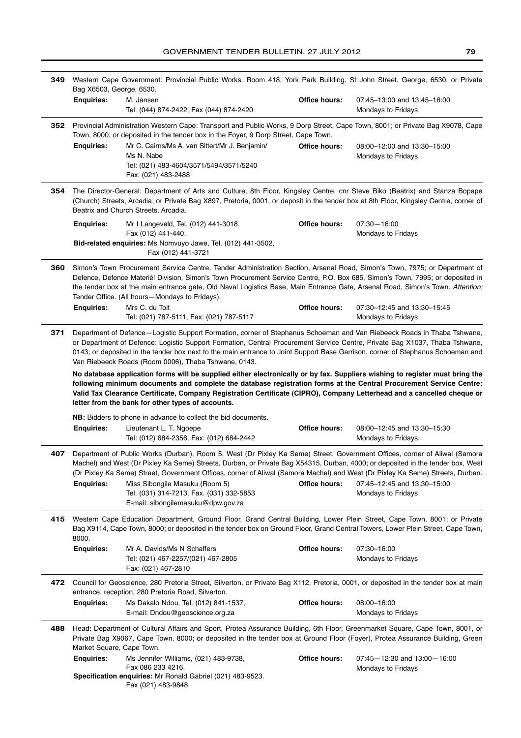| 349 | Western Cape Government: Provincial Public Works, Room 418, York Park Building, St John Street, George, 6530, or Private<br>Bag X6503, George, 6530.                                                                                                                                                                                                                                                                                                                                                                                                                                                                                                                                                                                                                                                                                |                                                                                                                                                                                                                                                                                                                                                                                                                                                                                                                |                      |                                                           |
|-----|-------------------------------------------------------------------------------------------------------------------------------------------------------------------------------------------------------------------------------------------------------------------------------------------------------------------------------------------------------------------------------------------------------------------------------------------------------------------------------------------------------------------------------------------------------------------------------------------------------------------------------------------------------------------------------------------------------------------------------------------------------------------------------------------------------------------------------------|----------------------------------------------------------------------------------------------------------------------------------------------------------------------------------------------------------------------------------------------------------------------------------------------------------------------------------------------------------------------------------------------------------------------------------------------------------------------------------------------------------------|----------------------|-----------------------------------------------------------|
|     | <b>Enquiries:</b>                                                                                                                                                                                                                                                                                                                                                                                                                                                                                                                                                                                                                                                                                                                                                                                                                   | M. Jansen<br>Tel. (044) 874-2422, Fax (044) 874-2420                                                                                                                                                                                                                                                                                                                                                                                                                                                           | Office hours:        | 07:45-13:00 and 13:45-16:00<br>Mondays to Fridays         |
| 352 | Provincial Administration Western Cape: Transport and Public Works, 9 Dorp Street, Cape Town, 8001; or Private Bag X9078, Cape<br>Town, 8000; or deposited in the tender box in the Foyer, 9 Dorp Street, Cape Town.                                                                                                                                                                                                                                                                                                                                                                                                                                                                                                                                                                                                                |                                                                                                                                                                                                                                                                                                                                                                                                                                                                                                                |                      |                                                           |
|     | <b>Enquiries:</b>                                                                                                                                                                                                                                                                                                                                                                                                                                                                                                                                                                                                                                                                                                                                                                                                                   | Mr C. Cairns/Ms A. van Sittert/Mr J. Benjamin/<br>Ms N. Nabe<br>Tel: (021) 483-4604/3571/5494/3571/5240<br>Fax: (021) 483-2488                                                                                                                                                                                                                                                                                                                                                                                 | <b>Office hours:</b> | 08:00-12:00 and 13:30-15:00<br>Mondays to Fridays         |
| 354 |                                                                                                                                                                                                                                                                                                                                                                                                                                                                                                                                                                                                                                                                                                                                                                                                                                     | The Director-General: Department of Arts and Culture, 8th Floor, Kingsley Centre, cnr Steve Biko (Beatrix) and Stanza Bopape<br>(Church) Streets, Arcadia; or Private Bag X897, Pretoria, 0001, or deposit in the tender box at 8th Floor, Kingsley Centre, corner of<br>Beatrix and Church Streets, Arcadia.                                                                                                                                                                                                  |                      |                                                           |
|     | <b>Enquiries:</b>                                                                                                                                                                                                                                                                                                                                                                                                                                                                                                                                                                                                                                                                                                                                                                                                                   | Mr I Langeveld, Tel. (012) 441-3018.<br>Fax (012) 441-440.                                                                                                                                                                                                                                                                                                                                                                                                                                                     | Office hours:        | $07:30 - 16:00$<br>Mondays to Fridays                     |
|     |                                                                                                                                                                                                                                                                                                                                                                                                                                                                                                                                                                                                                                                                                                                                                                                                                                     | Bid-related enquiries: Ms Nomvuyo Jawe, Tel. (012) 441-3502,<br>Fax (012) 441-3721                                                                                                                                                                                                                                                                                                                                                                                                                             |                      |                                                           |
| 360 | <b>Enquiries:</b>                                                                                                                                                                                                                                                                                                                                                                                                                                                                                                                                                                                                                                                                                                                                                                                                                   | Simon's Town Procurement Service Centre, Tender Administration Section, Arsenal Road, Simon's Town, 7975; or Department of<br>Defence, Defence Materièl Division, Simon's Town Procurement Service Centre, P.O. Box 685, Simon's Town, 7995; or deposited in<br>the tender box at the main entrance gate, Old Naval Logistics Base, Main Entrance Gate, Arsenal Road, Simon's Town. Attention:<br>Tender Office. (All hours-Mondays to Fridays).<br>Mrs C. du Toit<br>Tel: (021) 787-5111, Fax: (021) 787-5117 | <b>Office hours:</b> | 07:30-12:45 and 13:30-15:45<br>Mondays to Fridays         |
| 371 | Department of Defence-Logistic Support Formation, corner of Stephanus Schoeman and Van Riebeeck Roads in Thaba Tshwane,<br>or Department of Defence: Logistic Support Formation, Central Procurement Service Centre, Private Bag X1037, Thaba Tshwane,<br>0143; or deposited in the tender box next to the main entrance to Joint Support Base Garrison, corner of Stephanus Schoeman and<br>Van Riebeeck Roads (Room 0006), Thaba Tshwane, 0143.<br>No database application forms will be supplied either electronically or by fax. Suppliers wishing to register must bring the<br>following minimum documents and complete the database registration forms at the Central Procurement Service Centre:<br>Valid Tax Clearance Certificate, Company Registration Certificate (CIPRO), Company Letterhead and a cancelled cheque or |                                                                                                                                                                                                                                                                                                                                                                                                                                                                                                                |                      |                                                           |
|     |                                                                                                                                                                                                                                                                                                                                                                                                                                                                                                                                                                                                                                                                                                                                                                                                                                     | letter from the bank for other types of accounts.                                                                                                                                                                                                                                                                                                                                                                                                                                                              |                      |                                                           |
|     |                                                                                                                                                                                                                                                                                                                                                                                                                                                                                                                                                                                                                                                                                                                                                                                                                                     | NB: Bidders to phone in advance to collect the bid documents.                                                                                                                                                                                                                                                                                                                                                                                                                                                  |                      |                                                           |
|     | <b>Enquiries:</b>                                                                                                                                                                                                                                                                                                                                                                                                                                                                                                                                                                                                                                                                                                                                                                                                                   | Lieutenant L. T. Ngoepe<br>Tel: (012) 684-2356, Fax: (012) 684-2442                                                                                                                                                                                                                                                                                                                                                                                                                                            | Office hours:        | 08:00-12:45 and 13:30-15:30<br>Mondays to Fridays         |
| 407 |                                                                                                                                                                                                                                                                                                                                                                                                                                                                                                                                                                                                                                                                                                                                                                                                                                     | Department of Public Works (Durban), Room 5, West (Dr Pixley Ka Seme) Street, Government Offices, corner of Aliwal (Samora<br>Machel) and West (Dr Pixley Ka Seme) Streets, Durban, or Private Bag X54315, Durban, 4000; or deposited in the tender box, West<br>(Dr Pixley Ka Seme) Street, Government Offices, corner of Aliwal (Samora Machel) and West (Dr Pixley Ka Seme) Streets, Durban.                                                                                                                |                      |                                                           |
|     | <b>Enquiries:</b>                                                                                                                                                                                                                                                                                                                                                                                                                                                                                                                                                                                                                                                                                                                                                                                                                   | Miss Sibongile Masuku (Room 5)<br>Tel. (031) 314-7213, Fax. (031) 332-5853<br>E-mail: sibongilemasuku@dpw.gov.za                                                                                                                                                                                                                                                                                                                                                                                               | Office hours:        | 07:45-12:45 and 13:30-15:00<br>Mondays to Fridays         |
| 415 | 8000.                                                                                                                                                                                                                                                                                                                                                                                                                                                                                                                                                                                                                                                                                                                                                                                                                               | Western Cape Education Department, Ground Floor, Grand Central Building, Lower Plein Street, Cape Town, 8001; or Private<br>Bag X9114, Cape Town, 8000; or deposited in the tender box on Ground Floor, Grand Central Towers, Lower Plein Street, Cape Town,                                                                                                                                                                                                                                                   |                      |                                                           |
|     | <b>Enquiries:</b>                                                                                                                                                                                                                                                                                                                                                                                                                                                                                                                                                                                                                                                                                                                                                                                                                   | Mr A. Davids/Ms N Schaffers<br>Tel: (021) 467-2257/(021) 467-2805<br>Fax: (021) 467-2810                                                                                                                                                                                                                                                                                                                                                                                                                       | Office hours:        | 07:30-16:00<br>Mondays to Fridays                         |
| 472 |                                                                                                                                                                                                                                                                                                                                                                                                                                                                                                                                                                                                                                                                                                                                                                                                                                     | Council for Geoscience, 280 Pretoria Street, Silverton, or Private Bag X112, Pretoria, 0001, or deposited in the tender box at main<br>entrance, reception, 280 Pretoria Road, Silverton.                                                                                                                                                                                                                                                                                                                      |                      |                                                           |
|     | <b>Enquiries:</b>                                                                                                                                                                                                                                                                                                                                                                                                                                                                                                                                                                                                                                                                                                                                                                                                                   | Ms Dakalo Ndou, Tel. (012) 841-1537,<br>E-mail: Dndou@geoscience.org.za                                                                                                                                                                                                                                                                                                                                                                                                                                        | Office hours:        | 08:00-16:00<br>Mondays to Fridays                         |
| 488 | Market Square, Cape Town.                                                                                                                                                                                                                                                                                                                                                                                                                                                                                                                                                                                                                                                                                                                                                                                                           | Head: Department of Cultural Affairs and Sport, Protea Assurance Building, 6th Floor, Greenmarket Square, Cape Town, 8001, or<br>Private Bag X9067, Cape Town, 8000; or deposited in the tender box at Ground Floor (Foyer), Protea Assurance Building, Green                                                                                                                                                                                                                                                  |                      |                                                           |
|     | <b>Enquiries:</b>                                                                                                                                                                                                                                                                                                                                                                                                                                                                                                                                                                                                                                                                                                                                                                                                                   | Ms Jennifer Williams, (021) 483-9738,<br>Fax 086 233 4216.<br>Specification enquiries: Mr Ronald Gabriel (021) 483-9523.                                                                                                                                                                                                                                                                                                                                                                                       | Office hours:        | $07:45 - 12:30$ and $13:00 - 16:00$<br>Mondays to Fridays |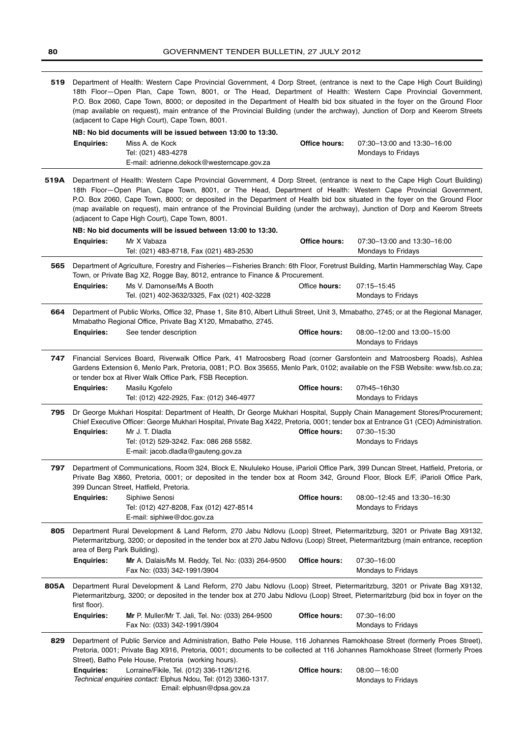| 519  | Department of Health: Western Cape Provincial Government, 4 Dorp Street, (entrance is next to the Cape High Court Building)<br>18th Floor-Open Plan, Cape Town, 8001, or The Head, Department of Health: Western Cape Provincial Government,<br>P.O. Box 2060, Cape Town, 8000; or deposited in the Department of Health bid box situated in the foyer on the Ground Floor<br>(map available on request), main entrance of the Provincial Building (under the archway), Junction of Dorp and Keerom Streets<br>(adjacent to Cape High Court), Cape Town, 8001. |                                                                                                                                                                                                                                                                                                                                                                                                                                                                                                                                                                |                      |                                                   |
|------|----------------------------------------------------------------------------------------------------------------------------------------------------------------------------------------------------------------------------------------------------------------------------------------------------------------------------------------------------------------------------------------------------------------------------------------------------------------------------------------------------------------------------------------------------------------|----------------------------------------------------------------------------------------------------------------------------------------------------------------------------------------------------------------------------------------------------------------------------------------------------------------------------------------------------------------------------------------------------------------------------------------------------------------------------------------------------------------------------------------------------------------|----------------------|---------------------------------------------------|
|      |                                                                                                                                                                                                                                                                                                                                                                                                                                                                                                                                                                | NB: No bid documents will be issued between 13:00 to 13:30.                                                                                                                                                                                                                                                                                                                                                                                                                                                                                                    |                      |                                                   |
|      | <b>Enquiries:</b>                                                                                                                                                                                                                                                                                                                                                                                                                                                                                                                                              | Miss A. de Kock<br>Tel: (021) 483-4278<br>E-mail: adrienne.dekock@westerncape.gov.za                                                                                                                                                                                                                                                                                                                                                                                                                                                                           | Office hours:        | 07:30-13:00 and 13:30-16:00<br>Mondays to Fridays |
| 519A |                                                                                                                                                                                                                                                                                                                                                                                                                                                                                                                                                                | Department of Health: Western Cape Provincial Government, 4 Dorp Street, (entrance is next to the Cape High Court Building)<br>18th Floor-Open Plan, Cape Town, 8001, or The Head, Department of Health: Western Cape Provincial Government,<br>P.O. Box 2060, Cape Town, 8000; or deposited in the Department of Health bid box situated in the foyer on the Ground Floor<br>(map available on request), main entrance of the Provincial Building (under the archway), Junction of Dorp and Keerom Streets<br>(adjacent to Cape High Court), Cape Town, 8001. |                      |                                                   |
|      |                                                                                                                                                                                                                                                                                                                                                                                                                                                                                                                                                                | NB: No bid documents will be issued between 13:00 to 13:30.                                                                                                                                                                                                                                                                                                                                                                                                                                                                                                    |                      |                                                   |
|      | <b>Enquiries:</b>                                                                                                                                                                                                                                                                                                                                                                                                                                                                                                                                              | Mr X Vabaza<br>Tel: (021) 483-8718, Fax (021) 483-2530                                                                                                                                                                                                                                                                                                                                                                                                                                                                                                         | Office hours:        | 07:30-13:00 and 13:30-16:00<br>Mondays to Fridays |
| 565  |                                                                                                                                                                                                                                                                                                                                                                                                                                                                                                                                                                | Department of Agriculture, Forestry and Fisheries-Fisheries Branch: 6th Floor, Foretrust Building, Martin Hammerschlag Way, Cape<br>Town, or Private Bag X2, Rogge Bay, 8012, entrance to Finance & Procurement.                                                                                                                                                                                                                                                                                                                                               |                      |                                                   |
|      | <b>Enquiries:</b>                                                                                                                                                                                                                                                                                                                                                                                                                                                                                                                                              | Ms V. Damonse/Ms A Booth<br>Tel. (021) 402-3632/3325, Fax (021) 402-3228                                                                                                                                                                                                                                                                                                                                                                                                                                                                                       | Office hours:        | 07:15-15:45<br>Mondays to Fridays                 |
| 664  |                                                                                                                                                                                                                                                                                                                                                                                                                                                                                                                                                                | Department of Public Works, Office 32, Phase 1, Site 810, Albert Lithuli Street, Unit 3, Mmabatho, 2745; or at the Regional Manager,<br>Mmabatho Regional Office, Private Bag X120, Mmabatho, 2745.                                                                                                                                                                                                                                                                                                                                                            |                      |                                                   |
|      | <b>Enquiries:</b>                                                                                                                                                                                                                                                                                                                                                                                                                                                                                                                                              | See tender description                                                                                                                                                                                                                                                                                                                                                                                                                                                                                                                                         | <b>Office hours:</b> | 08:00-12:00 and 13:00-15:00<br>Mondays to Fridays |
| 747  |                                                                                                                                                                                                                                                                                                                                                                                                                                                                                                                                                                | Financial Services Board, Riverwalk Office Park, 41 Matroosberg Road (corner Garsfontein and Matroosberg Roads), Ashlea<br>Gardens Extension 6, Menlo Park, Pretoria, 0081; P.O. Box 35655, Menlo Park, 0102; available on the FSB Website: www.fsb.co.za;<br>or tender box at River Walk Office Park, FSB Reception.                                                                                                                                                                                                                                          |                      |                                                   |
|      | <b>Enquiries:</b>                                                                                                                                                                                                                                                                                                                                                                                                                                                                                                                                              | Masilu Kgofelo<br>Tel: (012) 422-2925, Fax: (012) 346-4977                                                                                                                                                                                                                                                                                                                                                                                                                                                                                                     | <b>Office hours:</b> | 07h45-16h30<br>Mondays to Fridays                 |
| 795  | <b>Enquiries:</b>                                                                                                                                                                                                                                                                                                                                                                                                                                                                                                                                              | Dr George Mukhari Hospital: Department of Health, Dr George Mukhari Hospital, Supply Chain Management Stores/Procurement;<br>Chief Executive Officer: George Mukhari Hospital, Private Bag X422, Pretoria, 0001; tender box at Entrance G1 (CEO) Administration.<br>Mr J. T. Dladla<br>Tel: (012) 529-3242. Fax: 086 268 5582.<br>E-mail: jacob.dladla@gauteng.gov.za                                                                                                                                                                                          | <b>Office hours:</b> | 07:30-15:30<br>Mondays to Fridays                 |
|      | 797<br>Department of Communications, Room 324, Block E, Nkululeko House, iParioli Office Park, 399 Duncan Street, Hatfield, Pretoria, or<br>Private Bag X860, Pretoria, 0001; or deposited in the tender box at Room 342, Ground Floor, Block E/F, iParioli Office Park,<br>399 Duncan Street, Hatfield, Pretoria.                                                                                                                                                                                                                                             |                                                                                                                                                                                                                                                                                                                                                                                                                                                                                                                                                                |                      |                                                   |
|      | <b>Enquiries:</b>                                                                                                                                                                                                                                                                                                                                                                                                                                                                                                                                              | Siphiwe Senosi<br>Tel: (012) 427-8208, Fax (012) 427-8514<br>E-mail: siphiwe@doc.gov.za                                                                                                                                                                                                                                                                                                                                                                                                                                                                        | Office hours:        | 08:00-12:45 and 13:30-16:30<br>Mondays to Fridays |
| 805  | area of Berg Park Building).                                                                                                                                                                                                                                                                                                                                                                                                                                                                                                                                   | Department Rural Development & Land Reform, 270 Jabu Ndlovu (Loop) Street, Pietermaritzburg, 3201 or Private Bag X9132,<br>Pietermaritzburg, 3200; or deposited in the tender box at 270 Jabu Ndlovu (Loop) Street, Pietermaritzburg (main entrance, reception                                                                                                                                                                                                                                                                                                 |                      |                                                   |
|      | <b>Enquiries:</b>                                                                                                                                                                                                                                                                                                                                                                                                                                                                                                                                              | Mr A. Dalais/Ms M. Reddy, Tel. No: (033) 264-9500<br>Fax No: (033) 342-1991/3904                                                                                                                                                                                                                                                                                                                                                                                                                                                                               | Office hours:        | 07:30-16:00<br>Mondays to Fridays                 |
| 805A | first floor).                                                                                                                                                                                                                                                                                                                                                                                                                                                                                                                                                  | Department Rural Development & Land Reform, 270 Jabu Ndlovu (Loop) Street, Pietermaritzburg, 3201 or Private Bag X9132,<br>Pietermaritzburg, 3200; or deposited in the tender box at 270 Jabu Ndlovu (Loop) Street, Pietermaritzburg (bid box in foyer on the                                                                                                                                                                                                                                                                                                  |                      |                                                   |
|      | <b>Enquiries:</b>                                                                                                                                                                                                                                                                                                                                                                                                                                                                                                                                              | Mr P. Muller/Mr T. Jali, Tel. No: (033) 264-9500<br>Fax No: (033) 342-1991/3904                                                                                                                                                                                                                                                                                                                                                                                                                                                                                | Office hours:        | 07:30-16:00<br>Mondays to Fridays                 |
| 829  |                                                                                                                                                                                                                                                                                                                                                                                                                                                                                                                                                                | Department of Public Service and Administration, Batho Pele House, 116 Johannes Ramokhoase Street (formerly Proes Street),<br>Pretoria, 0001; Private Bag X916, Pretoria, 0001; documents to be collected at 116 Johannes Ramokhoase Street (formerly Proes<br>Street), Batho Pele House, Pretoria (working hours).                                                                                                                                                                                                                                            |                      |                                                   |
|      | <b>Enquiries:</b>                                                                                                                                                                                                                                                                                                                                                                                                                                                                                                                                              | Lorraine/Fikile, Tel. (012) 336-1126/1216.<br>Technical enquiries contact: Elphus Ndou, Tel: (012) 3360-1317.<br>Email: elphusn@dpsa.gov.za                                                                                                                                                                                                                                                                                                                                                                                                                    | Office hours:        | $08:00 - 16:00$<br>Mondays to Fridays             |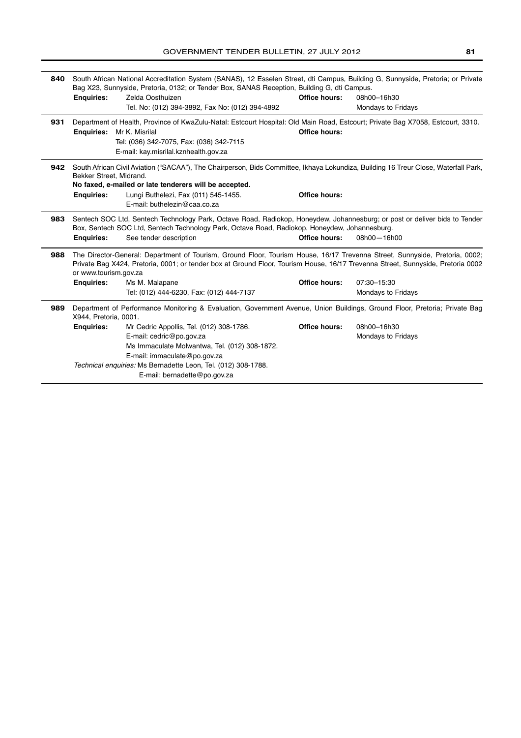| 840 | South African National Accreditation System (SANAS), 12 Esselen Street, dti Campus, Building G, Sunnyside, Pretoria; or Private<br>Bag X23, Sunnyside, Pretoria, 0132; or Tender Box, SANAS Reception, Building G, dti Campus.                                                          |                                                                                                                                                                                                                             |                      |                    |
|-----|-----------------------------------------------------------------------------------------------------------------------------------------------------------------------------------------------------------------------------------------------------------------------------------------|-----------------------------------------------------------------------------------------------------------------------------------------------------------------------------------------------------------------------------|----------------------|--------------------|
|     | <b>Enquiries:</b>                                                                                                                                                                                                                                                                       | Zelda Oosthuizen                                                                                                                                                                                                            | Office hours:        | 08h00-16h30        |
|     |                                                                                                                                                                                                                                                                                         | Tel. No: (012) 394-3892, Fax No: (012) 394-4892                                                                                                                                                                             |                      | Mondays to Fridays |
| 931 |                                                                                                                                                                                                                                                                                         | Department of Health, Province of KwaZulu-Natal: Estcourt Hospital: Old Main Road, Estcourt; Private Bag X7058, Estcourt, 3310.                                                                                             |                      |                    |
|     | <b>Enguiries:</b>                                                                                                                                                                                                                                                                       | Mr K. Misrilal                                                                                                                                                                                                              | <b>Office hours:</b> |                    |
|     |                                                                                                                                                                                                                                                                                         | Tel: (036) 342-7075, Fax: (036) 342-7115                                                                                                                                                                                    |                      |                    |
|     |                                                                                                                                                                                                                                                                                         | E-mail: kay.misrilal.kznhealth.gov.za                                                                                                                                                                                       |                      |                    |
| 942 | Bekker Street, Midrand.                                                                                                                                                                                                                                                                 | South African Civil Aviation ("SACAA"), The Chairperson, Bids Committee, Ikhaya Lokundiza, Building 16 Treur Close, Waterfall Park,                                                                                         |                      |                    |
|     |                                                                                                                                                                                                                                                                                         | No faxed, e-mailed or late tenderers will be accepted.                                                                                                                                                                      |                      |                    |
|     | <b>Enquiries:</b>                                                                                                                                                                                                                                                                       | Lungi Buthelezi, Fax (011) 545-1455.                                                                                                                                                                                        | <b>Office hours:</b> |                    |
|     |                                                                                                                                                                                                                                                                                         | E-mail: buthelezin@caa.co.za                                                                                                                                                                                                |                      |                    |
| 983 |                                                                                                                                                                                                                                                                                         | Sentech SOC Ltd, Sentech Technology Park, Octave Road, Radiokop, Honeydew, Johannesburg; or post or deliver bids to Tender<br>Box, Sentech SOC Ltd, Sentech Technology Park, Octave Road, Radiokop, Honeydew, Johannesburg. |                      |                    |
|     | <b>Enquiries:</b>                                                                                                                                                                                                                                                                       | See tender description                                                                                                                                                                                                      | Office hours:        | 08h00-16h00        |
| 988 | The Director-General: Department of Tourism, Ground Floor, Tourism House, 16/17 Trevenna Street, Sunnyside, Pretoria, 0002;<br>Private Bag X424, Pretoria, 0001; or tender box at Ground Floor, Tourism House, 16/17 Trevenna Street, Sunnyside, Pretoria 0002<br>or www.tourism.gov.za |                                                                                                                                                                                                                             |                      |                    |
|     | <b>Enquiries:</b>                                                                                                                                                                                                                                                                       | Ms M. Malapane                                                                                                                                                                                                              | <b>Office hours:</b> | 07:30-15:30        |
|     |                                                                                                                                                                                                                                                                                         | Tel: (012) 444-6230, Fax: (012) 444-7137                                                                                                                                                                                    |                      | Mondays to Fridays |
| 989 | X944, Pretoria, 0001.                                                                                                                                                                                                                                                                   | Department of Performance Monitoring & Evaluation, Government Avenue, Union Buildings, Ground Floor, Pretoria; Private Bag                                                                                                  |                      |                    |
|     | <b>Enquiries:</b>                                                                                                                                                                                                                                                                       | Mr Cedric Appollis, Tel. (012) 308-1786.                                                                                                                                                                                    | <b>Office hours:</b> | 08h00-16h30        |
|     |                                                                                                                                                                                                                                                                                         | E-mail: cedric@po.gov.za                                                                                                                                                                                                    |                      | Mondays to Fridays |
|     |                                                                                                                                                                                                                                                                                         | Ms Immaculate Molwantwa, Tel. (012) 308-1872.                                                                                                                                                                               |                      |                    |
|     |                                                                                                                                                                                                                                                                                         | E-mail: immaculate@po.gov.za                                                                                                                                                                                                |                      |                    |
|     |                                                                                                                                                                                                                                                                                         | Technical enguiries: Ms Bernadette Leon, Tel. (012) 308-1788.                                                                                                                                                               |                      |                    |
|     |                                                                                                                                                                                                                                                                                         | E-mail: bernadette@po.gov.za                                                                                                                                                                                                |                      |                    |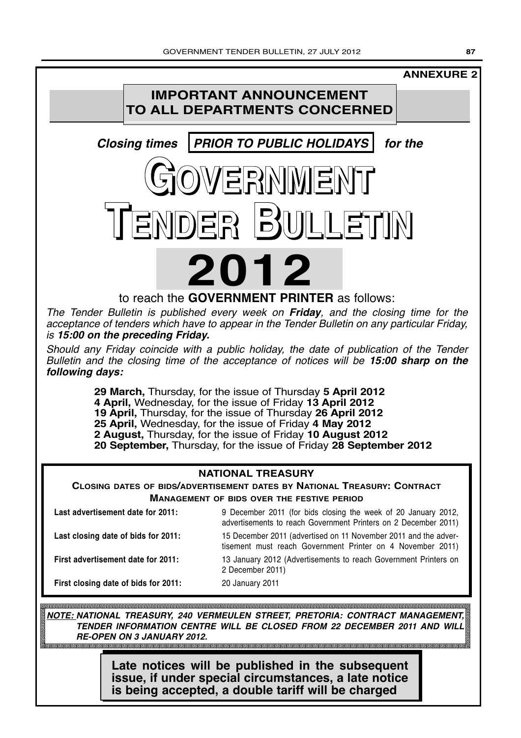# **IMPORTANT ANNOUNCEMENT TO ALL DEPARTMENTS CONCERNED** *Closing times PRIOR TO PUBLIC HOLIDAYS for the* **GOVERNMENT ANNEXURE 2**

to reach the **GOVERNMENT PRINTER** as follows:

**TENDER BULLETIN**

**2012**

The Tender Bulletin is published every week on *Friday*, and the closing time for the acceptance of tenders which have to appear in the Tender Bulletin on any particular Friday, is *15:00 on the preceding Friday.*

Should any Friday coincide with a public holiday, the date of publication of the Tender Bulletin and the closing time of the acceptance of notices will be *15:00 sharp on the following days:*

> **29 March,** Thursday, for the issue of Thursday **5 April 2012 4 April,** Wednesday, for the issue of Friday **13 April 2012 19 April,** Thursday, for the issue of Thursday **26 April 2012 25 April,** Wednesday, for the issue of Friday **4 May 2012 2 August,** Thursday, for the issue of Friday **10 August 2012 20 September,** Thursday, for the issue of Friday **28 September 2012**

## **NATIONAL TREASURY**

**CLOSING DATES OF BIDS/ADVERTISEMENT DATES BY NATIONAL TREASURY: CONTRACT MANAGEMENT OF BIDS OVER THE FESTIVE PERIOD**

| Last advertisement date for 2011:    | 9 December 2011 (for bids closing the week of 20 January 2012,<br>advertisements to reach Government Printers on 2 December 2011) |
|--------------------------------------|-----------------------------------------------------------------------------------------------------------------------------------|
| Last closing date of bids for 2011:  | 15 December 2011 (advertised on 11 November 2011 and the adver-<br>tisement must reach Government Printer on 4 November 2011)     |
| First advertisement date for 2011:   | 13 January 2012 (Advertisements to reach Government Printers on<br>2 December 2011)                                               |
| First closing date of bids for 2011: | 20 January 2011                                                                                                                   |

*NOTE: NATIONAL TREASURY, 240 VERMEULEN STREET, PRETORIA: CONTRACT MANAGEMENT, TENDER INFORMATION CENTRE WILL BE CLOSED FROM 22 DECEMBER 2011 AND WILL RE-OPEN ON 3 JANUARY 2012.*

**Late notices will be published in the subsequent issue, if under special circumstances, a late notice is being accepted, a double tariff will be charged**